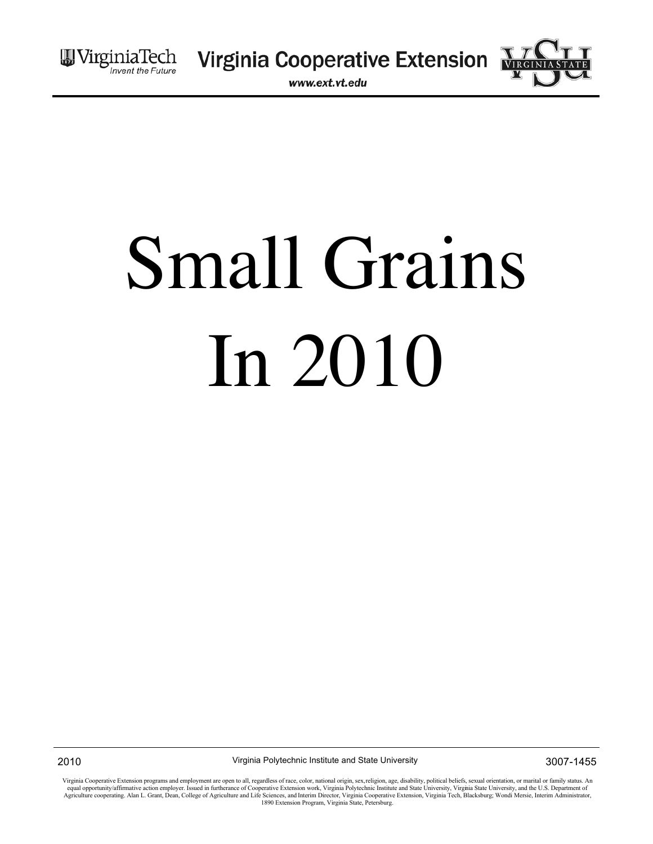

WirginiaTech Virginia Cooperative Extension

www.ext.vt.edu

# Small Grains In 2010

2010 Virginia Polytechnic Institute and State University 3007-1455

Virginia Cooperative Extension programs and employment are open to all, regardless of race, color, national origin, sex, religion, age, disability, political beliefs, sexual orientation, or marital or family status. An<br>equ Agriculture cooperating. Alan L. Grant, Dean, College of Agriculture and Life Sciences, and Interim Director, Virginia Cooperative Extension, Virginia Tech, Blacksburg; Wondi Mersie, Interim Administrator, 1890 Extension P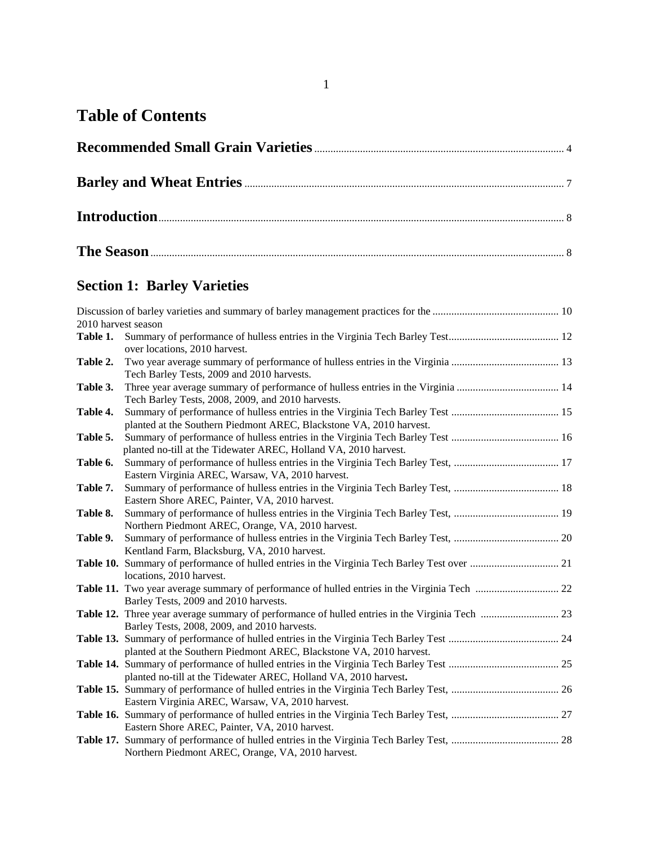# **Table of Contents**

# **Section 1: Barley Varieties**

| 2010 harvest season |                                                                                                                                       |  |
|---------------------|---------------------------------------------------------------------------------------------------------------------------------------|--|
| Table 1.            | over locations, 2010 harvest.                                                                                                         |  |
| Table 2.            | Tech Barley Tests, 2009 and 2010 harvests.                                                                                            |  |
| Table 3.            | Three year average summary of performance of hulless entries in the Virginia  14<br>Tech Barley Tests, 2008, 2009, and 2010 harvests. |  |
| Table 4.            | planted at the Southern Piedmont AREC, Blackstone VA, 2010 harvest.                                                                   |  |
| Table 5.            | planted no-till at the Tidewater AREC, Holland VA, 2010 harvest.                                                                      |  |
| Table 6.            | Summary of performance of hulless entries in the Virginia Tech Barley Test,  17<br>Eastern Virginia AREC, Warsaw, VA, 2010 harvest.   |  |
| Table 7.            | Eastern Shore AREC, Painter, VA, 2010 harvest.                                                                                        |  |
| Table 8.            | Summary of performance of hulless entries in the Virginia Tech Barley Test,  19<br>Northern Piedmont AREC, Orange, VA, 2010 harvest.  |  |
| Table 9.            | Kentland Farm, Blacksburg, VA, 2010 harvest.                                                                                          |  |
|                     | locations, 2010 harvest.                                                                                                              |  |
|                     | Table 11. Two year average summary of performance of hulled entries in the Virginia Tech  22<br>Barley Tests, 2009 and 2010 harvests. |  |
|                     | Barley Tests, 2008, 2009, and 2010 harvests.                                                                                          |  |
|                     | planted at the Southern Piedmont AREC, Blackstone VA, 2010 harvest.                                                                   |  |
|                     | planted no-till at the Tidewater AREC, Holland VA, 2010 harvest.                                                                      |  |
|                     | Eastern Virginia AREC, Warsaw, VA, 2010 harvest.                                                                                      |  |
|                     | Eastern Shore AREC, Painter, VA, 2010 harvest.                                                                                        |  |
|                     | Northern Piedmont AREC, Orange, VA, 2010 harvest.                                                                                     |  |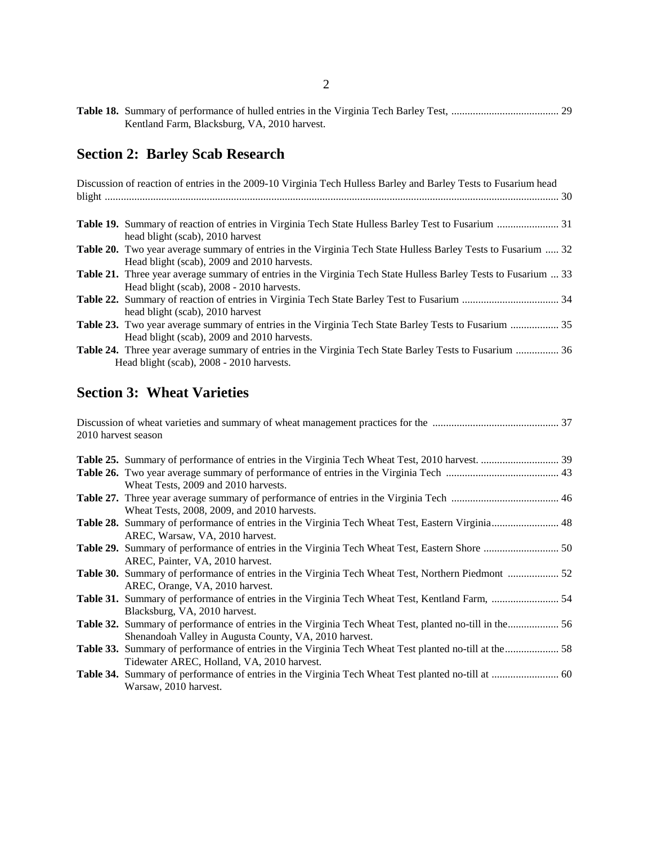| Kentland Farm, Blacksburg, VA, 2010 harvest. |  |
|----------------------------------------------|--|

#### **Section 2: Barley Scab Research**

| Discussion of reaction of entries in the 2009-10 Virginia Tech Hulless Barley and Barley Tests to Fusarium head |
|-----------------------------------------------------------------------------------------------------------------|
|                                                                                                                 |
|                                                                                                                 |
|                                                                                                                 |
| head blight (scab), 2010 harvest                                                                                |
| Table 20. Two year average summary of entries in the Virginia Tech State Hulless Barley Tests to Fusarium  32   |
| Head blight (scab), 2009 and 2010 harvests.                                                                     |
| Table 21. Three year average summary of entries in the Virginia Tech State Hulless Barley Tests to Fusarium  33 |
| Head blight (scab), 2008 - 2010 harvests.                                                                       |
|                                                                                                                 |
| head blight (scab), 2010 harvest                                                                                |
| Table 23. Two year average summary of entries in the Virginia Tech State Barley Tests to Fusarium  35           |
| Head blight (scab), 2009 and 2010 harvests.                                                                     |
| Table 24. Three year average summary of entries in the Virginia Tech State Barley Tests to Fusarium  36         |
| Head blight (scab), 2008 - 2010 harvests.                                                                       |

#### **Section 3: Wheat Varieties**

Discussion of wheat varieties and summary of wheat management practices for the ............................................... 37 2010 harvest season **Table 25.** Summary of performance of entries in the Virginia Tech Wheat Test, 2010 harvest. ............................. 39 **Table 26.** Two year average summary of performance of entries in the Virginia Tech .......................................... 43 Wheat Tests, 2009 and 2010 harvests. **Table 27.** Three year average summary of performance of entries in the Virginia Tech ........................................ 46 Wheat Tests, 2008, 2009, and 2010 harvests. **Table 28.** Summary of performance of entries in the Virginia Tech Wheat Test, Eastern Virginia......................... 48 AREC, Warsaw, VA, 2010 harvest.

- **Table 29.** Summary of performance of entries in the Virginia Tech Wheat Test, Eastern Shore ............................ 50 AREC, Painter, VA, 2010 harvest.
- **Table 30.** Summary of performance of entries in the Virginia Tech Wheat Test, Northern Piedmont ................... 52 AREC, Orange, VA, 2010 harvest.
- **Table 31.** Summary of performance of entries in the Virginia Tech Wheat Test, Kentland Farm, ......................... 54 Blacksburg, VA, 2010 harvest. **Table 32.** Summary of performance of entries in the Virginia Tech Wheat Test, planted no-till in the................... 56
- Shenandoah Valley in Augusta County, VA, 2010 harvest. **Table 33.** Summary of performance of entries in the Virginia Tech Wheat Test planted no-till at the.................... 58 Tidewater AREC, Holland, VA, 2010 harvest.
- **Table 34.** Summary of performance of entries in the Virginia Tech Wheat Test planted no-till at ......................... 60 Warsaw, 2010 harvest.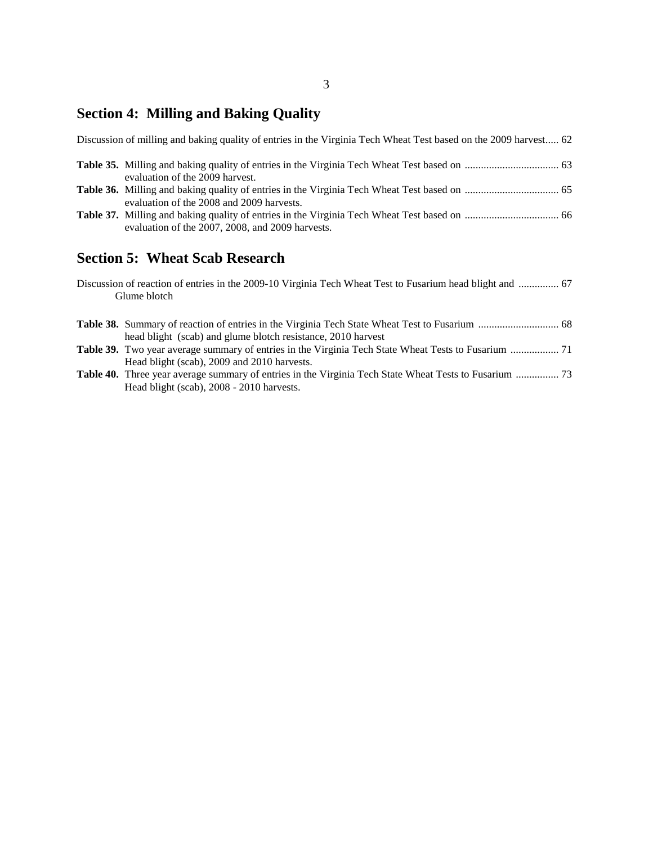## **Section 4: Milling and Baking Quality**

| <b>Section 5: Wheat Scab Research</b>                                                                            |  |
|------------------------------------------------------------------------------------------------------------------|--|
| evaluation of the 2007, 2008, and 2009 harvests.                                                                 |  |
| evaluation of the 2008 and 2009 harvests.                                                                        |  |
| evaluation of the 2009 harvest.                                                                                  |  |
|                                                                                                                  |  |
| Discussion of milling and baking quality of entries in the Virginia Tech Wheat Test based on the 2009 harvest 62 |  |

| Discussion of reaction of entries in the 2009-10 Virginia Tech Wheat Test to Fusarium head blight and  67<br>Glume blotch |
|---------------------------------------------------------------------------------------------------------------------------|
| head blight (scab) and glume blotch resistance, 2010 harvest                                                              |
| Head blight (scab), 2009 and 2010 harvests.                                                                               |

**Table 40.** Three year average summary of entries in the Virginia Tech State Wheat Tests to Fusarium ................ 73 Head blight (scab), 2008 - 2010 harvests.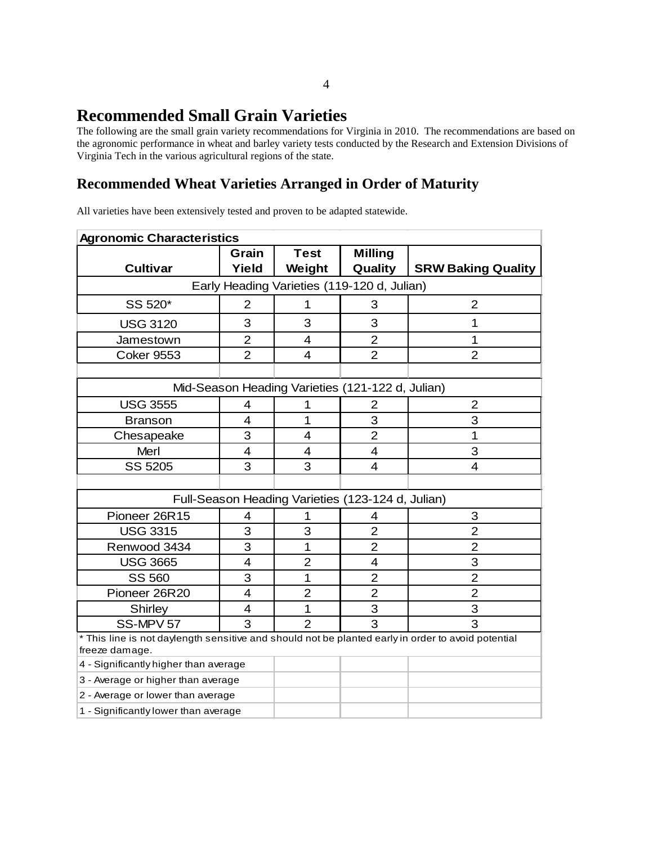## **Recommended Small Grain Varieties**

The following are the small grain variety recommendations for Virginia in 2010. The recommendations are based on the agronomic performance in wheat and barley variety tests conducted by the Research and Extension Divisions of Virginia Tech in the various agricultural regions of the state.

## **Recommended Wheat Varieties Arranged in Order of Maturity**

All varieties have been extensively tested and proven to be adapted statewide.

| <b>Agronomic Characteristics</b>                                                                                     |                |                          |                                                   |                           |  |  |  |  |  |  |  |  |  |
|----------------------------------------------------------------------------------------------------------------------|----------------|--------------------------|---------------------------------------------------|---------------------------|--|--|--|--|--|--|--|--|--|
|                                                                                                                      | Grain          | <b>Test</b>              | <b>Milling</b>                                    |                           |  |  |  |  |  |  |  |  |  |
| <b>Cultivar</b>                                                                                                      | Yield          | Weight                   | Quality                                           | <b>SRW Baking Quality</b> |  |  |  |  |  |  |  |  |  |
|                                                                                                                      |                |                          | Early Heading Varieties (119-120 d, Julian)       |                           |  |  |  |  |  |  |  |  |  |
| SS 520*                                                                                                              | 2              | 1                        | 3                                                 | $\overline{2}$            |  |  |  |  |  |  |  |  |  |
| <b>USG 3120</b>                                                                                                      | 3              | 3                        | 3                                                 | 1                         |  |  |  |  |  |  |  |  |  |
| Jamestown                                                                                                            | $\overline{2}$ | 4                        | $\overline{2}$                                    | 1                         |  |  |  |  |  |  |  |  |  |
| <b>Coker 9553</b>                                                                                                    | $\overline{2}$ | $\overline{\mathcal{A}}$ | $\overline{2}$                                    | $\overline{2}$            |  |  |  |  |  |  |  |  |  |
|                                                                                                                      |                |                          |                                                   |                           |  |  |  |  |  |  |  |  |  |
| Mid-Season Heading Varieties (121-122 d, Julian)                                                                     |                |                          |                                                   |                           |  |  |  |  |  |  |  |  |  |
| <b>USG 3555</b>                                                                                                      | $\overline{4}$ | 1                        | $\overline{2}$                                    | $\overline{2}$            |  |  |  |  |  |  |  |  |  |
| <b>Branson</b>                                                                                                       | 4              | 1                        | 3                                                 | 3                         |  |  |  |  |  |  |  |  |  |
| Chesapeake                                                                                                           | 3              | 4                        | $\overline{2}$                                    | 1                         |  |  |  |  |  |  |  |  |  |
| Merl                                                                                                                 | 4              | 4                        | 4                                                 | 3                         |  |  |  |  |  |  |  |  |  |
| SS 5205                                                                                                              | 3              | 3                        | 4                                                 | $\overline{4}$            |  |  |  |  |  |  |  |  |  |
|                                                                                                                      |                |                          |                                                   |                           |  |  |  |  |  |  |  |  |  |
|                                                                                                                      |                |                          | Full-Season Heading Varieties (123-124 d, Julian) |                           |  |  |  |  |  |  |  |  |  |
| Pioneer 26R15                                                                                                        | 4              | 1                        | 4                                                 | 3                         |  |  |  |  |  |  |  |  |  |
| <b>USG 3315</b>                                                                                                      | 3              | 3                        | $\overline{2}$                                    | $\overline{2}$            |  |  |  |  |  |  |  |  |  |
| Renwood 3434                                                                                                         | 3              | 1                        | $\overline{2}$                                    | $\overline{2}$            |  |  |  |  |  |  |  |  |  |
| <b>USG 3665</b>                                                                                                      | $\overline{4}$ | $\overline{2}$           | 4                                                 | 3                         |  |  |  |  |  |  |  |  |  |
| <b>SS 560</b>                                                                                                        | 3              | 1                        | $\overline{2}$                                    | $\overline{2}$            |  |  |  |  |  |  |  |  |  |
| Pioneer 26R20                                                                                                        | 4              | $\overline{2}$           | $\overline{2}$                                    | $\overline{2}$            |  |  |  |  |  |  |  |  |  |
| <b>Shirley</b>                                                                                                       | $\overline{4}$ | 1                        | 3                                                 | 3                         |  |  |  |  |  |  |  |  |  |
| SS-MPV 57                                                                                                            | 3              | $\overline{2}$           | 3                                                 | 3                         |  |  |  |  |  |  |  |  |  |
| * This line is not daylength sensitive and should not be planted early in order to avoid potential<br>freeze damage. |                |                          |                                                   |                           |  |  |  |  |  |  |  |  |  |
| 4 - Significantly higher than average                                                                                |                |                          |                                                   |                           |  |  |  |  |  |  |  |  |  |
| 3 - Average or higher than average                                                                                   |                |                          |                                                   |                           |  |  |  |  |  |  |  |  |  |
| 2 - Average or lower than average                                                                                    |                |                          |                                                   |                           |  |  |  |  |  |  |  |  |  |
| 1 - Significantly lower than average                                                                                 |                |                          |                                                   |                           |  |  |  |  |  |  |  |  |  |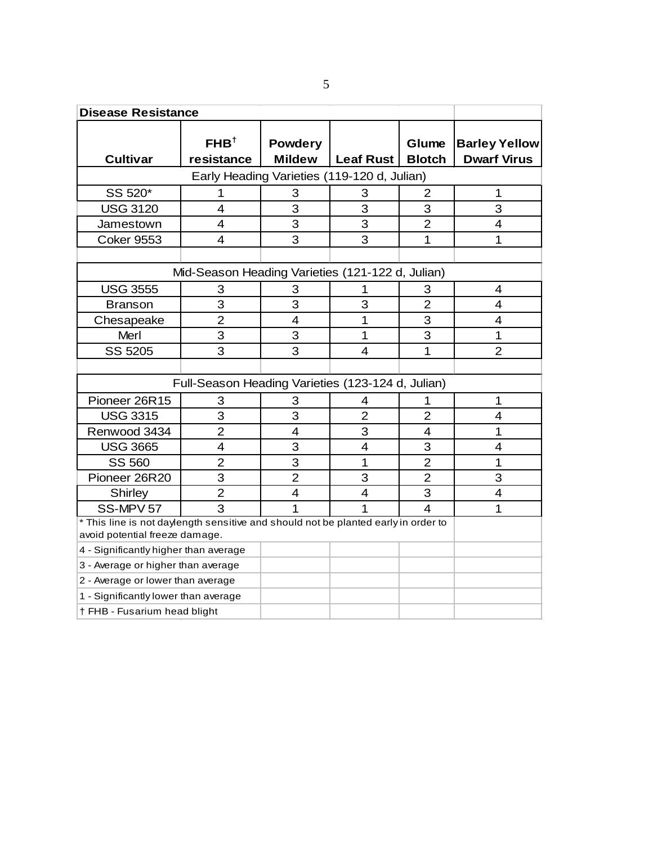| <b>Disease Resistance</b>                                                        |                                                   |                                 |                                             |                         |                                            |
|----------------------------------------------------------------------------------|---------------------------------------------------|---------------------------------|---------------------------------------------|-------------------------|--------------------------------------------|
| <b>Cultivar</b>                                                                  | $FHB^{\dagger}$                                   | <b>Powdery</b><br><b>Mildew</b> | <b>Leaf Rust</b>                            | Glume<br><b>Blotch</b>  | <b>Barley Yellow</b><br><b>Dwarf Virus</b> |
|                                                                                  | resistance                                        |                                 |                                             |                         |                                            |
|                                                                                  |                                                   |                                 | Early Heading Varieties (119-120 d, Julian) |                         |                                            |
| SS 520*                                                                          | 1                                                 | 3                               | 3                                           | 2                       | 1                                          |
| <b>USG 3120</b>                                                                  | $\overline{4}$                                    | 3                               | 3                                           | 3                       | 3                                          |
| Jamestown                                                                        | 4                                                 | 3                               | 3                                           | 2                       | 4                                          |
| <b>Coker 9553</b>                                                                | 4                                                 | 3                               | 3                                           | 1                       | 1                                          |
|                                                                                  |                                                   |                                 |                                             |                         |                                            |
|                                                                                  | Mid-Season Heading Varieties (121-122 d, Julian)  |                                 |                                             |                         |                                            |
| <b>USG 3555</b>                                                                  | 3                                                 | 3                               | 1                                           | 3                       | 4                                          |
| <b>Branson</b>                                                                   | 3                                                 | 3                               | 3                                           | $\overline{2}$          | 4                                          |
| Chesapeake                                                                       | $\overline{2}$                                    | 4                               | 1                                           | 3                       | 4                                          |
| Merl                                                                             | 3                                                 | 3                               | 1                                           | 3                       | 1                                          |
| SS 5205                                                                          | 3                                                 | 3                               | $\overline{4}$                              | $\overline{1}$          | $\overline{2}$                             |
|                                                                                  |                                                   |                                 |                                             |                         |                                            |
|                                                                                  | Full-Season Heading Varieties (123-124 d, Julian) |                                 |                                             |                         |                                            |
| Pioneer 26R15                                                                    | 3                                                 | 3                               | 4                                           | 1                       | 1                                          |
| <b>USG 3315</b>                                                                  | 3                                                 | 3                               | $\overline{2}$                              | $\overline{2}$          | 4                                          |
| Renwood 3434                                                                     | $\overline{2}$                                    | 4                               | 3                                           | 4                       | 1                                          |
| <b>USG 3665</b>                                                                  | $\overline{4}$                                    | 3                               | $\overline{4}$                              | 3                       | 4                                          |
| <b>SS 560</b>                                                                    | $\overline{2}$                                    | 3                               | $\mathbf 1$                                 | $\overline{2}$          | 1                                          |
| Pioneer 26R20                                                                    | 3                                                 | $\overline{2}$                  | 3                                           | $\overline{2}$          | 3                                          |
| Shirley                                                                          | $\overline{2}$                                    | 4                               | 4                                           | 3                       | 4                                          |
| SS-MPV 57                                                                        | 3                                                 | 1                               | 1                                           | $\overline{\mathbf{4}}$ | 1                                          |
| This line is not daylength sensitive and should not be planted early in order to |                                                   |                                 |                                             |                         |                                            |
| avoid potential freeze damage.                                                   |                                                   |                                 |                                             |                         |                                            |
| 4 - Significantly higher than average                                            |                                                   |                                 |                                             |                         |                                            |
| 3 - Average or higher than average                                               |                                                   |                                 |                                             |                         |                                            |
| 2 - Average or lower than average                                                |                                                   |                                 |                                             |                         |                                            |
| 1 - Significantly lower than average                                             |                                                   |                                 |                                             |                         |                                            |
| † FHB - Fusarium head blight                                                     |                                                   |                                 |                                             |                         |                                            |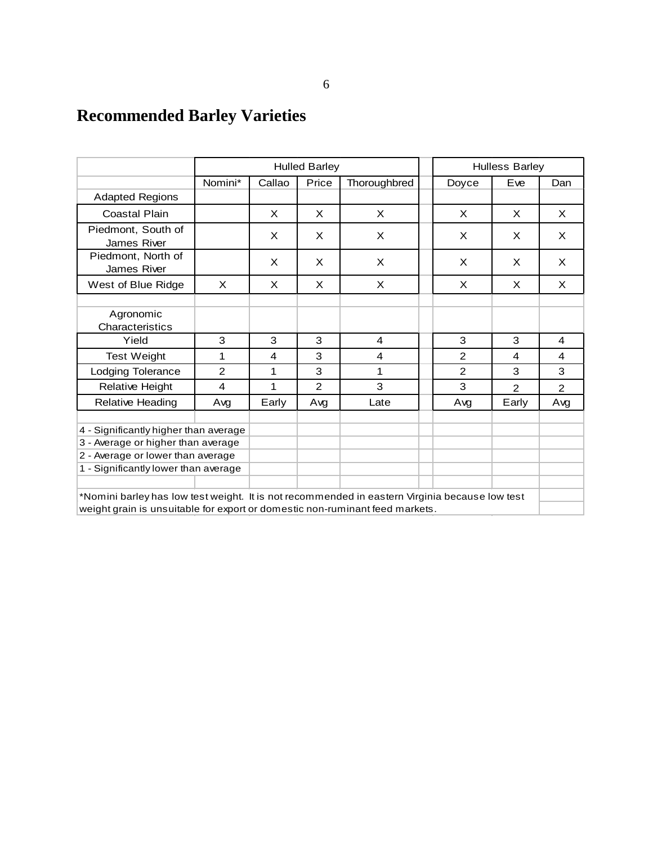# **Recommended Barley Varieties**

|                                                                                                                                                                                |         | <b>Hulled Barley</b><br><b>Hulless Barley</b><br>Callao<br>Price<br>Thoroughbred<br>Doyce<br>Eve<br>X<br>$\times$<br>$\times$<br>X<br>$\times$<br>X<br>$\times$<br>X<br>X<br>$\times$<br>X<br>X<br>$\times$<br>X<br>X<br>$\times$<br>X<br>X<br>X<br>X<br>X<br>3<br>3<br>3<br>3<br>3<br>4<br>3<br>2<br>$\overline{4}$<br>4<br>1<br>4<br>3<br>$\overline{2}$<br>$\overline{2}$<br>1<br>3<br>1<br>1<br>$\overline{2}$<br>3<br>3<br>4<br>2<br>Early<br>Early<br>Avg<br>Avg<br>Late<br>Avg |  |  |  |  |  |          |  |  |  |  |
|--------------------------------------------------------------------------------------------------------------------------------------------------------------------------------|---------|---------------------------------------------------------------------------------------------------------------------------------------------------------------------------------------------------------------------------------------------------------------------------------------------------------------------------------------------------------------------------------------------------------------------------------------------------------------------------------------|--|--|--|--|--|----------|--|--|--|--|
|                                                                                                                                                                                | Nomini* |                                                                                                                                                                                                                                                                                                                                                                                                                                                                                       |  |  |  |  |  | Dan      |  |  |  |  |
| <b>Adapted Regions</b>                                                                                                                                                         |         |                                                                                                                                                                                                                                                                                                                                                                                                                                                                                       |  |  |  |  |  |          |  |  |  |  |
| Coastal Plain                                                                                                                                                                  |         |                                                                                                                                                                                                                                                                                                                                                                                                                                                                                       |  |  |  |  |  | $\times$ |  |  |  |  |
| Piedmont, South of<br>James River                                                                                                                                              |         |                                                                                                                                                                                                                                                                                                                                                                                                                                                                                       |  |  |  |  |  | X        |  |  |  |  |
| Piedmont, North of<br>James River                                                                                                                                              |         |                                                                                                                                                                                                                                                                                                                                                                                                                                                                                       |  |  |  |  |  | X        |  |  |  |  |
| West of Blue Ridge                                                                                                                                                             |         |                                                                                                                                                                                                                                                                                                                                                                                                                                                                                       |  |  |  |  |  | $\times$ |  |  |  |  |
| Agronomic<br>Characteristics                                                                                                                                                   |         |                                                                                                                                                                                                                                                                                                                                                                                                                                                                                       |  |  |  |  |  |          |  |  |  |  |
| Yield                                                                                                                                                                          |         |                                                                                                                                                                                                                                                                                                                                                                                                                                                                                       |  |  |  |  |  | 4        |  |  |  |  |
| <b>Test Weight</b>                                                                                                                                                             |         |                                                                                                                                                                                                                                                                                                                                                                                                                                                                                       |  |  |  |  |  | 4        |  |  |  |  |
| Lodging Tolerance                                                                                                                                                              |         |                                                                                                                                                                                                                                                                                                                                                                                                                                                                                       |  |  |  |  |  | 3        |  |  |  |  |
| <b>Relative Height</b>                                                                                                                                                         |         |                                                                                                                                                                                                                                                                                                                                                                                                                                                                                       |  |  |  |  |  | 2        |  |  |  |  |
| <b>Relative Heading</b>                                                                                                                                                        |         |                                                                                                                                                                                                                                                                                                                                                                                                                                                                                       |  |  |  |  |  | Avg      |  |  |  |  |
| 4 - Significantly higher than average<br>3 - Average or higher than average<br>2 - Average or lower than average<br>1 - Significantly lower than average                       |         |                                                                                                                                                                                                                                                                                                                                                                                                                                                                                       |  |  |  |  |  |          |  |  |  |  |
| *Nomini barley has low test weight. It is not recommended in eastern Virginia because low test<br>weight grain is unsuitable for export or domestic non-ruminant feed markets. |         |                                                                                                                                                                                                                                                                                                                                                                                                                                                                                       |  |  |  |  |  |          |  |  |  |  |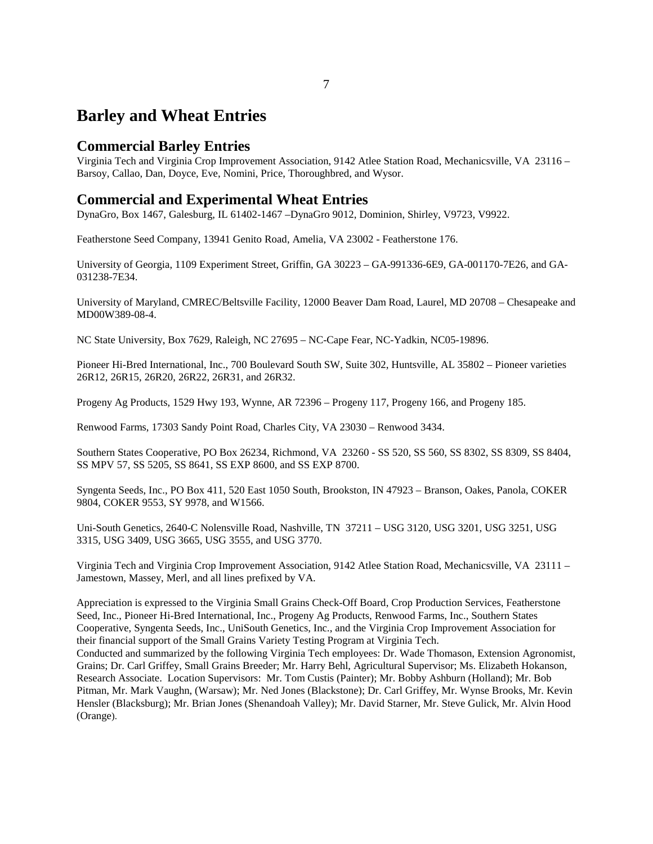## **Barley and Wheat Entries**

#### **Commercial Barley Entries**

Virginia Tech and Virginia Crop Improvement Association, 9142 Atlee Station Road, Mechanicsville, VA 23116 – Barsoy, Callao, Dan, Doyce, Eve, Nomini, Price, Thoroughbred, and Wysor.

#### **Commercial and Experimental Wheat Entries**

DynaGro, Box 1467, Galesburg, IL 61402-1467 –DynaGro 9012, Dominion, Shirley, V9723, V9922.

Featherstone Seed Company, 13941 Genito Road, Amelia, VA 23002 - Featherstone 176.

University of Georgia, 1109 Experiment Street, Griffin, GA 30223 – GA-991336-6E9, GA-001170-7E26, and GA-031238-7E34.

University of Maryland, CMREC/Beltsville Facility, 12000 Beaver Dam Road, Laurel, MD 20708 – Chesapeake and MD00W389-08-4.

NC State University, Box 7629, Raleigh, NC 27695 – NC-Cape Fear, NC-Yadkin, NC05-19896.

Pioneer Hi-Bred International, Inc., 700 Boulevard South SW, Suite 302, Huntsville, AL 35802 – Pioneer varieties 26R12, 26R15, 26R20, 26R22, 26R31, and 26R32.

Progeny Ag Products, 1529 Hwy 193, Wynne, AR 72396 – Progeny 117, Progeny 166, and Progeny 185.

Renwood Farms, 17303 Sandy Point Road, Charles City, VA 23030 – Renwood 3434.

Southern States Cooperative, PO Box 26234, Richmond, VA 23260 - SS 520, SS 560, SS 8302, SS 8309, SS 8404, SS MPV 57, SS 5205, SS 8641, SS EXP 8600, and SS EXP 8700.

Syngenta Seeds, Inc., PO Box 411, 520 East 1050 South, Brookston, IN 47923 – Branson, Oakes, Panola, COKER 9804, COKER 9553, SY 9978, and W1566.

Uni-South Genetics, 2640-C Nolensville Road, Nashville, TN 37211 – USG 3120, USG 3201, USG 3251, USG 3315, USG 3409, USG 3665, USG 3555, and USG 3770.

Virginia Tech and Virginia Crop Improvement Association, 9142 Atlee Station Road, Mechanicsville, VA 23111 – Jamestown, Massey, Merl, and all lines prefixed by VA.

Appreciation is expressed to the Virginia Small Grains Check-Off Board, Crop Production Services, Featherstone Seed, Inc., Pioneer Hi-Bred International, Inc., Progeny Ag Products, Renwood Farms, Inc., Southern States Cooperative, Syngenta Seeds, Inc., UniSouth Genetics, Inc., and the Virginia Crop Improvement Association for their financial support of the Small Grains Variety Testing Program at Virginia Tech.

Conducted and summarized by the following Virginia Tech employees: Dr. Wade Thomason, Extension Agronomist, Grains; Dr. Carl Griffey, Small Grains Breeder; Mr. Harry Behl, Agricultural Supervisor; Ms. Elizabeth Hokanson, Research Associate. Location Supervisors: Mr. Tom Custis (Painter); Mr. Bobby Ashburn (Holland); Mr. Bob Pitman, Mr. Mark Vaughn, (Warsaw); Mr. Ned Jones (Blackstone); Dr. Carl Griffey, Mr. Wynse Brooks, Mr. Kevin Hensler (Blacksburg); Mr. Brian Jones (Shenandoah Valley); Mr. David Starner, Mr. Steve Gulick, Mr. Alvin Hood (Orange).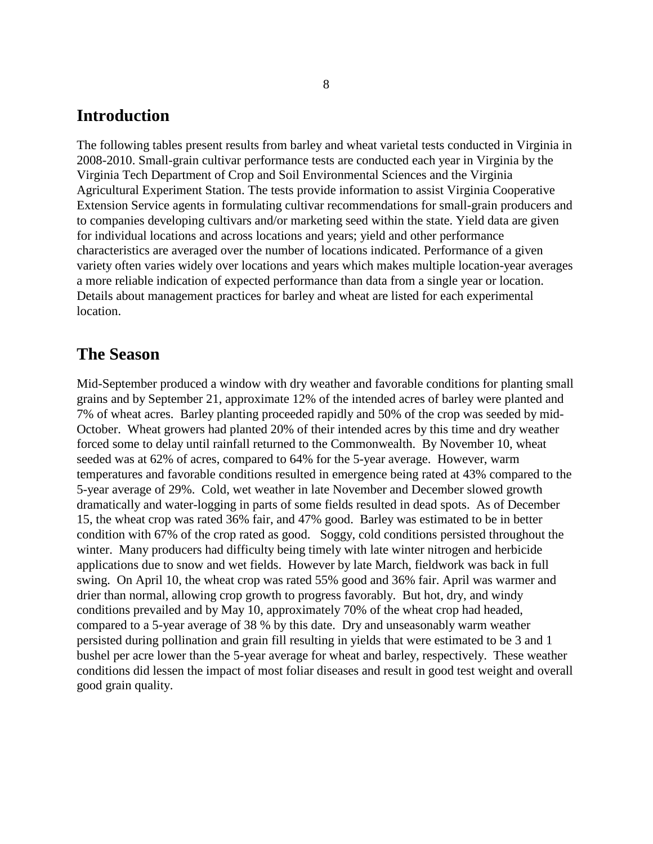## **Introduction**

The following tables present results from barley and wheat varietal tests conducted in Virginia in 2008-2010. Small-grain cultivar performance tests are conducted each year in Virginia by the Virginia Tech Department of Crop and Soil Environmental Sciences and the Virginia Agricultural Experiment Station. The tests provide information to assist Virginia Cooperative Extension Service agents in formulating cultivar recommendations for small-grain producers and to companies developing cultivars and/or marketing seed within the state. Yield data are given for individual locations and across locations and years; yield and other performance characteristics are averaged over the number of locations indicated. Performance of a given variety often varies widely over locations and years which makes multiple location-year averages a more reliable indication of expected performance than data from a single year or location. Details about management practices for barley and wheat are listed for each experimental location.

## **The Season**

Mid-September produced a window with dry weather and favorable conditions for planting small grains and by September 21, approximate 12% of the intended acres of barley were planted and 7% of wheat acres. Barley planting proceeded rapidly and 50% of the crop was seeded by mid-October. Wheat growers had planted 20% of their intended acres by this time and dry weather forced some to delay until rainfall returned to the Commonwealth. By November 10, wheat seeded was at 62% of acres, compared to 64% for the 5-year average. However, warm temperatures and favorable conditions resulted in emergence being rated at 43% compared to the 5-year average of 29%. Cold, wet weather in late November and December slowed growth dramatically and water-logging in parts of some fields resulted in dead spots. As of December 15, the wheat crop was rated 36% fair, and 47% good. Barley was estimated to be in better condition with 67% of the crop rated as good. Soggy, cold conditions persisted throughout the winter. Many producers had difficulty being timely with late winter nitrogen and herbicide applications due to snow and wet fields. However by late March, fieldwork was back in full swing. On April 10, the wheat crop was rated 55% good and 36% fair. April was warmer and drier than normal, allowing crop growth to progress favorably. But hot, dry, and windy conditions prevailed and by May 10, approximately 70% of the wheat crop had headed, compared to a 5-year average of 38 % by this date. Dry and unseasonably warm weather persisted during pollination and grain fill resulting in yields that were estimated to be 3 and 1 bushel per acre lower than the 5-year average for wheat and barley, respectively. These weather conditions did lessen the impact of most foliar diseases and result in good test weight and overall good grain quality.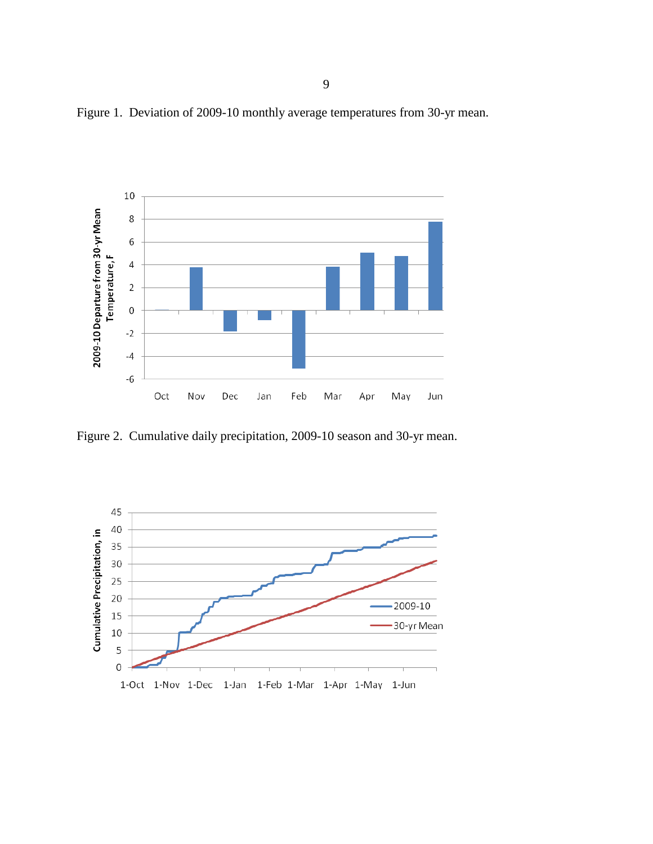Figure 1. Deviation of 2009-10 monthly average temperatures from 30-yr mean.



Figure 2. Cumulative daily precipitation, 2009-10 season and 30-yr mean.

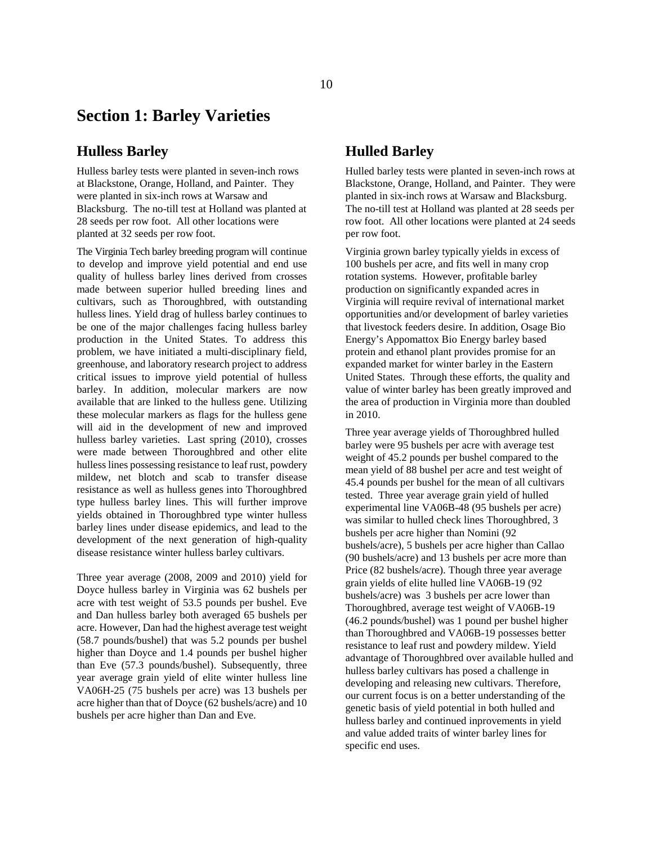## **Section 1: Barley Varieties**

#### **Hulless Barley**

Hulless barley tests were planted in seven-inch rows at Blackstone, Orange, Holland, and Painter. They were planted in six-inch rows at Warsaw and Blacksburg. The no-till test at Holland was planted at 28 seeds per row foot. All other locations were planted at 32 seeds per row foot.

The Virginia Tech barley breeding program will continue to develop and improve yield potential and end use quality of hulless barley lines derived from crosses made between superior hulled breeding lines and cultivars, such as Thoroughbred, with outstanding hulless lines. Yield drag of hulless barley continues to be one of the major challenges facing hulless barley production in the United States. To address this problem, we have initiated a multi-disciplinary field, greenhouse, and laboratory research project to address critical issues to improve yield potential of hulless barley. In addition, molecular markers are now available that are linked to the hulless gene. Utilizing these molecular markers as flags for the hulless gene will aid in the development of new and improved hulless barley varieties. Last spring (2010), crosses were made between Thoroughbred and other elite hulless lines possessing resistance to leaf rust, powdery mildew, net blotch and scab to transfer disease resistance as well as hulless genes into Thoroughbred type hulless barley lines. This will further improve yields obtained in Thoroughbred type winter hulless barley lines under disease epidemics, and lead to the development of the next generation of high-quality disease resistance winter hulless barley cultivars.

Three year average (2008, 2009 and 2010) yield for Doyce hulless barley in Virginia was 62 bushels per acre with test weight of 53.5 pounds per bushel. Eve and Dan hulless barley both averaged 65 bushels per acre. However, Dan had the highest average test weight (58.7 pounds/bushel) that was 5.2 pounds per bushel higher than Doyce and 1.4 pounds per bushel higher than Eve (57.3 pounds/bushel). Subsequently, three year average grain yield of elite winter hulless line VA06H-25 (75 bushels per acre) was 13 bushels per acre higher than that of Doyce (62 bushels/acre) and 10 bushels per acre higher than Dan and Eve.

#### **Hulled Barley**

Hulled barley tests were planted in seven-inch rows at Blackstone, Orange, Holland, and Painter. They were planted in six-inch rows at Warsaw and Blacksburg. The no-till test at Holland was planted at 28 seeds per row foot. All other locations were planted at 24 seeds per row foot.

Virginia grown barley typically yields in excess of 100 bushels per acre, and fits well in many crop rotation systems. However, profitable barley production on significantly expanded acres in Virginia will require revival of international market opportunities and/or development of barley varieties that livestock feeders desire. In addition, Osage Bio Energy's Appomattox Bio Energy barley based protein and ethanol plant provides promise for an expanded market for winter barley in the Eastern United States. Through these efforts, the quality and value of winter barley has been greatly improved and the area of production in Virginia more than doubled in 2010.

Three year average yields of Thoroughbred hulled barley were 95 bushels per acre with average test weight of 45.2 pounds per bushel compared to the mean yield of 88 bushel per acre and test weight of 45.4 pounds per bushel for the mean of all cultivars tested. Three year average grain yield of hulled experimental line VA06B-48 (95 bushels per acre) was similar to hulled check lines Thoroughbred, 3 bushels per acre higher than Nomini (92 bushels/acre), 5 bushels per acre higher than Callao (90 bushels/acre) and 13 bushels per acre more than Price (82 bushels/acre). Though three year average grain yields of elite hulled line VA06B-19 (92 bushels/acre) was 3 bushels per acre lower than Thoroughbred, average test weight of VA06B-19 (46.2 pounds/bushel) was 1 pound per bushel higher than Thoroughbred and VA06B-19 possesses better resistance to leaf rust and powdery mildew. Yield advantage of Thoroughbred over available hulled and hulless barley cultivars has posed a challenge in developing and releasing new cultivars. Therefore, our current focus is on a better understanding of the genetic basis of yield potential in both hulled and hulless barley and continued inprovements in yield and value added traits of winter barley lines for specific end uses.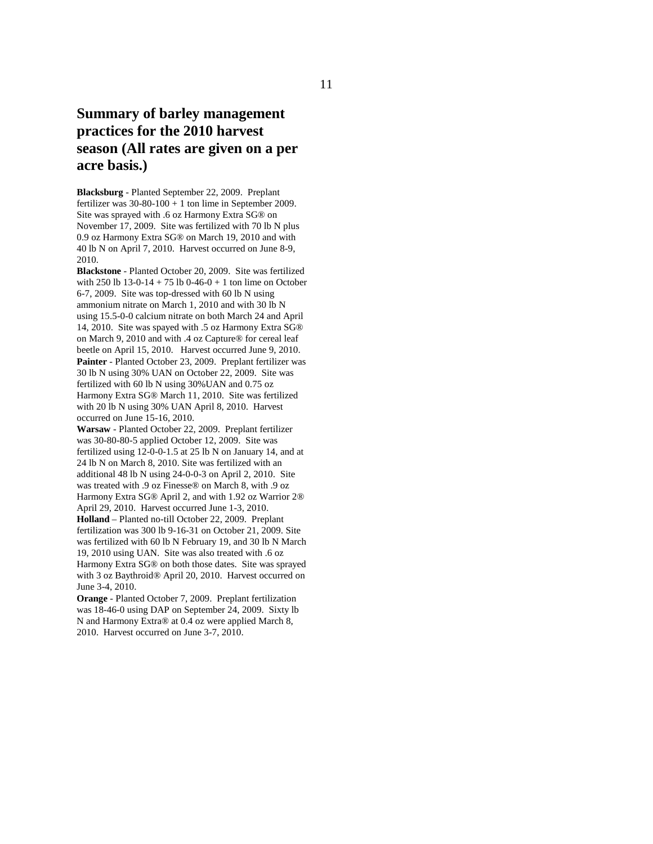## **Summary of barley management practices for the 2010 harvest season (All rates are given on a per acre basis.)**

**Blacksburg** - Planted September 22, 2009. Preplant fertilizer was 30-80-100 + 1 ton lime in September 2009. Site was sprayed with .6 oz Harmony Extra SG® on November 17, 2009. Site was fertilized with 70 lb N plus 0.9 oz Harmony Extra SG® on March 19, 2010 and with 40 lb N on April 7, 2010. Harvest occurred on June 8-9, 2010.

**Blackstone** - Planted October 20, 2009. Site was fertilized with 250 lb 13-0-14 + 75 lb 0-46-0 + 1 ton lime on October 6-7, 2009. Site was top-dressed with 60 lb N using ammonium nitrate on March 1, 2010 and with 30 lb N using 15.5-0-0 calcium nitrate on both March 24 and April 14, 2010. Site was spayed with .5 oz Harmony Extra SG® on March 9, 2010 and with .4 oz Capture® for cereal leaf beetle on April 15, 2010. Harvest occurred June 9, 2010. **Painter** - Planted October 23, 2009. Preplant fertilizer was 30 lb N using 30% UAN on October 22, 2009. Site was fertilized with 60 lb N using 30%UAN and 0.75 oz Harmony Extra SG® March 11, 2010. Site was fertilized with 20 lb N using 30% UAN April 8, 2010. Harvest occurred on June 15-16, 2010.

**Warsaw** - Planted October 22, 2009. Preplant fertilizer was 30-80-80-5 applied October 12, 2009. Site was fertilized using 12-0-0-1.5 at 25 lb N on January 14, and at 24 lb N on March 8, 2010. Site was fertilized with an additional 48 lb N using 24-0-0-3 on April 2, 2010. Site was treated with .9 oz Finesse® on March 8, with .9 oz Harmony Extra SG® April 2, and with 1.92 oz Warrior 2® April 29, 2010. Harvest occurred June 1-3, 2010. **Holland** – Planted no-till October 22, 2009. Preplant fertilization was 300 lb 9-16-31 on October 21, 2009. Site was fertilized with 60 lb N February 19, and 30 lb N March 19, 2010 using UAN. Site was also treated with .6 oz Harmony Extra SG® on both those dates. Site was sprayed with 3 oz Baythroid® April 20, 2010. Harvest occurred on June 3-4, 2010.

**Orange** - Planted October 7, 2009. Preplant fertilization was 18-46-0 using DAP on September 24, 2009. Sixty lb N and Harmony Extra® at 0.4 oz were applied March 8, 2010. Harvest occurred on June 3-7, 2010.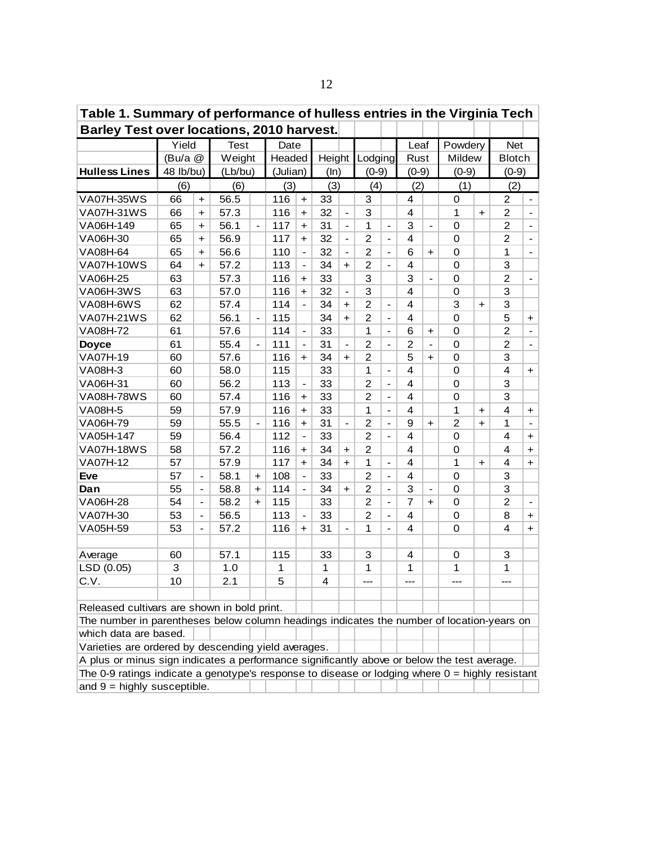| Barley Test over locations, 2010 harvest.                                                         | Yield     |                          | <b>Test</b> |                          | Date           |                      |                |                          |                |                              | Leaf                    |                             | Powdery        |                      | <b>Net</b>              |                          |  |
|---------------------------------------------------------------------------------------------------|-----------|--------------------------|-------------|--------------------------|----------------|----------------------|----------------|--------------------------|----------------|------------------------------|-------------------------|-----------------------------|----------------|----------------------|-------------------------|--------------------------|--|
|                                                                                                   | (Bu/a @   |                          | Weight      |                          | Headed         |                      | Height         |                          | Lodging        |                              | Rust                    |                             | Mildew         |                      | <b>Blotch</b>           |                          |  |
| <b>Hulless Lines</b>                                                                              | 48 lb/bu) |                          | (Lb/bu)     |                          | (Julian)       |                      | (ln)           |                          | $(0-9)$        |                              | $(0-9)$                 |                             |                | $(0-9)$              |                         | $(0-9)$                  |  |
|                                                                                                   | (6)       |                          | (6)         |                          | (3)            |                      | (3)            |                          | (4)            |                              | (2)                     |                             | (1)            |                      |                         |                          |  |
| <b>VA07H-35WS</b>                                                                                 | 66        | $\ddot{}$                | 56.5        |                          | 116            | $\ddot{}$            | 33             |                          | 3              |                              | 4                       |                             | 0              |                      | (2)<br>$\overline{c}$   |                          |  |
| <b>VA07H-31WS</b>                                                                                 | 66        | $\ddot{}$                | 57.3        |                          | 116            | $\ddot{}$            | 32             | $\blacksquare$           | 3              |                              | 4                       |                             | 1              | $\ddot{\phantom{1}}$ | $\overline{c}$          |                          |  |
| VA06H-149                                                                                         | 65        | $\ddot{}$                | 56.1        | $\overline{\phantom{a}}$ | 117            | $\ddot{}$            | 31             | $\blacksquare$           | 1              | $\overline{\phantom{a}}$     | 3                       | $\overline{\phantom{a}}$    | 0              |                      | $\overline{2}$          | $\overline{\phantom{a}}$ |  |
| VA06H-30                                                                                          | 65        | $\ddot{}$                | 56.9        |                          | 117            | $\ddot{}$            | 32             | $\blacksquare$           | $\overline{2}$ | $\blacksquare$               | $\overline{\mathbf{4}}$ |                             | 0              |                      | 2                       |                          |  |
| VA08H-64                                                                                          | 65        | $\ddot{\phantom{1}}$     | 56.6        |                          | 110            | $\blacksquare$       | 32             | $\blacksquare$           | $\overline{2}$ | $\blacksquare$               | 6                       | $\ddot{\phantom{1}}$        | 0              |                      | $\mathbf{1}$            |                          |  |
| <b>VA07H-10WS</b>                                                                                 | 64        | $+$                      | 57.2        |                          | 113            |                      | 34             | $+$                      | $\overline{2}$ | $\blacksquare$               | $\overline{\mathbf{4}}$ |                             | 0              |                      | 3                       |                          |  |
| VA06H-25                                                                                          | 63        |                          | 57.3        |                          | 116            | $\ddot{\phantom{1}}$ | 33             |                          | 3              |                              | 3                       | $\overline{a}$              | 0              |                      | $\overline{2}$          |                          |  |
| VA06H-3WS                                                                                         | 63        |                          | 57.0        |                          | 116            | $\ddot{}$            | 32             | $\overline{a}$           | 3              |                              | $\overline{\mathbf{4}}$ |                             | 0              |                      | 3                       |                          |  |
| VA08H-6WS                                                                                         | 62        |                          | 57.4        |                          | 114            |                      | 34             | $\ddot{}$                | $\overline{2}$ |                              | 4                       |                             | 3              | $\ddot{}$            | 3                       |                          |  |
| <b>VA07H-21WS</b>                                                                                 | 62        |                          |             |                          | 115            |                      | 34             | $\ddot{}$                | $\overline{2}$ |                              | 4                       |                             | 0              |                      | 5                       |                          |  |
|                                                                                                   |           |                          | 56.1        |                          |                |                      | 33             |                          | 1              |                              | 6                       |                             |                |                      | $\overline{2}$          | $\ddot{}$                |  |
| VA08H-72                                                                                          | 61        |                          | 57.6        |                          | 114            |                      |                |                          | $\overline{2}$ |                              | $\overline{2}$          | $\ddot{}$<br>$\overline{a}$ | 0              |                      | $\overline{2}$          |                          |  |
| <b>Doyce</b>                                                                                      | 61        |                          | 55.4        | $\overline{\phantom{a}}$ | 111            |                      | 31             | $\blacksquare$           | $\overline{2}$ | $\overline{\phantom{a}}$     |                         |                             | 0              |                      |                         |                          |  |
| VA07H-19                                                                                          | 60        |                          | 57.6        |                          | 116            | $+$                  | 34             | $+$                      |                |                              | 5                       | $\ddot{}$                   | 0              |                      | 3                       |                          |  |
| <b>VA08H-3</b>                                                                                    | 60        |                          | 58.0        |                          | 115            |                      | 33             |                          | 1              | $\overline{\phantom{a}}$     | $\overline{4}$          |                             | 0              |                      | $\overline{\mathbf{4}}$ | $+$                      |  |
| VA06H-31                                                                                          | 60        |                          | 56.2        |                          | 113            |                      | 33             |                          | $\overline{2}$ |                              | $\overline{\mathbf{4}}$ |                             | 0              |                      | 3                       |                          |  |
| <b>VA08H-78WS</b>                                                                                 | 60        |                          | 57.4        |                          | 116            | $\ddot{}$            | 33             |                          | $\overline{2}$ |                              | 4                       |                             | 0              |                      | 3                       |                          |  |
| VA08H-5                                                                                           | 59        |                          | 57.9        |                          | 116            | $+$                  | 33             |                          | 1              | $\overline{\phantom{0}}$     | $\overline{\mathbf{4}}$ |                             | 1              | $\ddot{}$            | 4                       | $\ddot{}$                |  |
| VA06H-79                                                                                          | 59        |                          | 55.5        | $\blacksquare$           | 116            | $\ddot{}$            | 31             | $\overline{\phantom{a}}$ | $\overline{c}$ | $\qquad \qquad \blacksquare$ | $\boldsymbol{9}$        | $\ddot{}$                   | $\overline{c}$ | $\ddot{}$            | $\mathbf{1}$            |                          |  |
| VA05H-147                                                                                         | 59        |                          | 56.4        |                          | 112            |                      | 33             |                          | $\overline{2}$ |                              | 4                       |                             | 0              |                      | 4                       | $+$                      |  |
| <b>VA07H-18WS</b>                                                                                 | 58        |                          | 57.2        |                          | 116            | $\ddot{}$            | 34             | $\ddot{}$                | $\overline{2}$ |                              | 4                       |                             | 0              |                      | 4                       | $+$                      |  |
| VA07H-12                                                                                          | 57        |                          | 57.9        |                          | 117            | $\ddot{}$            | 34             | $+$                      | 1              | $\blacksquare$               | 4                       |                             | $\mathbf{1}$   | $\ddot{}$            | 4                       | $+$                      |  |
| <b>Eve</b>                                                                                        | 57        | $\overline{\phantom{a}}$ | 58.1        | $+$                      | 108            | $\blacksquare$       | 33             |                          | $\overline{2}$ | $\blacksquare$               | 4                       |                             | $\Omega$       |                      | 3                       |                          |  |
| Dan                                                                                               | 55        | $\blacksquare$           | 58.8        | $\ddot{}$                | 114            |                      | 34             | $+$                      | $\overline{2}$ | $\blacksquare$               | 3                       | $\overline{\phantom{a}}$    | 0              |                      | 3                       |                          |  |
| <b>VA06H-28</b>                                                                                   | 54        | $\overline{a}$           | 58.2        | $\ddot{}$                | 115            |                      | 33             |                          | $\overline{2}$ | $\overline{a}$               | $\overline{7}$          | $\ddot{}$                   | 0              |                      | $\overline{2}$          |                          |  |
| VA07H-30                                                                                          | 53        | $\overline{a}$           | 56.5        |                          | 113            |                      | 33             |                          | $\overline{2}$ | $\overline{\phantom{a}}$     | 4                       |                             | 0              |                      | 8                       | $+$                      |  |
| VA05H-59                                                                                          | 53        | $\overline{\phantom{0}}$ | 57.2        |                          | 116            | $\ddot{\phantom{1}}$ | 31             | $\frac{1}{2}$            | 1              |                              | 4                       |                             | 0              |                      | 4                       | $+$                      |  |
| Average                                                                                           | 60        |                          | 57.1        |                          | 115            |                      | 33             |                          | 3              |                              | 4                       |                             | 0              |                      | 3                       |                          |  |
| LSD (0.05)                                                                                        | 3         |                          | 1.0         |                          | $\mathbf{1}$   |                      | $\mathbf{1}$   |                          | $\mathbf{1}$   |                              | 1                       |                             | $\mathbf{1}$   |                      | $\mathbf{1}$            |                          |  |
| C.V.                                                                                              | 10        |                          | 2.1         |                          | $\overline{5}$ |                      | $\overline{4}$ |                          | ---            |                              | ---                     |                             | ---            |                      | ---                     |                          |  |
| Released cultivars are shown in bold print.                                                       |           |                          |             |                          |                |                      |                |                          |                |                              |                         |                             |                |                      |                         |                          |  |
| The number in parentheses below column headings indicates the number of location-years on         |           |                          |             |                          |                |                      |                |                          |                |                              |                         |                             |                |                      |                         |                          |  |
| which data are based.                                                                             |           |                          |             |                          |                |                      |                |                          |                |                              |                         |                             |                |                      |                         |                          |  |
| Varieties are ordered by descending yield averages.                                               |           |                          |             |                          |                |                      |                |                          |                |                              |                         |                             |                |                      |                         |                          |  |
| A plus or minus sign indicates a performance significantly above or below the test average.       |           |                          |             |                          |                |                      |                |                          |                |                              |                         |                             |                |                      |                         |                          |  |
| The 0-9 ratings indicate a genotype's response to disease or lodging where $0 =$ highly resistant |           |                          |             |                          |                |                      |                |                          |                |                              |                         |                             |                |                      |                         |                          |  |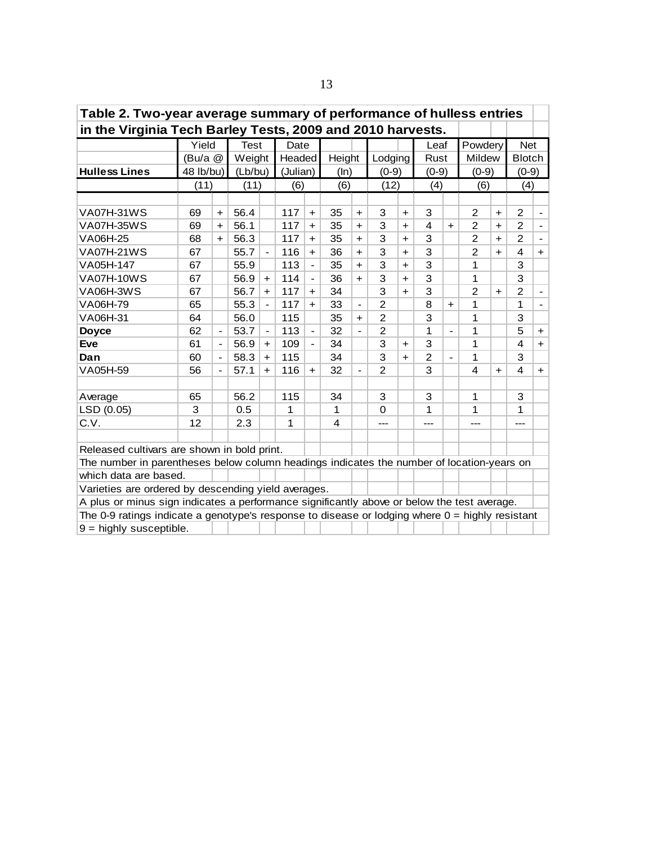| Table 2. Two-year average summary of performance of hulless entries                               |           |                          |             |                          |          |                          |        |           |                |           |                |                          |                         |            |                |                          |
|---------------------------------------------------------------------------------------------------|-----------|--------------------------|-------------|--------------------------|----------|--------------------------|--------|-----------|----------------|-----------|----------------|--------------------------|-------------------------|------------|----------------|--------------------------|
| in the Virginia Tech Barley Tests, 2009 and 2010 harvests.                                        |           |                          |             |                          |          |                          |        |           |                |           |                |                          |                         |            |                |                          |
|                                                                                                   | Yield     |                          | <b>Test</b> |                          | Date     |                          |        |           |                |           | Leaf           |                          | Powdery                 |            | <b>Net</b>     |                          |
|                                                                                                   | (Bu/a @   |                          | Weight      |                          | Headed   |                          | Height |           | Lodging        |           | Rust           |                          | Mildew                  |            | <b>Blotch</b>  |                          |
| <b>Hulless Lines</b>                                                                              | 48 lb/bu) |                          | (Lb/bu)     |                          | (Julian) |                          |        | (ln)      |                | $(0-9)$   | $(0-9)$        |                          | $(0-9)$                 |            | $(0-9)$        |                          |
|                                                                                                   | (11)      |                          | (11)        |                          | (6)      |                          | (6)    |           | (12)           |           | (4)            |                          | (6)                     |            | (4)            |                          |
|                                                                                                   |           |                          |             |                          |          |                          |        |           |                |           |                |                          |                         |            |                |                          |
| <b>VA07H-31WS</b>                                                                                 | 69        | $+$                      | 56.4        |                          | 117      | $\ddot{}$                | 35     | $+$       | 3              | $\ddot{}$ | 3              |                          | $\overline{2}$          | $+$        | $\overline{2}$ |                          |
| <b>VA07H-35WS</b>                                                                                 | 69        | $+$                      | 56.1        |                          | 117      | $+$                      | 35     | $+$       | 3              | $\ddot{}$ | 4              | $+$                      | $\overline{2}$          | $+$        | $\overline{2}$ | $\overline{\phantom{a}}$ |
| VA06H-25                                                                                          | 68        | $+$                      | 56.3        |                          | 117      | $+$                      | 35     | $+$       | 3              | $+$       | 3              |                          | $\overline{2}$          | $+$        | 2              | $\blacksquare$           |
| <b>VA07H-21WS</b>                                                                                 | 67        |                          | 55.7        | $\blacksquare$           | 116      | $+$                      | 36     | $+$       | 3              | $\ddot{}$ | 3              |                          | $\overline{2}$          | $+$        | $\overline{4}$ | $+$                      |
| VA05H-147                                                                                         | 67        |                          | 55.9        |                          | 113      | $\overline{\phantom{0}}$ | 35     | $+$       | 3              | $\ddot{}$ | 3              |                          | 1                       |            | 3              |                          |
| <b>VA07H-10WS</b>                                                                                 | 67        |                          | 56.9        | $+$                      | 114      |                          | 36     | $\ddot{}$ | 3              | $\ddot{}$ | 3              |                          | 1                       |            | 3              |                          |
| VA06H-3WS                                                                                         | 67        |                          | 56.7        | $+$                      | 117      | $+$                      | 34     |           | 3              | $+$       | 3              |                          | 2                       | $\ddagger$ | $\overline{2}$ | $\blacksquare$           |
| VA06H-79                                                                                          | 65        |                          | 55.3        | $\overline{a}$           | 117      | $+$                      | 33     |           | $\overline{2}$ |           | 8              | $+$                      | 1                       |            | $\mathbf{1}$   | $\overline{\phantom{0}}$ |
| VA06H-31                                                                                          | 64        |                          | 56.0        |                          | 115      |                          | 35     | $+$       | $\overline{2}$ |           | 3              |                          | 1                       |            | 3              |                          |
| <b>Doyce</b>                                                                                      | 62        | $\overline{\phantom{a}}$ | 53.7        | $\overline{\phantom{a}}$ | 113      |                          | 32     |           | $\overline{2}$ |           | 1              | $\overline{\phantom{a}}$ | 1                       |            | 5              | $+$                      |
| <b>Eve</b>                                                                                        | 61        | $\blacksquare$           | 56.9        | $+$                      | 109      |                          | 34     |           | 3              | $+$       | 3              |                          | 1                       |            | $\overline{4}$ | $+$                      |
| Dan                                                                                               | 60        |                          | 58.3        | $+$                      | 115      |                          | 34     |           | 3              | $\ddot{}$ | $\overline{2}$ | $\overline{a}$           | 1                       |            | 3              |                          |
| VA05H-59                                                                                          | 56        |                          | 57.1        | $+$                      | 116      | $\ddot{}$                | 32     |           | $\overline{2}$ |           | 3              |                          | $\overline{\mathbf{4}}$ | $\ddot{}$  | $\overline{4}$ | $+$                      |
|                                                                                                   |           |                          |             |                          |          |                          |        |           |                |           |                |                          |                         |            |                |                          |
| Average                                                                                           | 65        |                          | 56.2        |                          | 115      |                          | 34     |           | 3              |           | 3              |                          | 1                       |            | 3              |                          |
| LSD (0.05)                                                                                        | 3         |                          | 0.5         |                          | 1        |                          | 1      |           | $\Omega$       |           | 1              |                          | 1                       |            | 1              |                          |
| C.V.                                                                                              | 12        |                          | 2.3         |                          | 1        |                          | 4      |           | $---$          |           | ---            |                          | ---                     |            | ---            |                          |
|                                                                                                   |           |                          |             |                          |          |                          |        |           |                |           |                |                          |                         |            |                |                          |
| Released cultivars are shown in bold print.                                                       |           |                          |             |                          |          |                          |        |           |                |           |                |                          |                         |            |                |                          |
| The number in parentheses below column headings indicates the number of location-years on         |           |                          |             |                          |          |                          |        |           |                |           |                |                          |                         |            |                |                          |
| which data are based.                                                                             |           |                          |             |                          |          |                          |        |           |                |           |                |                          |                         |            |                |                          |
| Varieties are ordered by descending yield averages.                                               |           |                          |             |                          |          |                          |        |           |                |           |                |                          |                         |            |                |                          |
| A plus or minus sign indicates a performance significantly above or below the test average.       |           |                          |             |                          |          |                          |        |           |                |           |                |                          |                         |            |                |                          |
| The 0-9 ratings indicate a genotype's response to disease or lodging where $0 =$ highly resistant |           |                          |             |                          |          |                          |        |           |                |           |                |                          |                         |            |                |                          |
| $9 =$ highly susceptible.                                                                         |           |                          |             |                          |          |                          |        |           |                |           |                |                          |                         |            |                |                          |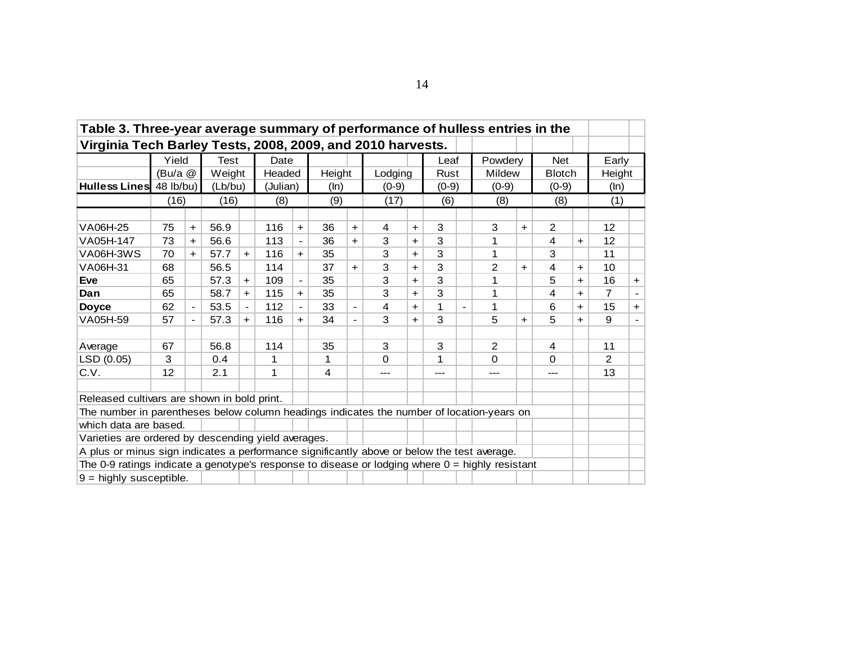| Table 3. Three-year average summary of performance of hulless entries in the                      |           |           |             |                          |          |                          |        |                          |         |                      |         |      |          |            |               |            |                   |                          |
|---------------------------------------------------------------------------------------------------|-----------|-----------|-------------|--------------------------|----------|--------------------------|--------|--------------------------|---------|----------------------|---------|------|----------|------------|---------------|------------|-------------------|--------------------------|
| Virginia Tech Barley Tests, 2008, 2009, and 2010 harvests.                                        |           |           |             |                          |          |                          |        |                          |         |                      |         |      |          |            |               |            |                   |                          |
|                                                                                                   | Yield     |           | <b>Test</b> |                          | Date     |                          |        |                          |         |                      |         | Leaf | Powdery  |            | <b>Net</b>    |            | Early             |                          |
|                                                                                                   | (Bu/a @   |           | Weight      |                          | Headed   |                          | Height |                          | Lodging |                      | Rust    |      | Mildew   |            | <b>Blotch</b> |            | Height            |                          |
| <b>Hulless Lines</b>                                                                              | 48 lb/bu) |           | (Lb/bu)     |                          | (Julian) |                          | (ln)   |                          | $(0-9)$ |                      | $(0-9)$ |      | $(0-9)$  |            | $(0-9)$       |            | (ln)              |                          |
|                                                                                                   | (16)      |           | (16)        |                          | (8)      |                          | (9)    |                          | (17)    |                      | (6)     |      | (8)      |            | (8)           |            | (1)               |                          |
|                                                                                                   |           |           |             |                          |          |                          |        |                          |         |                      |         |      |          |            |               |            |                   |                          |
| VA06H-25                                                                                          | 75        | $\ddot{}$ | 56.9        |                          | 116      | $+$                      | 36     | $+$                      | 4       | $\ddot{}$            | 3       |      | 3        | $\ddagger$ | 2             |            | $12 \overline{ }$ |                          |
| VA05H-147                                                                                         | 73        | $\pm$     | 56.6        |                          | 113      |                          | 36     | $\pm$                    | 3       | $\ddot{}$            | 3       |      |          |            | 4             | $\ddagger$ | 12                |                          |
| VA06H-3WS                                                                                         | 70        | $+$       | 57.7        | $+$                      | 116      | $\ddot{}$                | 35     |                          | 3       | $\ddot{}$            | 3       |      | 1        |            | 3             |            | 11                |                          |
| VA06H-31                                                                                          | 68        |           | 56.5        |                          | 114      |                          | 37     | $+$                      | 3       | $\ddot{\phantom{1}}$ | 3       |      | 2        | $\ddagger$ | 4             | $\ddot{}$  | 10                |                          |
| <b>Eve</b>                                                                                        | 65        |           | 57.3        | $\ddot{}$                | 109      | $\overline{\phantom{a}}$ | 35     |                          | 3       | $\ddot{}$            | 3       |      |          |            | 5             | $+$        | 16                | $\ddot{}$                |
| Dan                                                                                               | 65        |           | 58.7        | $+$                      | 115      | $\ddot{}$                | 35     |                          | 3       | $\ddot{}$            | 3       |      | 1        |            | 4             | $+$        | $\overline{7}$    | $\blacksquare$           |
| <b>Doyce</b>                                                                                      | 62        |           | 53.5        | $\overline{\phantom{a}}$ | 112      |                          | 33     | $\overline{\phantom{0}}$ | 4       | $\ddagger$           | 1       |      | 1        |            | 6             | $+$        | 15                | $\ddot{}$                |
| VA05H-59                                                                                          | 57        |           | 57.3        | $\pm$                    | 116      | $\pm$                    | 34     | $\overline{\phantom{0}}$ | 3       | $\ddot{}$            | 3       |      | 5        | $\pm$      | 5             | $+$        | 9                 | $\overline{\phantom{a}}$ |
|                                                                                                   |           |           |             |                          |          |                          |        |                          |         |                      |         |      |          |            |               |            |                   |                          |
| Average                                                                                           | 67        |           | 56.8        |                          | 114      |                          | 35     |                          | 3       |                      | 3       |      | 2        |            | 4             |            | 11                |                          |
| LSD (0.05)                                                                                        | 3         |           | 0.4         |                          | 1        |                          | 1      |                          | 0       |                      | 1       |      | $\Omega$ |            | 0             |            | $\overline{2}$    |                          |
| C.V.                                                                                              | 12        |           | 2.1         |                          | 1        |                          | 4      |                          | ---     |                      |         |      | ---      |            | ---           |            | 13                |                          |
|                                                                                                   |           |           |             |                          |          |                          |        |                          |         |                      |         |      |          |            |               |            |                   |                          |
| Released cultivars are shown in bold print.                                                       |           |           |             |                          |          |                          |        |                          |         |                      |         |      |          |            |               |            |                   |                          |
| The number in parentheses below column headings indicates the number of location-years on         |           |           |             |                          |          |                          |        |                          |         |                      |         |      |          |            |               |            |                   |                          |
| which data are based.                                                                             |           |           |             |                          |          |                          |        |                          |         |                      |         |      |          |            |               |            |                   |                          |
| Varieties are ordered by descending yield averages.                                               |           |           |             |                          |          |                          |        |                          |         |                      |         |      |          |            |               |            |                   |                          |
| A plus or minus sign indicates a performance significantly above or below the test average.       |           |           |             |                          |          |                          |        |                          |         |                      |         |      |          |            |               |            |                   |                          |
| The 0-9 ratings indicate a genotype's response to disease or lodging where $0 =$ highly resistant |           |           |             |                          |          |                          |        |                          |         |                      |         |      |          |            |               |            |                   |                          |
| $9 =$ highly susceptible.                                                                         |           |           |             |                          |          |                          |        |                          |         |                      |         |      |          |            |               |            |                   |                          |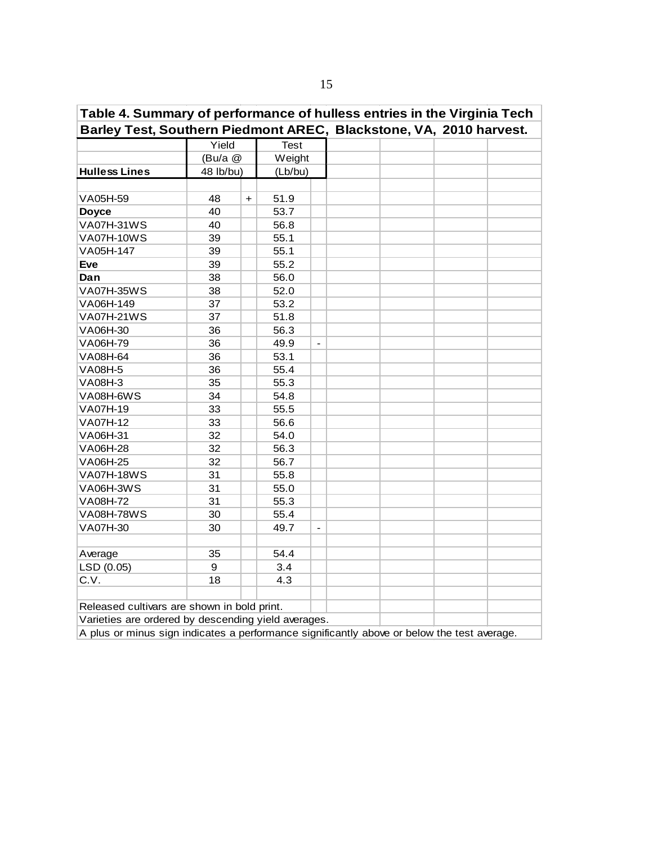|                                                     |           |     |                                  | Table 4. Summary of performance of hulless entries in the Virginia Tech                     |  |
|-----------------------------------------------------|-----------|-----|----------------------------------|---------------------------------------------------------------------------------------------|--|
|                                                     |           |     |                                  | Barley Test, Southern Piedmont AREC, Blackstone, VA, 2010 harvest.                          |  |
|                                                     | Yield     |     | <b>Test</b>                      |                                                                                             |  |
|                                                     | (Bu/a @   |     | Weight                           |                                                                                             |  |
| <b>Hulless Lines</b>                                | 48 lb/bu) |     | (Lb/bu)                          |                                                                                             |  |
|                                                     |           |     |                                  |                                                                                             |  |
| VA05H-59                                            | 48        | $+$ | 51.9                             |                                                                                             |  |
| <b>Doyce</b>                                        | 40        |     | 53.7                             |                                                                                             |  |
| <b>VA07H-31WS</b>                                   | 40        |     | 56.8                             |                                                                                             |  |
| <b>VA07H-10WS</b>                                   | 39        |     | 55.1                             |                                                                                             |  |
| VA05H-147                                           | 39        |     | 55.1                             |                                                                                             |  |
| Eve                                                 | 39        |     | 55.2                             |                                                                                             |  |
| Dan                                                 | 38        |     | 56.0                             |                                                                                             |  |
| <b>VA07H-35WS</b>                                   | 38        |     | 52.0                             |                                                                                             |  |
| VA06H-149                                           | 37        |     | 53.2                             |                                                                                             |  |
| <b>VA07H-21WS</b>                                   | 37        |     | 51.8                             |                                                                                             |  |
| VA06H-30                                            | 36        |     | 56.3                             |                                                                                             |  |
| VA06H-79                                            | 36        |     | 49.9<br>$\blacksquare$           |                                                                                             |  |
| VA08H-64                                            | 36        |     | 53.1                             |                                                                                             |  |
| <b>VA08H-5</b>                                      | 36        |     | 55.4                             |                                                                                             |  |
| <b>VA08H-3</b>                                      | 35        |     | 55.3                             |                                                                                             |  |
| VA08H-6WS                                           | 34        |     | 54.8                             |                                                                                             |  |
| VA07H-19                                            | 33        |     | 55.5                             |                                                                                             |  |
| VA07H-12                                            | 33        |     | 56.6                             |                                                                                             |  |
| VA06H-31                                            | 32        |     | 54.0                             |                                                                                             |  |
| VA06H-28                                            | 32        |     | 56.3                             |                                                                                             |  |
| VA06H-25                                            | 32        |     | 56.7                             |                                                                                             |  |
| <b>VA07H-18WS</b>                                   | 31        |     | 55.8                             |                                                                                             |  |
| <b>VA06H-3WS</b>                                    | 31        |     | 55.0                             |                                                                                             |  |
| VA08H-72                                            | 31        |     | 55.3                             |                                                                                             |  |
| <b>VA08H-78WS</b>                                   | 30        |     | 55.4                             |                                                                                             |  |
| VA07H-30                                            | 30        |     | 49.7<br>$\overline{\phantom{a}}$ |                                                                                             |  |
|                                                     |           |     |                                  |                                                                                             |  |
| Average                                             | 35        |     | 54.4                             |                                                                                             |  |
| LSD (0.05)                                          | 9         |     | 3.4                              |                                                                                             |  |
| C.V.                                                | 18        |     | 4.3                              |                                                                                             |  |
|                                                     |           |     |                                  |                                                                                             |  |
| Released cultivars are shown in bold print.         |           |     |                                  |                                                                                             |  |
| Varieties are ordered by descending yield averages. |           |     |                                  |                                                                                             |  |
|                                                     |           |     |                                  | A plus or minus sign indicates a performance significantly above or below the test average. |  |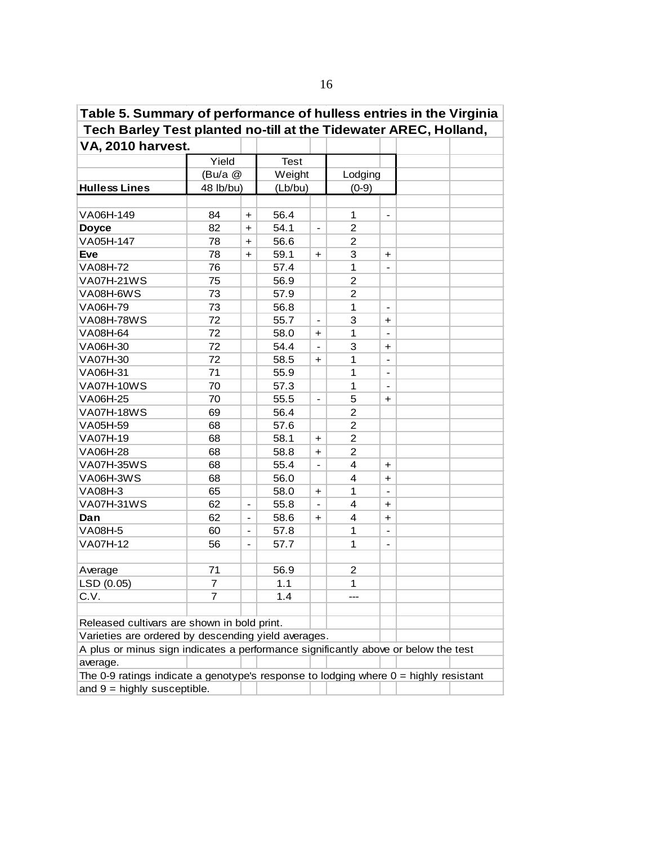| Table 5. Summary of performance of hulless entries in the Virginia                     |           |                          |             |                              |                |                          |  |
|----------------------------------------------------------------------------------------|-----------|--------------------------|-------------|------------------------------|----------------|--------------------------|--|
| Tech Barley Test planted no-till at the Tidewater AREC, Holland,                       |           |                          |             |                              |                |                          |  |
| VA, 2010 harvest.                                                                      |           |                          |             |                              |                |                          |  |
|                                                                                        | Yield     |                          | <b>Test</b> |                              |                |                          |  |
|                                                                                        | (Bu/a @   |                          | Weight      |                              | Lodging        |                          |  |
| <b>Hulless Lines</b>                                                                   | 48 lb/bu) |                          | (Lb/bu)     |                              | $(0-9)$        |                          |  |
|                                                                                        |           |                          |             |                              |                |                          |  |
| VA06H-149                                                                              | 84        | +                        | 56.4        |                              | 1              | $\overline{\phantom{0}}$ |  |
| <b>Doyce</b>                                                                           | 82        | $\ddot{}$                | 54.1        | $\frac{1}{2}$                | $\overline{2}$ |                          |  |
| VA05H-147                                                                              | 78        | $\ddot{}$                | 56.6        |                              | $\overline{c}$ |                          |  |
| <b>Eve</b>                                                                             | 78        | $\ddot{}$                | 59.1        | +                            | 3              | +                        |  |
| VA08H-72                                                                               | 76        |                          | 57.4        |                              | 1              |                          |  |
| <b>VA07H-21WS</b>                                                                      | 75        |                          | 56.9        |                              | $\overline{c}$ |                          |  |
| VA08H-6WS                                                                              | 73        |                          | 57.9        |                              | $\overline{2}$ |                          |  |
| VA06H-79                                                                               | 73        |                          | 56.8        |                              | 1              | $\overline{\phantom{a}}$ |  |
| <b>VA08H-78WS</b>                                                                      | 72        |                          | 55.7        | $\blacksquare$               | 3              | $\ddot{}$                |  |
| VA08H-64                                                                               | 72        |                          | 58.0        | +                            | 1              |                          |  |
| VA06H-30                                                                               | 72        |                          | 54.4        |                              | 3              | +                        |  |
| VA07H-30                                                                               | 72        |                          | 58.5        | $\ddot{}$                    | 1              | $\overline{\phantom{a}}$ |  |
| VA06H-31                                                                               | 71        |                          | 55.9        |                              | 1              | $\overline{\phantom{a}}$ |  |
| <b>VA07H-10WS</b>                                                                      | 70        |                          | 57.3        |                              | 1              | $\overline{\phantom{a}}$ |  |
| VA06H-25                                                                               | 70        |                          | 55.5        | $\overline{\phantom{a}}$     | 5              | $\div$                   |  |
| <b>VA07H-18WS</b>                                                                      | 69        |                          | 56.4        |                              | $\overline{c}$ |                          |  |
| VA05H-59                                                                               | 68        |                          | 57.6        |                              | $\overline{2}$ |                          |  |
| VA07H-19                                                                               | 68        |                          | 58.1        | +                            | $\overline{c}$ |                          |  |
| VA06H-28                                                                               | 68        |                          | 58.8        | +                            | $\overline{2}$ |                          |  |
| <b>VA07H-35WS</b>                                                                      | 68        |                          | 55.4        | $\qquad \qquad \blacksquare$ | 4              | +                        |  |
| VA06H-3WS                                                                              | 68        |                          | 56.0        |                              | 4              | $\ddag$                  |  |
| <b>VA08H-3</b>                                                                         | 65        |                          | 58.0        | +                            | 1              |                          |  |
| <b>VA07H-31WS</b>                                                                      | 62        | -                        | 55.8        | $\qquad \qquad \blacksquare$ | 4              | +                        |  |
| Dan                                                                                    | 62        | $\overline{\phantom{0}}$ | 58.6        | $\ddot{}$                    | 4              | +                        |  |
| <b>VA08H-5</b>                                                                         | 60        | $\overline{\phantom{0}}$ | 57.8        |                              | 1              | $\overline{\phantom{a}}$ |  |
| VA07H-12                                                                               | 56        | $\overline{\phantom{0}}$ | 57.7        |                              | $\mathbf 1$    | $\overline{\phantom{a}}$ |  |
|                                                                                        |           |                          |             |                              |                |                          |  |
| Average                                                                                | 71        |                          | 56.9        |                              | $\overline{c}$ |                          |  |
| LSD(0.05)                                                                              | 7         |                          | 1.1         |                              | 1              |                          |  |
| C.V.                                                                                   | 7         |                          | 1.4         |                              |                |                          |  |
|                                                                                        |           |                          |             |                              |                |                          |  |
| Released cultivars are shown in bold print.                                            |           |                          |             |                              |                |                          |  |
| Varieties are ordered by descending yield averages.                                    |           |                          |             |                              |                |                          |  |
| A plus or minus sign indicates a performance significantly above or below the test     |           |                          |             |                              |                |                          |  |
| average.                                                                               |           |                          |             |                              |                |                          |  |
| The 0-9 ratings indicate a genotype's response to lodging where $0 =$ highly resistant |           |                          |             |                              |                |                          |  |
| and $9 =$ highly susceptible.                                                          |           |                          |             |                              |                |                          |  |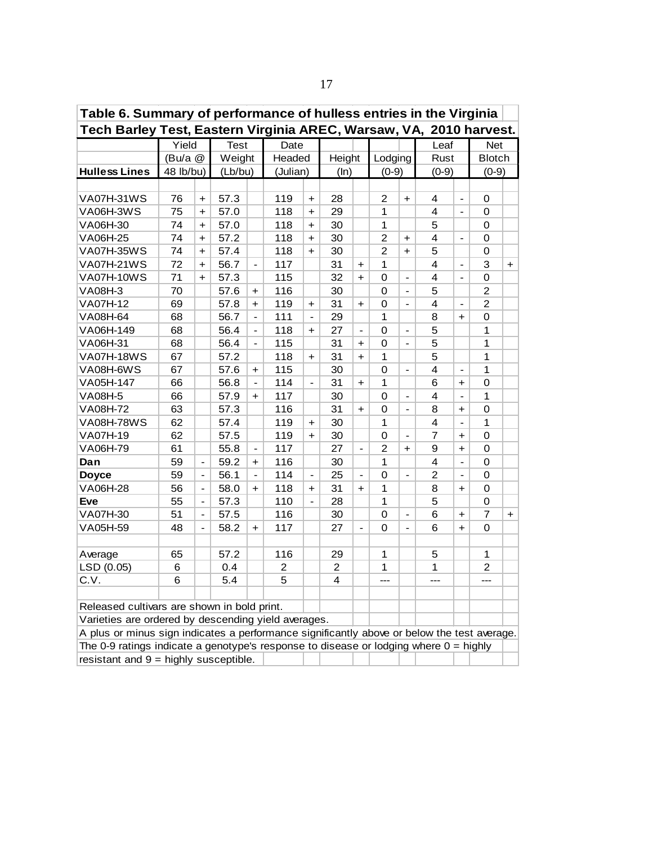| <b>Hulless Lines</b>                                                                                                                                                                                                                                                                         |           | Tech Barley Test, Eastern Virginia AREC, Warsaw, VA, 2010 harvest.<br>Yield<br>Date<br>Net |             |                          |                |                          |                         |                          |                |                              |                |                          |                |                      |  |  |
|----------------------------------------------------------------------------------------------------------------------------------------------------------------------------------------------------------------------------------------------------------------------------------------------|-----------|--------------------------------------------------------------------------------------------|-------------|--------------------------|----------------|--------------------------|-------------------------|--------------------------|----------------|------------------------------|----------------|--------------------------|----------------|----------------------|--|--|
|                                                                                                                                                                                                                                                                                              |           |                                                                                            | <b>Test</b> |                          |                |                          |                         |                          |                |                              | Leaf           |                          |                |                      |  |  |
|                                                                                                                                                                                                                                                                                              | (Bu/a @   |                                                                                            | Weight      |                          | Headed         |                          | Height                  |                          | Lodging        |                              | Rust           |                          | <b>Blotch</b>  |                      |  |  |
|                                                                                                                                                                                                                                                                                              | 48 lb/bu) |                                                                                            | (Lb/bu)     |                          | (Julian)       |                          | (ln)                    |                          | $(0-9)$        |                              | $(0-9)$        |                          | $(0-9)$        |                      |  |  |
|                                                                                                                                                                                                                                                                                              |           |                                                                                            |             |                          |                |                          |                         |                          |                |                              |                |                          |                |                      |  |  |
| <b>VA07H-31WS</b>                                                                                                                                                                                                                                                                            | 76        | $\ddot{}$                                                                                  | 57.3        |                          | 119            | $+$                      | 28                      |                          | $\overline{2}$ | $\ddot{\phantom{1}}$         | 4              | $\blacksquare$           | $\mathbf 0$    |                      |  |  |
| <b>VA06H-3WS</b>                                                                                                                                                                                                                                                                             | 75        | $\ddot{\phantom{1}}$                                                                       | 57.0        |                          | 118            | $+$                      | 29                      |                          | 1              |                              | 4              | $\blacksquare$           | 0              |                      |  |  |
| VA06H-30                                                                                                                                                                                                                                                                                     | 74        | $+$                                                                                        | 57.0        |                          | 118            | $\ddot{\phantom{1}}$     | 30                      |                          | $\mathbf{1}$   |                              | 5              |                          | 0              |                      |  |  |
| VA06H-25                                                                                                                                                                                                                                                                                     | 74        | $\ddot{\phantom{1}}$                                                                       | 57.2        |                          | 118            | $\ddot{\phantom{1}}$     | 30                      |                          | $\overline{2}$ | $\ddot{}$                    | 4              | $\overline{\phantom{a}}$ | 0              |                      |  |  |
| <b>VA07H-35WS</b>                                                                                                                                                                                                                                                                            | 74        | $\ddot{\phantom{1}}$                                                                       | 57.4        |                          | 118            | $\ddot{\phantom{1}}$     | 30                      |                          | $\overline{2}$ | $\ddot{}$                    | 5              |                          | 0              |                      |  |  |
| VA07H-21WS                                                                                                                                                                                                                                                                                   | 72        | $\ddot{\phantom{1}}$                                                                       | 56.7        | $\overline{\phantom{a}}$ | 117            |                          | 31                      | $\ddot{}$                | 1              |                              | 4              |                          | 3              | $\ddot{\phantom{1}}$ |  |  |
| <b>VA07H-10WS</b>                                                                                                                                                                                                                                                                            | 71        | $\ddot{\phantom{1}}$                                                                       | 57.3        |                          | 115            |                          | 32                      | $+$                      | $\overline{0}$ | $\overline{\phantom{0}}$     | 4              |                          | 0              |                      |  |  |
| VA08H-3                                                                                                                                                                                                                                                                                      | 70        |                                                                                            | 57.6        | $\ddot{}$                | 116            |                          | 30                      |                          | $\Omega$       | $\overline{\phantom{0}}$     | 5              |                          | $\overline{2}$ |                      |  |  |
| VA07H-12                                                                                                                                                                                                                                                                                     | 69        |                                                                                            | 57.8        | $+$                      | 119            | $\ddot{}$                | 31                      | $\ddot{}$                | $\Omega$       | $\overline{a}$               | $\overline{4}$ | $\overline{\phantom{a}}$ | $\overline{2}$ |                      |  |  |
| VA08H-64                                                                                                                                                                                                                                                                                     | 68        |                                                                                            | 56.7        | $\blacksquare$           | 111            | $\blacksquare$           | 29                      |                          | 1              |                              | 8              | $\ddot{\phantom{1}}$     | 0              |                      |  |  |
| VA06H-149                                                                                                                                                                                                                                                                                    | 68        |                                                                                            | 56.4        |                          | 118            | $\ddot{}$                | 27                      | $\overline{\phantom{a}}$ | $\Omega$       | $\blacksquare$               | 5              |                          | 1              |                      |  |  |
| VA06H-31                                                                                                                                                                                                                                                                                     | 68        |                                                                                            | 56.4        |                          | 115            |                          | 31                      | $\ddot{}$                | 0              | $\overline{\phantom{a}}$     | 5              |                          | 1              |                      |  |  |
| <b>VA07H-18WS</b>                                                                                                                                                                                                                                                                            | 67        |                                                                                            | 57.2        |                          | 118            | $\ddot{}$                | 31                      | $+$                      | 1              |                              | 5              |                          | 1              |                      |  |  |
| VA08H-6WS                                                                                                                                                                                                                                                                                    | 67        |                                                                                            | 57.6        | $\pm$                    | 115            |                          | 30                      |                          | 0              | $\qquad \qquad \blacksquare$ | 4              |                          | 1              |                      |  |  |
| VA05H-147                                                                                                                                                                                                                                                                                    | 66        |                                                                                            | 56.8        | $\blacksquare$           | 114            | $\overline{\phantom{a}}$ | 31                      | $+$                      | 1              |                              | 6              | $\ddot{}$                | 0              |                      |  |  |
| <b>VA08H-5</b>                                                                                                                                                                                                                                                                               | 66        |                                                                                            | 57.9        | $+$                      | 117            |                          | 30                      |                          | 0              | $\blacksquare$               | 4              |                          | 1              |                      |  |  |
| VA08H-72                                                                                                                                                                                                                                                                                     | 63        |                                                                                            | 57.3        |                          | 116            |                          | 31                      | $+$                      | 0              | $\blacksquare$               | 8              | $+$                      | $\mathbf 0$    |                      |  |  |
| <b>VA08H-78WS</b>                                                                                                                                                                                                                                                                            | 62        |                                                                                            | 57.4        |                          | 119            | $\ddot{}$                | 30                      |                          | 1              |                              | 4              | $\blacksquare$           | 1              |                      |  |  |
| VA07H-19                                                                                                                                                                                                                                                                                     | 62        |                                                                                            | 57.5        |                          | 119            | $\ddot{\phantom{1}}$     | 30                      |                          | 0              | $\blacksquare$               | $\overline{7}$ | $\ddot{\phantom{1}}$     | $\mathbf 0$    |                      |  |  |
| VA06H-79                                                                                                                                                                                                                                                                                     | 61        |                                                                                            | 55.8        | $\blacksquare$           | 117            |                          | 27                      | $\overline{a}$           | $\overline{2}$ | $\ddot{\phantom{1}}$         | 9              | $\ddot{\phantom{1}}$     | $\mathbf 0$    |                      |  |  |
| Dan                                                                                                                                                                                                                                                                                          | 59        | $\blacksquare$                                                                             | 59.2        | $\ddot{}$                | 116            |                          | 30                      |                          | $\mathbf{1}$   |                              | 4              |                          | $\mathbf 0$    |                      |  |  |
| <b>Doyce</b>                                                                                                                                                                                                                                                                                 | 59        | $\blacksquare$                                                                             | 56.1        | $\overline{\phantom{a}}$ | 114            | $\overline{\phantom{a}}$ | 25                      |                          | 0              | $\overline{\phantom{a}}$     | $\overline{2}$ |                          | $\mathbf 0$    |                      |  |  |
| VA06H-28                                                                                                                                                                                                                                                                                     | 56        | $\frac{1}{2}$                                                                              | 58.0        | $\ddot{}$                | 118            | $\ddot{}$                | 31                      | $\ddot{\phantom{1}}$     | 1              |                              | 8              | $\ddot{}$                | $\mathbf 0$    |                      |  |  |
| <b>Eve</b>                                                                                                                                                                                                                                                                                   | 55        | $\overline{\phantom{a}}$                                                                   | 57.3        |                          | 110            |                          | 28                      |                          | $\mathbf{1}$   |                              | 5              |                          | 0              |                      |  |  |
| VA07H-30                                                                                                                                                                                                                                                                                     | 51        | $\overline{\phantom{a}}$                                                                   | 57.5        |                          | 116            |                          | 30                      |                          | $\mathbf 0$    | $\overline{\phantom{a}}$     | 6              | $\ddot{}$                | $\overline{7}$ | $\ddot{}$            |  |  |
| VA05H-59                                                                                                                                                                                                                                                                                     | 48        | $\blacksquare$                                                                             | 58.2        | $+$                      | 117            |                          | 27                      | $\blacksquare$           | $\Omega$       | $\blacksquare$               | 6              | $+$                      | 0              |                      |  |  |
| Average                                                                                                                                                                                                                                                                                      | 65        |                                                                                            | 57.2        |                          | 116            |                          | 29                      |                          | 1              |                              | 5              |                          | 1              |                      |  |  |
| LSD (0.05)                                                                                                                                                                                                                                                                                   | 6         |                                                                                            | 0.4         |                          | $\overline{c}$ |                          | $\overline{\mathbf{c}}$ |                          | $\mathbf{1}$   |                              | 1              |                          | $\overline{c}$ |                      |  |  |
| C.V.                                                                                                                                                                                                                                                                                         | 6         |                                                                                            | 5.4         |                          | 5              |                          | 4                       |                          | ---            |                              | ---            |                          | ---            |                      |  |  |
| Released cultivars are shown in bold print.<br>Varieties are ordered by descending yield averages.<br>A plus or minus sign indicates a performance significantly above or below the test average.<br>The 0-9 ratings indicate a genotype's response to disease or lodging where $0 =$ highly |           |                                                                                            |             |                          |                |                          |                         |                          |                |                              |                |                          |                |                      |  |  |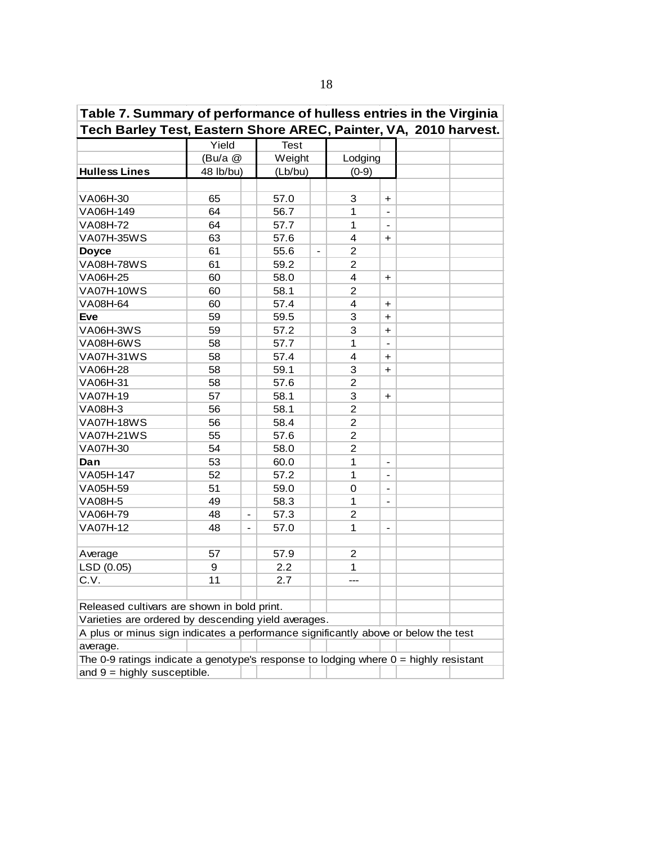| Table 7. Summary of performance of hulless entries in the Virginia                     |                                |                                      |                |                              |  |
|----------------------------------------------------------------------------------------|--------------------------------|--------------------------------------|----------------|------------------------------|--|
| Tech Barley Test, Eastern Shore AREC, Painter, VA, 2010 harvest.                       |                                |                                      |                |                              |  |
|                                                                                        | Yield                          | <b>Test</b>                          |                |                              |  |
|                                                                                        | (Bu/a @                        | Weight                               | Lodging        |                              |  |
| <b>Hulless Lines</b>                                                                   | 48 lb/bu)                      | (Lb/bu)                              | $(0-9)$        |                              |  |
|                                                                                        |                                |                                      |                |                              |  |
| VA06H-30                                                                               | 65                             | 57.0                                 | 3              | +                            |  |
| VA06H-149                                                                              | 64                             | 56.7                                 | 1              | $\overline{\phantom{0}}$     |  |
| VA08H-72                                                                               | 64                             | 57.7                                 | 1              | $\qquad \qquad \blacksquare$ |  |
| <b>VA07H-35WS</b>                                                                      | 63                             | 57.6                                 | 4              | $\ddot{}$                    |  |
| <b>Doyce</b>                                                                           | 61                             | 55.6<br>$\qquad \qquad \blacksquare$ | 2              |                              |  |
| <b>VA08H-78WS</b>                                                                      | 61                             | 59.2                                 | $\overline{2}$ |                              |  |
| VA06H-25                                                                               | 60                             | 58.0                                 | 4              | $\ddot{}$                    |  |
| <b>VA07H-10WS</b>                                                                      | 60                             | 58.1                                 | $\overline{c}$ |                              |  |
| VA08H-64                                                                               | 60                             | 57.4                                 | 4              | $\ddot{}$                    |  |
| <b>Eve</b>                                                                             | 59                             | 59.5                                 | 3              | $\ddot{\phantom{1}}$         |  |
| <b>VA06H-3WS</b>                                                                       | 59                             | 57.2                                 | 3              | $\ddot{}$                    |  |
| VA08H-6WS                                                                              | 58                             | 57.7                                 | 1              |                              |  |
| <b>VA07H-31WS</b>                                                                      | 58                             | 57.4                                 | 4              | $\ddot{}$                    |  |
| VA06H-28                                                                               | 58                             | 59.1                                 | 3              | $\ddot{}$                    |  |
| VA06H-31                                                                               | 58                             | 57.6                                 | $\overline{2}$ |                              |  |
| VA07H-19                                                                               | 57                             | 58.1                                 | 3              | $\ddot{}$                    |  |
| <b>VA08H-3</b>                                                                         | 56                             | 58.1                                 | $\overline{2}$ |                              |  |
| <b>VA07H-18WS</b>                                                                      | 56                             | 58.4                                 | $\overline{c}$ |                              |  |
| <b>VA07H-21WS</b>                                                                      | 55                             | 57.6                                 | $\overline{c}$ |                              |  |
| VA07H-30                                                                               | 54                             | 58.0                                 | $\overline{c}$ |                              |  |
| Dan                                                                                    | 53                             | 60.0                                 | 1              | $\qquad \qquad \blacksquare$ |  |
| VA05H-147                                                                              | 52                             | 57.2                                 | 1              | $\overline{\phantom{a}}$     |  |
| VA05H-59                                                                               | 51                             | 59.0                                 | 0              | $\overline{\phantom{a}}$     |  |
| <b>VA08H-5</b>                                                                         | 49                             | 58.3                                 | 1              | $\qquad \qquad \blacksquare$ |  |
| VA06H-79                                                                               | 48<br>$\overline{\phantom{a}}$ | 57.3                                 | 2              |                              |  |
| VA07H-12                                                                               | 48<br>$\overline{\phantom{a}}$ | 57.0                                 | 1              | $\blacksquare$               |  |
|                                                                                        |                                |                                      |                |                              |  |
| Average                                                                                | 57                             | 57.9                                 | $\overline{c}$ |                              |  |
| LSD (0.05)                                                                             | 9                              | 2.2                                  | 1              |                              |  |
| C.V.                                                                                   | 11                             | 2.7                                  | ---            |                              |  |
|                                                                                        |                                |                                      |                |                              |  |
| Released cultivars are shown in bold print.                                            |                                |                                      |                |                              |  |
| Varieties are ordered by descending yield averages.                                    |                                |                                      |                |                              |  |
| A plus or minus sign indicates a performance significantly above or below the test     |                                |                                      |                |                              |  |
| average.                                                                               |                                |                                      |                |                              |  |
| The 0-9 ratings indicate a genotype's response to lodging where $0 =$ highly resistant |                                |                                      |                |                              |  |
| and $9 =$ highly susceptible.                                                          |                                |                                      |                |                              |  |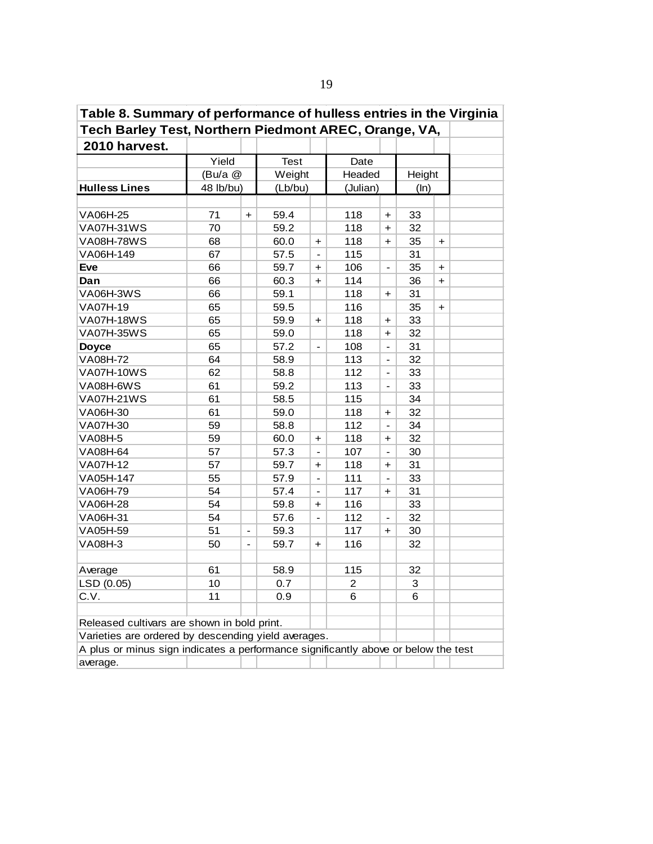| Table 8. Summary of performance of hulless entries in the Virginia                 |           |                              |             |                          |                |                              |        |           |  |
|------------------------------------------------------------------------------------|-----------|------------------------------|-------------|--------------------------|----------------|------------------------------|--------|-----------|--|
| Tech Barley Test, Northern Piedmont AREC, Orange, VA,                              |           |                              |             |                          |                |                              |        |           |  |
| 2010 harvest.                                                                      |           |                              |             |                          |                |                              |        |           |  |
|                                                                                    | Yield     |                              | <b>Test</b> |                          | Date           |                              |        |           |  |
|                                                                                    | (Bu/a @   |                              | Weight      |                          | Headed         |                              | Height |           |  |
| <b>Hulless Lines</b>                                                               | 48 lb/bu) |                              | (Lb/bu)     |                          | (Julian)       |                              | (ln)   |           |  |
|                                                                                    |           |                              |             |                          |                |                              |        |           |  |
| VA06H-25                                                                           | 71        | $\ddot{}$                    | 59.4        |                          | 118            | $\div$                       | 33     |           |  |
| <b>VA07H-31WS</b>                                                                  | 70        |                              | 59.2        |                          | 118            | $\ddot{}$                    | 32     |           |  |
| <b>VA08H-78WS</b>                                                                  | 68        |                              | 60.0        | $\ddot{}$                | 118            | $\ddot{}$                    | 35     | $\ddag$   |  |
| VA06H-149                                                                          | 67        |                              | 57.5        |                          | 115            |                              | 31     |           |  |
| Eve                                                                                | 66        |                              | 59.7        | $\ddot{}$                | 106            | $\blacksquare$               | 35     | $\ddot{}$ |  |
| Dan                                                                                | 66        |                              | 60.3        | $\ddot{}$                | 114            |                              | 36     | $\ddot{}$ |  |
| VA06H-3WS                                                                          | 66        |                              | 59.1        |                          | 118            | $\div$                       | 31     |           |  |
| VA07H-19                                                                           | 65        |                              | 59.5        |                          | 116            |                              | 35     | $\ddag$   |  |
| <b>VA07H-18WS</b>                                                                  | 65        |                              | 59.9        | $\ddot{}$                | 118            | $\div$                       | 33     |           |  |
| <b>VA07H-35WS</b>                                                                  | 65        |                              | 59.0        |                          | 118            | $\div$                       | 32     |           |  |
| <b>Doyce</b>                                                                       | 65        |                              | 57.2        | $\overline{\phantom{a}}$ | 108            | $\overline{\phantom{0}}$     | 31     |           |  |
| <b>VA08H-72</b>                                                                    | 64        |                              | 58.9        |                          | 113            | $\overline{\phantom{0}}$     | 32     |           |  |
| <b>VA07H-10WS</b>                                                                  | 62        |                              | 58.8        |                          | 112            | $\overline{\phantom{a}}$     | 33     |           |  |
| VA08H-6WS                                                                          | 61        |                              | 59.2        |                          | 113            | $\qquad \qquad \blacksquare$ | 33     |           |  |
| <b>VA07H-21WS</b>                                                                  | 61        |                              | 58.5        |                          | 115            |                              | 34     |           |  |
| VA06H-30                                                                           | 61        |                              | 59.0        |                          | 118            | $\ddot{}$                    | 32     |           |  |
| VA07H-30                                                                           | 59        |                              | 58.8        |                          | 112            | $\blacksquare$               | 34     |           |  |
| <b>VA08H-5</b>                                                                     | 59        |                              | 60.0        | +                        | 118            | $\ddot{}$                    | 32     |           |  |
| VA08H-64                                                                           | 57        |                              | 57.3        | $\blacksquare$           | 107            | $\frac{1}{2}$                | 30     |           |  |
| VA07H-12                                                                           | 57        |                              | 59.7        | $\div$                   | 118            | $\ddot{}$                    | 31     |           |  |
| VA05H-147                                                                          | 55        |                              | 57.9        | $\blacksquare$           | 111            | $\qquad \qquad \blacksquare$ | 33     |           |  |
| VA06H-79                                                                           | 54        |                              | 57.4        |                          | 117            | $\ddot{}$                    | 31     |           |  |
| <b>VA06H-28</b>                                                                    | 54        |                              | 59.8        | $\ddagger$               | 116            |                              | 33     |           |  |
| VA06H-31                                                                           | 54        |                              | 57.6        | $\overline{\phantom{a}}$ | 112            | $\qquad \qquad \blacksquare$ | 32     |           |  |
| VA05H-59                                                                           | 51        | $\qquad \qquad \blacksquare$ | 59.3        |                          | 117            | $\ddot{}$                    | 30     |           |  |
| VA08H-3                                                                            | 50        | $\qquad \qquad \blacksquare$ | 59.7        | +                        | 116            |                              | 32     |           |  |
|                                                                                    |           |                              |             |                          |                |                              |        |           |  |
| Average                                                                            | 61        |                              | 58.9        |                          | 115            |                              | 32     |           |  |
| LSD (0.05)                                                                         | 10        |                              | 0.7         |                          | $\overline{c}$ |                              | 3      |           |  |
| C.V.                                                                               | 11        |                              | 0.9         |                          | 6              |                              | 6      |           |  |
|                                                                                    |           |                              |             |                          |                |                              |        |           |  |
| Released cultivars are shown in bold print.                                        |           |                              |             |                          |                |                              |        |           |  |
| Varieties are ordered by descending yield averages.                                |           |                              |             |                          |                |                              |        |           |  |
| A plus or minus sign indicates a performance significantly above or below the test |           |                              |             |                          |                |                              |        |           |  |
| average.                                                                           |           |                              |             |                          |                |                              |        |           |  |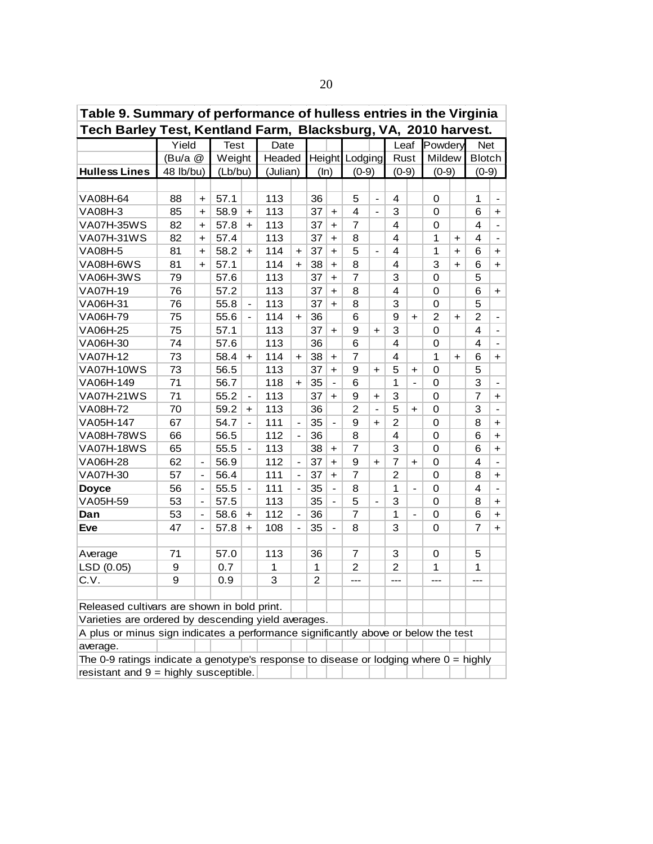| Table 9. Summary of performance of hulless entries in the Virginia                      |           |                          |             |                          |          |                              |                |                      |                  |                          |                |                          |                |                      |                         |                          |
|-----------------------------------------------------------------------------------------|-----------|--------------------------|-------------|--------------------------|----------|------------------------------|----------------|----------------------|------------------|--------------------------|----------------|--------------------------|----------------|----------------------|-------------------------|--------------------------|
| Tech Barley Test, Kentland Farm, Blacksburg, VA, 2010 harvest.                          |           |                          |             |                          |          |                              |                |                      |                  |                          |                |                          |                |                      |                         |                          |
|                                                                                         | Yield     |                          | <b>Test</b> |                          | Date     |                              |                |                      |                  |                          | Leaf           |                          | Powdery        |                      | <b>Net</b>              |                          |
|                                                                                         | (Bu/a @   |                          | Weight      |                          | Headed   |                              |                |                      | Height Lodging   |                          | Rust           |                          | Mildew         |                      | <b>Blotch</b>           |                          |
| <b>Hulless Lines</b>                                                                    | 48 lb/bu) |                          | (Lb/bu)     |                          | (Julian) |                              | (ln)           |                      | $(0-9)$          |                          | $(0-9)$        |                          | $(0-9)$        |                      | $(0-9)$                 |                          |
|                                                                                         |           |                          |             |                          |          |                              |                |                      |                  |                          |                |                          |                |                      |                         |                          |
| VA08H-64                                                                                | 88        | $+$                      | 57.1        |                          | 113      |                              | 36             |                      | 5                | $\blacksquare$           | 4              |                          | 0              |                      | 1                       | $\overline{\phantom{a}}$ |
| <b>VA08H-3</b>                                                                          | 85        | $+$                      | 58.9        | $\ddot{}$                | 113      |                              | 37             | $\ddot{}$            | $\overline{4}$   | $\frac{1}{2}$            | 3              |                          | 0              |                      | 6                       | $+$                      |
| <b>VA07H-35WS</b>                                                                       | 82        | $\ddot{}$                | 57.8        | $+$                      | 113      |                              | 37             | $+$                  | $\overline{7}$   |                          | 4              |                          | 0              |                      | 4                       | $\frac{1}{2}$            |
| <b>VA07H-31WS</b>                                                                       | 82        | $+$                      | 57.4        |                          | 113      |                              | 37             | $+$                  | 8                |                          | 4              |                          | 1              | $\ddot{}$            | 4                       | $\blacksquare$           |
| <b>VA08H-5</b>                                                                          | 81        | $\ddot{}$                | 58.2        | $+$                      | 114      | $+$                          | 37             | $+$                  | 5                | $\overline{a}$           | 4              |                          | 1              | $\ddot{\phantom{1}}$ | 6                       | $+$                      |
| VA08H-6WS                                                                               | 81        | $\ddot{\phantom{1}}$     | 57.1        |                          | 114      | $+$                          | 38             | $\ddot{}$            | 8                |                          | $\overline{4}$ |                          | 3              | $\ddot{}$            | 6                       | $+$                      |
| VA06H-3WS                                                                               | 79        |                          | 57.6        |                          | 113      |                              | 37             | $\ddot{}$            | $\overline{7}$   |                          | 3              |                          | 0              |                      | 5                       |                          |
| VA07H-19                                                                                | 76        |                          | 57.2        |                          | 113      |                              | 37             | $\ddot{}$            | 8                |                          | 4              |                          | 0              |                      | 6                       | $\ddot{}$                |
| VA06H-31                                                                                | 76        |                          | 55.8        | $\overline{a}$           | 113      |                              | 37             | $\ddot{}$            | 8                |                          | 3              |                          | 0              |                      | 5                       |                          |
| VA06H-79                                                                                | 75        |                          | 55.6        | $\overline{\phantom{0}}$ | 114      | $+$                          | 36             |                      | 6                |                          | 9              | $\ddot{}$                | $\overline{2}$ | $\ddot{}$            | $\overline{2}$          | $\frac{1}{2}$            |
| VA06H-25                                                                                | 75        |                          | 57.1        |                          | 113      |                              | 37             | $\ddot{}$            | $\boldsymbol{9}$ | $\ddot{}$                | 3              |                          | 0              |                      | 4                       | $\frac{1}{2}$            |
| VA06H-30                                                                                | 74        |                          | 57.6        |                          | 113      |                              | 36             |                      | 6                |                          | $\overline{4}$ |                          | 0              |                      | 4                       | $\blacksquare$           |
| VA07H-12                                                                                | 73        |                          | 58.4        | $+$                      | 114      | $\ddot{}$                    | 38             | $\ddot{}$            | $\overline{7}$   |                          | 4              |                          | 1              | $\ddot{}$            | 6                       | $\ddot{}$                |
| <b>VA07H-10WS</b>                                                                       | 73        |                          | 56.5        |                          | 113      |                              | 37             | $+$                  | 9                | $\ddot{\phantom{1}}$     | 5              | $\ddot{}$                | 0              |                      | 5                       |                          |
| VA06H-149                                                                               | 71        |                          | 56.7        |                          | 118      | $\ddot{}$                    | 35             |                      | 6                |                          | $\mathbf{1}$   |                          | 0              |                      | 3                       |                          |
| <b>VA07H-21WS</b>                                                                       | 71        |                          | 55.2        | $\overline{\phantom{0}}$ | 113      |                              | 37             | $\ddot{\phantom{1}}$ | 9                | $\ddot{}$                | 3              |                          | 0              |                      | $\overline{7}$          | $\ddot{\phantom{1}}$     |
| VA08H-72                                                                                | 70        |                          | 59.2        | $\ddot{}$                | 113      |                              | 36             |                      | $\overline{c}$   | $\overline{\phantom{a}}$ | 5              | $\ddag$                  | 0              |                      | 3                       |                          |
| VA05H-147                                                                               | 67        |                          | 54.7        | $\frac{1}{2}$            | 111      | $\qquad \qquad \blacksquare$ | 35             |                      | 9                | $\ddot{}$                | $\overline{2}$ |                          | 0              |                      | 8                       | $\ddot{}$                |
| <b>VA08H-78WS</b>                                                                       | 66        |                          | 56.5        |                          | 112      | $\frac{1}{2}$                | 36             |                      | 8                |                          | 4              |                          | 0              |                      | 6                       | $\ddot{}$                |
| <b>VA07H-18WS</b>                                                                       | 65        |                          | 55.5        | $\blacksquare$           | 113      |                              | 38             | $+$                  | $\overline{7}$   |                          | 3              |                          | 0              |                      | 6                       | $\ddot{\phantom{1}}$     |
| VA06H-28                                                                                | 62        | $\frac{1}{2}$            | 56.9        |                          | 112      | $\blacksquare$               | 37             | $+$                  | 9                | $\ddot{\phantom{1}}$     | $\overline{7}$ | $\ddag$                  | $\mathbf 0$    |                      | $\overline{\mathbf{4}}$ | $\blacksquare$           |
| VA07H-30                                                                                | 57        | $\overline{\phantom{a}}$ | 56.4        |                          | 111      | $\overline{\phantom{a}}$     | 37             | $\ddot{\phantom{1}}$ | $\overline{7}$   |                          | $\overline{2}$ |                          | 0              |                      | 8                       | $+$                      |
| <b>Doyce</b>                                                                            | 56        | $\overline{a}$           | 55.5        | $\overline{\phantom{a}}$ | 111      | $\overline{a}$               | 35             |                      | 8                |                          | $\mathbf{1}$   | $\overline{\phantom{a}}$ | 0              |                      | 4                       | $\overline{a}$           |
| VA05H-59                                                                                | 53        | $\frac{1}{2}$            | 57.5        |                          | 113      |                              | 35             |                      | 5                | $\overline{a}$           | 3              |                          | 0              |                      | 8                       | $\ddot{}$                |
| Dan                                                                                     | 53        | $\frac{1}{2}$            | 58.6        | $\ddot{}$                | 112      | $\overline{a}$               | 36             |                      | $\overline{7}$   |                          | $\mathbf{1}$   | $\overline{a}$           | 0              |                      | 6                       | $\ddot{}$                |
| Eve                                                                                     | 47        | $\frac{1}{2}$            | 57.8        | $\ddot{\phantom{1}}$     | 108      | $\overline{a}$               | 35             |                      | 8                |                          | 3              |                          | 0              |                      | $\overline{7}$          | $\ddot{}$                |
|                                                                                         |           |                          |             |                          |          |                              |                |                      |                  |                          |                |                          |                |                      |                         |                          |
| Average                                                                                 | 71        |                          | 57.0        |                          | 113      |                              | 36             |                      | $\overline{7}$   |                          | 3              |                          | 0              |                      | 5                       |                          |
| LSD (0.05)                                                                              | 9         |                          | 0.7         |                          | 1        |                              | $\mathbf 1$    |                      | $\overline{c}$   |                          | $\overline{2}$ |                          | 1              |                      | 1                       |                          |
| C.V.                                                                                    | 9         |                          | 0.9         |                          | 3        |                              | $\overline{2}$ |                      | ---              |                          | ---            |                          | ---            |                      | ---                     |                          |
|                                                                                         |           |                          |             |                          |          |                              |                |                      |                  |                          |                |                          |                |                      |                         |                          |
| Released cultivars are shown in bold print.                                             |           |                          |             |                          |          |                              |                |                      |                  |                          |                |                          |                |                      |                         |                          |
| Varieties are ordered by descending yield averages.                                     |           |                          |             |                          |          |                              |                |                      |                  |                          |                |                          |                |                      |                         |                          |
| A plus or minus sign indicates a performance significantly above or below the test      |           |                          |             |                          |          |                              |                |                      |                  |                          |                |                          |                |                      |                         |                          |
| average.                                                                                |           |                          |             |                          |          |                              |                |                      |                  |                          |                |                          |                |                      |                         |                          |
| The 0-9 ratings indicate a genotype's response to disease or lodging where $0 =$ highly |           |                          |             |                          |          |                              |                |                      |                  |                          |                |                          |                |                      |                         |                          |
| resistant and $9 =$ highly susceptible.                                                 |           |                          |             |                          |          |                              |                |                      |                  |                          |                |                          |                |                      |                         |                          |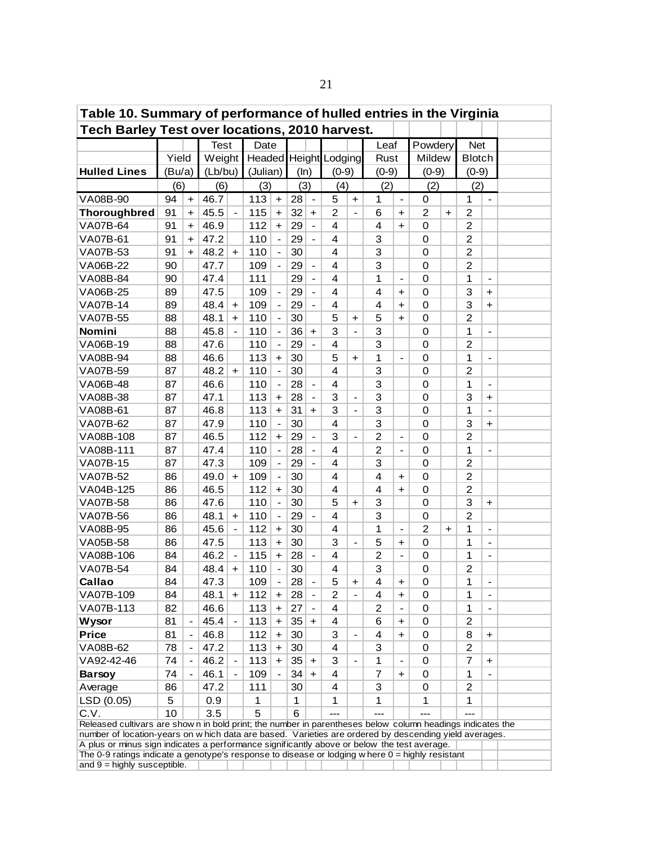| Table 10. Summary of performance of hulled entries in the Virginia                                                 |          |           |              |                      |            |                          |          |                              |                         |                          |                         |                              |                  |     |                |                                            |  |
|--------------------------------------------------------------------------------------------------------------------|----------|-----------|--------------|----------------------|------------|--------------------------|----------|------------------------------|-------------------------|--------------------------|-------------------------|------------------------------|------------------|-----|----------------|--------------------------------------------|--|
| Tech Barley Test over locations, 2010 harvest.                                                                     |          |           |              |                      |            |                          |          |                              |                         |                          |                         |                              |                  |     |                |                                            |  |
|                                                                                                                    |          |           | <b>Test</b>  |                      | Date       |                          |          |                              |                         |                          | Leaf                    |                              | Powdery          |     | <b>Net</b>     |                                            |  |
|                                                                                                                    | Yield    |           | Weight       |                      |            |                          |          |                              | Headed Height Lodging   |                          | Rust                    |                              | Mildew           |     | <b>Blotch</b>  |                                            |  |
| <b>Hulled Lines</b>                                                                                                | (Bu/a)   |           | (Lb/bu)      |                      | (Julian)   |                          | (ln)     |                              | $(0-9)$                 |                          | $(0-9)$                 |                              | $(0-9)$          |     | $(0-9)$        |                                            |  |
|                                                                                                                    | (6)      |           | (6)          |                      | (3)        |                          | (3)      |                              | (4)                     |                          | (2)                     |                              | (2)              |     | (2)            |                                            |  |
| VA08B-90                                                                                                           | 94       | $+$       | 46.7         |                      | 113        | $+$                      | 28       | $\blacksquare$               | 5                       | $+$                      | 1                       | $\overline{a}$               | $\mathbf 0$      |     | 1              | $\overline{a}$                             |  |
| <b>Thoroughbred</b>                                                                                                | 91       | $\ddot{}$ | 45.5         |                      | 115        | $+$                      | 32       | $\ddot{}$                    | $\overline{c}$          | $\overline{a}$           | 6                       | $\ddot{}$                    | $\overline{c}$   | $+$ | $\mathbf 2$    |                                            |  |
| VA07B-64                                                                                                           | 91       | $\ddot{}$ | 46.9         |                      | 112        | $\pm$                    | 29       | $\overline{a}$               | $\overline{\mathbf{4}}$ |                          | $\overline{\mathbf{4}}$ | $\ddot{}$                    | 0                |     | $\overline{2}$ |                                            |  |
| <b>VA07B-61</b>                                                                                                    | 91       | $\ddot{}$ | 47.2         |                      | 110        |                          | 29       | $\frac{1}{2}$                | $\overline{\mathbf{4}}$ |                          | 3                       |                              | $\mathbf 0$      |     | $\overline{c}$ |                                            |  |
| VA07B-53                                                                                                           | 91       | $+$       | 48.2         | $\ddot{}$            | 110        |                          | 30       |                              | $\overline{4}$          |                          | 3                       |                              | $\mathbf 0$      |     | $\overline{c}$ |                                            |  |
| VA06B-22                                                                                                           | 90       |           | 47.7         |                      | 109        |                          | 29       | $\qquad \qquad \blacksquare$ | $\overline{4}$          |                          | 3                       |                              | $\mathbf 0$      |     | $\overline{c}$ |                                            |  |
| VA08B-84                                                                                                           | 90       |           | 47.4         |                      | 111        |                          | 29       | $\overline{\phantom{a}}$     | $\overline{4}$          |                          | 1                       | $\frac{1}{2}$                | $\mathbf 0$      |     | 1              | $\blacksquare$                             |  |
| VA06B-25                                                                                                           | 89       |           | 47.5         |                      | 109        |                          | 29       | $\overline{\phantom{a}}$     | $\overline{4}$          |                          | $\overline{4}$          | $\ddot{}$                    | $\mathbf 0$      |     | 3              | $\ddot{}$                                  |  |
| <b>VA07B-14</b>                                                                                                    | 89       |           | 48.4         | $\ddot{\phantom{1}}$ | 109        |                          | 29       | $\overline{a}$               | 4                       |                          | $\overline{\mathbf{4}}$ | $\ddot{\phantom{1}}$         | $\mathbf 0$      |     | 3              | $+$                                        |  |
| <b>VA07B-55</b>                                                                                                    | 88       |           | 48.1         | $+$                  | 110        |                          | 30       |                              | 5                       | +                        | 5                       | $\ddot{\phantom{1}}$         | $\mathbf 0$      |     | $\overline{c}$ |                                            |  |
| Nomini                                                                                                             | 88       |           | 45.8         |                      | 110        |                          | 36       | $\ddag$                      | 3                       |                          | 3                       |                              | 0                |     | 1              | $\overline{\phantom{a}}$                   |  |
| VA06B-19                                                                                                           | 88       |           | 47.6         |                      | 110        |                          | 29       |                              | 4                       |                          | 3                       |                              | 0                |     | $\overline{c}$ |                                            |  |
| VA08B-94                                                                                                           | 88       |           | 46.6         |                      | 113        | $+$                      | 30       |                              | 5                       | $+$                      | 1                       | $\qquad \qquad \blacksquare$ | 0                |     | 1              | $\overline{\phantom{a}}$                   |  |
| VA07B-59                                                                                                           | 87       |           | 48.2         | $+$                  | 110        |                          | 30       |                              | 4                       |                          | 3                       |                              | $\boldsymbol{0}$ |     | $\overline{c}$ |                                            |  |
| VA06B-48                                                                                                           | 87       |           | 46.6         |                      | 110        | $\overline{\phantom{a}}$ | 28       | $\blacksquare$               | 4                       |                          | 3                       |                              | $\mathbf 0$      |     | 1              | $\overline{\phantom{a}}$                   |  |
| VA08B-38                                                                                                           | 87       |           | 47.1         |                      | 113        | $+$                      | 28       | $\overline{\phantom{a}}$     | 3                       | $\blacksquare$           | 3                       |                              | $\mathbf 0$      |     | 3              | $+$                                        |  |
| VA08B-61                                                                                                           | 87       |           | 46.8         |                      | 113        | $+$                      | 31       | $+$                          | 3                       | $\blacksquare$           | 3                       |                              | $\mathbf 0$      |     | 1              | $\blacksquare$                             |  |
| VA07B-62                                                                                                           | 87       |           | 47.9         |                      | 110        |                          | 30       |                              | $\overline{\mathbf{4}}$ |                          | 3                       |                              | $\mathbf 0$      |     | 3              | $\pm$                                      |  |
| VA08B-108                                                                                                          | 87       |           | 46.5         |                      | 112        | $\pm$                    | 29       | $\frac{1}{2}$                | 3                       |                          | $\overline{2}$          | $\overline{a}$               | $\mathbf 0$      |     | $\overline{2}$ |                                            |  |
| VA08B-111                                                                                                          | 87       |           | 47.4         |                      | 110        |                          | 28       | $\frac{1}{2}$                | $\overline{\mathbf{4}}$ |                          | $\overline{c}$          | $\overline{a}$               | $\mathbf 0$      |     | 1              |                                            |  |
| VA07B-15                                                                                                           | 87       |           | 47.3         |                      | 109        |                          | 29       |                              | $\overline{4}$          |                          | 3                       |                              | $\mathbf 0$      |     | $\overline{c}$ |                                            |  |
| VA07B-52                                                                                                           | 86       |           | 49.0         | $+$                  | 109        |                          | 30       |                              | $\overline{4}$          |                          | $\overline{4}$          | $\ddot{}$                    | $\mathbf 0$      |     | $\overline{c}$ |                                            |  |
| VA04B-125                                                                                                          | 86       |           | 46.5         |                      | 112        | $\ddot{}$                | 30       |                              | $\overline{\mathbf{4}}$ |                          | $\overline{4}$          | $\ddot{}$                    | $\mathbf 0$      |     | $\overline{2}$ |                                            |  |
| VA07B-58                                                                                                           | 86       |           | 47.6         |                      | 110        | $\blacksquare$           | 30       |                              | 5                       | $\ddot{\phantom{1}}$     | 3                       |                              | $\mathbf 0$      |     | 3              | $+$                                        |  |
| VA07B-56                                                                                                           | 86       |           | 48.1         | $\ddot{\phantom{1}}$ | 110        |                          | 29       |                              | $\overline{4}$          |                          | 3                       |                              | 0                |     | $\overline{2}$ |                                            |  |
| VA08B-95                                                                                                           | 86       |           | 45.6         |                      | 112        | $+$                      | 30       |                              | 4                       |                          | 1                       |                              | $\overline{2}$   | $+$ | 1              | $\blacksquare$                             |  |
| VA05B-58                                                                                                           |          |           | 47.5         |                      | 113        |                          | 30       |                              | 3                       |                          | 5                       | $\qquad \qquad \blacksquare$ | 0                |     | 1              |                                            |  |
|                                                                                                                    | 86       |           | 46.2         |                      |            | $+$                      | 28       |                              | 4                       | $\overline{\phantom{a}}$ | $\overline{2}$          | $\ddot{\phantom{1}}$         | 0                |     | 1              | $\overline{\phantom{a}}$<br>$\blacksquare$ |  |
| VA08B-106                                                                                                          | 84       |           |              |                      | 115        | $+$                      |          |                              |                         |                          | 3                       | $\qquad \qquad \blacksquare$ |                  |     |                |                                            |  |
| VA07B-54                                                                                                           | 84<br>84 |           | 48.4<br>47.3 | $\ddot{}$            | 110<br>109 |                          | 30<br>28 |                              | 4<br>5                  |                          | 4                       |                              | 0<br>$\Omega$    |     | $\overline{c}$ |                                            |  |
| Callao                                                                                                             |          |           |              |                      |            |                          |          |                              |                         | $+$                      |                         | $+$                          |                  |     | 1              |                                            |  |
| VA07B-109                                                                                                          | 84       |           | 48.1         | $\ddot{}$            | 112        | $+$                      | 28       | $\qquad \qquad \blacksquare$ | $\overline{2}$          | $\overline{\phantom{a}}$ | 4                       | $\ddot{}$                    | 0                |     | 1              | $\overline{\phantom{a}}$                   |  |
| VA07B-113                                                                                                          | 82       |           | 46.6         |                      | 113        | $+$                      | 27       |                              | 4                       |                          | 2                       | $\blacksquare$               | $\mathbf 0$      |     | 1              | $\blacksquare$                             |  |
| Wysor                                                                                                              | 81       |           | 45.4         |                      | 113        | $\pm$                    | 35       | $\ddot{}$                    | 4                       |                          | 6                       | $\ddot{}$                    | $\mathbf 0$      |     | $\overline{c}$ |                                            |  |
| <b>Price</b>                                                                                                       | 81       |           | 46.8         |                      | 112        | $\boldsymbol{+}$         | 30       |                              | 3                       |                          | 4                       | $\ddot{\phantom{1}}$         | 0                |     | 8              | $\ddot{}$                                  |  |
| VA08B-62                                                                                                           | 78       |           | 47.2         |                      | 113        | $\ddag$                  | 30       |                              | 4                       |                          | 3                       |                              | $\mathbf 0$      |     | 2              |                                            |  |
| VA92-42-46                                                                                                         | 74       |           | 46.2         |                      | 113        | $\ddag$                  | 35       | $\div$                       | 3                       |                          | 1                       |                              | 0                |     | $\overline{7}$ | $\ddag$                                    |  |
| <b>Barsoy</b>                                                                                                      | 74       |           | 46.1         |                      | 109        |                          | 34       | $\ddot{}$                    | 4                       |                          | $\overline{7}$          | $\ddot{}$                    | 0                |     | 1              |                                            |  |
| Average                                                                                                            | 86       |           | 47.2         |                      | 111        |                          | 30       |                              | $\overline{4}$          |                          | 3                       |                              | 0                |     | $\overline{c}$ |                                            |  |
| LSD (0.05)                                                                                                         | 5        |           | 0.9          |                      | 1          |                          | 1        |                              | 1                       |                          | 1                       |                              | 1                |     | 1              |                                            |  |
| C.V.<br>Released cultivars are show n in bold print; the number in parentheses below column headings indicates the | 10       |           | 3.5          |                      | 5          |                          | 6        |                              |                         |                          |                         |                              |                  |     |                |                                            |  |
| number of location-years on w hich data are based. Varieties are ordered by descending yield averages.             |          |           |              |                      |            |                          |          |                              |                         |                          |                         |                              |                  |     |                |                                            |  |
| A plus or minus sign indicates a performance significantly above or below the test average.                        |          |           |              |                      |            |                          |          |                              |                         |                          |                         |                              |                  |     |                |                                            |  |
| The 0-9 ratings indicate a genotype's response to disease or lodging where $0 =$ highly resistant                  |          |           |              |                      |            |                          |          |                              |                         |                          |                         |                              |                  |     |                |                                            |  |
| and $9 =$ highly susceptible.                                                                                      |          |           |              |                      |            |                          |          |                              |                         |                          |                         |                              |                  |     |                |                                            |  |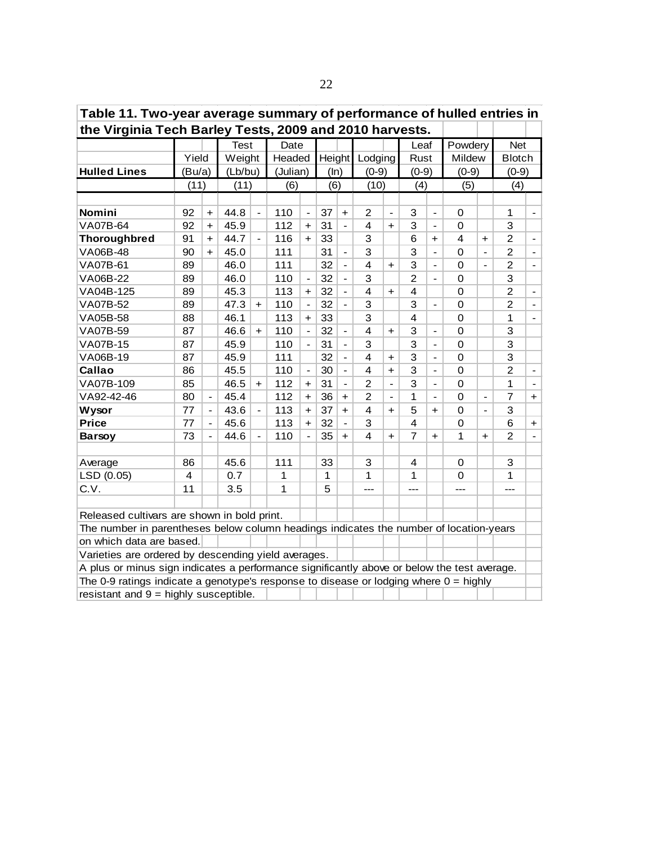| Table 11. Two-year average summary of performance of hulled entries in<br>the Virginia Tech Barley Tests, 2009 and 2010 harvests. |        |                |                    |                          |          |                          |                |                          |                         |                |                         |                          |                |                          |                |                              |
|-----------------------------------------------------------------------------------------------------------------------------------|--------|----------------|--------------------|--------------------------|----------|--------------------------|----------------|--------------------------|-------------------------|----------------|-------------------------|--------------------------|----------------|--------------------------|----------------|------------------------------|
|                                                                                                                                   |        |                | <b>Test</b>        |                          |          |                          |                |                          |                         |                |                         |                          |                |                          |                |                              |
|                                                                                                                                   |        |                |                    |                          | Date     |                          |                |                          |                         |                | Leaf                    |                          | Powdery        |                          | <b>Net</b>     |                              |
|                                                                                                                                   | Yield  |                | Weight             |                          | Headed   |                          | <b>Height</b>  |                          | Lodging                 |                | Rust                    |                          | Mildew         |                          | <b>Blotch</b>  |                              |
| <b>Hulled Lines</b>                                                                                                               | (Bu/a) |                | (Lb/bu)            |                          | (Julian) |                          | (ln)           |                          | $(0-9)$                 |                | $(0-9)$                 |                          | $(0-9)$        |                          | $(0-9)$        |                              |
|                                                                                                                                   | (11)   |                | (11)               |                          | (6)      |                          | (6)            |                          | (10)                    |                | (4)                     |                          | (5)            |                          | (4)            |                              |
| Nomini                                                                                                                            | 92     | $+$            | 44.8               | $\overline{\phantom{a}}$ | 110      | $\overline{\phantom{a}}$ | 37             | $\ddot{\phantom{1}}$     | $\overline{2}$          | $\overline{a}$ | 3                       | $\overline{\phantom{a}}$ | $\mathbf 0$    |                          | 1              | $\overline{\phantom{a}}$     |
| VA07B-64                                                                                                                          | 92     | $+$            | 45.9               |                          | 112      | $\ddot{\phantom{1}}$     | 31             | $\overline{a}$           | 4                       | $\ddot{}$      | 3                       | $\overline{\phantom{a}}$ | 0              |                          | 3              |                              |
| <b>Thoroughbred</b>                                                                                                               | 91     | $+$            | 44.7               |                          | 116      | $+$                      | 33             |                          | 3                       |                | 6                       | $+$                      | $\overline{4}$ | $\ddot{\phantom{1}}$     | $\overline{2}$ | $\frac{1}{2}$                |
| VA06B-48                                                                                                                          | 90     | $+$            | 45.0               |                          | 111      |                          | 31             | $\overline{\phantom{a}}$ | 3                       |                | 3                       | $\overline{a}$           | $\mathbf 0$    | $\overline{\phantom{a}}$ | $\overline{2}$ | $\frac{1}{2}$                |
| VA07B-61                                                                                                                          | 89     |                | 46.0               |                          | 111      |                          | 32             | $\overline{\phantom{a}}$ | $\overline{\mathbf{4}}$ | $+$            | 3                       | $\blacksquare$           | $\mathbf 0$    |                          | $\overline{2}$ | $\overline{\phantom{a}}$     |
| VA06B-22                                                                                                                          | 89     |                | 46.0               |                          | 110      |                          | 32             | $\frac{1}{2}$            | 3                       |                | $\overline{2}$          | $\overline{a}$           | $\mathbf 0$    |                          | 3              |                              |
| VA04B-125                                                                                                                         | 89     |                | 45.3               |                          | 113      | $\ddot{}$                | 32             |                          | 4                       | $+$            | $\overline{4}$          |                          | $\Omega$       |                          | $\overline{2}$ | $\qquad \qquad \blacksquare$ |
| VA07B-52                                                                                                                          | 89     |                | 47.3               | $\ddot{\phantom{1}}$     | 110      |                          | 32             |                          | 3                       |                | 3                       | $\overline{a}$           | $\overline{0}$ |                          | $\overline{2}$ |                              |
| VA05B-58                                                                                                                          | 88     |                | 46.1               |                          | 113      | $\ddot{\phantom{1}}$     | 33             |                          | 3                       |                | 4                       |                          | 0              |                          | 1              |                              |
| VA07B-59                                                                                                                          | 87     |                | 46.6               | $+$                      | 110      |                          | 32             |                          | $\overline{4}$          | $+$            | 3                       | $\overline{a}$           | $\overline{0}$ |                          | 3              |                              |
| VA07B-15                                                                                                                          | 87     |                | 45.9               |                          | 110      |                          | 31             |                          | 3                       |                | 3                       | $\overline{a}$           | $\mathbf 0$    |                          | 3              |                              |
| VA06B-19                                                                                                                          | 87     |                | 111<br>45.9<br>110 |                          |          | 32                       | $\overline{a}$ | 4                        | $+$                     | 3              | $\overline{a}$          | $\Omega$                 |                | 3                        |                |                              |
| Callao                                                                                                                            | 86     |                | 45.5               |                          |          | $\overline{a}$           | 30             | $\overline{\phantom{a}}$ | $\overline{4}$          | $+$            | 3                       | $\overline{a}$           | $\overline{0}$ |                          | $\overline{2}$ | $\blacksquare$               |
| VA07B-109                                                                                                                         | 85     |                | 46.5               | $\ddot{\phantom{1}}$     | 112      | $\ddot{\phantom{1}}$     | 31             | $\overline{\phantom{a}}$ | $\overline{2}$          | $\overline{a}$ | 3                       | $\overline{a}$           | $\mathbf 0$    |                          | 1              | $\blacksquare$               |
| VA92-42-46                                                                                                                        | 80     | $\blacksquare$ | 45.4               |                          | 112      | $+$                      | 36             | $+$                      | $\overline{2}$          | $\overline{a}$ | 1                       | $\overline{a}$           | $\Omega$       | $\overline{a}$           | $\overline{7}$ | $+$                          |
| <b>Wysor</b>                                                                                                                      | 77     | $\blacksquare$ | 43.6               | $\overline{\phantom{a}}$ | 113      | $\ddot{\phantom{1}}$     | 37             | $+$                      | $\overline{4}$          | $+$            | 5                       | $+$                      | $\Omega$       | $\overline{\phantom{a}}$ | 3              |                              |
| <b>Price</b>                                                                                                                      | 77     | $\blacksquare$ | 45.6               |                          | 113      | $+$                      | 32             | $\blacksquare$           | 3                       |                | $\overline{\mathbf{4}}$ |                          | 0              |                          | 6              | $\ddot{}$                    |
| <b>Barsoy</b>                                                                                                                     | 73     | $\blacksquare$ | 44.6               | $\overline{\phantom{a}}$ | 110      | $\overline{a}$           | 35             | $+$                      | 4                       | $\ddot{}$      | $\overline{7}$          | $\ddot{}$                | 1              | $\ddot{}$                | $\overline{2}$ | $\overline{\phantom{a}}$     |
| Average                                                                                                                           | 86     |                | 45.6               |                          | 111      |                          | 33             |                          | 3                       |                | 4                       |                          | $\mathbf 0$    |                          | 3              |                              |
| LSD (0.05)                                                                                                                        | 4      |                | 0.7                |                          | 1        |                          | 1              |                          | 1                       |                | 1                       |                          | 0              |                          | 1              |                              |
| C.V.                                                                                                                              | 11     |                | 3.5                |                          | 1        |                          | 5              |                          | ---                     |                | ---                     |                          | ---            |                          | ---            |                              |
|                                                                                                                                   |        |                |                    |                          |          |                          |                |                          |                         |                |                         |                          |                |                          |                |                              |
| Released cultivars are shown in bold print.                                                                                       |        |                |                    |                          |          |                          |                |                          |                         |                |                         |                          |                |                          |                |                              |
| The number in parentheses below column headings indicates the number of location-years                                            |        |                |                    |                          |          |                          |                |                          |                         |                |                         |                          |                |                          |                |                              |
| on which data are based.                                                                                                          |        |                |                    |                          |          |                          |                |                          |                         |                |                         |                          |                |                          |                |                              |
| Varieties are ordered by descending yield averages.                                                                               |        |                |                    |                          |          |                          |                |                          |                         |                |                         |                          |                |                          |                |                              |
| A plus or minus sign indicates a performance significantly above or below the test average.                                       |        |                |                    |                          |          |                          |                |                          |                         |                |                         |                          |                |                          |                |                              |
| The 0-9 ratings indicate a genotype's response to disease or lodging where $0 =$ highly                                           |        |                |                    |                          |          |                          |                |                          |                         |                |                         |                          |                |                          |                |                              |
| resistant and $9 =$ highly susceptible.                                                                                           |        |                |                    |                          |          |                          |                |                          |                         |                |                         |                          |                |                          |                |                              |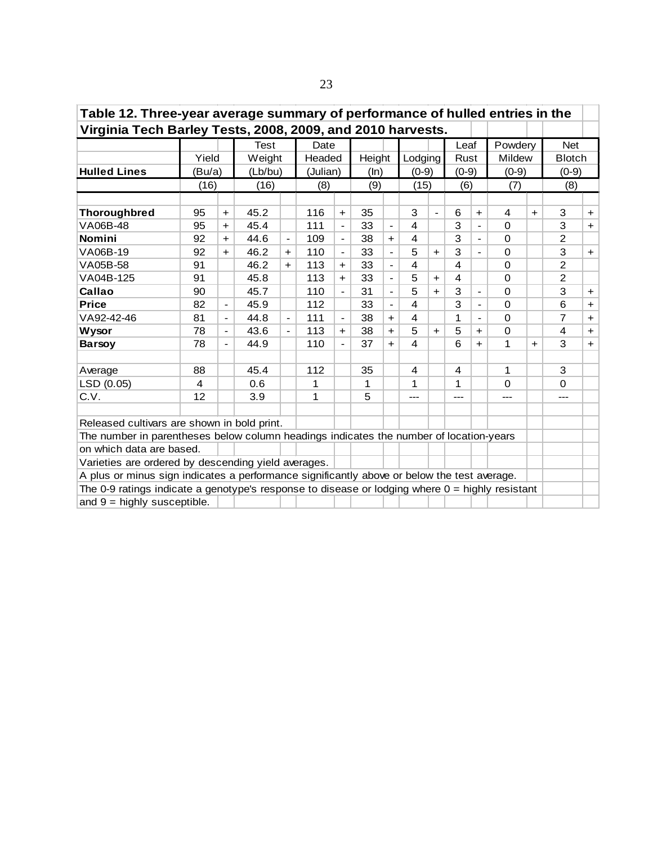| Table 12. Three-year average summary of performance of hulled entries in the                      |                |                          |         |                          |          |                              |        |                          |                         |                          |                         |                              |             |           |                |     |
|---------------------------------------------------------------------------------------------------|----------------|--------------------------|---------|--------------------------|----------|------------------------------|--------|--------------------------|-------------------------|--------------------------|-------------------------|------------------------------|-------------|-----------|----------------|-----|
| Virginia Tech Barley Tests, 2008, 2009, and 2010 harvests.                                        |                |                          |         |                          |          |                              |        |                          |                         |                          |                         |                              |             |           |                |     |
|                                                                                                   |                |                          | Test    |                          | Date     |                              |        |                          |                         |                          | Leaf                    |                              | Powdery     |           | <b>Net</b>     |     |
|                                                                                                   | Yield          |                          | Weight  |                          | Headed   |                              | Height |                          | Lodging                 |                          | <b>Rust</b>             |                              | Mildew      |           | <b>Blotch</b>  |     |
| <b>Hulled Lines</b>                                                                               | (Bu/a)         |                          | (Lb/bu) |                          | (Julian) |                              | (ln)   |                          | $(0-9)$                 |                          | $(0-9)$                 |                              | $(0-9)$     |           | $(0-9)$        |     |
|                                                                                                   | (16)           |                          | (16)    |                          | (8)      |                              | (9)    |                          | (15)                    |                          | (6)                     |                              | (7)         |           | (8)            |     |
|                                                                                                   |                |                          |         |                          |          |                              |        |                          |                         |                          |                         |                              |             |           |                |     |
| <b>Thoroughbred</b>                                                                               | 95             | $+$                      | 45.2    |                          | 116      | $+$                          | 35     |                          | 3                       | $\overline{\phantom{0}}$ | 6                       | $+$                          | 4           | $+$       | 3              | $+$ |
| VA06B-48                                                                                          | 95             | $\ddot{}$                | 45.4    |                          | 111      | $\overline{a}$               | 33     |                          | 4                       |                          | 3                       | $\overline{\phantom{a}}$     | $\Omega$    |           | 3              | $+$ |
| Nomini                                                                                            | 92             | $+$                      | 44.6    | $\frac{1}{2}$            | 109      | $\overline{a}$               | 38     | $+$                      | 4                       |                          | 3                       |                              | $\Omega$    |           | $\overline{2}$ |     |
| VA06B-19                                                                                          | 92             | $+$                      | 46.2    | $+$                      | 110      | $\qquad \qquad \blacksquare$ | 33     |                          | 5                       | +                        | 3                       |                              | $\Omega$    |           | 3              | $+$ |
| VA05B-58                                                                                          | 91             |                          | 46.2    | $+$                      | 113      | $+$                          | 33     | $\blacksquare$           | 4                       |                          | $\overline{\mathbf{4}}$ |                              | $\Omega$    |           | $\overline{2}$ |     |
| VA04B-125                                                                                         | 91             |                          | 45.8    |                          | 113      | $+$                          | 33     |                          | 5                       | $+$                      | $\overline{\mathbf{4}}$ |                              | $\mathbf 0$ |           | $\overline{2}$ |     |
| Callao                                                                                            | 90             |                          | 45.7    |                          | 110      | $\overline{\phantom{0}}$     | 31     | $\overline{\phantom{a}}$ | 5                       | $+$                      | 3                       | $\qquad \qquad \blacksquare$ | $\Omega$    |           | 3              | $+$ |
| <b>Price</b>                                                                                      | 82             | $\overline{\phantom{a}}$ | 45.9    |                          | 112      |                              | 33     |                          | $\overline{\mathbf{4}}$ |                          | 3                       | $\blacksquare$               | $\Omega$    |           | 6              | $+$ |
| VA92-42-46                                                                                        | 81             |                          | 44.8    | $\frac{1}{2}$            | 111      | $\blacksquare$               | 38     | $+$                      | 4                       |                          | 1                       | $\qquad \qquad \blacksquare$ | $\Omega$    |           | $\overline{7}$ | $+$ |
| <b>Wysor</b>                                                                                      | 78             |                          | 43.6    | $\overline{\phantom{0}}$ | 113      | $\ddot{}$                    | 38     | $+$                      | 5                       | $+$                      | 5                       | $\ddot{}$                    | $\Omega$    |           | 4              | $+$ |
| <b>Barsoy</b>                                                                                     | 78             |                          | 44.9    |                          | 110      |                              | 37     | $+$                      | $\overline{\mathbf{4}}$ |                          | 6                       | $+$                          | 1           | $\ddot{}$ | 3              | $+$ |
|                                                                                                   |                |                          |         |                          |          |                              |        |                          |                         |                          |                         |                              |             |           |                |     |
| Average                                                                                           | 88             |                          | 45.4    |                          | 112      |                              | 35     |                          | 4                       |                          | 4                       |                              | 1           |           | 3              |     |
| LSD (0.05)                                                                                        | $\overline{4}$ |                          | 0.6     |                          | 1        |                              | 1      |                          | 1                       |                          | 1                       |                              | $\Omega$    |           | 0              |     |
| C.V.                                                                                              | 12             |                          | 3.9     |                          | 1        |                              | 5      |                          | ---                     |                          | ---                     |                              |             |           |                |     |
|                                                                                                   |                |                          |         |                          |          |                              |        |                          |                         |                          |                         |                              |             |           |                |     |
| Released cultivars are shown in bold print.                                                       |                |                          |         |                          |          |                              |        |                          |                         |                          |                         |                              |             |           |                |     |
| The number in parentheses below column headings indicates the number of location-years            |                |                          |         |                          |          |                              |        |                          |                         |                          |                         |                              |             |           |                |     |
| on which data are based.                                                                          |                |                          |         |                          |          |                              |        |                          |                         |                          |                         |                              |             |           |                |     |
| Varieties are ordered by descending yield averages.                                               |                |                          |         |                          |          |                              |        |                          |                         |                          |                         |                              |             |           |                |     |
| A plus or minus sign indicates a performance significantly above or below the test average.       |                |                          |         |                          |          |                              |        |                          |                         |                          |                         |                              |             |           |                |     |
| The 0-9 ratings indicate a genotype's response to disease or lodging where $0 =$ highly resistant |                |                          |         |                          |          |                              |        |                          |                         |                          |                         |                              |             |           |                |     |
| and $9 =$ highly susceptible.                                                                     |                |                          |         |                          |          |                              |        |                          |                         |                          |                         |                              |             |           |                |     |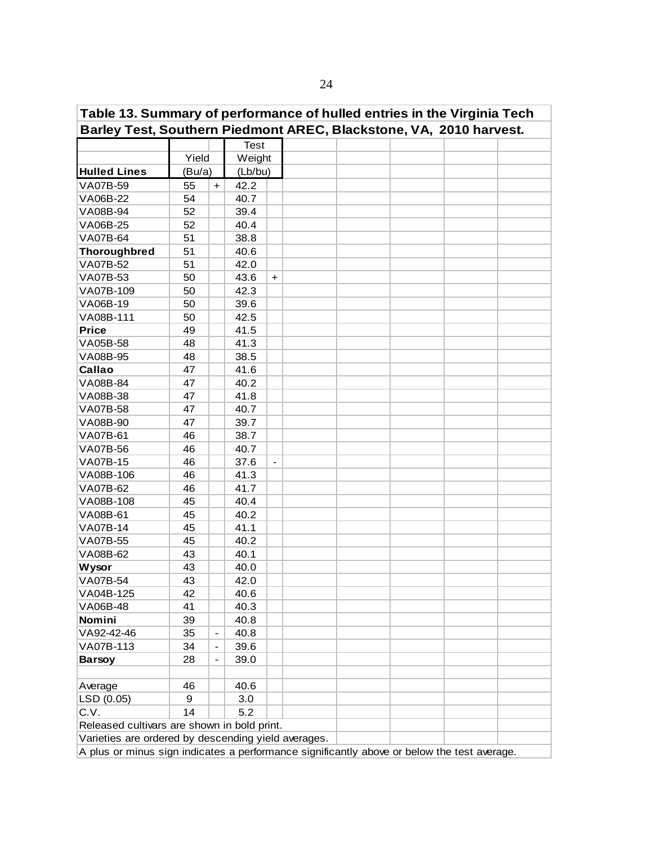| Table 13. Summary of performance of hulled entries in the Virginia Tech                     |        |                          |             |     |  |  |  |
|---------------------------------------------------------------------------------------------|--------|--------------------------|-------------|-----|--|--|--|
| Barley Test, Southern Piedmont AREC, Blackstone, VA, 2010 harvest.                          |        |                          |             |     |  |  |  |
|                                                                                             |        |                          | <b>Test</b> |     |  |  |  |
|                                                                                             | Yield  |                          | Weight      |     |  |  |  |
| <b>Hulled Lines</b>                                                                         | (Bu/a) |                          | (Lb/bu)     |     |  |  |  |
| VA07B-59                                                                                    | 55     | $+$                      | 42.2        |     |  |  |  |
| VA06B-22                                                                                    | 54     |                          | 40.7        |     |  |  |  |
| VA08B-94                                                                                    | 52     |                          | 39.4        |     |  |  |  |
| VA06B-25                                                                                    | 52     |                          | 40.4        |     |  |  |  |
| VA07B-64                                                                                    | 51     |                          | 38.8        |     |  |  |  |
| <b>Thoroughbred</b>                                                                         | 51     |                          | 40.6        |     |  |  |  |
| VA07B-52                                                                                    | 51     |                          | 42.0        |     |  |  |  |
| VA07B-53                                                                                    | 50     |                          | 43.6        | $+$ |  |  |  |
| VA07B-109                                                                                   | 50     |                          | 42.3        |     |  |  |  |
| VA06B-19                                                                                    | 50     |                          | 39.6        |     |  |  |  |
| VA08B-111                                                                                   | 50     |                          | 42.5        |     |  |  |  |
| <b>Price</b>                                                                                | 49     |                          | 41.5        |     |  |  |  |
| VA05B-58                                                                                    | 48     |                          | 41.3        |     |  |  |  |
| VA08B-95                                                                                    | 48     |                          | 38.5        |     |  |  |  |
| Callao                                                                                      | 47     |                          | 41.6        |     |  |  |  |
| VA08B-84                                                                                    | 47     |                          | 40.2        |     |  |  |  |
| VA08B-38                                                                                    | 47     |                          | 41.8        |     |  |  |  |
| <b>VA07B-58</b>                                                                             | 47     |                          | 40.7        |     |  |  |  |
| VA08B-90                                                                                    | 47     |                          | 39.7        |     |  |  |  |
| VA07B-61                                                                                    | 46     |                          | 38.7        |     |  |  |  |
| VA07B-56                                                                                    | 46     |                          | 40.7        |     |  |  |  |
| <b>VA07B-15</b>                                                                             | 46     |                          | 37.6        |     |  |  |  |
| VA08B-106                                                                                   | 46     |                          | 41.3        |     |  |  |  |
| VA07B-62                                                                                    | 46     |                          | 41.7        |     |  |  |  |
| VA08B-108                                                                                   | 45     |                          | 40.4        |     |  |  |  |
| VA08B-61                                                                                    | 45     |                          | 40.2        |     |  |  |  |
| VA07B-14                                                                                    | 45     |                          | 41.1        |     |  |  |  |
| VA07B-55                                                                                    | 45     |                          | 40.2        |     |  |  |  |
| VA08B-62                                                                                    | 43     |                          | 40.1        |     |  |  |  |
| Wysor                                                                                       | 43     |                          | 40.0        |     |  |  |  |
| <b>VA07B-54</b>                                                                             | 43     |                          | 42.0        |     |  |  |  |
| VA04B-125                                                                                   | 42     |                          | 40.6        |     |  |  |  |
| VA06B-48                                                                                    | 41     |                          | 40.3        |     |  |  |  |
| Nomini                                                                                      | 39     |                          | 40.8        |     |  |  |  |
| VA92-42-46                                                                                  | 35     | $\overline{\phantom{0}}$ | 40.8        |     |  |  |  |
| VA07B-113                                                                                   | 34     | $\blacksquare$           | 39.6        |     |  |  |  |
| <b>Barsoy</b>                                                                               | 28     | $\overline{\phantom{a}}$ | 39.0        |     |  |  |  |
|                                                                                             |        |                          |             |     |  |  |  |
| Average                                                                                     | 46     |                          | 40.6        |     |  |  |  |
| LSD (0.05)                                                                                  | 9      |                          | 3.0         |     |  |  |  |
| C.V.                                                                                        | 14     |                          | 5.2         |     |  |  |  |
| Released cultivars are shown in bold print.                                                 |        |                          |             |     |  |  |  |
| Varieties are ordered by descending yield averages.                                         |        |                          |             |     |  |  |  |
| A plus or minus sign indicates a performance significantly above or below the test average. |        |                          |             |     |  |  |  |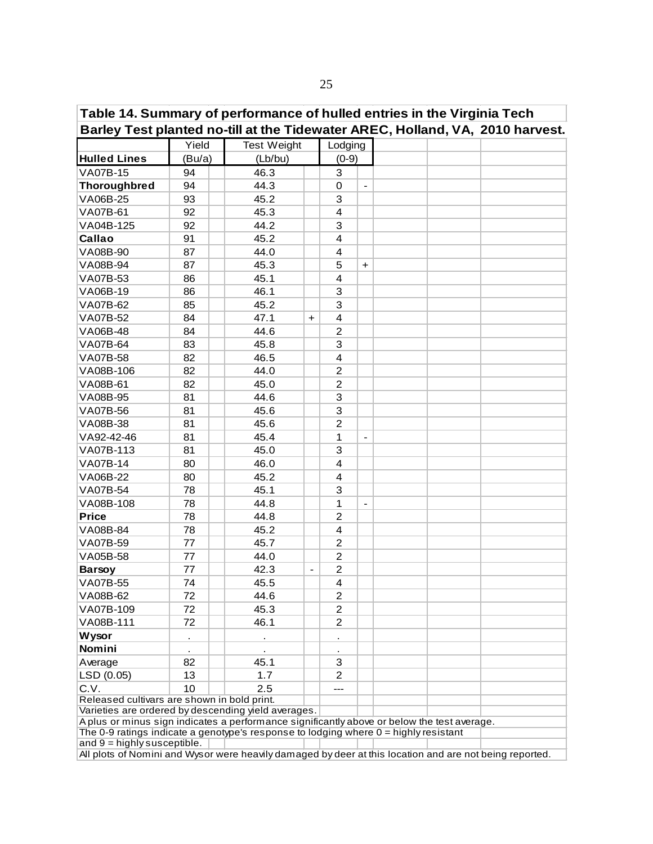| Table 14. Summary of performance of hulled entries in the Virginia Tech                                 |        |                    |                          |                         |                          |  |                                                                               |
|---------------------------------------------------------------------------------------------------------|--------|--------------------|--------------------------|-------------------------|--------------------------|--|-------------------------------------------------------------------------------|
|                                                                                                         |        |                    |                          |                         |                          |  | Barley Test planted no-till at the Tidewater AREC, Holland, VA, 2010 harvest. |
|                                                                                                         | Yield  | <b>Test Weight</b> |                          | Lodging                 |                          |  |                                                                               |
| <b>Hulled Lines</b>                                                                                     | (Bu/a) | (Lb/bu)            |                          | $(0-9)$                 |                          |  |                                                                               |
| VA07B-15                                                                                                | 94     | 46.3               |                          | 3                       |                          |  |                                                                               |
| <b>Thoroughbred</b>                                                                                     | 94     | 44.3               |                          | 0                       | $\overline{\phantom{a}}$ |  |                                                                               |
| VA06B-25                                                                                                | 93     | 45.2               |                          | 3                       |                          |  |                                                                               |
| VA07B-61                                                                                                | 92     | 45.3               |                          | $\overline{4}$          |                          |  |                                                                               |
| VA04B-125                                                                                               | 92     | 44.2               |                          | 3                       |                          |  |                                                                               |
| Callao                                                                                                  | 91     | 45.2               |                          | 4                       |                          |  |                                                                               |
| VA08B-90                                                                                                | 87     | 44.0               |                          | 4                       |                          |  |                                                                               |
| VA08B-94                                                                                                | 87     | 45.3               |                          | 5                       | $\ddot{}$                |  |                                                                               |
| VA07B-53                                                                                                | 86     | 45.1               |                          | $\overline{4}$          |                          |  |                                                                               |
| VA06B-19                                                                                                | 86     | 46.1               |                          | 3                       |                          |  |                                                                               |
| VA07B-62                                                                                                | 85     | 45.2               |                          | 3                       |                          |  |                                                                               |
| VA07B-52                                                                                                | 84     | 47.1               | $\ddot{}$                | $\overline{\mathbf{4}}$ |                          |  |                                                                               |
| VA06B-48                                                                                                | 84     | 44.6               |                          | $\overline{c}$          |                          |  |                                                                               |
| VA07B-64                                                                                                | 83     | 45.8               |                          | 3                       |                          |  |                                                                               |
| VA07B-58                                                                                                | 82     | 46.5               |                          | $\overline{\mathbf{4}}$ |                          |  |                                                                               |
| VA08B-106                                                                                               | 82     | 44.0               |                          | $\overline{2}$          |                          |  |                                                                               |
| VA08B-61                                                                                                | 82     | 45.0               |                          | $\overline{2}$          |                          |  |                                                                               |
| VA08B-95                                                                                                | 81     | 44.6               |                          | 3                       |                          |  |                                                                               |
| VA07B-56                                                                                                | 81     | 45.6               |                          | 3                       |                          |  |                                                                               |
| VA08B-38                                                                                                | 81     | 45.6               |                          | $\overline{c}$          |                          |  |                                                                               |
| VA92-42-46                                                                                              | 81     | 45.4               |                          | $\mathbf{1}$            | $\overline{\phantom{a}}$ |  |                                                                               |
| VA07B-113                                                                                               | 81     | 45.0               |                          | 3                       |                          |  |                                                                               |
| VA07B-14                                                                                                | 80     | 46.0               |                          | 4                       |                          |  |                                                                               |
| VA06B-22                                                                                                | 80     | 45.2               |                          | 4                       |                          |  |                                                                               |
| VA07B-54                                                                                                | 78     | 45.1               |                          | 3                       |                          |  |                                                                               |
| VA08B-108                                                                                               | 78     | 44.8               |                          | 1                       |                          |  |                                                                               |
| <b>Price</b>                                                                                            | 78     | 44.8               |                          | $\overline{c}$          |                          |  |                                                                               |
| VA08B-84                                                                                                | 78     | 45.2               |                          | 4                       |                          |  |                                                                               |
| VA07B-59                                                                                                | 77     | 45.7               |                          | $\overline{2}$          |                          |  |                                                                               |
| VA05B-58                                                                                                | 77     | 44.0               |                          | $\overline{2}$          |                          |  |                                                                               |
| <b>Barsoy</b>                                                                                           | 77     | 42.3               | $\overline{\phantom{a}}$ | $\overline{c}$          |                          |  |                                                                               |
| VA07B-55                                                                                                | 74     | 45.5               |                          | 4                       |                          |  |                                                                               |
| VA08B-62                                                                                                | 72     | 44.6               |                          | $\overline{c}$          |                          |  |                                                                               |
| VA07B-109                                                                                               | 72     | 45.3               |                          | $\overline{2}$          |                          |  |                                                                               |
| VA08B-111                                                                                               | 72     | 46.1               |                          | $\overline{c}$          |                          |  |                                                                               |
|                                                                                                         |        |                    |                          |                         |                          |  |                                                                               |
| Wysor<br>Nomini                                                                                         | ä,     |                    |                          |                         |                          |  |                                                                               |
|                                                                                                         |        |                    |                          |                         |                          |  |                                                                               |
| Average<br>LSD (0.05)                                                                                   | 82     | 45.1               |                          | 3                       |                          |  |                                                                               |
|                                                                                                         | 13     | 1.7                |                          | 2                       |                          |  |                                                                               |
| C.V.<br>Released cultivars are shown in bold print.                                                     | 10     | 2.5                |                          | ---                     |                          |  |                                                                               |
| Varieties are ordered by descending yield averages.                                                     |        |                    |                          |                         |                          |  |                                                                               |
| A plus or minus sign indicates a performance significantly above or below the test average.             |        |                    |                          |                         |                          |  |                                                                               |
| The 0-9 ratings indicate a genotype's response to lodging where $0 =$ highly resistant                  |        |                    |                          |                         |                          |  |                                                                               |
| and $9 =$ highly susceptible.                                                                           |        |                    |                          |                         |                          |  |                                                                               |
| All plots of Nomini and Wysor were heavily damaged by deer at this location and are not being reported. |        |                    |                          |                         |                          |  |                                                                               |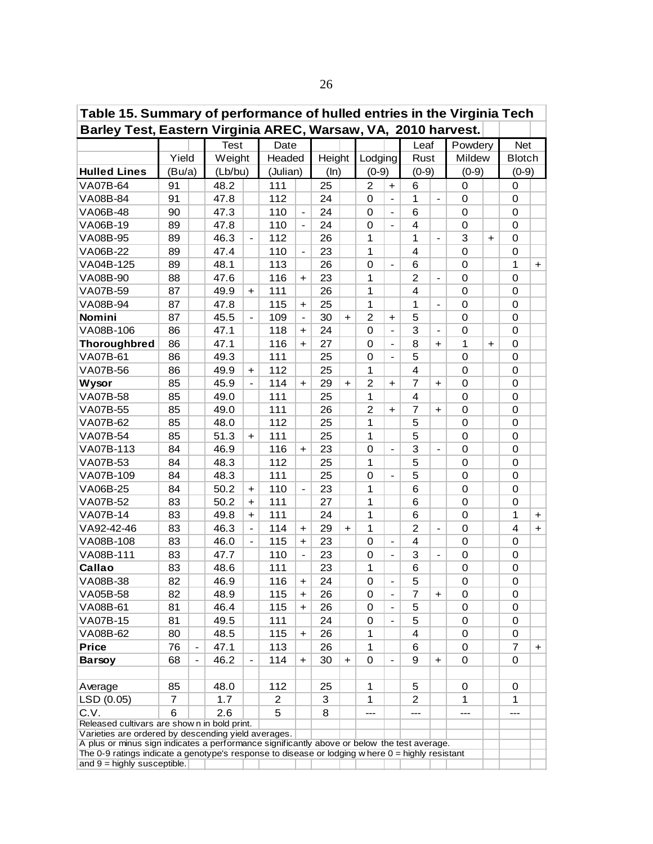|                                                                                                                                                    | Yield                          | <b>Test</b><br>Weight |                          | Date<br>Headed |                              | Height |           | Lodging        |                              | Leaf<br>Rust            |                          | Powdery<br>Mildew |                      | <b>Net</b><br><b>Blotch</b> |                                  |
|----------------------------------------------------------------------------------------------------------------------------------------------------|--------------------------------|-----------------------|--------------------------|----------------|------------------------------|--------|-----------|----------------|------------------------------|-------------------------|--------------------------|-------------------|----------------------|-----------------------------|----------------------------------|
| <b>Hulled Lines</b>                                                                                                                                | (Bu/a)                         | (Lb/bu)               |                          | (Julian)       |                              | (ln)   |           | $(0-9)$        |                              | $(0-9)$                 |                          | $(0-9)$           |                      | $(0-9)$                     |                                  |
| VA07B-64                                                                                                                                           | 91                             | 48.2                  |                          | 111            |                              | 25     |           | 2              | +                            | 6                       |                          | 0                 |                      | 0                           |                                  |
| VA08B-84                                                                                                                                           | 91                             | 47.8                  |                          | 112            |                              | 24     |           | $\mathbf 0$    | $\blacksquare$               | 1                       | $\overline{\phantom{a}}$ | 0                 |                      | 0                           |                                  |
| VA06B-48                                                                                                                                           | 90                             | 47.3                  |                          | 110            | $\qquad \qquad \blacksquare$ | 24     |           | $\mathbf 0$    | $\overline{\phantom{a}}$     | 6                       |                          | 0                 |                      | 0                           |                                  |
| VA06B-19                                                                                                                                           | 89                             | 47.8                  |                          | 110            | $\overline{\phantom{a}}$     | 24     |           | 0              | $\overline{\phantom{0}}$     | $\overline{\mathbf{4}}$ |                          | 0                 |                      | 0                           |                                  |
| VA08B-95                                                                                                                                           | 89                             | 46.3                  | $\overline{\phantom{a}}$ | 112            |                              | 26     |           | $\mathbf{1}$   |                              | 1                       | $\blacksquare$           | 3                 | $\ddot{\phantom{1}}$ | 0                           |                                  |
| VA06B-22                                                                                                                                           | 89                             | 47.4                  |                          | 110            | $\blacksquare$               | 23     |           | 1              |                              | $\overline{\mathbf{4}}$ |                          | 0                 |                      | 0                           |                                  |
| VA04B-125                                                                                                                                          | 89                             | 48.1                  |                          | 113            |                              | 26     |           | $\mathbf 0$    | $\overline{a}$               | 6                       |                          | 0                 |                      | 1                           | $+$                              |
| VA08B-90                                                                                                                                           | 88                             | 47.6                  |                          | 116            |                              | 23     |           | 1              |                              | $\overline{2}$          | $\overline{a}$           | 0                 |                      | $\mathbf 0$                 |                                  |
|                                                                                                                                                    |                                |                       |                          |                | $\ddot{}$                    |        |           |                |                              | $\overline{4}$          |                          |                   |                      |                             |                                  |
| VA07B-59                                                                                                                                           | 87                             | 49.9                  | $+$                      | 111            |                              | 26     |           | 1              |                              |                         |                          | 0                 |                      | 0                           |                                  |
| VA08B-94                                                                                                                                           | 87                             | 47.8                  |                          | 115            | $\ddot{}$                    | 25     |           | $\mathbf{1}$   |                              | 1                       |                          | 0                 |                      | 0                           |                                  |
| Nomini                                                                                                                                             | 87                             | 45.5                  | $\overline{\phantom{0}}$ | 109            |                              | 30     | $+$       | $\overline{c}$ | $\ddot{\phantom{1}}$         | 5                       |                          | 0                 |                      | 0                           |                                  |
| VA08B-106                                                                                                                                          | 86                             | 47.1                  |                          | 118            | $\ddot{}$                    | 24     |           | $\Omega$       | $\overline{\phantom{a}}$     | 3                       | $\overline{\phantom{a}}$ | 0                 |                      | 0                           |                                  |
| <b>Thoroughbred</b>                                                                                                                                | 86                             | 47.1                  |                          | 116            | $\ddot{\phantom{1}}$         | 27     |           | 0              | $\overline{\phantom{a}}$     | 8                       | $\ddot{}$                | 1                 | $\ddot{\phantom{1}}$ | 0                           |                                  |
| VA07B-61                                                                                                                                           | 86                             | 49.3                  |                          | 111            |                              | 25     |           | 0              | $\overline{\phantom{0}}$     | 5                       |                          | $\mathbf 0$       |                      | 0                           |                                  |
| VA07B-56                                                                                                                                           | 86                             | 49.9                  | $+$                      | 112            |                              | 25     |           | 1              |                              | $\overline{\mathbf{4}}$ |                          | 0                 |                      | 0                           |                                  |
| <b>Wysor</b>                                                                                                                                       | 85                             | 45.9                  |                          | 114            | $\ddot{}$                    | 29     | $\ddot{}$ | $\overline{c}$ | $\ddot{\phantom{1}}$         | $\overline{7}$          | $\ddot{}$                | 0                 |                      | 0                           |                                  |
| VA07B-58                                                                                                                                           | 85                             | 49.0                  |                          | 111            |                              | 25     |           | 1              |                              | $\overline{\mathbf{4}}$ |                          | 0                 |                      | 0                           |                                  |
| VA07B-55                                                                                                                                           | 85                             | 49.0                  |                          | 111            |                              | 26     |           | $\overline{c}$ | $\ddot{\phantom{1}}$         | $\overline{7}$          | $\ddot{}$                | 0                 |                      | 0                           |                                  |
| VA07B-62                                                                                                                                           | 85                             | 48.0                  |                          | 112            |                              | 25     |           | 1              |                              | 5                       |                          | 0                 |                      | 0                           |                                  |
| VA07B-54                                                                                                                                           | 85                             | 51.3                  | $+$                      | 111            |                              | 25     |           | $\mathbf{1}$   |                              | 5                       |                          | 0                 |                      | 0                           |                                  |
| VA07B-113                                                                                                                                          | 84                             | 46.9                  |                          | 116            | $\ddot{}$                    | 23     |           | 0              | $\overline{\phantom{0}}$     | 3                       | $\overline{\phantom{a}}$ | 0                 |                      | 0                           |                                  |
| VA07B-53                                                                                                                                           | 84                             | 48.3                  |                          | 112            |                              | 25     |           | $\mathbf{1}$   |                              | 5                       |                          | 0                 |                      | 0                           |                                  |
| VA07B-109                                                                                                                                          | 84                             | 48.3                  |                          | 111            |                              | 25     |           | $\mathbf 0$    | $\overline{a}$               | 5                       |                          | 0                 |                      | 0                           |                                  |
| VA06B-25                                                                                                                                           | 84                             | 50.2                  | $\ddot{}$                | 110            |                              | 23     |           | $\mathbf{1}$   |                              | 6                       |                          | 0                 |                      | 0                           |                                  |
| VA07B-52                                                                                                                                           | 83                             | 50.2                  | $+$                      | 111            |                              | 27     |           | 1              |                              | 6                       |                          | 0                 |                      | 0                           |                                  |
| VA07B-14                                                                                                                                           | 83                             | 49.8                  | $+$                      | 111            |                              | 24     |           | 1              |                              | 6                       |                          | 0                 |                      | 1                           | $\begin{array}{c} + \end{array}$ |
| VA92-42-46                                                                                                                                         | 83                             | 46.3                  | $\overline{a}$           | 114            | $\ddot{}$                    | 29     | $+$       | 1              |                              | $\overline{c}$          | $\overline{a}$           | 0                 |                      | $\overline{\mathbf{4}}$     | $\ddot{}$                        |
| VA08B-108                                                                                                                                          | 83                             | 46.0                  | $\frac{1}{2}$            | 115            | $\ddot{}$                    | 23     |           | $\mathbf 0$    | $\overline{\phantom{0}}$     | $\overline{4}$          |                          | 0                 |                      | $\mathbf 0$                 |                                  |
| VA08B-111                                                                                                                                          | 83                             | 47.7                  |                          | 110            | $\overline{a}$               | 23     |           | 0              | $\overline{\phantom{0}}$     | 3                       | $\overline{\phantom{a}}$ | 0                 |                      | $\mathbf 0$                 |                                  |
| Callao                                                                                                                                             | 83                             | 48.6                  |                          | 111            |                              | 23     |           | 1              |                              | 6                       |                          | 0                 |                      | 0                           |                                  |
| VA08B-38                                                                                                                                           | 82                             | 46.9                  |                          | 116            | $\ddot{}$                    | 24     |           | 0              | $\blacksquare$               | 5                       |                          | 0                 |                      | $\mathbf 0$                 |                                  |
| VA05B-58                                                                                                                                           | 82                             | 48.9                  |                          | 115            | +                            | 26     |           | 0              | $\qquad \qquad \blacksquare$ | 7                       | $\ddot{}$                | 0                 |                      | 0                           |                                  |
| VA08B-61                                                                                                                                           | 81                             | 46.4                  |                          | 115            | +                            | 26     |           | 0              | $\overline{\phantom{0}}$     | 5                       |                          | 0                 |                      | 0                           |                                  |
| VA07B-15                                                                                                                                           | 81                             | 49.5                  |                          | 111            |                              | 24     |           | 0              | $\overline{\phantom{0}}$     | 5                       |                          | 0                 |                      | 0                           |                                  |
| VA08B-62                                                                                                                                           | 80                             | 48.5                  |                          | 115            | $\ddot{}$                    | 26     |           | 1              |                              | 4                       |                          | 0                 |                      | 0                           |                                  |
| <b>Price</b>                                                                                                                                       | 76<br>$\overline{\phantom{a}}$ | 47.1                  |                          | 113            |                              | 26     |           | 1              |                              | 6                       |                          | 0                 |                      | $\overline{7}$              |                                  |
|                                                                                                                                                    | $\overline{\phantom{a}}$       |                       |                          |                |                              |        |           | $\mathbf 0$    | $\overline{\phantom{a}}$     | 9                       |                          |                   |                      | 0                           | $\ddot{}$                        |
| <b>Barsoy</b>                                                                                                                                      | 68                             | 46.2                  | $\overline{\phantom{a}}$ | 114            | $\ddot{}$                    | 30     | $\ddot{}$ |                |                              |                         | $\ddot{}$                | 0                 |                      |                             |                                  |
| Average                                                                                                                                            | 85                             | 48.0                  |                          | 112            |                              | 25     |           | 1              |                              | 5                       |                          | 0                 |                      | 0                           |                                  |
| LSD (0.05)                                                                                                                                         | $\overline{7}$                 | 1.7                   |                          | 2              |                              | 3      |           | 1              |                              | $\overline{c}$          |                          | $\mathbf{1}$      |                      | $\mathbf{1}$                |                                  |
| C.V.                                                                                                                                               | 6                              | 2.6                   |                          | 5              |                              | 8      |           | ---            |                              | ---                     |                          | ---               |                      | ---                         |                                  |
| Released cultivars are show n in bold print.                                                                                                       |                                |                       |                          |                |                              |        |           |                |                              |                         |                          |                   |                      |                             |                                  |
| Varieties are ordered by descending yield averages.<br>A plus or minus sign indicates a performance significantly above or below the test average. |                                |                       |                          |                |                              |        |           |                |                              |                         |                          |                   |                      |                             |                                  |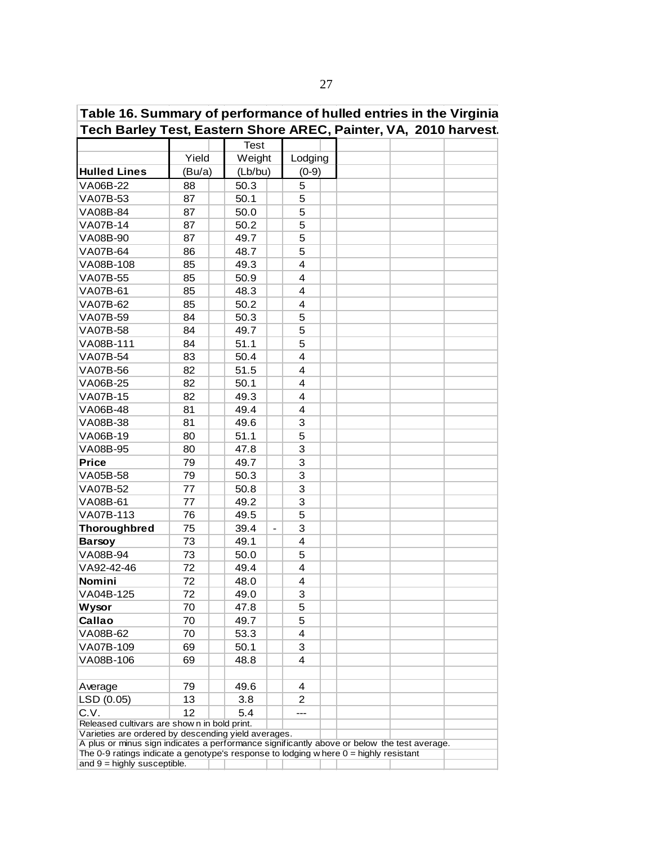| Table 16. Summary of performance of hulled entries in the Virginia                                                                                                                     |        |                                  |                |  |                                                                  |  |  |  |  |  |  |  |
|----------------------------------------------------------------------------------------------------------------------------------------------------------------------------------------|--------|----------------------------------|----------------|--|------------------------------------------------------------------|--|--|--|--|--|--|--|
|                                                                                                                                                                                        |        |                                  |                |  | Tech Barley Test, Eastern Shore AREC, Painter, VA, 2010 harvest. |  |  |  |  |  |  |  |
|                                                                                                                                                                                        |        | <b>Test</b>                      |                |  |                                                                  |  |  |  |  |  |  |  |
|                                                                                                                                                                                        | Yield  | Weight                           | Lodging        |  |                                                                  |  |  |  |  |  |  |  |
| <b>Hulled Lines</b>                                                                                                                                                                    | (Bu/a) | (Lb/bu)                          | $(0-9)$        |  |                                                                  |  |  |  |  |  |  |  |
| VA06B-22                                                                                                                                                                               | 88     | 50.3                             | 5              |  |                                                                  |  |  |  |  |  |  |  |
| VA07B-53                                                                                                                                                                               | 87     | 50.1                             | 5              |  |                                                                  |  |  |  |  |  |  |  |
| VA08B-84                                                                                                                                                                               | 87     | 50.0                             | 5              |  |                                                                  |  |  |  |  |  |  |  |
| VA07B-14                                                                                                                                                                               | 87     | 50.2                             | 5              |  |                                                                  |  |  |  |  |  |  |  |
| VA08B-90                                                                                                                                                                               |        |                                  | 5              |  |                                                                  |  |  |  |  |  |  |  |
|                                                                                                                                                                                        | 87     | 49.7                             | 5              |  |                                                                  |  |  |  |  |  |  |  |
| VA07B-64                                                                                                                                                                               | 86     | 48.7                             |                |  |                                                                  |  |  |  |  |  |  |  |
| VA08B-108                                                                                                                                                                              | 85     | 49.3                             | 4              |  |                                                                  |  |  |  |  |  |  |  |
| VA07B-55                                                                                                                                                                               | 85     | 50.9                             | 4              |  |                                                                  |  |  |  |  |  |  |  |
| VA07B-61                                                                                                                                                                               | 85     | 48.3                             | $\overline{4}$ |  |                                                                  |  |  |  |  |  |  |  |
| VA07B-62                                                                                                                                                                               | 85     | 50.2                             | 4              |  |                                                                  |  |  |  |  |  |  |  |
| VA07B-59                                                                                                                                                                               | 84     | 50.3                             | 5              |  |                                                                  |  |  |  |  |  |  |  |
| VA07B-58                                                                                                                                                                               | 84     | 49.7                             | 5              |  |                                                                  |  |  |  |  |  |  |  |
| VA08B-111                                                                                                                                                                              | 84     | 51.1                             | 5              |  |                                                                  |  |  |  |  |  |  |  |
| VA07B-54                                                                                                                                                                               | 83     | 50.4                             | 4              |  |                                                                  |  |  |  |  |  |  |  |
| VA07B-56                                                                                                                                                                               | 82     | 51.5                             | 4              |  |                                                                  |  |  |  |  |  |  |  |
| VA06B-25                                                                                                                                                                               | 82     | 50.1                             | 4              |  |                                                                  |  |  |  |  |  |  |  |
| <b>VA07B-15</b>                                                                                                                                                                        | 82     | 49.3                             | 4              |  |                                                                  |  |  |  |  |  |  |  |
| VA06B-48                                                                                                                                                                               | 81     | 49.4                             | 4              |  |                                                                  |  |  |  |  |  |  |  |
| VA08B-38                                                                                                                                                                               | 81     | 49.6                             | 3              |  |                                                                  |  |  |  |  |  |  |  |
| VA06B-19                                                                                                                                                                               | 80     | 51.1                             | 5              |  |                                                                  |  |  |  |  |  |  |  |
| VA08B-95                                                                                                                                                                               | 80     | 47.8                             | 3              |  |                                                                  |  |  |  |  |  |  |  |
| <b>Price</b>                                                                                                                                                                           | 79     | 49.7                             | 3              |  |                                                                  |  |  |  |  |  |  |  |
| VA05B-58                                                                                                                                                                               | 79     | 50.3                             | 3              |  |                                                                  |  |  |  |  |  |  |  |
| VA07B-52                                                                                                                                                                               | 77     | 50.8                             | 3              |  |                                                                  |  |  |  |  |  |  |  |
| VA08B-61                                                                                                                                                                               | 77     | 49.2                             | 3              |  |                                                                  |  |  |  |  |  |  |  |
| VA07B-113                                                                                                                                                                              | 76     | 49.5                             | 5              |  |                                                                  |  |  |  |  |  |  |  |
| <b>Thoroughbred</b>                                                                                                                                                                    | 75     | 39.4<br>$\overline{\phantom{a}}$ | 3              |  |                                                                  |  |  |  |  |  |  |  |
|                                                                                                                                                                                        |        |                                  | 4              |  |                                                                  |  |  |  |  |  |  |  |
| <b>Barsoy</b>                                                                                                                                                                          | 73     | 49.1                             |                |  |                                                                  |  |  |  |  |  |  |  |
| VA08B-94                                                                                                                                                                               | 73     | 50.0                             | 5              |  |                                                                  |  |  |  |  |  |  |  |
| VA92-42-46                                                                                                                                                                             | 72     | 49.4                             | 4              |  |                                                                  |  |  |  |  |  |  |  |
| Nomini                                                                                                                                                                                 | 72     | 48.0                             | 4              |  |                                                                  |  |  |  |  |  |  |  |
| VA04B-125                                                                                                                                                                              | 72     | 49.0                             | 3              |  |                                                                  |  |  |  |  |  |  |  |
| <b>Wysor</b>                                                                                                                                                                           | 70     | 47.8                             | 5              |  |                                                                  |  |  |  |  |  |  |  |
| Callao                                                                                                                                                                                 | 70     | 49.7                             | 5              |  |                                                                  |  |  |  |  |  |  |  |
| VA08B-62                                                                                                                                                                               | 70     | 53.3                             | 4              |  |                                                                  |  |  |  |  |  |  |  |
| VA07B-109                                                                                                                                                                              | 69     | 50.1                             | 3              |  |                                                                  |  |  |  |  |  |  |  |
| VA08B-106                                                                                                                                                                              | 69     | 48.8                             | 4              |  |                                                                  |  |  |  |  |  |  |  |
| Average                                                                                                                                                                                | 79     | 49.6                             | 4              |  |                                                                  |  |  |  |  |  |  |  |
| LSD (0.05)                                                                                                                                                                             | 13     | 3.8                              | 2              |  |                                                                  |  |  |  |  |  |  |  |
| C.V.                                                                                                                                                                                   | 12     | 5.4                              |                |  |                                                                  |  |  |  |  |  |  |  |
| Released cultivars are show n in bold print.                                                                                                                                           |        |                                  |                |  |                                                                  |  |  |  |  |  |  |  |
| Varieties are ordered by descending yield averages.                                                                                                                                    |        |                                  |                |  |                                                                  |  |  |  |  |  |  |  |
| A plus or minus sign indicates a performance significantly above or below the test average.<br>The 0-9 ratings indicate a genotype's response to lodging w here $0 =$ highly resistant |        |                                  |                |  |                                                                  |  |  |  |  |  |  |  |
| and $9 =$ highly susceptible.                                                                                                                                                          |        |                                  |                |  |                                                                  |  |  |  |  |  |  |  |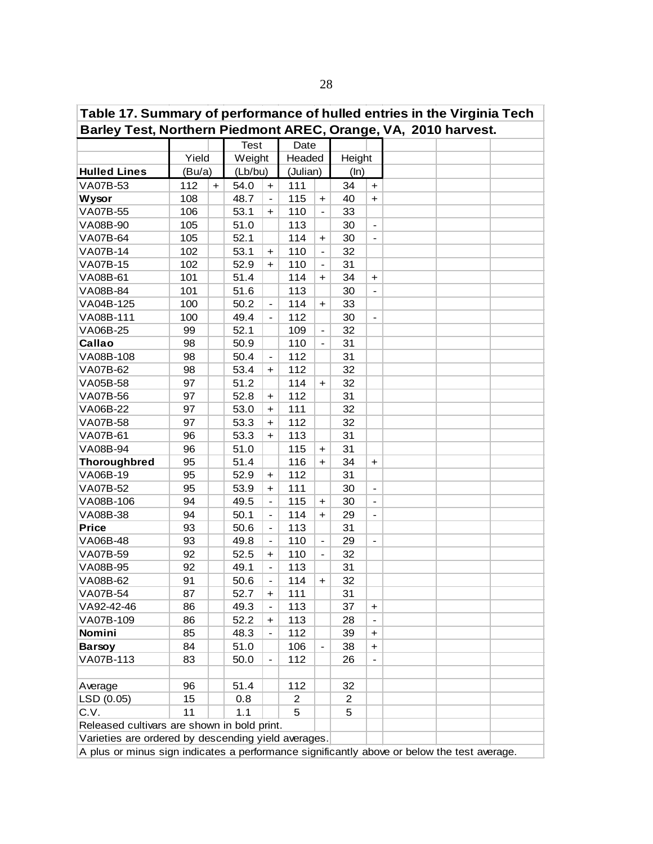| Table 17. Summary of performance of hulled entries in the Virginia Tech                     |        |           |             |                      |          |                          |                |                          |  |  |  |  |
|---------------------------------------------------------------------------------------------|--------|-----------|-------------|----------------------|----------|--------------------------|----------------|--------------------------|--|--|--|--|
| Barley Test, Northern Piedmont AREC, Orange, VA, 2010 harvest.                              |        |           |             |                      |          |                          |                |                          |  |  |  |  |
|                                                                                             |        |           | <b>Test</b> |                      | Date     |                          |                |                          |  |  |  |  |
|                                                                                             | Yield  |           | Weight      |                      | Headed   |                          | Height         |                          |  |  |  |  |
| <b>Hulled Lines</b>                                                                         | (Bu/a) |           | (Lb/bu)     |                      | (Julian) |                          | (ln)           |                          |  |  |  |  |
| VA07B-53                                                                                    | 112    | $\ddot{}$ | 54.0        | $+$                  | 111      |                          | 34             | $\ddot{}$                |  |  |  |  |
| Wysor                                                                                       | 108    |           | 48.7        | $\blacksquare$       | 115      | $\ddot{}$                | 40             | $\ddot{}$                |  |  |  |  |
| VA07B-55                                                                                    | 106    |           | 53.1        | $+$                  | 110      |                          | 33             |                          |  |  |  |  |
| VA08B-90                                                                                    | 105    |           | 51.0        |                      | 113      |                          | 30             |                          |  |  |  |  |
| VA07B-64                                                                                    | 105    |           | 52.1        |                      | 114      | $\pm$                    | 30             |                          |  |  |  |  |
| <b>VA07B-14</b>                                                                             | 102    |           | 53.1        | $\ddot{}$            | 110      | $\overline{\phantom{a}}$ | 32             |                          |  |  |  |  |
| VA07B-15                                                                                    | 102    |           | 52.9        | $+$                  | 110      | $\overline{\phantom{a}}$ | 31             |                          |  |  |  |  |
| VA08B-61                                                                                    | 101    |           | 51.4        |                      | 114      | $+$                      | 34             | $\ddot{}$                |  |  |  |  |
| VA08B-84                                                                                    | 101    |           | 51.6        |                      | 113      |                          | 30             | $\blacksquare$           |  |  |  |  |
| VA04B-125                                                                                   | 100    |           | 50.2        | $\blacksquare$       | 114      | $+$                      | 33             |                          |  |  |  |  |
| VA08B-111                                                                                   | 100    |           | 49.4        |                      | 112      |                          | 30             | $\blacksquare$           |  |  |  |  |
| VA06B-25                                                                                    | 99     |           | 52.1        |                      | 109      | $\overline{a}$           | 32             |                          |  |  |  |  |
| Callao                                                                                      | 98     |           | 50.9        |                      | 110      |                          | 31             |                          |  |  |  |  |
| VA08B-108                                                                                   | 98     |           | 50.4        |                      | 112      |                          | 31             |                          |  |  |  |  |
| VA07B-62                                                                                    | 98     |           | 53.4        | $\ddot{}$            | 112      |                          | 32             |                          |  |  |  |  |
| VA05B-58                                                                                    | 97     |           | 51.2        |                      | 114      | $+$                      | 32             |                          |  |  |  |  |
| VA07B-56                                                                                    | 97     |           | 52.8        | $\ddot{}$            | 112      |                          | 31             |                          |  |  |  |  |
| VA06B-22                                                                                    | 97     |           | 53.0        | $\ddot{\phantom{1}}$ | 111      |                          | 32             |                          |  |  |  |  |
| VA07B-58                                                                                    | 97     |           | 53.3        | $\ddot{}$            | 112      |                          | 32             |                          |  |  |  |  |
| <b>VA07B-61</b>                                                                             | 96     |           | 53.3        | $+$                  | 113      |                          | 31             |                          |  |  |  |  |
| VA08B-94                                                                                    | 96     |           | 51.0        |                      | 115      | $\ddot{}$                | 31             |                          |  |  |  |  |
| <b>Thoroughbred</b>                                                                         | 95     |           | 51.4        |                      | 116      | $+$                      | 34             | $\ddot{}$                |  |  |  |  |
| VA06B-19                                                                                    | 95     |           | 52.9        | $\ddot{}$            | 112      |                          | 31             |                          |  |  |  |  |
| VA07B-52                                                                                    | 95     |           | 53.9        | $\ddot{}$            | 111      |                          | 30             | $\overline{\phantom{a}}$ |  |  |  |  |
| VA08B-106                                                                                   | 94     |           | 49.5        | $\blacksquare$       | 115      | $+$                      | 30             | $\overline{\phantom{a}}$ |  |  |  |  |
| VA08B-38                                                                                    | 94     |           | 50.1        | $\blacksquare$       | 114      | $+$                      | 29             | $\overline{\phantom{a}}$ |  |  |  |  |
| <b>Price</b>                                                                                | 93     |           | 50.6        | $\blacksquare$       | 113      |                          | 31             |                          |  |  |  |  |
| VA06B-48                                                                                    | 93     |           | 49.8        | $\blacksquare$       | 110      | $\blacksquare$           | 29             |                          |  |  |  |  |
| VA07B-59                                                                                    | 92     |           | 52.5        | $\ddot{\phantom{1}}$ | 110      |                          | 32             |                          |  |  |  |  |
| VA08B-95                                                                                    | 92     |           | 49.1        |                      | 113      |                          | 31             |                          |  |  |  |  |
| VA08B-62                                                                                    | 91     |           | 50.6        |                      | 114      | $\ddot{}$                | 32             |                          |  |  |  |  |
| <b>VA07B-54</b>                                                                             | 87     |           | 52.7        | $\ddot{}$            | 111      |                          | 31             |                          |  |  |  |  |
| VA92-42-46                                                                                  | 86     |           | 49.3        |                      | 113      |                          | 37             | $\ddot{}$                |  |  |  |  |
| VA07B-109                                                                                   | 86     |           | 52.2        | $\ddot{}$            | 113      |                          | 28             |                          |  |  |  |  |
| Nomini                                                                                      | 85     |           | 48.3        |                      | 112      |                          | 39             | $\ddot{}$                |  |  |  |  |
| <b>Barsoy</b>                                                                               | 84     |           | 51.0        |                      | 106      |                          | 38             | $\ddot{}$                |  |  |  |  |
| VA07B-113                                                                                   | 83     |           | 50.0        |                      | 112      |                          | 26             |                          |  |  |  |  |
| Average                                                                                     | 96     |           | 51.4        |                      | 112      |                          | 32             |                          |  |  |  |  |
| LSD (0.05)                                                                                  | 15     |           | 0.8         |                      | 2        |                          | $\overline{2}$ |                          |  |  |  |  |
| C.V.                                                                                        | 11     |           | 1.1         |                      | 5        |                          | 5              |                          |  |  |  |  |
| Released cultivars are shown in bold print.                                                 |        |           |             |                      |          |                          |                |                          |  |  |  |  |
| Varieties are ordered by descending yield averages.                                         |        |           |             |                      |          |                          |                |                          |  |  |  |  |
| A plus or minus sign indicates a performance significantly above or below the test average. |        |           |             |                      |          |                          |                |                          |  |  |  |  |

Î.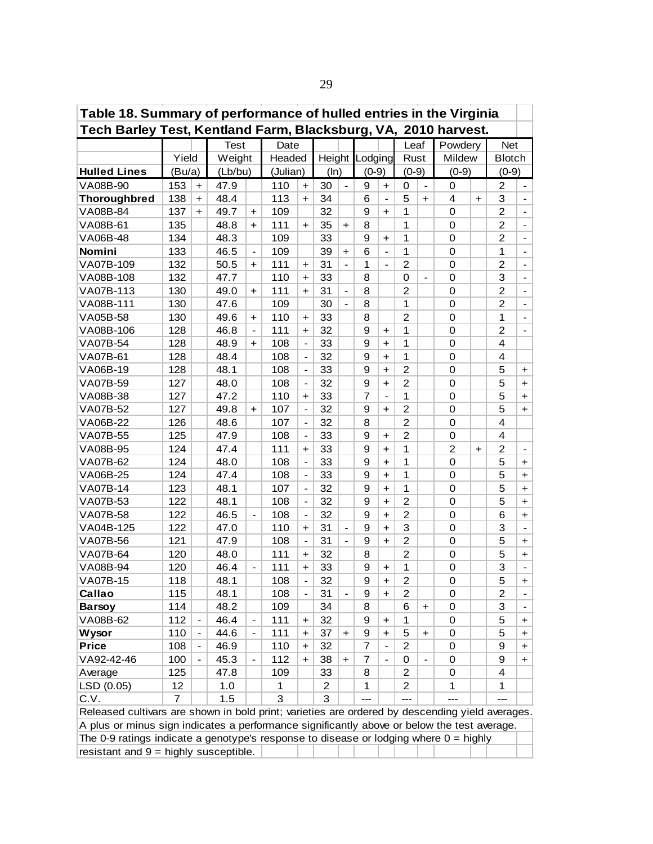| Table 18. Summary of performance of hulled entries in the Virginia                              |                |                          |             |                          |          |                              |      |                          |                |                      |                         |                              |                  |                      |                |                          |
|-------------------------------------------------------------------------------------------------|----------------|--------------------------|-------------|--------------------------|----------|------------------------------|------|--------------------------|----------------|----------------------|-------------------------|------------------------------|------------------|----------------------|----------------|--------------------------|
| Tech Barley Test, Kentland Farm, Blacksburg, VA, 2010 harvest.                                  |                |                          |             |                          |          |                              |      |                          |                |                      |                         |                              |                  |                      |                |                          |
|                                                                                                 |                |                          | <b>Test</b> |                          | Date     |                              |      |                          |                |                      | Leaf                    |                              | Powdery          |                      | <b>Net</b>     |                          |
|                                                                                                 | Yield          |                          | Weight      |                          | Headed   |                              |      |                          | Height Lodging |                      | Mildew<br>Rust          |                              | <b>Blotch</b>    |                      |                |                          |
| <b>Hulled Lines</b>                                                                             | (Bu/a)         |                          | (Lb/bu)     |                          | (Julian) |                              | (ln) |                          | $(0-9)$        |                      | $(0-9)$                 |                              | $(0-9)$          |                      | $(0-9)$        |                          |
| VA08B-90                                                                                        | 153            | $\ddot{}$                | 47.9        |                          | 110      | $\ddot{}$                    | 30   | $\blacksquare$           | 9              | $\ddot{}$            | 0                       | $\blacksquare$               | $\mathbf 0$      |                      | 2              | $\blacksquare$           |
| <b>Thoroughbred</b>                                                                             | 138            | $+$                      | 48.4        |                          | 113      | $+$                          | 34   |                          | 6              | $\blacksquare$       | 5                       | $+$                          | $\overline{4}$   | $\ddot{\phantom{1}}$ | 3              | $\overline{\phantom{a}}$ |
| VA08B-84                                                                                        | 137            | $\ddagger$               | 49.7        | $+$                      | 109      |                              | 32   |                          | 9              | $+$                  | 1                       |                              | $\mathbf 0$      |                      | 2              | $\blacksquare$           |
| VA08B-61                                                                                        | 135            |                          | 48.8        | $+$                      | 111      | $+$                          | 35   | $+$                      | 8              |                      | 1                       |                              | $\mathbf 0$      |                      | 2              | $\overline{\phantom{0}}$ |
| VA06B-48                                                                                        | 134            |                          | 48.3        |                          | 109      |                              | 33   |                          | 9              | $\ddot{\phantom{1}}$ | 1                       |                              | $\mathbf 0$      |                      | $\overline{2}$ |                          |
| Nomini                                                                                          | 133            |                          | 46.5        | $\frac{1}{2}$            | 109      |                              | 39   | $+$                      | 6              | $\frac{1}{2}$        | 1                       |                              | $\mathbf 0$      |                      | 1              | $\overline{\phantom{0}}$ |
| VA07B-109                                                                                       | 132            |                          | 50.5        | $\ddot{}$                | 111      | $\ddot{}$                    | 31   |                          | 1              |                      | $\overline{c}$          |                              | $\mathbf 0$      |                      | $\overline{2}$ |                          |
| VA08B-108                                                                                       | 132            |                          | 47.7        |                          | 110      | $\ddot{}$                    | 33   |                          | 8              |                      | $\mathbf 0$             | $\overline{\phantom{0}}$     | $\mathbf 0$      |                      | 3              |                          |
| VA07B-113                                                                                       | 130            |                          | 49.0        | $+$                      | 111      | $+$                          | 31   | $\overline{a}$           | 8              |                      | $\overline{2}$          |                              | $\mathbf 0$      |                      | $\overline{2}$ | $\frac{1}{2}$            |
| VA08B-111                                                                                       | 130            |                          | 47.6        |                          | 109      |                              | 30   | $\overline{\phantom{a}}$ | 8              |                      | $\mathbf{1}$            |                              | $\mathbf 0$      |                      | $\overline{2}$ | $\qquad \qquad -$        |
| VA05B-58                                                                                        | 130            |                          | 49.6        | +                        | 110      | $\ddot{}$                    | 33   |                          | 8              |                      | $\overline{c}$          |                              | 0                |                      | 1              | $\overline{\phantom{0}}$ |
| VA08B-106                                                                                       | 128            |                          | 46.8        | $\blacksquare$           | 111      | $+$                          | 32   |                          | 9              | $\ddot{}$            | $\mathbf{1}$            |                              | $\mathbf 0$      |                      | $\overline{2}$ | Ξ.                       |
| VA07B-54                                                                                        | 128            |                          | 48.9        | $+$                      | 108      |                              | 33   |                          | 9              | $+$                  | $\mathbf{1}$            |                              | 0                |                      | 4              |                          |
| <b>VA07B-61</b>                                                                                 | 128            |                          | 48.4        |                          | 108      |                              | 32   |                          | 9              | $+$                  | $\mathbf{1}$            |                              | 0                |                      | 4              |                          |
| VA06B-19                                                                                        | 128            |                          | 48.1        |                          | 108      |                              | 33   |                          | 9              | $+$                  | $\overline{2}$          |                              | 0                |                      | 5              | +                        |
| VA07B-59                                                                                        | 127            |                          | 48.0        |                          | 108      |                              | 32   |                          | 9              | $\ddot{}$            | 2                       |                              | 0                |                      | 5              | +                        |
| VA08B-38                                                                                        | 127            |                          | 47.2        |                          | 110      | $\ddot{}$                    | 33   |                          | $\overline{7}$ |                      | $\mathbf{1}$            |                              | $\mathbf 0$      |                      | 5              | $\ddot{}$                |
| VA07B-52                                                                                        | 127            |                          | 49.8        | $+$                      | 107      | $\overline{\phantom{a}}$     | 32   |                          | 9              | $\ddot{}$            | $\overline{2}$          |                              | $\mathbf 0$      |                      | 5              | $\ddot{}$                |
| VA06B-22                                                                                        | 126            |                          | 48.6        |                          | 107      | $\overline{\phantom{0}}$     | 32   |                          | 8              |                      | $\overline{2}$          |                              | $\mathbf 0$      |                      | 4              |                          |
| <b>VA07B-55</b>                                                                                 | 125            |                          | 47.9        |                          | 108      | $\overline{\phantom{0}}$     | 33   |                          | 9              | $+$                  | $\overline{2}$          |                              | 0                |                      | 4              |                          |
| VA08B-95                                                                                        | 124            |                          | 47.4        |                          | 111      | $\ddag$                      | 33   |                          | 9              | $+$                  | 1                       |                              | $\overline{2}$   | $\ddot{\phantom{1}}$ | $\overline{2}$ |                          |
| VA07B-62                                                                                        | 124            |                          | 48.0        |                          | 108      |                              | 33   |                          | 9              | $+$                  | 1                       |                              | $\mathbf 0$      |                      | 5              | $\ddot{}$                |
| VA06B-25                                                                                        | 124            |                          | 47.4        |                          | 108      |                              | 33   |                          | 9              | $\ddot{}$            | 1                       |                              | $\mathbf 0$      |                      | 5              | $\ddot{}$                |
| VA07B-14                                                                                        | 123            |                          | 48.1        |                          | 107      |                              | 32   |                          | 9              | $\ddot{}$            | $\mathbf{1}$            |                              | $\mathbf 0$      |                      | 5              | $\div$                   |
| VA07B-53                                                                                        | 122            |                          | 48.1        |                          | 108      |                              | 32   |                          | 9              | $\ddot{\phantom{1}}$ | $\overline{2}$          |                              | $\mathbf 0$      |                      | 5              | $\ddot{}$                |
| <b>VA07B-58</b>                                                                                 | 122            |                          | 46.5        |                          | 108      |                              | 32   |                          | 9              | $+$                  | $\overline{2}$          |                              | $\mathbf 0$      |                      | 6              | $\ddot{}$                |
| VA04B-125                                                                                       | 122            |                          | 47.0        |                          | 110      | $\ddot{}$                    | 31   | $\overline{\phantom{a}}$ | 9              | $\ddot{\phantom{1}}$ | 3                       |                              | $\mathbf 0$      |                      | 3              | $\overline{\phantom{a}}$ |
| VA07B-56                                                                                        | 121            |                          | 47.9        |                          | 108      | $\overline{\phantom{0}}$     | 31   | $\overline{\phantom{a}}$ | 9              | $+$                  | $\overline{2}$          |                              | $\mathbf 0$      |                      | 5              | $\ddot{}$                |
| VA07B-64                                                                                        | 120            |                          | 48.0        |                          | 111      | +                            | 32   |                          | 8              |                      | $\overline{c}$          |                              | 0                |                      | 5              | $\ddot{}$                |
| VA08B-94                                                                                        | 120            |                          | 46.4        |                          | 111      | $\ddot{}$                    | 33   |                          | 9              | $\ddot{}$            | 1                       |                              | $\mathbf 0$      |                      | 3              |                          |
| VA07B-15                                                                                        | 118            |                          | 48.1        |                          | 108      | -                            | 32   |                          | 9              | $+$                  | $\overline{c}$          |                              | $\boldsymbol{0}$ |                      | 5              | $\ddagger$               |
| Callao                                                                                          | 115            |                          | 48.1        |                          | 108      | $\qquad \qquad \blacksquare$ | 31   | $\overline{\phantom{0}}$ | 9              | +                    | $\overline{\mathbf{c}}$ |                              | 0                |                      | 2              |                          |
| <b>Barsoy</b>                                                                                   | 114            |                          | 48.2        |                          | 109      |                              | 34   |                          | 8              |                      | 6                       | +                            | 0                |                      | 3              |                          |
| VA08B-62                                                                                        | 112            | $\overline{\phantom{0}}$ | 46.4        | $\overline{\phantom{a}}$ | 111      | +                            | 32   |                          | 9              | $\ddot{}$            | 1                       |                              | 0                |                      | 5              | $\pm$                    |
| <b>Wysor</b>                                                                                    | 110            | $\overline{\phantom{0}}$ | 44.6        | $\overline{\phantom{0}}$ | 111      | +                            | 37   | $\ddot{}$                | 9              | $\ddot{}$            | 5                       | $\ddot{}$                    | 0                |                      | 5              | +                        |
| <b>Price</b>                                                                                    | 108            | $\blacksquare$           | 46.9        |                          | 110      | +                            | 32   |                          | 7              | $\blacksquare$       | $\overline{2}$          |                              | 0                |                      | 9              | $\ddot{}$                |
| VA92-42-46                                                                                      | 100            | $\overline{\phantom{0}}$ | 45.3        | $\overline{\phantom{0}}$ | 112      | $\ddot{}$                    | 38   | $\ddot{\phantom{1}}$     | 7              | $\blacksquare$       | 0                       | $\qquad \qquad \blacksquare$ | 0                |                      | 9              | $\pm$                    |
| Average                                                                                         | 125            |                          | 47.8        |                          | 109      |                              | 33   |                          | 8              |                      | $\overline{c}$          |                              | 0                |                      | 4              |                          |
| LSD (0.05)                                                                                      | 12             |                          | 1.0         |                          | 1        |                              | 2    |                          | 1              |                      | $\overline{c}$          |                              | 1                |                      | 1              |                          |
| C.V.                                                                                            | $\overline{7}$ |                          | 1.5         |                          | 3        |                              | 3    |                          |                |                      |                         |                              |                  |                      |                |                          |
| Released cultivars are shown in bold print; varieties are ordered by descending yield averages. |                |                          |             |                          |          |                              |      |                          |                |                      |                         |                              |                  |                      |                |                          |
| A plus or minus sign indicates a performance significantly above or below the test average.     |                |                          |             |                          |          |                              |      |                          |                |                      |                         |                              |                  |                      |                |                          |
| The 0-9 ratings indicate a genotype's response to disease or lodging where $0 =$ highly         |                |                          |             |                          |          |                              |      |                          |                |                      |                         |                              |                  |                      |                |                          |
| resistant and $9 =$ highly susceptible.                                                         |                |                          |             |                          |          |                              |      |                          |                |                      |                         |                              |                  |                      |                |                          |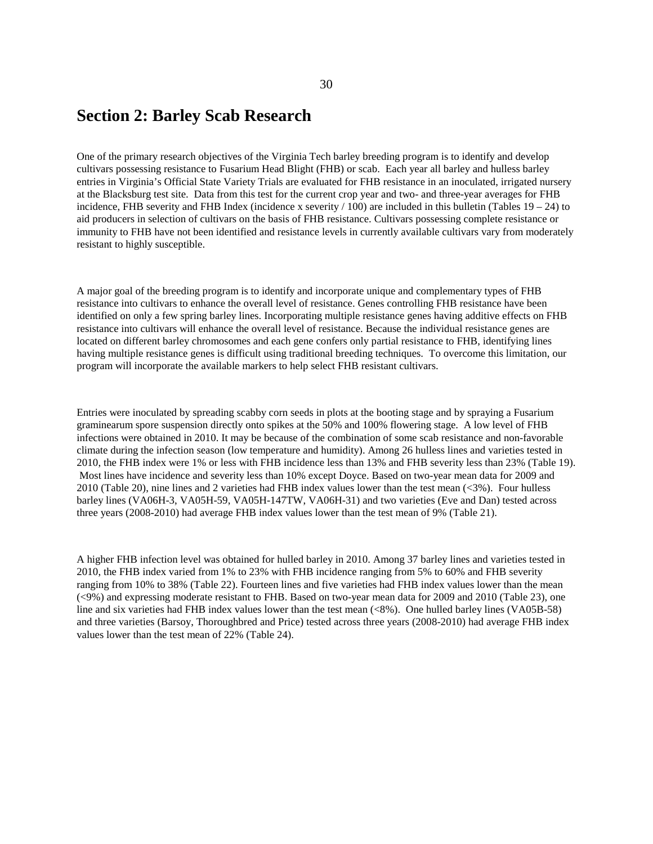## **Section 2: Barley Scab Research**

One of the primary research objectives of the Virginia Tech barley breeding program is to identify and develop cultivars possessing resistance to Fusarium Head Blight (FHB) or scab. Each year all barley and hulless barley entries in Virginia's Official State Variety Trials are evaluated for FHB resistance in an inoculated, irrigated nursery at the Blacksburg test site. Data from this test for the current crop year and two- and three-year averages for FHB incidence, FHB severity and FHB Index (incidence x severity  $/$  100) are included in this bulletin (Tables 19 – 24) to aid producers in selection of cultivars on the basis of FHB resistance. Cultivars possessing complete resistance or immunity to FHB have not been identified and resistance levels in currently available cultivars vary from moderately resistant to highly susceptible.

A major goal of the breeding program is to identify and incorporate unique and complementary types of FHB resistance into cultivars to enhance the overall level of resistance. Genes controlling FHB resistance have been identified on only a few spring barley lines. Incorporating multiple resistance genes having additive effects on FHB resistance into cultivars will enhance the overall level of resistance. Because the individual resistance genes are located on different barley chromosomes and each gene confers only partial resistance to FHB, identifying lines having multiple resistance genes is difficult using traditional breeding techniques. To overcome this limitation, our program will incorporate the available markers to help select FHB resistant cultivars.

Entries were inoculated by spreading scabby corn seeds in plots at the booting stage and by spraying a Fusarium graminearum spore suspension directly onto spikes at the 50% and 100% flowering stage. A low level of FHB infections were obtained in 2010. It may be because of the combination of some scab resistance and non-favorable climate during the infection season (low temperature and humidity). Among 26 hulless lines and varieties tested in 2010, the FHB index were 1% or less with FHB incidence less than 13% and FHB severity less than 23% (Table 19). Most lines have incidence and severity less than 10% except Doyce. Based on two-year mean data for 2009 and 2010 (Table 20), nine lines and 2 varieties had FHB index values lower than the test mean (<3%). Four hulless barley lines (VA06H-3, VA05H-59, VA05H-147TW, VA06H-31) and two varieties (Eve and Dan) tested across three years (2008-2010) had average FHB index values lower than the test mean of 9% (Table 21).

A higher FHB infection level was obtained for hulled barley in 2010. Among 37 barley lines and varieties tested in 2010, the FHB index varied from 1% to 23% with FHB incidence ranging from 5% to 60% and FHB severity ranging from 10% to 38% (Table 22). Fourteen lines and five varieties had FHB index values lower than the mean (<9%) and expressing moderate resistant to FHB. Based on two-year mean data for 2009 and 2010 (Table 23), one line and six varieties had FHB index values lower than the test mean (<8%). One hulled barley lines (VA05B-58) and three varieties (Barsoy, Thoroughbred and Price) tested across three years (2008-2010) had average FHB index values lower than the test mean of 22% (Table 24).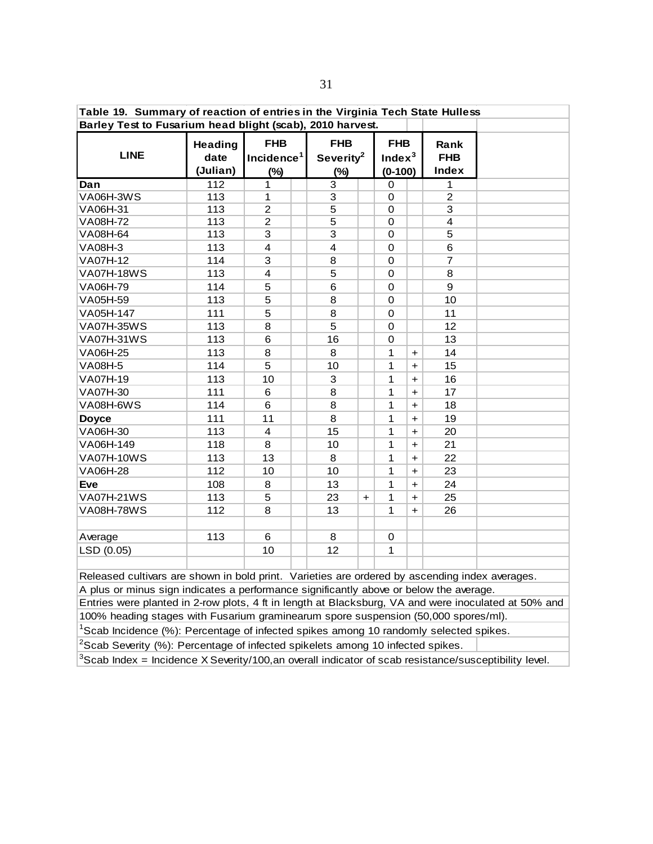| Table 19. Summary of reaction of entries in the Virginia Tech State Hulless                          |                |                         |                         |           |              |                      |                |  |
|------------------------------------------------------------------------------------------------------|----------------|-------------------------|-------------------------|-----------|--------------|----------------------|----------------|--|
| Barley Test to Fusarium head blight (scab), 2010 harvest.                                            |                |                         |                         |           |              |                      |                |  |
|                                                                                                      | <b>Heading</b> | <b>FHB</b>              | <b>FHB</b>              |           | <b>FHB</b>   |                      | Rank           |  |
| <b>LINE</b>                                                                                          | date           | Incidence $1$           | Severity <sup>2</sup>   |           | Inde $x^3$   |                      | <b>FHB</b>     |  |
|                                                                                                      | (Julian)       | $(\%)$                  | $(\%)$                  |           | $(0-100)$    |                      | <b>Index</b>   |  |
| Dan                                                                                                  | 112            | 1                       | 3                       |           | $\mathbf 0$  |                      | 1              |  |
| VA06H-3WS                                                                                            | 113            | 1                       | 3                       |           | $\mathbf 0$  |                      | $\overline{2}$ |  |
| VA06H-31                                                                                             | 113            | $\overline{2}$          | $\overline{5}$          |           | $\mathbf 0$  |                      | $\overline{3}$ |  |
| <b>VA08H-72</b>                                                                                      | 113            | $\overline{2}$          | $\overline{5}$          |           | $\mathbf 0$  |                      | $\overline{4}$ |  |
| VA08H-64                                                                                             | 113            | $\overline{3}$          | $\overline{3}$          |           | $\mathbf 0$  |                      | $\overline{5}$ |  |
| <b>VA08H-3</b>                                                                                       | 113            | 4                       | $\overline{\mathbf{4}}$ |           | $\mathbf 0$  |                      | $\,6$          |  |
| VA07H-12                                                                                             | 114            | 3                       | 8                       |           | $\mathbf 0$  |                      | 7              |  |
| <b>VA07H-18WS</b>                                                                                    | 113            | $\overline{\mathbf{4}}$ | 5                       |           | $\pmb{0}$    |                      | 8              |  |
| VA06H-79                                                                                             | 114            | 5                       | 6                       |           | 0            |                      | 9              |  |
| VA05H-59                                                                                             | 113            | 5                       | 8                       |           | $\mathbf 0$  |                      | 10             |  |
| VA05H-147                                                                                            | 111            | 5                       | 8                       |           | $\mathbf 0$  |                      | 11             |  |
| <b>VA07H-35WS</b>                                                                                    | 113            | 8                       | 5                       |           | $\mathsf 0$  |                      | 12             |  |
| <b>VA07H-31WS</b>                                                                                    | 113            | 6                       | 16                      |           | $\mathbf 0$  |                      | 13             |  |
| VA06H-25                                                                                             | 113            | 8                       | 8                       |           | 1            | $\ddot{}$            | 14             |  |
| <b>VA08H-5</b>                                                                                       | 114            | 5                       | 10                      |           | 1            | $\ddot{}$            | 15             |  |
| VA07H-19                                                                                             | 113            | 10                      | 3                       |           | $\mathbf{1}$ | $\ddot{}$            | 16             |  |
| VA07H-30                                                                                             | 111            | 6                       | 8                       |           | $\mathbf{1}$ | $+$                  | 17             |  |
| VA08H-6WS                                                                                            | 114            | $6\phantom{1}6$         | 8                       |           | $\mathbf{1}$ | $\ddot{}$            | 18             |  |
| <b>Doyce</b>                                                                                         | 111            | 11                      | 8                       |           | $\mathbf{1}$ | $\ddot{}$            | 19             |  |
| VA06H-30                                                                                             | 113            | $\overline{\mathbf{4}}$ | 15                      |           | 1            | $\ddot{}$            | 20             |  |
| VA06H-149                                                                                            | 118            | 8                       | 10                      |           | 1            | $\ddot{}$            | 21             |  |
| <b>VA07H-10WS</b>                                                                                    | 113            | 13                      | 8                       |           | 1            | $+$                  | 22             |  |
| <b>VA06H-28</b>                                                                                      | 112            | 10                      | 10                      |           | 1            | $\ddot{\phantom{1}}$ | 23             |  |
| Eve                                                                                                  | 108            | 8                       | 13                      |           | 1            | $+$                  | 24             |  |
| <b>VA07H-21WS</b>                                                                                    | 113            | 5                       | 23                      | $\ddot{}$ | 1            | $\ddot{}$            | 25             |  |
| <b>VA08H-78WS</b>                                                                                    | 112            | 8                       | 13                      |           | 1            | $+$                  | 26             |  |
|                                                                                                      |                |                         |                         |           |              |                      |                |  |
| Average                                                                                              | 113            | 6                       | 8                       |           | 0            |                      |                |  |
| LSD (0.05)                                                                                           |                | 10                      | 12                      |           | 1            |                      |                |  |
|                                                                                                      |                |                         |                         |           |              |                      |                |  |
| Released cultivars are shown in bold print. Varieties are ordered by ascending index averages.       |                |                         |                         |           |              |                      |                |  |
| A plus or minus sign indicates a performance significantly above or below the average.               |                |                         |                         |           |              |                      |                |  |
| Entries were planted in 2-row plots, 4 ft in length at Blacksburg, VA and were inoculated at 50% and |                |                         |                         |           |              |                      |                |  |
| 100% heading stages with Fusarium graminearum spore suspension (50,000 spores/ml).                   |                |                         |                         |           |              |                      |                |  |

100% heading stages with Fusarium graminearum spore suspension (50,000 spores/ml).

<sup>1</sup>Scab Incidence (%): Percentage of infected spikes among 10 randomly selected spikes.

 ${}^{2}$ Scab Severity (%): Percentage of infected spikelets among 10 infected spikes.

 $3$ Scab Index = Incidence X Severity/100,an overall indicator of scab resistance/susceptibility level.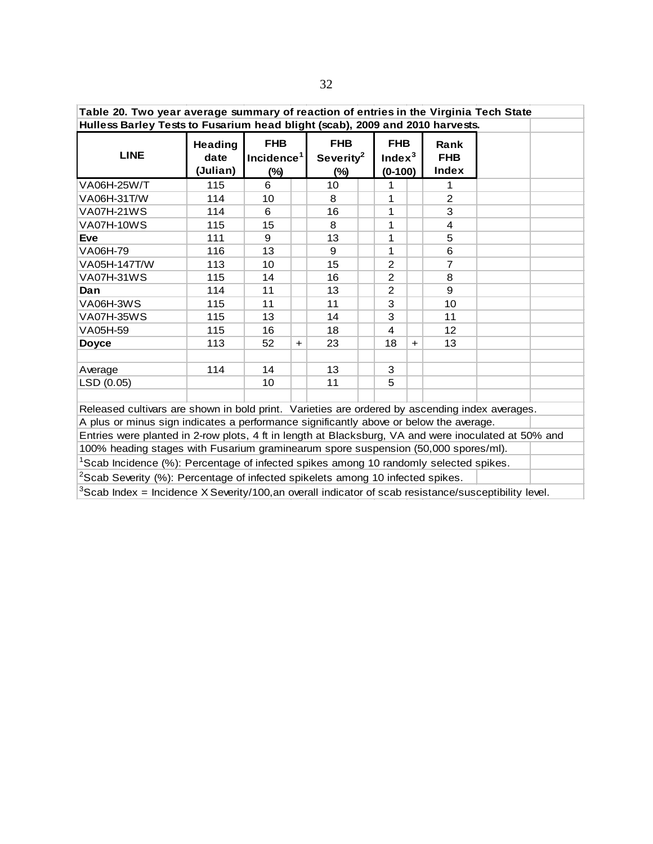| Table 20. Two year average summary of reaction of entries in the Virginia Tech State                         |                                    |                                       |           |                                               |                                               |                      |                                    |  |
|--------------------------------------------------------------------------------------------------------------|------------------------------------|---------------------------------------|-----------|-----------------------------------------------|-----------------------------------------------|----------------------|------------------------------------|--|
| Hulless Barley Tests to Fusarium head blight (scab), 2009 and 2010 harvests.                                 |                                    |                                       |           |                                               |                                               |                      |                                    |  |
| <b>LINE</b>                                                                                                  | <b>Heading</b><br>date<br>(Julian) | <b>FHB</b><br>Incidence $1$<br>$(\%)$ |           | <b>FHB</b><br>Severity <sup>2</sup><br>$(\%)$ | <b>FHB</b><br>Index <sup>3</sup><br>$(0-100)$ |                      | Rank<br><b>FHB</b><br><b>Index</b> |  |
| VA06H-25W/T                                                                                                  | 115                                | 6                                     |           | 10                                            | 1                                             |                      | 1                                  |  |
| VA06H-31T/W                                                                                                  | 114                                | 10                                    |           | 8                                             | 1                                             |                      | 2                                  |  |
| <b>VA07H-21WS</b>                                                                                            | 114                                | 6                                     |           | 16                                            | 1                                             |                      | 3                                  |  |
| <b>VA07H-10WS</b>                                                                                            | 115                                | 15                                    |           | 8                                             | 1                                             |                      | 4                                  |  |
| <b>Eve</b>                                                                                                   | 111                                | 9                                     |           | 13                                            | 1                                             |                      | 5                                  |  |
| VA06H-79                                                                                                     | 116                                | 13                                    |           | 9                                             | 1                                             |                      | 6                                  |  |
| VA05H-147T/W                                                                                                 | 113                                | 10                                    |           | 15                                            | $\overline{2}$                                |                      | $\overline{7}$                     |  |
| VA07H-31WS                                                                                                   | 115                                | 14                                    |           | 16                                            | 2                                             |                      | 8                                  |  |
| Dan                                                                                                          | 114                                | 11                                    |           | 13                                            | $\overline{2}$                                |                      | 9                                  |  |
| VA06H-3WS                                                                                                    | 115                                | 11                                    |           | 11                                            | 3                                             |                      | 10                                 |  |
| <b>VA07H-35WS</b>                                                                                            | 115                                | 13                                    |           | 14                                            | 3                                             |                      | 11                                 |  |
| VA05H-59                                                                                                     | 115                                | 16                                    |           | 18                                            | 4                                             |                      | $12 \overline{ }$                  |  |
| <b>Doyce</b>                                                                                                 | 113                                | 52                                    | $\ddot{}$ | 23                                            | 18                                            | $\ddot{\phantom{1}}$ | 13                                 |  |
| Average                                                                                                      | 114                                | 14                                    |           | 13                                            | 3                                             |                      |                                    |  |
| LSD (0.05)                                                                                                   |                                    | 10                                    |           | 11                                            | 5                                             |                      |                                    |  |
| Released cultivars are shown in bold print. Varieties are ordered by ascending index averages.               |                                    |                                       |           |                                               |                                               |                      |                                    |  |
| A plus or minus sign indicates a performance significantly above or below the average.                       |                                    |                                       |           |                                               |                                               |                      |                                    |  |
| Entries were planted in 2-row plots, 4 ft in length at Blacksburg, VA and were inoculated at 50% and         |                                    |                                       |           |                                               |                                               |                      |                                    |  |
| 100% heading stages with Fusarium graminearum spore suspension (50,000 spores/ml).                           |                                    |                                       |           |                                               |                                               |                      |                                    |  |
| <sup>1</sup> Scab Incidence (%): Percentage of infected spikes among 10 randomly selected spikes.            |                                    |                                       |           |                                               |                                               |                      |                                    |  |
| <sup>2</sup> Scab Severity (%): Percentage of infected spikelets among 10 infected spikes.                   |                                    |                                       |           |                                               |                                               |                      |                                    |  |
| ${}^{3}$ Scab Index = Incidence X Severity/100,an overall indicator of scab resistance/susceptibility level. |                                    |                                       |           |                                               |                                               |                      |                                    |  |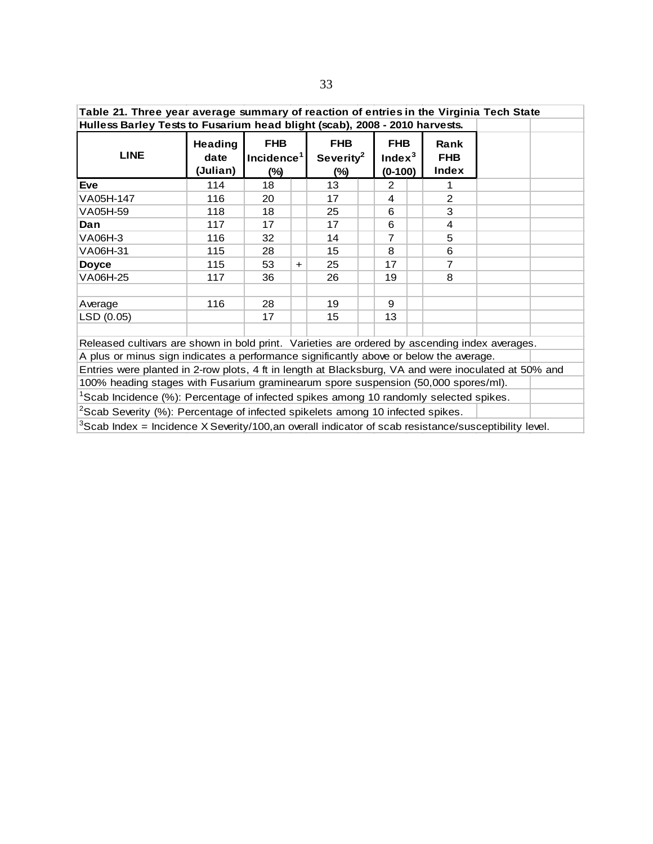| Table 21. Three year average summary of reaction of entries in the Virginia Tech State                        |                                    |                                                                                              |           |                                      |  |                                           |  |   |  |  |  |
|---------------------------------------------------------------------------------------------------------------|------------------------------------|----------------------------------------------------------------------------------------------|-----------|--------------------------------------|--|-------------------------------------------|--|---|--|--|--|
| Hulless Barley Tests to Fusarium head blight (scab), 2008 - 2010 harvests.                                    |                                    |                                                                                              |           |                                      |  |                                           |  |   |  |  |  |
| <b>LINE</b>                                                                                                   | <b>Heading</b><br>date<br>(Julian) | <b>FHB</b><br><b>FHB</b><br>Incidence <sup>1</sup><br>Severity <sup>2</sup><br>$(\%)$<br>(%) |           | <b>FHB</b><br>Index $3$<br>$(0-100)$ |  | <b>Rank</b><br><b>FHB</b><br><b>Index</b> |  |   |  |  |  |
| <b>Eve</b>                                                                                                    | 114                                | 18                                                                                           |           | 13                                   |  | 2                                         |  |   |  |  |  |
| VA05H-147                                                                                                     | 116                                | 20                                                                                           |           | 17                                   |  | 4                                         |  | 2 |  |  |  |
| VA05H-59                                                                                                      | 118                                | 18                                                                                           |           | 25                                   |  | 6                                         |  | 3 |  |  |  |
| Dan                                                                                                           | 117                                | 17                                                                                           |           | 17                                   |  | 6                                         |  | 4 |  |  |  |
| VA06H-3                                                                                                       | 116                                | 32                                                                                           |           | 14                                   |  | $\overline{7}$                            |  | 5 |  |  |  |
| VA06H-31                                                                                                      | 115                                | 28                                                                                           |           | 15                                   |  | 8                                         |  | 6 |  |  |  |
| <b>Doyce</b>                                                                                                  | 115                                | 53                                                                                           | $\ddot{}$ | 25                                   |  | 17                                        |  | 7 |  |  |  |
| VA06H-25                                                                                                      | 117                                | 36                                                                                           |           | 26                                   |  | 19                                        |  | 8 |  |  |  |
| Average                                                                                                       | 116                                | 28                                                                                           |           | 19                                   |  | 9                                         |  |   |  |  |  |
| LSD (0.05)                                                                                                    |                                    | 17                                                                                           |           | 15                                   |  | 13                                        |  |   |  |  |  |
| Released cultivars are shown in bold print. Varieties are ordered by ascending index averages.                |                                    |                                                                                              |           |                                      |  |                                           |  |   |  |  |  |
| A plus or minus sign indicates a performance significantly above or below the average.                        |                                    |                                                                                              |           |                                      |  |                                           |  |   |  |  |  |
| Entries were planted in 2-row plots, 4 ft in length at Blacksburg, VA and were inoculated at 50% and          |                                    |                                                                                              |           |                                      |  |                                           |  |   |  |  |  |
| 100% heading stages with Fusarium graminearum spore suspension (50,000 spores/ml).                            |                                    |                                                                                              |           |                                      |  |                                           |  |   |  |  |  |
| <sup>1</sup> Scab Incidence (%): Percentage of infected spikes among 10 randomly selected spikes.             |                                    |                                                                                              |           |                                      |  |                                           |  |   |  |  |  |
| <sup>2</sup> Scab Severity (%): Percentage of infected spikelets among 10 infected spikes.                    |                                    |                                                                                              |           |                                      |  |                                           |  |   |  |  |  |
| ${}^{3}$ Scab Index = Incidence X Severity/100, an overall indicator of scab resistance/susceptibility level. |                                    |                                                                                              |           |                                      |  |                                           |  |   |  |  |  |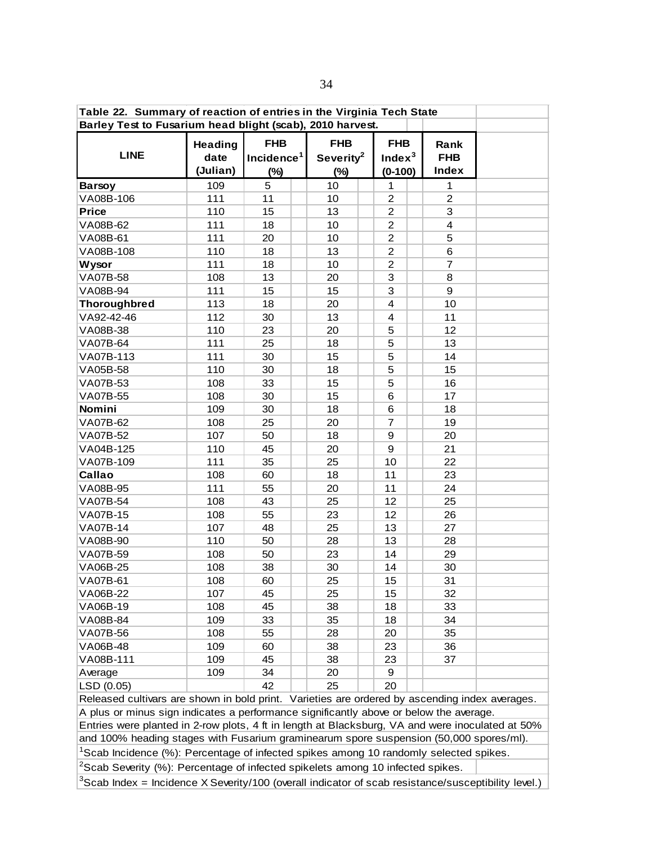| Table 22. Summary of reaction of entries in the Virginia Tech State                                         |          |                        |                       |                    |                |  |  |  |  |  |  |
|-------------------------------------------------------------------------------------------------------------|----------|------------------------|-----------------------|--------------------|----------------|--|--|--|--|--|--|
| Barley Test to Fusarium head blight (scab), 2010 harvest.                                                   |          |                        |                       |                    |                |  |  |  |  |  |  |
|                                                                                                             | Heading  | <b>FHB</b>             | <b>FHB</b>            | <b>FHB</b>         | Rank           |  |  |  |  |  |  |
| <b>LINE</b>                                                                                                 | date     | Incidence <sup>1</sup> | Severity <sup>2</sup> | Index <sup>3</sup> | <b>FHB</b>     |  |  |  |  |  |  |
|                                                                                                             | (Julian) | $(\%)$                 | $(\%)$                | $(0-100)$          | Index          |  |  |  |  |  |  |
| <b>Barsoy</b>                                                                                               | 109      | 5                      | 10                    | 1                  | 1              |  |  |  |  |  |  |
| VA08B-106                                                                                                   | 111      | 11                     | 10                    | $\overline{c}$     | $\overline{c}$ |  |  |  |  |  |  |
| <b>Price</b>                                                                                                | 110      | 15                     | 13                    | $\overline{c}$     | 3              |  |  |  |  |  |  |
| VA08B-62                                                                                                    | 111      | 18                     | 10                    | $\overline{c}$     | 4              |  |  |  |  |  |  |
| VA08B-61                                                                                                    | 111      | 20                     | 10                    | $\overline{c}$     | 5              |  |  |  |  |  |  |
| VA08B-108                                                                                                   | 110      | 18                     | 13                    | $\overline{c}$     | 6              |  |  |  |  |  |  |
| Wysor                                                                                                       | 111      | 18                     | 10                    | $\overline{c}$     | $\overline{7}$ |  |  |  |  |  |  |
| VA07B-58                                                                                                    | 108      | 13                     | 20                    | 3                  | 8              |  |  |  |  |  |  |
| VA08B-94                                                                                                    | 111      | 15                     | 15                    | 3                  | 9              |  |  |  |  |  |  |
| <b>Thoroughbred</b>                                                                                         | 113      | 18                     | 20                    | 4                  | 10             |  |  |  |  |  |  |
| VA92-42-46                                                                                                  | 112      | 30                     | 13                    | 4                  | 11             |  |  |  |  |  |  |
| VA08B-38                                                                                                    | 110      | 23                     | 20                    | 5                  | 12             |  |  |  |  |  |  |
| VA07B-64                                                                                                    | 111      | 25                     | 18                    | 5                  | 13             |  |  |  |  |  |  |
| VA07B-113                                                                                                   | 111      | 30                     | 15                    | 5                  | 14             |  |  |  |  |  |  |
| VA05B-58                                                                                                    | 110      | 30                     | 18                    | $\mathbf 5$        | 15             |  |  |  |  |  |  |
| VA07B-53                                                                                                    | 108      | 33                     | 15                    | 5                  | 16             |  |  |  |  |  |  |
| VA07B-55                                                                                                    | 108      | 30                     | 15                    | 6                  | 17             |  |  |  |  |  |  |
| Nomini                                                                                                      | 109      | 30                     | 18                    | 6                  | 18             |  |  |  |  |  |  |
| VA07B-62                                                                                                    | 108      | 25                     | 20                    | $\overline{7}$     | 19             |  |  |  |  |  |  |
| <b>VA07B-52</b>                                                                                             | 107      | 50                     | 18                    | $\boldsymbol{9}$   | 20             |  |  |  |  |  |  |
| VA04B-125                                                                                                   | 110      | 45                     | 20                    | 9                  | 21             |  |  |  |  |  |  |
| VA07B-109                                                                                                   | 111      | 35                     | 25                    | 10                 | 22             |  |  |  |  |  |  |
| Callao                                                                                                      | 108      | 60                     | 18                    | 11                 | 23             |  |  |  |  |  |  |
| VA08B-95                                                                                                    | 111      | 55                     | 20                    | 11                 | 24             |  |  |  |  |  |  |
| <b>VA07B-54</b>                                                                                             | 108      | 43                     | 25                    | 12                 | 25             |  |  |  |  |  |  |
| VA07B-15                                                                                                    | 108      | 55                     | 23                    | 12                 | 26             |  |  |  |  |  |  |
| <b>VA07B-14</b>                                                                                             | 107      | 48                     | 25                    | 13                 | 27             |  |  |  |  |  |  |
| VA08B-90                                                                                                    | 110      | 50                     | 28                    | 13                 | 28             |  |  |  |  |  |  |
| VA07B-59                                                                                                    | 108      | 50                     | 23                    | 14                 | 29             |  |  |  |  |  |  |
| VA06B-25                                                                                                    | 108      | 38                     | 30                    | 14                 | 30             |  |  |  |  |  |  |
| VA07B-61                                                                                                    | 108      | 60                     | 25                    | 15                 | 31             |  |  |  |  |  |  |
| VA06B-22                                                                                                    | 107      | 45                     | 25                    | 15                 | 32             |  |  |  |  |  |  |
| VA06B-19                                                                                                    | 108      | 45                     | 38                    | 18                 | 33             |  |  |  |  |  |  |
| VA08B-84                                                                                                    | 109      | 33                     | 35                    | 18                 | 34             |  |  |  |  |  |  |
| VA07B-56                                                                                                    | 108      | 55                     | 28                    | 20                 | 35             |  |  |  |  |  |  |
| VA06B-48                                                                                                    | 109      | 60                     | 38                    | 23                 | 36             |  |  |  |  |  |  |
| VA08B-111                                                                                                   | 109      | 45                     | 38                    | 23                 | 37             |  |  |  |  |  |  |
| Average                                                                                                     | 109      | 34                     | 20                    | 9                  |                |  |  |  |  |  |  |
| LSD (0.05)                                                                                                  |          | 42                     | 25                    | 20                 |                |  |  |  |  |  |  |
| Released cultivars are shown in bold print. Varieties are ordered by ascending index averages.              |          |                        |                       |                    |                |  |  |  |  |  |  |
| A plus or minus sign indicates a performance significantly above or below the average.                      |          |                        |                       |                    |                |  |  |  |  |  |  |
| Entries were planted in 2-row plots, 4 ft in length at Blacksburg, VA and were inoculated at 50%            |          |                        |                       |                    |                |  |  |  |  |  |  |
| and 100% heading stages with Fusarium graminearum spore suspension (50,000 spores/ml).                      |          |                        |                       |                    |                |  |  |  |  |  |  |
| <sup>1</sup> Scab Incidence (%): Percentage of infected spikes among 10 randomly selected spikes.           |          |                        |                       |                    |                |  |  |  |  |  |  |
| ${}^{2}$ Scab Severity (%): Percentage of infected spikelets among 10 infected spikes.                      |          |                        |                       |                    |                |  |  |  |  |  |  |
| ${}^{3}$ Scab Index = Incidence X Severity/100 (overall indicator of scab resistance/susceptibility level.) |          |                        |                       |                    |                |  |  |  |  |  |  |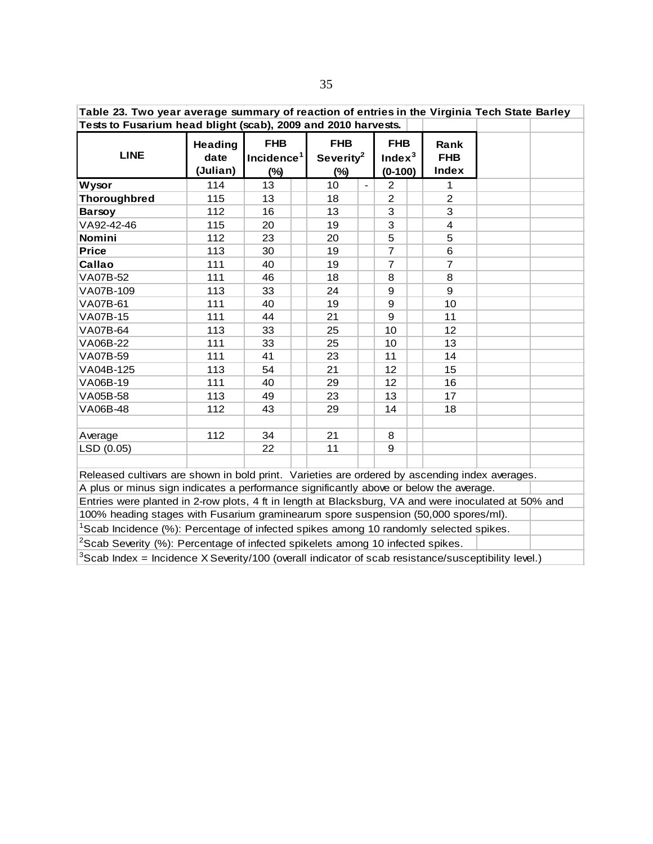| Table 23. Two year average summary of reaction of entries in the Virginia Tech State Barley                 |                |                        |  |                       |                |                |           |                |  |  |  |  |
|-------------------------------------------------------------------------------------------------------------|----------------|------------------------|--|-----------------------|----------------|----------------|-----------|----------------|--|--|--|--|
| Tests to Fusarium head blight (scab), 2009 and 2010 harvests.                                               |                |                        |  |                       |                |                |           |                |  |  |  |  |
|                                                                                                             | <b>Heading</b> | <b>FHB</b>             |  | <b>FHB</b>            |                | <b>FHB</b>     |           | Rank           |  |  |  |  |
| <b>LINE</b>                                                                                                 | date           | Incidence <sup>1</sup> |  | Severity <sup>2</sup> |                | Index $3$      |           | <b>FHB</b>     |  |  |  |  |
|                                                                                                             | (Julian)       | (%)                    |  | $(\%)$                |                |                | $(0-100)$ | <b>Index</b>   |  |  |  |  |
| Wysor                                                                                                       | 114            | 13                     |  | 10                    | $\blacksquare$ | $\overline{2}$ |           | 1              |  |  |  |  |
| <b>Thoroughbred</b>                                                                                         | 115            | 13                     |  | 18                    |                | $\overline{2}$ |           | $\overline{2}$ |  |  |  |  |
| <b>Barsoy</b>                                                                                               | 112            | 16                     |  | 13                    |                | 3              |           | 3              |  |  |  |  |
| VA92-42-46                                                                                                  | 115            | 20                     |  | 19                    |                | 3              |           | $\overline{4}$ |  |  |  |  |
| Nomini                                                                                                      | 112            | 23                     |  | 20                    |                | 5              |           | 5              |  |  |  |  |
| <b>Price</b>                                                                                                | 113            | 30                     |  | 19                    |                | $\overline{7}$ |           | 6              |  |  |  |  |
| Callao                                                                                                      | 111            | 40                     |  | 19                    |                | $\overline{7}$ |           | $\overline{7}$ |  |  |  |  |
| VA07B-52                                                                                                    | 111            | 46                     |  | 18                    |                | 8              |           | 8              |  |  |  |  |
| VA07B-109                                                                                                   | 113            | 33                     |  | 24                    |                | 9              |           | 9              |  |  |  |  |
| <b>VA07B-61</b>                                                                                             | 111            | 40                     |  | 19                    |                | 9              |           | 10             |  |  |  |  |
| <b>VA07B-15</b>                                                                                             | 111            | 44                     |  | 21                    |                | 9              |           | 11             |  |  |  |  |
| <b>VA07B-64</b>                                                                                             | 113            | 33                     |  | 25                    |                | 10             |           | 12             |  |  |  |  |
| VA06B-22                                                                                                    | 111            | 33                     |  | 25                    |                | 10             |           | 13             |  |  |  |  |
| VA07B-59                                                                                                    | 111            | 41                     |  | 23                    |                | 11             |           | 14             |  |  |  |  |
| VA04B-125                                                                                                   | 113            | 54                     |  | 21                    |                | 12             |           | 15             |  |  |  |  |
| VA06B-19                                                                                                    | 111            | 40                     |  | 29                    |                | 12             |           | 16             |  |  |  |  |
| VA05B-58                                                                                                    | 113            | 49                     |  | 23                    |                | 13             |           | 17             |  |  |  |  |
| VA06B-48                                                                                                    | 112            | 43                     |  | 29                    |                | 14             |           | 18             |  |  |  |  |
|                                                                                                             |                |                        |  |                       |                |                |           |                |  |  |  |  |
| Average                                                                                                     | 112            | 34                     |  | 21                    |                | 8              |           |                |  |  |  |  |
| LSD (0.05)                                                                                                  |                | 22                     |  | 11                    |                | 9              |           |                |  |  |  |  |
|                                                                                                             |                |                        |  |                       |                |                |           |                |  |  |  |  |
| Released cultivars are shown in bold print. Varieties are ordered by ascending index averages.              |                |                        |  |                       |                |                |           |                |  |  |  |  |
| A plus or minus sign indicates a performance significantly above or below the average.                      |                |                        |  |                       |                |                |           |                |  |  |  |  |
| Entries were planted in 2-row plots, 4 ft in length at Blacksburg, VA and were inoculated at 50% and        |                |                        |  |                       |                |                |           |                |  |  |  |  |
| 100% heading stages with Fusarium graminearum spore suspension (50,000 spores/ml).                          |                |                        |  |                       |                |                |           |                |  |  |  |  |
| <sup>1</sup> Scab Incidence (%): Percentage of infected spikes among 10 randomly selected spikes.           |                |                        |  |                       |                |                |           |                |  |  |  |  |
| <sup>2</sup> Scab Severity (%): Percentage of infected spikelets among 10 infected spikes.                  |                |                        |  |                       |                |                |           |                |  |  |  |  |
| ${}^{3}$ Scab Index = Incidence X Severity/100 (overall indicator of scab resistance/susceptibility level.) |                |                        |  |                       |                |                |           |                |  |  |  |  |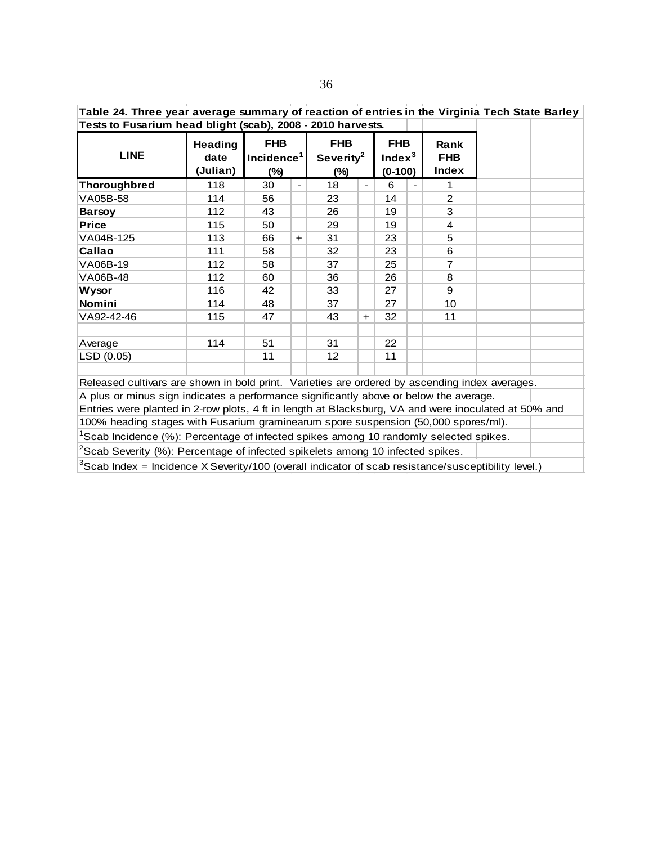| Tests to Fusarium head blight (scab), 2008 - 2010 harvests.                                                                                                                                                                                                                                                                                                                                                                                                                                 |                                    |                                                |                |                                               |                          |                                      |                          |                             |  |  |  |  |  |  |  |
|---------------------------------------------------------------------------------------------------------------------------------------------------------------------------------------------------------------------------------------------------------------------------------------------------------------------------------------------------------------------------------------------------------------------------------------------------------------------------------------------|------------------------------------|------------------------------------------------|----------------|-----------------------------------------------|--------------------------|--------------------------------------|--------------------------|-----------------------------|--|--|--|--|--|--|--|
| <b>LINE</b>                                                                                                                                                                                                                                                                                                                                                                                                                                                                                 | <b>Heading</b><br>date<br>(Julian) | <b>FHB</b><br>Incidence <sup>1</sup><br>$(\%)$ |                | <b>FHB</b><br>Severity <sup>2</sup><br>$(\%)$ |                          | <b>FHB</b><br>Index $3$<br>$(0-100)$ |                          | Rank<br><b>FHB</b><br>Index |  |  |  |  |  |  |  |
| <b>Thoroughbred</b>                                                                                                                                                                                                                                                                                                                                                                                                                                                                         | 118                                | 30                                             | $\blacksquare$ | 18                                            | $\overline{\phantom{a}}$ | 6                                    | $\overline{\phantom{a}}$ | 1                           |  |  |  |  |  |  |  |
| VA05B-58                                                                                                                                                                                                                                                                                                                                                                                                                                                                                    | 114                                | 56                                             |                | 23                                            |                          | 14                                   |                          | $\overline{c}$              |  |  |  |  |  |  |  |
| <b>Barsoy</b>                                                                                                                                                                                                                                                                                                                                                                                                                                                                               | 112                                | 43                                             |                | 26                                            |                          | 19                                   |                          | 3                           |  |  |  |  |  |  |  |
| <b>Price</b>                                                                                                                                                                                                                                                                                                                                                                                                                                                                                | 115                                | 50                                             |                | 29                                            |                          | 19                                   |                          | 4                           |  |  |  |  |  |  |  |
| VA04B-125                                                                                                                                                                                                                                                                                                                                                                                                                                                                                   | 113                                | 66                                             | $+$            | 31                                            |                          | 23                                   |                          | 5                           |  |  |  |  |  |  |  |
| 6<br>Callao<br>111<br>58<br>32<br>23<br>$\overline{7}$<br>112<br>37<br>58<br>25                                                                                                                                                                                                                                                                                                                                                                                                             |                                    |                                                |                |                                               |                          |                                      |                          |                             |  |  |  |  |  |  |  |
| VA06B-19                                                                                                                                                                                                                                                                                                                                                                                                                                                                                    |                                    |                                                |                |                                               |                          |                                      |                          |                             |  |  |  |  |  |  |  |
| VA06B-48                                                                                                                                                                                                                                                                                                                                                                                                                                                                                    | 112                                | 60                                             |                | 36                                            |                          | 26                                   |                          | 8                           |  |  |  |  |  |  |  |
| <b>Wysor</b>                                                                                                                                                                                                                                                                                                                                                                                                                                                                                | 116                                | 42                                             |                | 33                                            |                          | 27                                   |                          | 9                           |  |  |  |  |  |  |  |
| Nomini                                                                                                                                                                                                                                                                                                                                                                                                                                                                                      | 114                                | 48                                             |                | 37                                            |                          | 27                                   |                          | 10                          |  |  |  |  |  |  |  |
| VA92-42-46                                                                                                                                                                                                                                                                                                                                                                                                                                                                                  | 115                                | 47                                             |                | 43                                            | $+$                      | 32                                   |                          | 11                          |  |  |  |  |  |  |  |
| Average                                                                                                                                                                                                                                                                                                                                                                                                                                                                                     | 114                                | 51                                             |                | 31                                            |                          | 22                                   |                          |                             |  |  |  |  |  |  |  |
| LSD (0.05)                                                                                                                                                                                                                                                                                                                                                                                                                                                                                  |                                    | 11                                             |                | $12 \overline{ }$                             |                          | 11                                   |                          |                             |  |  |  |  |  |  |  |
| Released cultivars are shown in bold print. Varieties are ordered by ascending index averages.<br>A plus or minus sign indicates a performance significantly above or below the average.<br>Entries were planted in 2-row plots, 4 ft in length at Blacksburg, VA and were inoculated at 50% and<br>100% heading stages with Fusarium graminearum spore suspension (50,000 spores/ml).<br><sup>1</sup> Scab Incidence (%): Percentage of infected spikes among 10 randomly selected spikes. |                                    |                                                |                |                                               |                          |                                      |                          |                             |  |  |  |  |  |  |  |
| <sup>2</sup> Scab Severity (%): Percentage of infected spikelets among 10 infected spikes.                                                                                                                                                                                                                                                                                                                                                                                                  |                                    |                                                |                |                                               |                          |                                      |                          |                             |  |  |  |  |  |  |  |
| ${}^{3}$ Scab Index = Incidence X Severity/100 (overall indicator of scab resistance/susceptibility level.)                                                                                                                                                                                                                                                                                                                                                                                 |                                    |                                                |                |                                               |                          |                                      |                          |                             |  |  |  |  |  |  |  |

**Table 24. Three year average summary of reaction of entries in the Virginia Tech State Barley**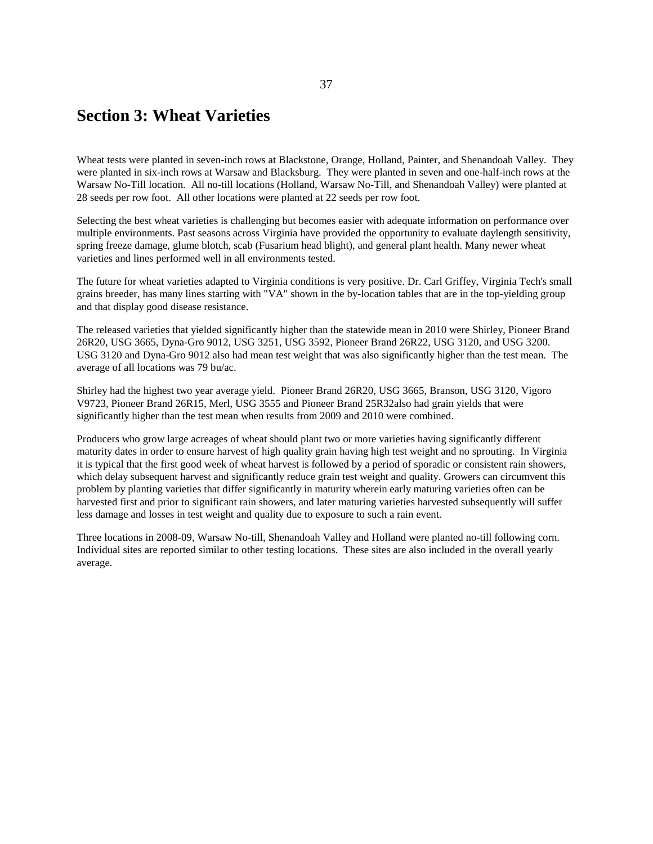## **Section 3: Wheat Varieties**

Wheat tests were planted in seven-inch rows at Blackstone, Orange, Holland, Painter, and Shenandoah Valley. They were planted in six-inch rows at Warsaw and Blacksburg. They were planted in seven and one-half-inch rows at the Warsaw No-Till location. All no-till locations (Holland, Warsaw No-Till, and Shenandoah Valley) were planted at 28 seeds per row foot. All other locations were planted at 22 seeds per row foot.

Selecting the best wheat varieties is challenging but becomes easier with adequate information on performance over multiple environments. Past seasons across Virginia have provided the opportunity to evaluate daylength sensitivity, spring freeze damage, glume blotch, scab (Fusarium head blight), and general plant health. Many newer wheat varieties and lines performed well in all environments tested.

The future for wheat varieties adapted to Virginia conditions is very positive. Dr. Carl Griffey, Virginia Tech's small grains breeder, has many lines starting with "VA" shown in the by-location tables that are in the top-yielding group and that display good disease resistance.

The released varieties that yielded significantly higher than the statewide mean in 2010 were Shirley, Pioneer Brand 26R20, USG 3665, Dyna-Gro 9012, USG 3251, USG 3592, Pioneer Brand 26R22, USG 3120, and USG 3200. USG 3120 and Dyna-Gro 9012 also had mean test weight that was also significantly higher than the test mean. The average of all locations was 79 bu/ac.

Shirley had the highest two year average yield. Pioneer Brand 26R20, USG 3665, Branson, USG 3120, Vigoro V9723, Pioneer Brand 26R15, Merl, USG 3555 and Pioneer Brand 25R32also had grain yields that were significantly higher than the test mean when results from 2009 and 2010 were combined.

Producers who grow large acreages of wheat should plant two or more varieties having significantly different maturity dates in order to ensure harvest of high quality grain having high test weight and no sprouting. In Virginia it is typical that the first good week of wheat harvest is followed by a period of sporadic or consistent rain showers, which delay subsequent harvest and significantly reduce grain test weight and quality. Growers can circumvent this problem by planting varieties that differ significantly in maturity wherein early maturing varieties often can be harvested first and prior to significant rain showers, and later maturing varieties harvested subsequently will suffer less damage and losses in test weight and quality due to exposure to such a rain event.

Three locations in 2008-09, Warsaw No-till, Shenandoah Valley and Holland were planted no-till following corn. Individual sites are reported similar to other testing locations. These sites are also included in the overall yearly average.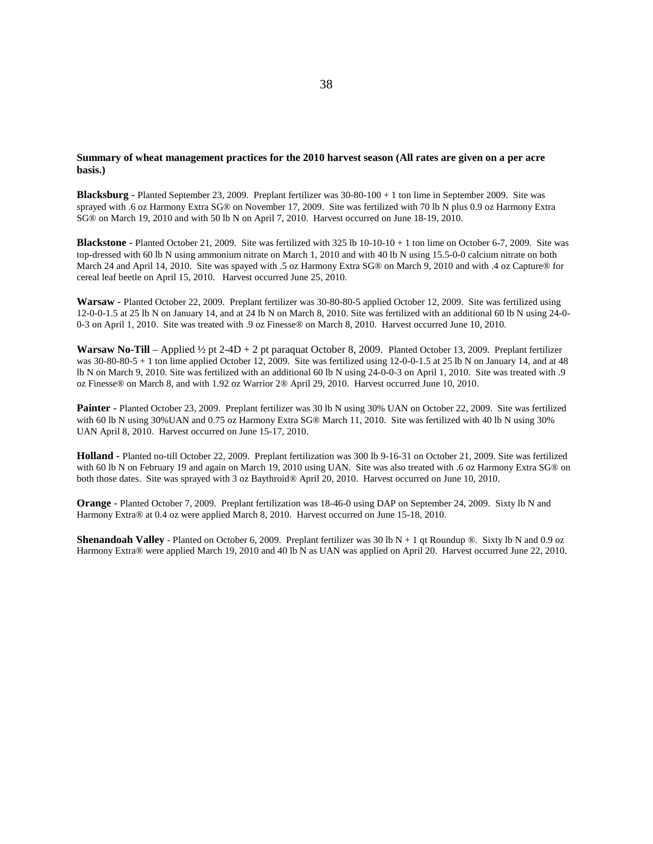## **Summary of wheat management practices for the 2010 harvest season (All rates are given on a per acre basis.)**

**Blacksburg** - Planted September 23, 2009. Preplant fertilizer was 30-80-100 + 1 ton lime in September 2009. Site was sprayed with .6 oz Harmony Extra SG® on November 17, 2009. Site was fertilized with 70 lb N plus 0.9 oz Harmony Extra SG® on March 19, 2010 and with 50 lb N on April 7, 2010. Harvest occurred on June 18-19, 2010.

**Blackstone** - Planted October 21, 2009. Site was fertilized with 325 lb 10-10-10 + 1 ton lime on October 6-7, 2009. Site was top-dressed with 60 lb N using ammonium nitrate on March 1, 2010 and with 40 lb N using 15.5-0-0 calcium nitrate on both March 24 and April 14, 2010. Site was spayed with .5 oz Harmony Extra SG® on March 9, 2010 and with .4 oz Capture® for cereal leaf beetle on April 15, 2010. Harvest occurred June 25, 2010.

**Warsaw** - Planted October 22, 2009. Preplant fertilizer was 30-80-80-5 applied October 12, 2009. Site was fertilized using 12-0-0-1.5 at 25 lb N on January 14, and at 24 lb N on March 8, 2010. Site was fertilized with an additional 60 lb N using 24-0- 0-3 on April 1, 2010. Site was treated with .9 oz Finesse® on March 8, 2010. Harvest occurred June 10, 2010.

**Warsaw No-Till** – Applied ½ pt 2-4D + 2 pt paraquat October 8, 2009. Planted October 13, 2009. Preplant fertilizer was 30-80-80-5 + 1 ton lime applied October 12, 2009. Site was fertilized using 12-0-0-1.5 at 25 lb N on January 14, and at 48 lb N on March 9, 2010. Site was fertilized with an additional 60 lb N using 24-0-0-3 on April 1, 2010. Site was treated with .9 oz Finesse® on March 8, and with 1.92 oz Warrior 2® April 29, 2010. Harvest occurred June 10, 2010.

**Painter** - Planted October 23, 2009. Preplant fertilizer was 30 lb N using 30% UAN on October 22, 2009. Site was fertilized with 60 lb N using 30%UAN and 0.75 oz Harmony Extra SG® March 11, 2010. Site was fertilized with 40 lb N using 30% UAN April 8, 2010. Harvest occurred on June 15-17, 2010.

**Holland -** Planted no-till October 22, 2009. Preplant fertilization was 300 lb 9-16-31 on October 21, 2009. Site was fertilized with 60 lb N on February 19 and again on March 19, 2010 using UAN. Site was also treated with .6 oz Harmony Extra SG® on both those dates. Site was sprayed with 3 oz Baythroid® April 20, 2010. Harvest occurred on June 10, 2010.

**Orange** - Planted October 7, 2009. Preplant fertilization was 18-46-0 using DAP on September 24, 2009. Sixty lb N and Harmony Extra® at 0.4 oz were applied March 8, 2010. Harvest occurred on June 15-18, 2010.

**Shenandoah Valley** - Planted on October 6, 2009. Preplant fertilizer was 30 lb N + 1 qt Roundup ®. Sixty lb N and 0.9 oz Harmony Extra® were applied March 19, 2010 and 40 lb N as UAN was applied on April 20. Harvest occurred June 22, 2010.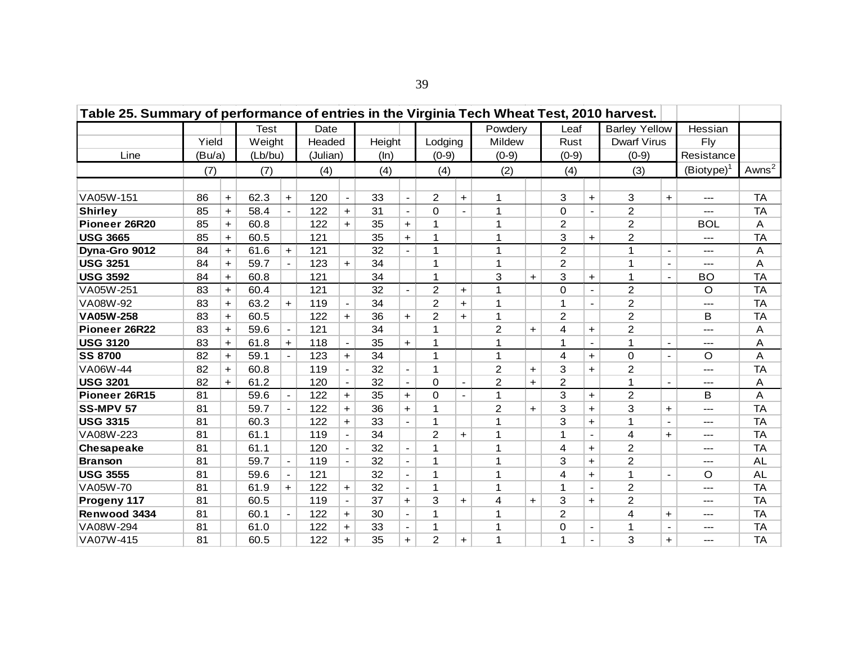| Table 25. Summary of performance of entries in the Virginia Tech Wheat Test, 2010 harvest. |        |            |             |                          |          |                          |        |                          |                |                          |                |           |                |                |                      |                          |               |                   |
|--------------------------------------------------------------------------------------------|--------|------------|-------------|--------------------------|----------|--------------------------|--------|--------------------------|----------------|--------------------------|----------------|-----------|----------------|----------------|----------------------|--------------------------|---------------|-------------------|
|                                                                                            |        |            | <b>Test</b> |                          | Date     |                          |        |                          |                |                          | Powdery        |           | Leaf           |                | <b>Barley Yellow</b> |                          | Hessian       |                   |
|                                                                                            | Yield  |            | Weight      |                          | Headed   |                          | Height |                          | Lodging        |                          | Mildew         |           | Rust           |                | <b>Dwarf Virus</b>   |                          | Fly           |                   |
| Line                                                                                       | (Bu/a) |            | (Lb/bu)     |                          | (Julian) |                          | (ln)   |                          | $(0-9)$        |                          | $(0-9)$        |           | $(0-9)$        |                | $(0-9)$              |                          | Resistance    |                   |
|                                                                                            | (7)    |            | (7)         |                          | (4)      |                          | (4)    |                          | (4)            |                          | (2)            |           | (4)            |                | (3)                  |                          | $(Biotype)^1$ | Awns <sup>2</sup> |
|                                                                                            |        |            |             |                          |          |                          |        |                          |                |                          |                |           |                |                |                      |                          |               |                   |
| VA05W-151                                                                                  | 86     | $+$        | 62.3        | $\ddot{}$                | 120      |                          | 33     | $\blacksquare$           | 2              | $+$                      | 1              |           | 3              | $+$            | 3                    | $+$                      | ---           | <b>TA</b>         |
| <b>Shirley</b>                                                                             | 85     | $+$        | 58.4        | $\blacksquare$           | 122      | $+$                      | 31     | $\blacksquare$           | 0              | $\sim$                   | 1              |           | $\mathbf 0$    | $\blacksquare$ | $\overline{2}$       |                          | $---$         | <b>TA</b>         |
| Pioneer 26R20                                                                              | 85     | $+$        | 60.8        |                          | 122      | $+$                      | 35     | $\ddot{\phantom{1}}$     | $\mathbf{1}$   |                          | 1              |           | $\overline{c}$ |                | $\overline{c}$       |                          | <b>BOL</b>    | A                 |
| <b>USG 3665</b>                                                                            | 85     | $+$        | 60.5        |                          | 121      |                          | 35     | $\ddagger$               | 1              |                          | 1              |           | 3              | $+$            | 2                    |                          | ---           | <b>TA</b>         |
| Dyna-Gro 9012                                                                              | 84     | $+$        | 61.6        | $+$                      | 121      |                          | 32     | $\overline{a}$           | 1              |                          | 1              |           | $\overline{2}$ |                | 1                    | $\overline{\phantom{a}}$ | ---           | A                 |
| <b>USG 3251</b>                                                                            | 84     | $+$        | 59.7        |                          | 123      | $+$                      | 34     |                          | 1              |                          | 1              |           | $\overline{c}$ |                |                      |                          | ---           | Α                 |
| <b>USG 3592</b>                                                                            | 84     | $\ddagger$ | 60.8        |                          | 121      |                          | 34     |                          | $\mathbf{1}$   |                          | 3              | $+$       | 3              | $+$            | 1                    | $\sim$                   | <b>BO</b>     | <b>TA</b>         |
| VA05W-251                                                                                  | 83     | $+$        | 60.4        |                          | 121      |                          | 32     |                          | $\overline{2}$ | $\ddot{\phantom{1}}$     | 1              |           | 0              |                | $\overline{2}$       |                          | $\circ$       | <b>TA</b>         |
| VA08W-92                                                                                   | 83     | $+$        | 63.2        | $+$                      | 119      |                          | 34     |                          | $\overline{2}$ | $+$                      | 1              |           | 1              | $\blacksquare$ | 2                    |                          | ---           | <b>TA</b>         |
| VA05W-258                                                                                  | 83     | $\ddagger$ | 60.5        |                          | 122      | $+$                      | 36     | $+$                      | $\overline{2}$ | $+$                      | 1              |           | 2              |                | $\overline{2}$       |                          | B             | <b>TA</b>         |
| Pioneer 26R22                                                                              | 83     | $+$        | 59.6        | $\overline{\phantom{a}}$ | 121      |                          | 34     |                          | 1              |                          | 2              | $\ddot{}$ | 4              | $+$            | $\overline{2}$       |                          | $---$         | Α                 |
| <b>USG 3120</b>                                                                            | 83     | $+$        | 61.8        | $+$                      | 118      | $\overline{a}$           | 35     | $+$                      | $\mathbf{1}$   |                          | 1              |           | 1              | $\mathbf{r}$   | 1                    | $\overline{\phantom{a}}$ | ---           | Α                 |
| <b>SS 8700</b>                                                                             | 82     | $+$        | 59.1        |                          | 123      | $+$                      | 34     |                          | $\mathbf{1}$   |                          | $\mathbf 1$    |           | 4              | $\ddot{}$      | $\Omega$             |                          | $\circ$       | A                 |
| VA06W-44                                                                                   | 82     | $+$        | 60.8        |                          | 119      | $\blacksquare$           | 32     | $\blacksquare$           | 1              |                          | 2              | $\ddot{}$ | 3              | $+$            | $\overline{2}$       |                          | ---           | <b>TA</b>         |
| <b>USG 3201</b>                                                                            | 82     | $+$        | 61.2        |                          | 120      |                          | 32     |                          | 0              | $\overline{\phantom{a}}$ | $\overline{2}$ | $+$       | $\overline{c}$ |                | 1                    |                          | ---           | Α                 |
| Pioneer 26R15                                                                              | 81     |            | 59.6        | $\overline{a}$           | 122      | $+$                      | 35     | $+$                      | $\Omega$       | $\overline{a}$           | 1              |           | 3              | $+$            | 2                    |                          | B             | A                 |
| <b>SS-MPV 57</b>                                                                           | 81     |            | 59.7        |                          | 122      | $+$                      | 36     | $\ddot{}$                | 1              |                          | $\overline{2}$ | $\ddot{}$ | 3              | $\ddot{}$      | 3                    | $\ddot{}$                | ---           | <b>TA</b>         |
| <b>USG 3315</b>                                                                            | 81     |            | 60.3        |                          | 122      | $+$                      | 33     | $\overline{\phantom{a}}$ | 1              |                          | 1              |           | 3              | $+$            |                      | $\overline{\phantom{a}}$ | ---           | <b>TA</b>         |
| VA08W-223                                                                                  | 81     |            | 61.1        |                          | 119      |                          | 34     |                          | $\overline{2}$ | $\ddot{}$                | 1              |           | 1              | $\blacksquare$ | 4                    | $+$                      | ---           | <b>TA</b>         |
| Chesapeake                                                                                 | 81     |            | 61.1        |                          | 120      | $\overline{\phantom{a}}$ | 32     | $\blacksquare$           | 1              |                          | -1             |           | 4              | $+$            | 2                    |                          | ---           | <b>TA</b>         |
| <b>Branson</b>                                                                             | 81     |            | 59.7        |                          | 119      |                          | 32     |                          | 1              |                          | 1              |           | 3              | $\ddot{}$      | $\overline{2}$       |                          | ---           | <b>AL</b>         |
| <b>USG 3555</b>                                                                            | 81     |            | 59.6        | $\overline{\phantom{a}}$ | 121      |                          | 32     | $\blacksquare$           | 1              |                          | 1              |           | 4              | $+$            | 1                    |                          | $\circ$       | <b>AL</b>         |
| VA05W-70                                                                                   | 81     |            | 61.9        | $+$                      | 122      | $+$                      | 32     |                          | 1              |                          | 1              |           | 1              | $\blacksquare$ | $\overline{2}$       |                          | ---           | <b>TA</b>         |
| Progeny 117                                                                                | 81     |            | 60.5        |                          | 119      | $\blacksquare$           | 37     | $\ddot{}$                | 3              | $\ddot{}$                | 4              | $\ddot{}$ | 3              | $\ddot{}$      | $\overline{2}$       |                          | ---           | <b>TA</b>         |
| Renwood 3434                                                                               | 81     |            | 60.1        |                          | 122      | $+$                      | 30     | $\sim$                   | 1              |                          | 1              |           | $\overline{2}$ |                | 4                    | $+$                      | ---           | <b>TA</b>         |
| VA08W-294                                                                                  | 81     |            | 61.0        |                          | 122      | $\ddot{}$                | 33     |                          | 1              |                          | 1              |           | 0              |                |                      |                          | ---           | <b>TA</b>         |
| VA07W-415                                                                                  | 81     |            | 60.5        |                          | 122      | $+$                      | 35     | $\ddagger$               | $\overline{2}$ | $\ddot{}$                | 1              |           | 1              |                | 3                    | $+$                      | ---           | <b>TA</b>         |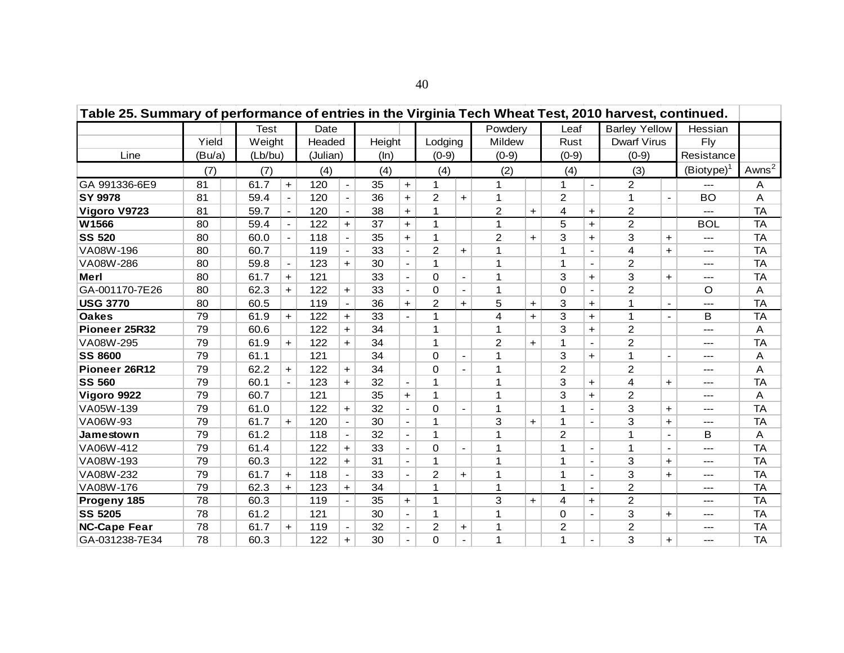| Table 25. Summary of performance of entries in the Virginia Tech Wheat Test, 2010 harvest, continued. |        |             |                |          |                |        |                          |                |                          |                |            |                |                          |                      |                          |               |                   |
|-------------------------------------------------------------------------------------------------------|--------|-------------|----------------|----------|----------------|--------|--------------------------|----------------|--------------------------|----------------|------------|----------------|--------------------------|----------------------|--------------------------|---------------|-------------------|
|                                                                                                       |        | <b>Test</b> |                | Date     |                |        |                          |                |                          | Powdery        |            | Leaf           |                          | <b>Barley Yellow</b> |                          | Hessian       |                   |
|                                                                                                       | Yield  | Weight      |                | Headed   |                | Height |                          | Lodging        |                          | Mildew         |            | Rust           |                          | <b>Dwarf Virus</b>   |                          | Fly           |                   |
| Line                                                                                                  | (Bu/a) | (Lb/bu)     |                | (Julian) |                | (ln)   |                          | $(0-9)$        |                          | $(0-9)$        |            | $(0-9)$        |                          | $(0-9)$              |                          | Resistance    |                   |
|                                                                                                       | (7)    | (7)         |                | (4)      |                | (4)    |                          | (4)            |                          | (2)            |            | (4)            |                          | (3)                  |                          | $(Biotype)^1$ | Awns <sup>2</sup> |
| GA 991336-6E9                                                                                         | 81     | 61.7        | $+$            | 120      | $\blacksquare$ | 35     | $\ddagger$               | $\mathbf{1}$   |                          | 1              |            | $\mathbf{1}$   | $\blacksquare$           | $\overline{2}$       |                          | ---           | A                 |
| <b>SY 9978</b>                                                                                        | 81     | 59.4        |                | 120      |                | 36     | $\ddot{}$                | $\overline{c}$ | $+$                      | 1              |            | $\overline{2}$ |                          |                      |                          | <b>BO</b>     | A                 |
| Vigoro V9723                                                                                          | 81     | 59.7        | $\blacksquare$ | 120      |                | 38     | $+$                      | 1              |                          | $\overline{2}$ | $\ddot{}$  | 4              | $+$                      | 2                    |                          | $---$         | <b>TA</b>         |
| W1566                                                                                                 | 80     | 59.4        | $\blacksquare$ | 122      | $+$            | 37     | $+$                      | $\mathbf{1}$   |                          | 1              |            | 5              | $+$                      | $\overline{2}$       |                          | <b>BOL</b>    | <b>TA</b>         |
| <b>SS 520</b>                                                                                         | 80     | 60.0        | $\hbox{--}$    | 118      |                | 35     | $\ddot{\phantom{1}}$     | 1              |                          | $\overline{c}$ | $\ddot{}$  | 3              | $+$                      | 3                    | $\ddot{}$                | ---           | <b>TA</b>         |
| VA08W-196                                                                                             | 80     | 60.7        |                | 119      | $\blacksquare$ | 33     | $\blacksquare$           | $\overline{2}$ | $+$                      | 1              |            | 1              | $\blacksquare$           | 4                    | $+$                      | ---           | <b>TA</b>         |
| VA08W-286                                                                                             | 80     | 59.8        |                | 123      | $+$            | 30     | $\blacksquare$           | 1              |                          |                |            | 1              | $\blacksquare$           | 2                    |                          | ---           | <b>TA</b>         |
| Merl                                                                                                  | 80     | 61.7        | $\ddagger$     | 121      |                | 33     | $\blacksquare$           | 0              | $\blacksquare$           | 1              |            | 3              | $+$                      | 3                    | $+$                      | ---           | <b>TA</b>         |
| GA-001170-7E26                                                                                        | 80     | 62.3        | $+$            | 122      | $+$            | 33     | $\overline{a}$           | $\Omega$       |                          | 1              |            | 0              |                          | $\overline{2}$       |                          | $\circ$       | A                 |
| <b>USG 3770</b>                                                                                       | 80     | 60.5        |                | 119      |                | 36     | $+$                      | $\overline{2}$ | $+$                      | 5              | $\ddot{}$  | 3              | $+$                      |                      |                          | ---           | <b>TA</b>         |
| <b>Oakes</b>                                                                                          | 79     | 61.9        | $+$            | 122      | $+$            | 33     | $\overline{a}$           | $\mathbf{1}$   |                          | 4              | $\ddot{}$  | 3              | $+$                      | 1                    |                          | B             | <b>TA</b>         |
| Pioneer 25R32                                                                                         | 79     | 60.6        |                | 122      | $+$            | 34     |                          | 1              |                          | 1              |            | 3              | $+$                      | 2                    |                          | ---           | Α                 |
| VA08W-295                                                                                             | 79     | 61.9        | $+$            | 122      | $+$            | 34     |                          | $\mathbf{1}$   |                          | 2              | $+$        | 1              | $\blacksquare$           | $\overline{2}$       |                          | ---           | <b>TA</b>         |
| <b>SS 8600</b>                                                                                        | 79     | 61.1        |                | 121      |                | 34     |                          | 0              |                          | 1              |            | 3              | $+$                      | 1                    |                          | ---           | A                 |
| Pioneer 26R12                                                                                         | 79     | 62.2        | $+$            | 122      | $+$            | 34     |                          | 0              | $\overline{\phantom{a}}$ | 1              |            | $\overline{2}$ |                          | 2                    |                          | ---           | A                 |
| <b>SS 560</b>                                                                                         | 79     | 60.1        |                | 123      | $+$            | 32     |                          | 1              |                          | 1              |            | 3              | $\ddot{}$                | 4                    | $+$                      | ---           | <b>TA</b>         |
| Vigoro 9922                                                                                           | 79     | 60.7        |                | 121      |                | 35     | $\ddot{}$                | 1              |                          | 1              |            | 3              | $+$                      | 2                    |                          | ---           | Α                 |
| VA05W-139                                                                                             | 79     | 61.0        |                | 122      | $+$            | 32     | $\overline{a}$           | 0              |                          | 1              |            | 1              | $\overline{a}$           | 3                    | $+$                      | ---           | <b>TA</b>         |
| VA06W-93                                                                                              | 79     | 61.7        | $\ddot{}$      | 120      |                | 30     | $\overline{\phantom{a}}$ | 1              |                          | 3              | $\ddagger$ | 1              | $\blacksquare$           | 3                    | $+$                      | $---$         | <b>TA</b>         |
| Jamestown                                                                                             | 79     | 61.2        |                | 118      | $\blacksquare$ | 32     | $\overline{\phantom{a}}$ | 1              |                          | 1              |            | $\overline{2}$ |                          |                      | $\blacksquare$           | в             | A                 |
| VA06W-412                                                                                             | 79     | 61.4        |                | 122      | $+$            | 33     | $\blacksquare$           | 0              | $\blacksquare$           | 1              |            | 1              | $\blacksquare$           |                      | $\overline{\phantom{a}}$ | $---$         | <b>TA</b>         |
| VA08W-193                                                                                             | 79     | 60.3        |                | 122      | $+$            | 31     | $\sim$                   | 1              |                          | 1              |            | 1              | $\blacksquare$           | 3                    | $+$                      | ---           | <b>TA</b>         |
| VA08W-232                                                                                             | 79     | 61.7        | $+$            | 118      |                | 33     |                          | $\overline{2}$ | $\ddot{}$                | 1              |            | 1              | $\blacksquare$           | 3                    | $+$                      | $---$         | <b>TA</b>         |
| VA08W-176                                                                                             | 79     | 62.3        | $+$            | 123      | $+$            | 34     |                          | $\mathbf 1$    |                          | 1              |            | 1              | $\overline{\phantom{a}}$ | $\overline{2}$       |                          | ---           | <b>TA</b>         |
| Progeny 185                                                                                           | 78     | 60.3        |                | 119      |                | 35     | $\ddot{}$                | $\mathbf{1}$   |                          | 3              | $\ddot{}$  | 4              | $+$                      | $\overline{2}$       |                          | ---           | <b>TA</b>         |
| <b>SS 5205</b>                                                                                        | 78     | 61.2        |                | 121      |                | 30     | $\blacksquare$           | 1              |                          | 1              |            | 0              | $\blacksquare$           | 3                    | $+$                      | $---$         | <b>TA</b>         |
| <b>NC-Cape Fear</b>                                                                                   | 78     | 61.7        | $\ddot{}$      | 119      |                | 32     | $\overline{a}$           | $\overline{c}$ | $+$                      | 1              |            | $\overline{2}$ |                          | $\overline{c}$       |                          | ---           | <b>TA</b>         |
| GA-031238-7E34                                                                                        | 78     | 60.3        |                | 122      | $+$            | 30     | $\blacksquare$           | $\Omega$       |                          | 1              |            | 1              |                          | 3                    | $+$                      | $---$         | <b>TA</b>         |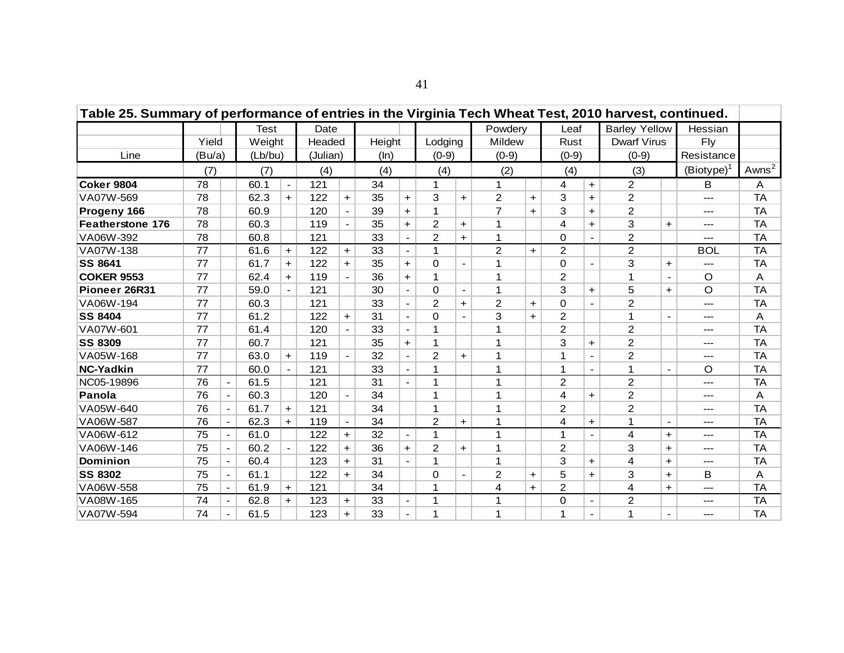| Table 25. Summary of performance of entries in the Virginia Tech Wheat Test, 2010 harvest, continued. |        |                              |             |                |            |                |        |                |                |                          |                          |           |                      |                |                    |                          |                 |                   |
|-------------------------------------------------------------------------------------------------------|--------|------------------------------|-------------|----------------|------------|----------------|--------|----------------|----------------|--------------------------|--------------------------|-----------|----------------------|----------------|--------------------|--------------------------|-----------------|-------------------|
|                                                                                                       |        |                              | <b>Test</b> | Date           |            |                |        |                | Powdery        |                          | Leaf                     |           | <b>Barley Yellow</b> |                | Hessian            |                          |                 |                   |
|                                                                                                       | Yield  |                              | Weight      |                | Headed     |                | Height |                | Lodging        |                          | Mildew                   |           | Rust                 |                | <b>Dwarf Virus</b> |                          | Fly             |                   |
| Line                                                                                                  | (Bu/a) |                              | (Lb/bu)     |                | (Julian)   |                | (ln)   |                | $(0-9)$        |                          | $(0-9)$                  |           | $(0-9)$              |                | $(0-9)$            |                          | Resistance      |                   |
|                                                                                                       | (7)    |                              | (7)         |                | (4)        |                | (4)    |                | (4)            |                          | (2)                      |           | (4)                  |                | (3)                |                          | $(Biotype)^{1}$ | Awns <sup>2</sup> |
| <b>Coker 9804</b>                                                                                     | 78     |                              | 60.1        | $\blacksquare$ | 121        |                | 34     |                | 1              |                          | $\mathbf{1}$             |           | 4                    | $+$            | $\overline{2}$     |                          | B               | A                 |
| VA07W-569                                                                                             | 78     |                              | 62.3        | $+$            | 122        | $+$            | 35     | $\ddot{}$      | 3              | $+$                      | $\overline{2}$           | $+$       | 3                    | $\ddot{}$      | $\overline{2}$     |                          | $---$           | <b>TA</b>         |
| Progeny 166                                                                                           | 78     |                              | 60.9        |                | 120        |                | 39     | $+$            |                |                          | $\overline{7}$           | $+$       | 3                    | $+$            | $\overline{2}$     |                          | $---$           | <b>TA</b>         |
| <b>Featherstone 176</b>                                                                               | 78     |                              | 60.3        |                | 119        |                | 35     | $+$            | 2              | $+$                      | 1                        |           | 4                    | $+$            | 3                  | $\ddot{}$                | $---$           | <b>TA</b>         |
| VA06W-392                                                                                             | 78     |                              | 60.8        |                | 121        |                | 33     |                | 2              | $+$                      | 1                        |           | $\Omega$             | $\blacksquare$ | $\overline{2}$     |                          | $---$           | <b>TA</b>         |
| VA07W-138                                                                                             | 77     |                              | 61.6        | $\ddagger$     | 122<br>$+$ |                | 33     | $\blacksquare$ | 1              |                          | 2                        | $+$       | 2                    |                | $\overline{2}$     |                          | <b>BOL</b>      | <b>TA</b>         |
| <b>SS 8641</b>                                                                                        | 77     |                              | 61.7        | $+$            | 122        | $+$            | 35     | $+$            | $\Omega$       | $\overline{\phantom{a}}$ | 1                        |           | $\Omega$             | $\blacksquare$ | 3                  | $\ddot{}$                | ---             | <b>TA</b>         |
| <b>COKER 9553</b>                                                                                     | 77     |                              | 62.4        | $+$            | 119        |                | 36     | $+$            |                |                          |                          |           | $\overline{2}$       |                |                    | $\blacksquare$           | $\circ$         | Α                 |
| Pioneer 26R31                                                                                         | 77     |                              | 59.0        |                | 121        |                | 30     |                | 0              |                          | 1                        |           | 3                    | $+$            | 5                  | $\ddot{}$                | $\circ$         | <b>TA</b>         |
| VA06W-194                                                                                             | 77     |                              | 60.3        |                | 121        |                | 33     |                | 2              | $+$                      | $\overline{2}$           | $+$       | $\Omega$             |                | $\overline{2}$     |                          | ---             | <b>TA</b>         |
| <b>SS 8404</b>                                                                                        | 77     |                              | 61.2        |                | 122        | $+$            | 31     | $\blacksquare$ | $\Omega$       |                          | 3                        | $+$       | $\overline{2}$       |                | 1                  | $\blacksquare$           | $---$           | A                 |
| VA07W-601                                                                                             | 77     |                              | 61.4        |                | 120        |                | 33     |                |                |                          |                          |           | $\overline{2}$       |                | 2                  |                          | ---             | <b>TA</b>         |
| <b>SS 8309</b>                                                                                        | 77     |                              | 60.7        |                | 121        |                | 35     | $+$            | 1              |                          |                          |           | 3                    | $\ddot{}$      | $\overline{2}$     |                          | $---$           | <b>TA</b>         |
| VA05W-168                                                                                             | 77     |                              | 63.0        | $+$            | 119        |                | 32     |                | $\overline{2}$ | $+$                      |                          |           | 1                    | $\blacksquare$ | $\overline{2}$     |                          | $---$           | <b>TA</b>         |
| <b>NC-Yadkin</b>                                                                                      | 77     |                              | 60.0        |                | 121        |                | 33     |                |                |                          | 1                        |           | 1                    | $\blacksquare$ | 1                  | $\blacksquare$           | $\circ$         | <b>TA</b>         |
| NC05-19896                                                                                            | 76     | $\qquad \qquad \blacksquare$ | 61.5        |                | 121        |                | 31     |                | 1              |                          | 1                        |           | $\overline{2}$       |                | $\overline{2}$     |                          | $---$           | <b>TA</b>         |
| Panola                                                                                                | 76     | $\blacksquare$               | 60.3        |                | 120        | $\blacksquare$ | 34     |                | 1              |                          | 1                        |           | 4                    | $+$            | $\overline{2}$     |                          | $---$           | A                 |
| VA05W-640                                                                                             | 76     | $\blacksquare$               | 61.7        | $+$            | 121        |                | 34     |                | 1              |                          | 1                        |           | 2                    |                | $\overline{2}$     |                          | $---$           | <b>TA</b>         |
| VA06W-587                                                                                             | 76     | $\blacksquare$               | 62.3        | $+$            | 119        |                | 34     |                | $\overline{2}$ | $+$                      | $\overline{\phantom{a}}$ |           | 4                    | $+$            | 1                  | $\overline{\phantom{a}}$ | $---$           | <b>TA</b>         |
| VA06W-612                                                                                             | 75     | $\overline{\phantom{a}}$     | 61.0        |                | 122        | $+$            | 32     |                | 1              |                          | 1                        |           | 1                    | $\blacksquare$ | 4                  | $\ddot{}$                | $---$           | <b>TA</b>         |
| VA06W-146                                                                                             | 75     | $\blacksquare$               | 60.2        |                | 122        | $+$            | 36     | $+$            | 2              | $+$                      |                          |           | $\overline{2}$       |                | 3                  | $\ddot{}$                | $---$           | <b>TA</b>         |
| <b>Dominion</b>                                                                                       | 75     | $\blacksquare$               | 60.4        |                | 123        | $+$            | 31     | $\blacksquare$ | 1              |                          |                          |           | 3                    | $+$            | 4                  | $\ddot{}$                | $---$           | <b>TA</b>         |
| <b>SS 8302</b>                                                                                        | 75     |                              | 61.1        |                | 122        | $+$            | 34     |                | 0              |                          | $\overline{2}$           | $\ddot{}$ | 5                    | $+$            | 3                  | $\ddot{}$                | B               | A                 |
| VA06W-558                                                                                             | 75     | $\blacksquare$               | 61.9        | $+$            | 121        |                | 34     |                |                |                          | 4                        | $+$       | $\overline{2}$       |                | 4                  | $\ddot{}$                | $---$           | <b>TA</b>         |
| VA08W-165                                                                                             | 74     | $\blacksquare$               | 62.8        | $+$            | 123        | $+$            | 33     | $\blacksquare$ | 1              |                          |                          |           | $\Omega$             | $\blacksquare$ | $\overline{2}$     |                          | $---$           | <b>TA</b>         |
| VA07W-594                                                                                             | 74     |                              | 61.5        |                | 123        | $+$            | 33     |                | 1              |                          | 1                        |           | 1                    |                | 1                  |                          | ---             | <b>TA</b>         |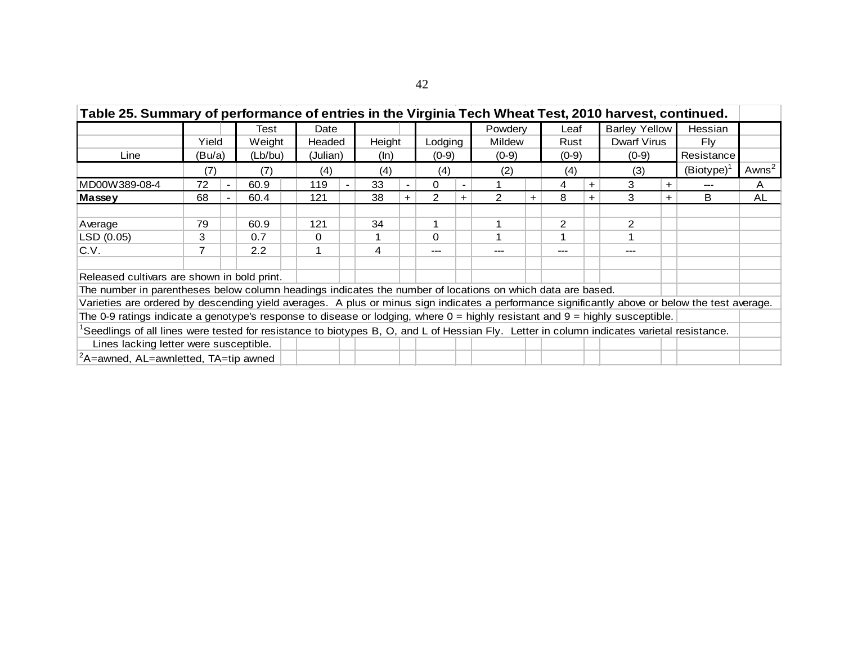| Table 25. Summary of performance of entries in the Virginia Tech Wheat Test, 2010 harvest, continued.<br>Powderv<br><b>Barley Yellow</b><br>Date<br>Leaf<br>Hessian<br>Test<br>Height<br>Lodging<br>Yield<br>Weight<br>Headed<br><b>Mildew</b><br>Dwarf Virus<br>Rust<br>Flv.<br>(Bu/a)<br>(Lb/bu)<br>(Julian)<br>Resistance<br>Line<br>$(0-9)$<br>$(0-9)$<br>$(0-9)$<br>$(0-9)$<br>(ln)<br>Awns <sup>2</sup><br>(Biotype)<br>(4)<br>(2)<br>(4)<br>(3)<br>(7)<br>(7)<br>(4)<br>(4)<br>72<br>60.9<br>33<br>119<br>0<br>3<br>4<br>A<br>$\div$<br>$\pm$<br>$\overline{\phantom{a}}$<br>$\blacksquare$<br>$\blacksquare$<br>68<br>121<br>38<br>$\overline{2}$<br>2<br>8<br>3<br>B<br>60.4<br>AL<br>$\ddot{}$<br>$\pm$<br>$\pm$<br>$\pm$<br>$\overline{2}$<br>79<br>60.9<br>121<br>34<br>2<br>3<br>$\Omega$<br>0.7<br>$\Omega$<br>$2.2^{\circ}$<br>4<br>---<br>---<br>--- |  |  |  |  |  |  |  |  |  |  |  |  |  |  |  |
|----------------------------------------------------------------------------------------------------------------------------------------------------------------------------------------------------------------------------------------------------------------------------------------------------------------------------------------------------------------------------------------------------------------------------------------------------------------------------------------------------------------------------------------------------------------------------------------------------------------------------------------------------------------------------------------------------------------------------------------------------------------------------------------------------------------------------------------------------------------------|--|--|--|--|--|--|--|--|--|--|--|--|--|--|--|
|                                                                                                                                                                                                                                                                                                                                                                                                                                                                                                                                                                                                                                                                                                                                                                                                                                                                      |  |  |  |  |  |  |  |  |  |  |  |  |  |  |  |
|                                                                                                                                                                                                                                                                                                                                                                                                                                                                                                                                                                                                                                                                                                                                                                                                                                                                      |  |  |  |  |  |  |  |  |  |  |  |  |  |  |  |
|                                                                                                                                                                                                                                                                                                                                                                                                                                                                                                                                                                                                                                                                                                                                                                                                                                                                      |  |  |  |  |  |  |  |  |  |  |  |  |  |  |  |
|                                                                                                                                                                                                                                                                                                                                                                                                                                                                                                                                                                                                                                                                                                                                                                                                                                                                      |  |  |  |  |  |  |  |  |  |  |  |  |  |  |  |
| MD00W389-08-4                                                                                                                                                                                                                                                                                                                                                                                                                                                                                                                                                                                                                                                                                                                                                                                                                                                        |  |  |  |  |  |  |  |  |  |  |  |  |  |  |  |
| Massey                                                                                                                                                                                                                                                                                                                                                                                                                                                                                                                                                                                                                                                                                                                                                                                                                                                               |  |  |  |  |  |  |  |  |  |  |  |  |  |  |  |
|                                                                                                                                                                                                                                                                                                                                                                                                                                                                                                                                                                                                                                                                                                                                                                                                                                                                      |  |  |  |  |  |  |  |  |  |  |  |  |  |  |  |
| Average                                                                                                                                                                                                                                                                                                                                                                                                                                                                                                                                                                                                                                                                                                                                                                                                                                                              |  |  |  |  |  |  |  |  |  |  |  |  |  |  |  |
| LSD (0.05)                                                                                                                                                                                                                                                                                                                                                                                                                                                                                                                                                                                                                                                                                                                                                                                                                                                           |  |  |  |  |  |  |  |  |  |  |  |  |  |  |  |
| C.V.                                                                                                                                                                                                                                                                                                                                                                                                                                                                                                                                                                                                                                                                                                                                                                                                                                                                 |  |  |  |  |  |  |  |  |  |  |  |  |  |  |  |
|                                                                                                                                                                                                                                                                                                                                                                                                                                                                                                                                                                                                                                                                                                                                                                                                                                                                      |  |  |  |  |  |  |  |  |  |  |  |  |  |  |  |
| Released cultivars are shown in bold print.                                                                                                                                                                                                                                                                                                                                                                                                                                                                                                                                                                                                                                                                                                                                                                                                                          |  |  |  |  |  |  |  |  |  |  |  |  |  |  |  |
| The number in parentheses below column headings indicates the number of locations on which data are based.                                                                                                                                                                                                                                                                                                                                                                                                                                                                                                                                                                                                                                                                                                                                                           |  |  |  |  |  |  |  |  |  |  |  |  |  |  |  |
| Varieties are ordered by descending yield averages. A plus or minus sign indicates a performance significantly above or below the test average.                                                                                                                                                                                                                                                                                                                                                                                                                                                                                                                                                                                                                                                                                                                      |  |  |  |  |  |  |  |  |  |  |  |  |  |  |  |
| The 0-9 ratings indicate a genotype's response to disease or lodging, where $0 =$ highly resistant and $9 =$ highly susceptible.                                                                                                                                                                                                                                                                                                                                                                                                                                                                                                                                                                                                                                                                                                                                     |  |  |  |  |  |  |  |  |  |  |  |  |  |  |  |
| Seedlings of all lines were tested for resistance to biotypes B, O, and L of Hessian Fly. Letter in column indicates varietal resistance.                                                                                                                                                                                                                                                                                                                                                                                                                                                                                                                                                                                                                                                                                                                            |  |  |  |  |  |  |  |  |  |  |  |  |  |  |  |
| Lines lacking letter were susceptible.                                                                                                                                                                                                                                                                                                                                                                                                                                                                                                                                                                                                                                                                                                                                                                                                                               |  |  |  |  |  |  |  |  |  |  |  |  |  |  |  |
| ${}^{2}$ A=awned, AL=awnletted, TA=tip awned                                                                                                                                                                                                                                                                                                                                                                                                                                                                                                                                                                                                                                                                                                                                                                                                                         |  |  |  |  |  |  |  |  |  |  |  |  |  |  |  |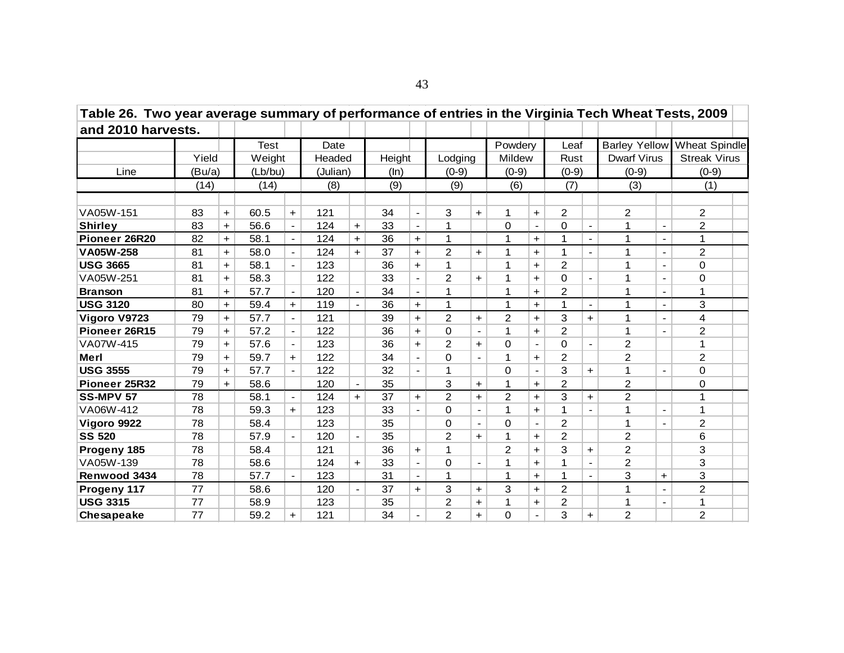| Table 26. Two year average summary of performance of entries in the Virginia Tech Wheat Tests, 2009 |        |                      |             |                          |          |                |        |                          |                |                          |                |                          |                |                          |                    |                          |                      |  |
|-----------------------------------------------------------------------------------------------------|--------|----------------------|-------------|--------------------------|----------|----------------|--------|--------------------------|----------------|--------------------------|----------------|--------------------------|----------------|--------------------------|--------------------|--------------------------|----------------------|--|
| and 2010 harvests.                                                                                  |        |                      |             |                          |          |                |        |                          |                |                          |                |                          |                |                          |                    |                          |                      |  |
|                                                                                                     |        |                      | <b>Test</b> |                          | Date     |                |        |                          |                |                          | Powdery        |                          | Leaf           |                          | Barley Yellow      |                          | <b>Wheat Spindle</b> |  |
|                                                                                                     | Yield  |                      | Weight      |                          | Headed   |                | Height |                          | Lodging        |                          | Mildew         |                          | Rust           |                          | <b>Dwarf Virus</b> |                          | <b>Streak Virus</b>  |  |
| Line                                                                                                | (Bu/a) |                      | (Lb/bu)     |                          | (Julian) |                | (ln)   |                          | $(0-9)$        |                          | $(0-9)$        |                          | $(0-9)$        |                          | $(0-9)$            |                          | $(0-9)$              |  |
|                                                                                                     | (14)   |                      | (14)        |                          | (8)      |                | (9)    |                          | (9)            |                          | (6)            |                          | (7)            |                          | (3)                |                          | (1)                  |  |
|                                                                                                     |        |                      |             |                          |          |                |        |                          |                |                          |                |                          |                |                          |                    |                          |                      |  |
| VA05W-151                                                                                           | 83     | $\ddot{}$            | 60.5        | $+$                      | 121      |                | 34     | $\blacksquare$           | 3              | $+$                      | 1              | $\ddot{}$                | $\overline{2}$ |                          | $\overline{2}$     |                          | 2                    |  |
| <b>Shirley</b>                                                                                      | 83     | $\ddot{\phantom{1}}$ | 56.6        | $\overline{\phantom{a}}$ | 124      | $\ddot{}$      | 33     |                          | 1              |                          | $\Omega$       |                          | $\Omega$       |                          | 1                  |                          | $\overline{2}$       |  |
| Pioneer 26R20                                                                                       | 82     | $+$                  | 58.1        | $\blacksquare$           | 124      | $+$            | 36     | $+$                      | 1              |                          | 1              | $\ddagger$               | 1              | $\overline{\phantom{0}}$ |                    | $\blacksquare$           | 1                    |  |
| VA05W-258                                                                                           | 81     | $+$                  | 58.0        | $\blacksquare$           | 124      | $+$            | 37     | $+$                      | $\overline{2}$ | $+$                      | 1              | $+$                      | 1              | $\overline{\phantom{a}}$ |                    | $\overline{\phantom{a}}$ | $\overline{2}$       |  |
| <b>USG 3665</b>                                                                                     | 81     | $\ddot{\phantom{1}}$ | 58.1        | $\blacksquare$           | 123      |                | 36     | $\ddot{}$                | 1              |                          | 1              | $+$                      | 2              |                          |                    |                          | 0                    |  |
| VA05W-251                                                                                           | 81     | $+$                  | 58.3        |                          | 122      |                | 33     |                          | $\overline{2}$ | $\ddot{}$                | 1              | $\ddagger$               | $\Omega$       |                          |                    |                          | 0                    |  |
| <b>Branson</b>                                                                                      | 81     | $\ddagger$           | 57.7        | $\blacksquare$           | 120      | $\blacksquare$ | 34     | $\blacksquare$           | 1              |                          | 1              | ÷.                       | 2              |                          |                    | $\blacksquare$           |                      |  |
| <b>USG 3120</b>                                                                                     | 80     | $+$                  | 59.4        | $+$                      | 119      |                | 36     | $+$                      | 1              |                          | 1              | $+$                      | 1              |                          |                    | $\overline{\phantom{a}}$ | 3                    |  |
| Vigoro V9723                                                                                        | 79     | $+$                  | 57.7        | $\overline{\phantom{0}}$ | 121      |                | 39     | $+$                      | $\overline{2}$ | $\ddot{\phantom{1}}$     | $\overline{2}$ | $+$                      | 3              | $+$                      |                    |                          | 4                    |  |
| Pioneer 26R15                                                                                       | 79     | $+$                  | 57.2        | $\overline{\phantom{a}}$ | 122      |                | 36     | $+$                      | 0              | $\overline{\phantom{a}}$ | 1              | $+$                      | 2              |                          | 1                  |                          | $\overline{2}$       |  |
| VA07W-415                                                                                           | 79     | $\pm$                | 57.6        | $\overline{\phantom{a}}$ | 123      |                | 36     | $+$                      | $\overline{2}$ | $+$                      | $\Omega$       | $\blacksquare$           | $\Omega$       | $\overline{\phantom{0}}$ | 2                  |                          | 1                    |  |
| Merl                                                                                                | 79     | $\pm$                | 59.7        | $+$                      | 122      |                | 34     | $\blacksquare$           | 0              | $\overline{\phantom{a}}$ | 1              | $+$                      | 2              |                          | $\overline{2}$     |                          | $\overline{2}$       |  |
| <b>USG 3555</b>                                                                                     | 79     | $+$                  | 57.7        |                          | 122      |                | 32     |                          | 1              |                          | $\Omega$       |                          | 3              | $+$                      |                    |                          | 0                    |  |
| Pioneer 25R32                                                                                       | 79     | $+$                  | 58.6        |                          | 120      |                | 35     |                          | 3              | $\ddot{}$                | 1              | $+$                      | 2              |                          | $\overline{2}$     |                          | 0                    |  |
| <b>SS-MPV 57</b>                                                                                    | 78     |                      | 58.1        | $\blacksquare$           | 124      | $+$            | 37     | $+$                      | $\overline{2}$ | $+$                      | 2              | $+$                      | 3              | $+$                      | 2                  |                          | 1                    |  |
| VA06W-412                                                                                           | 78     |                      | 59.3        | $+$                      | 123      |                | 33     |                          | $\Omega$       | $\overline{\phantom{a}}$ | 1              | $+$                      | 1              |                          |                    |                          | 1                    |  |
| Vigoro 9922                                                                                         | 78     |                      | 58.4        |                          | 123      |                | 35     |                          | 0              | $\blacksquare$           | $\Omega$       | $\overline{\phantom{a}}$ | 2              |                          |                    |                          | 2                    |  |
| <b>SS 520</b>                                                                                       | 78     |                      | 57.9        | $\blacksquare$           | 120      |                | 35     |                          | $\overline{2}$ | $+$                      | 1              | $+$                      | $\overline{2}$ |                          | $\overline{2}$     |                          | 6                    |  |
| Progeny 185                                                                                         | 78     |                      | 58.4        |                          | 121      |                | 36     | $+$                      | 1              |                          | $\overline{2}$ | $+$                      | 3              | $+$                      | 2                  |                          | 3                    |  |
| VA05W-139                                                                                           | 78     |                      | 58.6        |                          | 124      | $+$            | 33     | $\overline{\phantom{a}}$ | $\Omega$       | $\overline{\phantom{a}}$ | 1              | $+$                      |                | $\blacksquare$           | $\overline{2}$     |                          | 3                    |  |
| Renwood 3434                                                                                        | 78     |                      | 57.7        | $\blacksquare$           | 123      |                | 31     | $\overline{a}$           | 1              |                          | 1              | $+$                      | 1              | $\overline{a}$           | 3                  | $+$                      | 3                    |  |
| Progeny 117                                                                                         | 77     |                      | 58.6        |                          | 120      |                | 37     | $+$                      | 3              | $\ddot{\phantom{1}}$     | 3              | $+$                      | 2              |                          |                    |                          | $\overline{2}$       |  |
| <b>USG 3315</b>                                                                                     | 77     |                      | 58.9        |                          | 123      |                | 35     |                          | 2              | $\pm$                    | 1              | $+$                      | 2              |                          |                    |                          | 1                    |  |
| Chesapeake                                                                                          | 77     | 59.2<br>$+$          |             |                          | 121      |                | 34     | $\blacksquare$           | $\overline{2}$ | $+$                      | 0              | $\blacksquare$           | 3              | $+$                      | $\overline{2}$     |                          | $\overline{2}$       |  |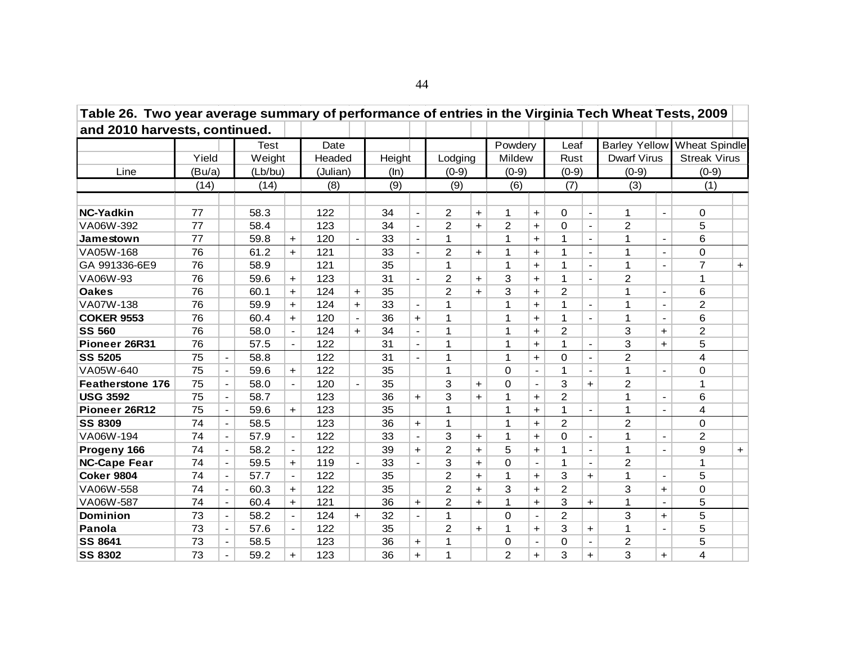| Table 26. Two year average summary of performance of entries in the Virginia Tech Wheat Tests, 2009 |        |                          |         |                |          |                |        |                          |                |           |                |                |                |                          |                      |                          |                      |           |
|-----------------------------------------------------------------------------------------------------|--------|--------------------------|---------|----------------|----------|----------------|--------|--------------------------|----------------|-----------|----------------|----------------|----------------|--------------------------|----------------------|--------------------------|----------------------|-----------|
| and 2010 harvests, continued.                                                                       |        |                          |         |                |          |                |        |                          |                |           |                |                |                |                          |                      |                          |                      |           |
|                                                                                                     |        |                          | Test    |                | Date     |                |        |                          |                |           | Powdery        |                | Leaf           |                          | <b>Barley Yellow</b> |                          | <b>Wheat Spindle</b> |           |
|                                                                                                     | Yield  |                          | Weight  |                | Headed   |                | Height |                          | Lodging        |           | Mildew         |                | Rust           |                          | <b>Dwarf Virus</b>   |                          | <b>Streak Virus</b>  |           |
| Line                                                                                                | (Bu/a) |                          | (Lb/bu) |                | (Julian) |                | (ln)   |                          | $(0-9)$        |           | $(0-9)$        |                | $(0-9)$        |                          | $(0-9)$              |                          | $(0-9)$              |           |
|                                                                                                     | (14)   |                          | (14)    |                | (8)      |                | (9)    |                          | (9)            |           | (6)            |                | (7)            |                          | (3)                  |                          | (1)                  |           |
|                                                                                                     |        |                          |         |                |          |                |        |                          |                |           |                |                |                |                          |                      |                          |                      |           |
| <b>NC-Yadkin</b>                                                                                    | 77     |                          | 58.3    |                | 122      |                | 34     | $\blacksquare$           | 2              | $+$       | 1              | $+$            | 0              | $\blacksquare$           | 1                    | $\blacksquare$           | 0                    |           |
| VA06W-392                                                                                           | 77     |                          | 58.4    |                | 123      |                | 34     | $\blacksquare$           | $\overline{2}$ | $+$       | $\overline{2}$ | $+$            | $\Omega$       | $\blacksquare$           | $\overline{2}$       |                          | 5                    |           |
| Jamestown                                                                                           | 77     |                          | 59.8    | $+$            | 120      |                | 33     | $\overline{a}$           | 1              |           | 1              | $+$            | 1              | $\blacksquare$           | 1                    | $\blacksquare$           | 6                    |           |
| VA05W-168                                                                                           | 76     |                          | 61.2    | $+$            | 121      |                | 33     |                          | $\overline{2}$ | $+$       | 1              | $+$            | 1              | $\overline{a}$           | 1                    | $\overline{\phantom{a}}$ | $\mathbf 0$          |           |
| GA 991336-6E9                                                                                       | 76     |                          | 58.9    |                | 121      |                | 35     |                          | 1              |           | 1              | $+$            | 1              | $\blacksquare$           | 1                    | $\blacksquare$           | $\overline{7}$       | $\ddot{}$ |
| VA06W-93                                                                                            | 76     |                          | 59.6    | $\ddot{}$      | 123      |                | 31     | $\overline{\phantom{a}}$ | $\overline{c}$ | $\ddot{}$ | 3              | $+$            | $\mathbf{1}$   | $\blacksquare$           | $\overline{c}$       |                          | $\mathbf{1}$         |           |
| <b>Oakes</b>                                                                                        | 76     |                          | 60.1    | $\pm$          | 124      | $+$            | 35     |                          | 2              | $+$       | 3              | $+$            | $\overline{2}$ |                          | 1                    | $\overline{\phantom{a}}$ | 6                    |           |
| VA07W-138                                                                                           | 76     |                          | 59.9    | $\pm$          | 124      | $\ddot{}$      | 33     | $\blacksquare$           | 1              |           | 1              | $\ddot{}$      | 1              | $\overline{\phantom{0}}$ | 1                    | $\overline{\phantom{a}}$ | $\overline{c}$       |           |
| <b>COKER 9553</b>                                                                                   | 76     |                          | 60.4    | $+$            | 120      | $\blacksquare$ | 36     | $+$                      | 1              |           | 1              | $+$            | $\mathbf{1}$   | $\blacksquare$           | 1                    | $\blacksquare$           | $6\phantom{1}6$      |           |
| <b>SS 560</b>                                                                                       | 76     |                          | 58.0    | $\blacksquare$ | 124      | $+$            | 34     | $\blacksquare$           | 1              |           | 1              | $+$            | $\overline{2}$ |                          | 3                    | $+$                      | $\overline{c}$       |           |
| Pioneer 26R31                                                                                       | 76     |                          | 57.5    |                | 122      |                | 31     |                          | 1              |           | 1              | $+$            | $\mathbf{1}$   | $\blacksquare$           | 3                    | $+$                      | 5                    |           |
| <b>SS 5205</b>                                                                                      | 75     | $\blacksquare$           | 58.8    |                | 122      |                | 31     | $\overline{\phantom{a}}$ | 1              |           | 1              | $+$            | $\Omega$       | $\blacksquare$           | $\overline{2}$       |                          | 4                    |           |
| VA05W-640                                                                                           | 75     | $\blacksquare$           | 59.6    | $+$            | 122      |                | 35     |                          | 1              |           | $\Omega$       | $\mathbf{r}$   | $\mathbf{1}$   | $\blacksquare$           | 1                    | $\blacksquare$           | $\Omega$             |           |
| <b>Featherstone 176</b>                                                                             | 75     | $\overline{\phantom{a}}$ | 58.0    |                | 120      |                | 35     |                          | 3              | $\ddot{}$ | 0              | $\mathbb{L}$   | 3              | $+$                      | 2                    |                          | 1                    |           |
| <b>USG 3592</b>                                                                                     | 75     | $\overline{\phantom{a}}$ | 58.7    |                | 123      |                | 36     | $+$                      | 3              | $+$       | 1              | $+$            | $\overline{2}$ |                          | 1                    | $\overline{\phantom{a}}$ | 6                    |           |
| Pioneer 26R12                                                                                       | 75     | $\blacksquare$           | 59.6    | $+$            | 123      |                | 35     |                          | 1              |           | $\mathbf{1}$   | $+$            | $\mathbf 1$    | $\blacksquare$           | 1                    | $\blacksquare$           | 4                    |           |
| <b>SS 8309</b>                                                                                      | 74     | $\blacksquare$           | 58.5    |                | 123      |                | 36     | $+$                      | 1              |           | 1              | $+$            | $\overline{2}$ |                          | $\overline{2}$       |                          | $\mathbf 0$          |           |
| VA06W-194                                                                                           | 74     | $\blacksquare$           | 57.9    | $\blacksquare$ | 122      |                | 33     | $\blacksquare$           | 3              | $+$       | 1              | $+$            | 0              | $\hbox{--}$              | 1                    | $\overline{\phantom{a}}$ | $\overline{c}$       |           |
| Progeny 166                                                                                         | 74     | $\blacksquare$           | 58.2    | $\blacksquare$ | 122      |                | 39     | $+$                      | $\overline{2}$ | $+$       | 5              | $+$            | $\mathbf{1}$   | $\blacksquare$           | 1                    | $\blacksquare$           | 9                    | $\ddot{}$ |
| <b>NC-Cape Fear</b>                                                                                 | 74     | $\blacksquare$           | 59.5    | $+$            | 119      |                | 33     |                          | 3              | $+$       | 0              | $\overline{a}$ | 1              | $\blacksquare$           | 2                    |                          | 1                    |           |
| Coker 9804                                                                                          | 74     | $\blacksquare$           | 57.7    | $\blacksquare$ | 122      |                | 35     |                          | $\overline{c}$ | $+$       | 1              | $+$            | 3              | $+$                      | 1                    |                          | 5                    |           |
| VA06W-558                                                                                           | 74     | $\blacksquare$           | 60.3    | $+$            | 122      |                | 35     |                          | $\overline{2}$ | $+$       | 3              | $+$            | $\overline{2}$ |                          | 3                    | $+$                      | $\mathbf 0$          |           |
| VA06W-587                                                                                           | 74     | $\blacksquare$           | 60.4    | $+$            | 121      |                | 36     | $+$                      | $\overline{c}$ | $+$       | 1              | $+$            | 3              | $+$                      | 1                    | $\blacksquare$           | 5                    |           |
| <b>Dominion</b>                                                                                     | 73     | $\blacksquare$           | 58.2    | $\blacksquare$ | 124      | $+$            | 32     |                          | 1              |           | $\Omega$       | $\blacksquare$ | 2              |                          | 3                    | $+$                      | 5                    |           |
| Panola                                                                                              | 73     | $\blacksquare$           | 57.6    | $\blacksquare$ | 122      |                | 35     |                          | 2              | $+$       | 1              | $+$            | 3              | $\ddot{}$                | 1                    | $\blacksquare$           | 5                    |           |
| <b>SS 8641</b>                                                                                      | 73     | $\blacksquare$           | 58.5    |                | 123      |                | 36     | $+$                      | 1              |           | 0              | $\blacksquare$ | $\Omega$       | $\blacksquare$           | $\overline{c}$       |                          | 5                    |           |
| <b>SS 8302</b>                                                                                      | 73     | $\blacksquare$           | 59.2    | $\ddot{}$      | 123      |                | 36     | $+$                      | 1              |           | 2              | $\ddot{}$      | 3              | $\ddot{}$                | 3                    | $+$                      | 4                    |           |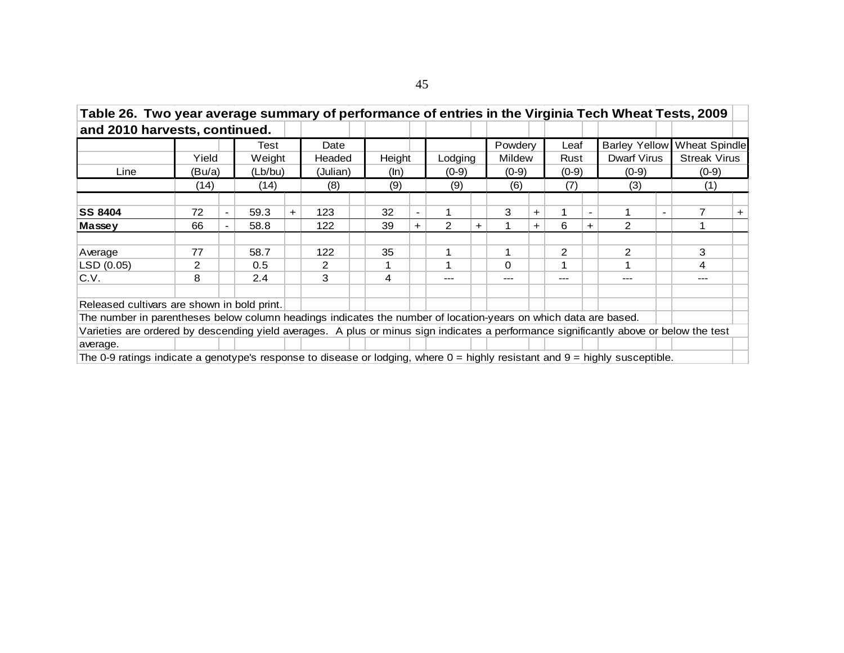| Table 26. Two year average summary of performance of entries in the Virginia Tech Wheat Tests, 2009                                    |        |                          |         |     |          |         |                          |                |     |               |       |               |                          |             |                             |  |
|----------------------------------------------------------------------------------------------------------------------------------------|--------|--------------------------|---------|-----|----------|---------|--------------------------|----------------|-----|---------------|-------|---------------|--------------------------|-------------|-----------------------------|--|
| and 2010 harvests, continued.                                                                                                          |        |                          |         |     |          |         |                          |                |     |               |       |               |                          |             |                             |  |
|                                                                                                                                        |        |                          | Test    |     | Date     |         |                          |                |     | Powdery       |       | Leaf          |                          |             | Barley Yellow Wheat Spindle |  |
|                                                                                                                                        | Yield  |                          | Weight  |     | Headed   | Height  |                          | Lodging        |     | <b>Mildew</b> |       | Rust          |                          | Dwarf Virus | <b>Streak Virus</b>         |  |
| Line                                                                                                                                   | (Bu/a) |                          | (Lb/bu) |     | (Julian) | $(\ln)$ |                          | $(0-9)$        |     | $(0-9)$       |       | $(0-9)$       |                          | $(0-9)$     | $(0-9)$                     |  |
|                                                                                                                                        | (14)   |                          | (14)    |     | (8)      | (9)     |                          | (9)            |     | (6)           |       | (7)           |                          | (3)         | (1)                         |  |
| <b>SS 8404</b>                                                                                                                         | 72     | $\overline{\phantom{a}}$ | 59.3    | $+$ | 123      | 32      | $\overline{\phantom{a}}$ |                |     | 3             | $\pm$ |               | $\overline{\phantom{a}}$ |             |                             |  |
| Massey                                                                                                                                 | 66     |                          | 58.8    |     | 122      | 39      | $\pm$                    | $\overline{2}$ | $+$ |               | $\pm$ | 6             | $\pm$                    | 2           |                             |  |
| Average                                                                                                                                | 77     |                          | 58.7    |     | 122      | 35      |                          |                |     | 1             |       | $\mathcal{P}$ |                          | 2           | 3                           |  |
| LSD (0.05)                                                                                                                             | 2      |                          | 0.5     |     | 2        | 1       |                          |                |     | $\Omega$      |       |               |                          |             | 4                           |  |
| C.V.                                                                                                                                   | 8      |                          | 2.4     |     | 3        | 4       |                          |                |     | ---           |       | ---           |                          | $---$       | ---                         |  |
| Released cultivars are shown in bold print.                                                                                            |        |                          |         |     |          |         |                          |                |     |               |       |               |                          |             |                             |  |
| The number in parentheses below column headings indicates the number of location-years on which data are based.                        |        |                          |         |     |          |         |                          |                |     |               |       |               |                          |             |                             |  |
| Varieties are ordered by descending yield averages. A plus or minus sign indicates a performance significantly above or below the test |        |                          |         |     |          |         |                          |                |     |               |       |               |                          |             |                             |  |
| average.                                                                                                                               |        |                          |         |     |          |         |                          |                |     |               |       |               |                          |             |                             |  |
| The 0-9 ratings indicate a genotype's response to disease or lodging, where 0 = highly resistant and 9 = highly susceptible.           |        |                          |         |     |          |         |                          |                |     |               |       |               |                          |             |                             |  |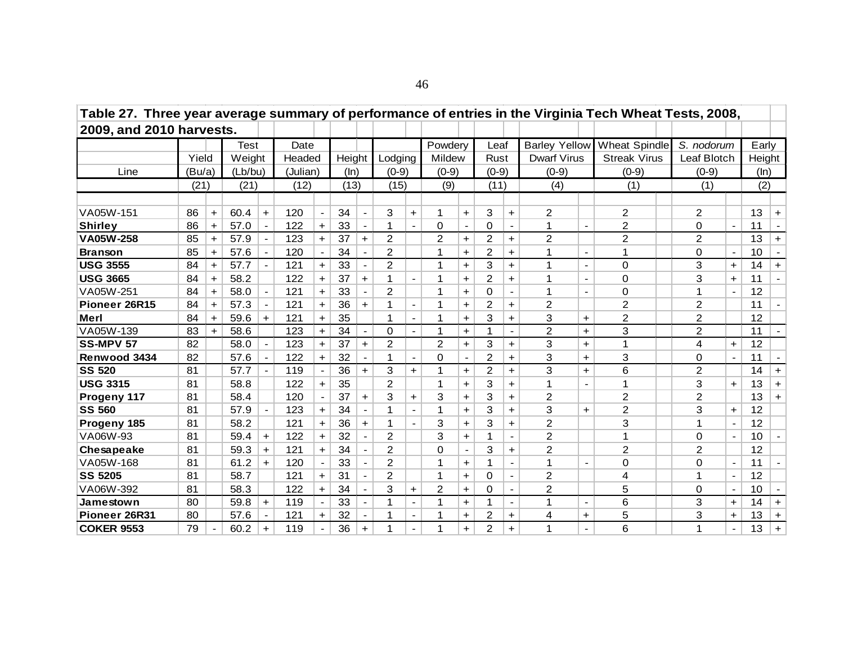| Table 27. Three year average summary of performance of entries in the Virginia Tech Wheat Tests, 2008,                                                                                                                                                                       |        |           |         |                          |          |                          |      |                          |                |                              |                |                      |                         |                          |                |                          |                |                |                      |      |        |
|------------------------------------------------------------------------------------------------------------------------------------------------------------------------------------------------------------------------------------------------------------------------------|--------|-----------|---------|--------------------------|----------|--------------------------|------|--------------------------|----------------|------------------------------|----------------|----------------------|-------------------------|--------------------------|----------------|--------------------------|----------------|----------------|----------------------|------|--------|
| 2009, and 2010 harvests.<br><b>Barley Yellow</b><br><b>Wheat Spindle</b><br>S. nodorum<br>Test<br>Date<br>Powdery<br>Early<br>Leaf<br>Yield<br>Weight<br>Lodging<br><b>Dwarf Virus</b><br>Leaf Blotch<br>Headed<br>Height<br>Mildew<br>Rust<br><b>Streak Virus</b><br>Height |        |           |         |                          |          |                          |      |                          |                |                              |                |                      |                         |                          |                |                          |                |                |                      |      |        |
|                                                                                                                                                                                                                                                                              |        |           |         |                          |          |                          |      |                          |                |                              |                |                      |                         |                          |                |                          |                |                |                      |      |        |
|                                                                                                                                                                                                                                                                              |        |           |         |                          |          |                          |      |                          |                |                              |                |                      |                         |                          |                |                          |                |                |                      |      |        |
| Line                                                                                                                                                                                                                                                                         | (Bu/a) |           | (Lb/bu) |                          | (Julian) |                          | (ln) |                          | $(0-9)$        |                              | $(0-9)$        |                      | $(0-9)$                 |                          | $(0-9)$        |                          | $(0-9)$        | $(0-9)$        |                      | (ln) |        |
|                                                                                                                                                                                                                                                                              | (21)   |           | (21)    |                          | (12)     |                          | (13) |                          | (15)           |                              | (9)            |                      | (11)                    |                          | (4)            |                          | (1)            | (1)            |                      | (2)  |        |
|                                                                                                                                                                                                                                                                              |        |           |         |                          |          |                          |      |                          |                |                              |                |                      |                         |                          |                |                          |                |                |                      |      |        |
| VA05W-151                                                                                                                                                                                                                                                                    | 86     | $\ddot{}$ | 60.4    | $+$                      | 120      | $\overline{\phantom{a}}$ | 34   |                          | 3              | $+$                          | 1              | $\ddot{}$            | 3                       | $+$                      | $\overline{2}$ |                          | $\overline{2}$ | $\overline{2}$ |                      | 13   | $+$    |
| <b>Shirley</b>                                                                                                                                                                                                                                                               | 86     | $+$       | 57.0    | $\sim$                   | 122      | $+$                      | 33   | $\blacksquare$           | $\mathbf 1$    | $\overline{\phantom{0}}$     | $\mathbf 0$    | $\sim$               | 0                       | $\blacksquare$           | 1              | $\blacksquare$           | $\overline{2}$ | 0              |                      | 11   |        |
| VA05W-258                                                                                                                                                                                                                                                                    | 85     | $+$       | 57.9    | $\overline{\phantom{a}}$ | 123      | $+$                      | 37   | $+$                      | $\overline{2}$ |                              | $\overline{2}$ | $\ddot{\phantom{1}}$ | $\overline{2}$          | $+$                      | $\overline{2}$ |                          | $\overline{2}$ | $\overline{2}$ |                      | 13   | $+$    |
| <b>Branson</b>                                                                                                                                                                                                                                                               | 85     | $+$       | 57.6    | $\blacksquare$           | 120      | $\mathbf{r}$             | 34   | $\blacksquare$           | $\overline{2}$ |                              | 1              | $+$                  | $\overline{2}$          | $+$                      | 1              | $\blacksquare$           | 1              | 0              | $\overline{a}$       | 10   | $\sim$ |
| <b>USG 3555</b>                                                                                                                                                                                                                                                              | 84     | $+$       | 57.7    | $\blacksquare$           | 121      | $+$                      | 33   | $\overline{\phantom{a}}$ | $\overline{2}$ |                              | 1              | $\ddot{\phantom{1}}$ | 3                       | $\ddagger$               | 1              | $\blacksquare$           | $\Omega$       | 3              | $\ddot{\phantom{1}}$ | 14   | $+$    |
| <b>USG 3665</b>                                                                                                                                                                                                                                                              | 84     | $+$       | 58.2    |                          | 122      | $+$                      | 37   | $+$                      | $\mathbf 1$    |                              | $\mathbf{1}$   | $\ddot{}$            | $\overline{2}$          | $+$                      | 1              | $\blacksquare$           | $\Omega$       | 3              | $+$                  | 11   |        |
| VA05W-251                                                                                                                                                                                                                                                                    | 84     | $+$       | 58.0    | $\blacksquare$           | 121      | $+$                      | 33   | $\overline{\phantom{a}}$ | $\overline{2}$ |                              | 1              | $\ddot{\phantom{1}}$ | $\Omega$                | $\blacksquare$           | 1              | $\blacksquare$           | 0              | 1              | $\blacksquare$       | 12   |        |
| Pioneer 26R15                                                                                                                                                                                                                                                                | 84     | $+$       | 57.3    | $\blacksquare$           | 121      | $+$                      | 36   | $+$                      | 1              | $\overline{a}$               | 1              | $\ddagger$           | $\overline{2}$          | $+$                      | $\overline{2}$ |                          | $\overline{2}$ | 2              |                      | 11   |        |
| <b>Merl</b>                                                                                                                                                                                                                                                                  | 84     | $+$       | 59.6    | $+$                      | 121      | $+$                      | 35   |                          | 1              | $\blacksquare$               | 1              | $\ddot{}$            | 3                       | $+$                      | 3              | $+$                      | $\overline{2}$ | $\overline{2}$ |                      | 12   |        |
| VA05W-139                                                                                                                                                                                                                                                                    | 83     | $+$       | 58.6    |                          | 123      | $\ddot{}$                | 34   | $\sim$                   | $\Omega$       |                              | 1              | $\ddot{}$            | $\overline{\mathbf{1}}$ | $\blacksquare$           | $\overline{2}$ | $\ddot{}$                | 3              | $\overline{2}$ |                      | 11   |        |
| <b>SS-MPV 57</b>                                                                                                                                                                                                                                                             | 82     |           | 58.0    | $\blacksquare$           | 123      | $+$                      | 37   | $+$                      | 2              |                              | $\overline{2}$ | $+$                  | 3                       | $+$                      | 3              | $+$                      | $\mathbf{1}$   | 4              | $+$                  | 12   |        |
| Renwood 3434                                                                                                                                                                                                                                                                 | 82     |           | 57.6    | $\blacksquare$           | 122      | $\ddot{}$                | 32   | $\blacksquare$           | 1              | $\blacksquare$               | $\Omega$       | $\blacksquare$       | $\overline{2}$          | $+$                      | 3              | $+$                      | 3              | $\Omega$       |                      | 11   |        |
| <b>SS 520</b>                                                                                                                                                                                                                                                                | 81     |           | 57.7    | $\blacksquare$           | 119      | $\blacksquare$           | 36   | $+$                      | 3              | $+$                          | 1              | $\ddot{}$            | $\overline{c}$          | $+$                      | 3              | $+$                      | 6              | $\overline{c}$ |                      | 14   | $+$    |
| <b>USG 3315</b>                                                                                                                                                                                                                                                              | 81     |           | 58.8    |                          | 122      | $+$                      | 35   |                          | $\overline{2}$ |                              | 1              | $\ddot{\phantom{1}}$ | 3                       | $+$                      |                | $\overline{\phantom{a}}$ | 1              | 3              | $+$                  | 13   | $+$    |
| Progeny 117                                                                                                                                                                                                                                                                  | 81     |           | 58.4    |                          | 120      | $\blacksquare$           | 37   | $+$                      | 3              | $+$                          | 3              | $+$                  | 3                       | $+$                      | $\overline{2}$ |                          | $\overline{2}$ | $\overline{2}$ |                      | 13   | $+$    |
| <b>SS 560</b>                                                                                                                                                                                                                                                                | 81     |           | 57.9    | $\overline{\phantom{a}}$ | 123      | $+$                      | 34   |                          | 1              |                              | 1              | $+$                  | 3                       | $\ddot{}$                | 3              | $+$                      | $\overline{2}$ | 3              | $+$                  | 12   |        |
| Progeny 185                                                                                                                                                                                                                                                                  | 81     |           | 58.2    |                          | 121      | $+$                      | 36   | $+$                      | 1              |                              | 3              | $+$                  | 3                       | $+$                      | $\overline{2}$ |                          | 3              |                |                      | 12   |        |
| VA06W-93                                                                                                                                                                                                                                                                     | 81     |           | 59.4    | $\ddot{\phantom{1}}$     | 122      | $+$                      | 32   | $\blacksquare$           | $\overline{2}$ |                              | 3              | $\ddot{\phantom{1}}$ | 1                       | $\blacksquare$           | $\overline{2}$ |                          | 1              | 0              | $\blacksquare$       | 10   |        |
| Chesapeake                                                                                                                                                                                                                                                                   | 81     |           | 59.3    | $\ddot{}$                | 121      | $+$                      | 34   | $\overline{a}$           | $\overline{2}$ |                              | $\Omega$       | $\blacksquare$       | 3                       | $+$                      | $\overline{2}$ |                          | $\overline{2}$ | 2              |                      | 12   |        |
| VA05W-168                                                                                                                                                                                                                                                                    | 81     |           | 61.2    | $+$                      | 120      | $\blacksquare$           | 33   | $\blacksquare$           | $\overline{2}$ |                              | 1              | $\ddot{}$            |                         | $\blacksquare$           | 1              | $\blacksquare$           | $\mathbf 0$    | 0              |                      | 11   |        |
| <b>SS 5205</b>                                                                                                                                                                                                                                                               | 81     |           | 58.7    |                          | 121      | $+$                      | 31   | $\overline{\phantom{a}}$ | $\overline{c}$ |                              | 1              | $\ddot{}$            | $\Omega$                | $\overline{\phantom{a}}$ | $\overline{c}$ |                          | 4              | 1              |                      | 12   |        |
| VA06W-392                                                                                                                                                                                                                                                                    | 81     |           | 58.3    |                          | 122      | $+$                      | 34   | $\blacksquare$           | 3              | $+$                          | $\overline{2}$ | $+$                  | $\Omega$                | $\blacksquare$           | $\overline{2}$ |                          | 5              | 0              | $\blacksquare$       | 10   |        |
| Jamestown                                                                                                                                                                                                                                                                    | 80     |           | 59.8    | $+$                      | 119      | $\blacksquare$           | 33   | $\blacksquare$           | $\mathbf 1$    | $\blacksquare$               | $\mathbf{1}$   | $+$                  | 1                       | $\overline{a}$           | 1              | $\overline{a}$           | 6              | 3              | $\ddot{}$            | 14   | $+$    |
| Pioneer 26R31                                                                                                                                                                                                                                                                | 80     |           | 57.6    | $\overline{\phantom{a}}$ | 121      | $+$                      | 32   |                          | 1              | $\qquad \qquad \blacksquare$ | 1              | $\ddot{}$            | $\overline{2}$          | $+$                      | 4              | $\ddot{}$                | 5              | 3              | $+$                  | 13   | $+$    |
| <b>COKER 9553</b>                                                                                                                                                                                                                                                            | 79     |           | 60.2    | $+$                      | 119      |                          | 36   | $+$                      | 1              | $\overline{\phantom{a}}$     | 1              | $+$                  | $\overline{2}$          | $+$                      | $\mathbf{1}$   | $\blacksquare$           | 6              | 1              |                      | 13   | $+$    |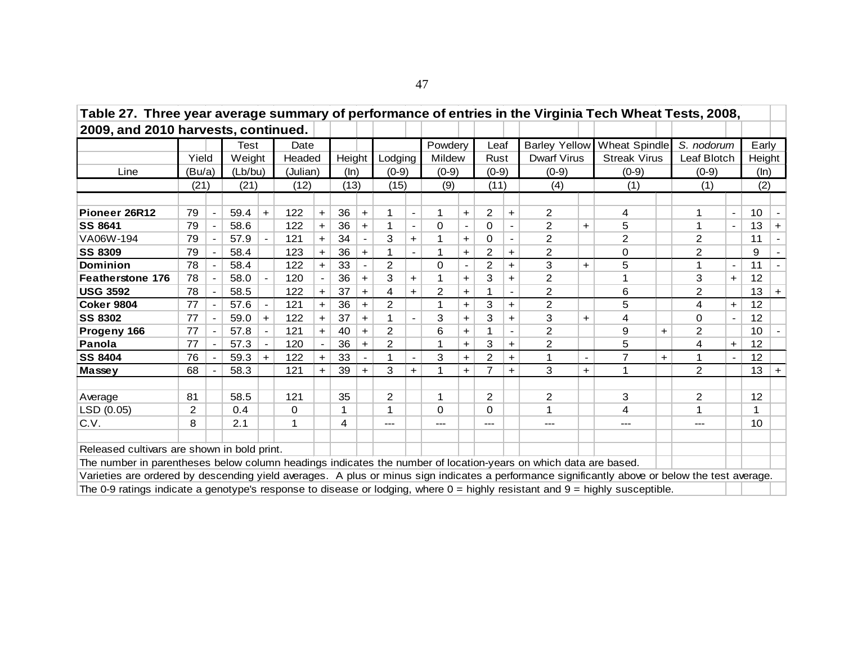| Table 27. Three year average summary of performance of entries in the Virginia Tech Wheat Tests, 2008,                                          |        |                     |         |                          |          |           |        |                |                |                          |           |                      |                |                |                      |                |                     |       |                |                |                 |          |
|-------------------------------------------------------------------------------------------------------------------------------------------------|--------|---------------------|---------|--------------------------|----------|-----------|--------|----------------|----------------|--------------------------|-----------|----------------------|----------------|----------------|----------------------|----------------|---------------------|-------|----------------|----------------|-----------------|----------|
| 2009, and 2010 harvests, continued.                                                                                                             |        |                     |         |                          |          |           |        |                |                |                          |           |                      |                |                |                      |                |                     |       |                |                |                 |          |
|                                                                                                                                                 |        |                     | Test    |                          | Date     |           |        |                |                |                          | Powdery   |                      | Leaf           |                | <b>Barley Yellow</b> |                | Wheat Spindle       |       | S. nodorum     |                | Early           |          |
|                                                                                                                                                 | Yield  |                     | Weight  |                          | Headed   |           | Height |                | Lodging        |                          | Mildew    |                      | Rust           |                | <b>Dwarf Virus</b>   |                | <b>Streak Virus</b> |       | Leaf Blotch    |                | Height          |          |
| Line                                                                                                                                            | (Bu/a) |                     | (Lb/bu) |                          | (Julian) |           | (ln)   |                | $(0-9)$        |                          | $(0-9)$   |                      | $(0-9)$        |                | $(0-9)$              |                | $(0-9)$             |       | $(0-9)$        |                | (ln)            |          |
|                                                                                                                                                 | (21)   |                     | (21)    |                          | (12)     |           | (13)   |                | (15)           |                          | (9)       |                      | (11)           |                | (4)                  |                | (1)                 |       | (1)            |                | (2)             |          |
|                                                                                                                                                 |        |                     |         |                          |          |           |        |                |                |                          |           |                      |                |                |                      |                |                     |       |                |                |                 |          |
| Pioneer 26R12                                                                                                                                   | 79     |                     | 59.4    | $+$                      | 122      | $\ddot{}$ | 36     | $+$            |                |                          | 1         | $\ddot{}$            | 2              | $\ddot{}$      | $\overline{2}$       |                | 4                   |       | 1              |                | 10              |          |
| <b>SS 8641</b>                                                                                                                                  | 79     |                     | 58.6    |                          | 122      | $\ddot{}$ | 36     | $+$            |                |                          | 0         |                      | 0              |                | 2                    | $\ddot{}$      | 5                   |       |                | $\blacksquare$ | 13              | $+$      |
| VA06W-194                                                                                                                                       | 79     | 121<br>57.9<br>58.4 |         |                          |          | $\ddot{}$ | 34     |                | 3              | +                        |           | $\ddot{}$            | $\Omega$       |                | $\overline{2}$       |                | $\overline{c}$      |       | 2              |                | 11              |          |
| <b>SS 8309</b>                                                                                                                                  | 79     |                     |         |                          | 123      | $\ddot{}$ | 36     | $\ddot{}$      |                |                          |           | $\ddot{\phantom{1}}$ | 2              | $+$            | 2                    |                | 0                   |       | 2              |                | 9               |          |
| <b>Dominion</b>                                                                                                                                 | 78     |                     | 58.4    |                          | 122      | $+$       | 33     |                | $\overline{2}$ |                          | $\Omega$  |                      | $\overline{2}$ | $+$            | 3                    | $+$            | 5                   |       | 1              | $\blacksquare$ | 11              | $\sim$ 1 |
| <b>Featherstone 176</b>                                                                                                                         | 78     |                     | 58.0    | 120                      |          | 36        | $+$    | 3              | $\ddot{}$      |                          | $\ddot{}$ | 3                    | $+$            | 2              |                      |                |                     | 3     | $+$            | 12             |                 |          |
| <b>USG 3592</b>                                                                                                                                 | 78     |                     | 58.5    |                          | 122      | $+$       | 37     | $+$            | 4              | $\ddot{}$                | 2         | $+$                  |                |                | 2                    |                | 6                   |       | 2              |                | 13              | $+$      |
| <b>Coker 9804</b>                                                                                                                               | 77     |                     | 57.6    | $\overline{\phantom{a}}$ | 121      | $+$       | 36     | $+$            | $\overline{2}$ |                          | 1         | $\ddot{}$            | 3              | $+$            | 2                    |                | 5                   |       | 4              | $+$            | 12              |          |
| <b>SS 8302</b>                                                                                                                                  | 77     |                     | 59.0    | $+$                      | 122      | $+$       | 37     | $+$            | 1              |                          | 3         | $\ddot{\phantom{1}}$ | 3              | $+$            | 3                    | $+$            | 4                   |       | 0              |                | 12              |          |
| Progeny 166                                                                                                                                     | 77     |                     | 57.8    |                          | 121      | $+$       | 40     | $\pm$          | 2              |                          | 6         | $\pm$                |                | $\blacksquare$ | 2                    |                | 9                   | $\pm$ | $\overline{2}$ |                | 10              |          |
| Panola                                                                                                                                          | 77     |                     | 57.3    |                          | 120      |           | 36     | $+$            | $\overline{2}$ |                          |           | $\ddot{\phantom{1}}$ | 3              | $+$            | 2                    |                | 5                   |       | 4              | $\ddot{}$      | 12              |          |
| <b>SS 8404</b>                                                                                                                                  | 76     |                     | 59.3    | $+$                      | 122      | $+$       | 33     | $\blacksquare$ | 1              | $\overline{\phantom{a}}$ | 3         | $+$                  | 2              | $+$            | 1                    | $\blacksquare$ | 7                   | $+$   | 1              | $\blacksquare$ | 12 <sup>°</sup> |          |
| Massey                                                                                                                                          | 68     |                     | 58.3    |                          | 121      | $+$       | 39     | $+$            | 3              | $\ddot{}$                | 1         | $\ddot{}$            | $\overline{7}$ | $+$            | 3                    | $+$            | 1                   |       | 2              |                | 13              | $+$      |
|                                                                                                                                                 |        |                     |         |                          |          |           |        |                |                |                          |           |                      |                |                |                      |                |                     |       |                |                |                 |          |
| Average                                                                                                                                         | 81     |                     | 58.5    |                          | 121      |           | 35     |                | 2              |                          | 1         |                      | 2              |                | 2                    |                | 3                   |       | 2              |                | 12              |          |
| LSD(0.05)                                                                                                                                       | 2      |                     | 0.4     |                          | 0        |           | 1      |                | 1              |                          | 0         |                      | 0              |                |                      |                | 4                   |       | 1              |                | 1               |          |
| C.V.                                                                                                                                            | 8      |                     | 2.1     |                          |          |           | 4      |                | ---            |                          | ---       |                      | ---            |                | ---                  |                | ---                 |       | ---            |                | 10              |          |
|                                                                                                                                                 |        |                     |         |                          |          |           |        |                |                |                          |           |                      |                |                |                      |                |                     |       |                |                |                 |          |
| Released cultivars are shown in bold print.                                                                                                     |        |                     |         |                          |          |           |        |                |                |                          |           |                      |                |                |                      |                |                     |       |                |                |                 |          |
| The number in parentheses below column headings indicates the number of location-years on which data are based.                                 |        |                     |         |                          |          |           |        |                |                |                          |           |                      |                |                |                      |                |                     |       |                |                |                 |          |
| Varieties are ordered by descending yield averages. A plus or minus sign indicates a performance significantly above or below the test average. |        |                     |         |                          |          |           |        |                |                |                          |           |                      |                |                |                      |                |                     |       |                |                |                 |          |
| The 0-9 ratings indicate a genotype's response to disease or lodging, where $0 =$ highly resistant and $9 =$ highly susceptible.                |        |                     |         |                          |          |           |        |                |                |                          |           |                      |                |                |                      |                |                     |       |                |                |                 |          |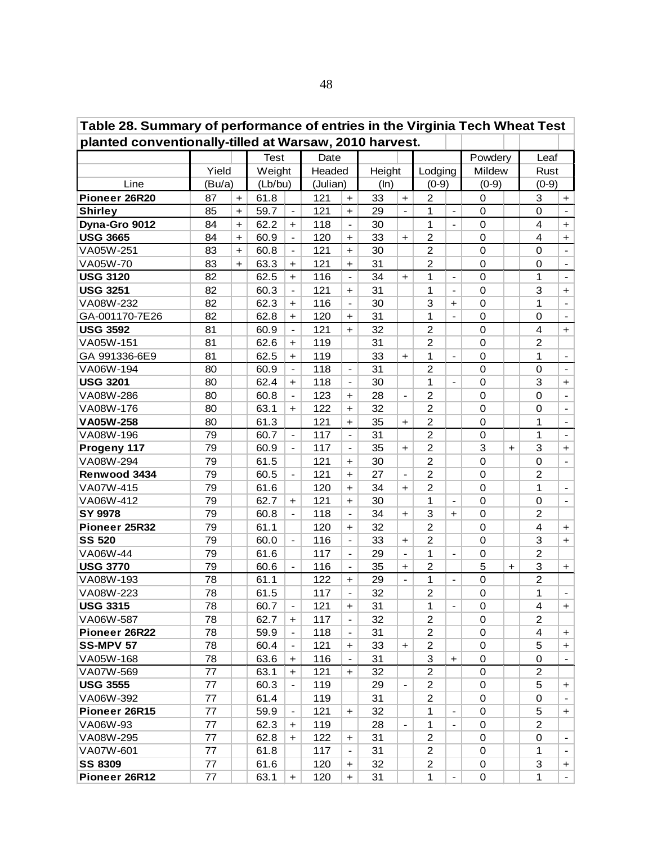| Table 28. Summary of performance of entries in the Virginia Tech Wheat Test |        |                      |             |                              |          |                          |        |                          |                         |                          |                |           |                |                          |
|-----------------------------------------------------------------------------|--------|----------------------|-------------|------------------------------|----------|--------------------------|--------|--------------------------|-------------------------|--------------------------|----------------|-----------|----------------|--------------------------|
| planted conventionally-tilled at Warsaw, 2010 harvest.                      |        |                      |             |                              |          |                          |        |                          |                         |                          |                |           |                |                          |
|                                                                             |        |                      | <b>Test</b> |                              | Date     |                          |        |                          |                         |                          | Powdery        |           | Leaf           |                          |
|                                                                             | Yield  |                      | Weight      |                              | Headed   |                          | Height |                          | Lodging                 |                          | Mildew         |           | Rust           |                          |
| Line                                                                        | (Bu/a) |                      | (Lb/bu)     |                              | (Julian) |                          | (ln)   |                          | $(0-9)$                 |                          | $(0-9)$        |           | $(0-9)$        |                          |
| Pioneer 26R20                                                               | 87     | $\ddot{}$            | 61.8        |                              | 121      | $\ddot{}$                | 33     | $\ddot{}$                | 2                       |                          | 0              |           | 3              | $+$                      |
| <b>Shirley</b>                                                              | 85     | $\ddot{}$            | 59.7        | $\overline{\phantom{a}}$     | 121      | $\ddot{}$                | 29     |                          | 1                       | $\blacksquare$           | 0              |           | 0              | $\blacksquare$           |
| Dyna-Gro 9012                                                               | 84     | $\ddot{\phantom{1}}$ | 62.2        | $\ddot{}$                    | 118      | $\blacksquare$           | 30     |                          | 1                       | $\blacksquare$           | $\mathbf 0$    |           | $\overline{4}$ | $\ddot{}$                |
| <b>USG 3665</b>                                                             | 84     | +                    | 60.9        | $\overline{\phantom{a}}$     | 120      | $\ddot{}$                | 33     | $\ddot{}$                | $\overline{\mathbf{c}}$ |                          | 0              |           | $\overline{4}$ | $\ddot{}$                |
| VA05W-251                                                                   | 83     | $\ddot{\phantom{1}}$ | 60.8        | $\overline{a}$               | 121      | $\ddot{\phantom{1}}$     | 30     |                          | $\overline{2}$          |                          | $\mathbf 0$    |           | $\Omega$       | $\blacksquare$           |
| VA05W-70                                                                    | 83     | $\ddot{\phantom{1}}$ | 63.3        | $\pm$                        | 121      | $\ddot{\phantom{1}}$     | 31     |                          | $\overline{c}$          |                          | 0              |           | $\mathbf 0$    | $\blacksquare$           |
| <b>USG 3120</b>                                                             | 82     |                      | 62.5        | $+$                          | 116      | $\overline{a}$           | 34     | $\ddot{\phantom{1}}$     | 1                       | $\overline{\phantom{a}}$ | $\overline{0}$ |           | 1              | $\overline{\phantom{a}}$ |
| <b>USG 3251</b>                                                             | 82     |                      | 60.3        | $\qquad \qquad \blacksquare$ | 121      | $\ddot{}$                | 31     |                          | 1                       | $\blacksquare$           | 0              |           | 3              | +                        |
| VA08W-232                                                                   | 82     |                      | 62.3        | $\ddot{}$                    | 116      |                          | 30     |                          | 3                       | $\ddot{}$                | $\mathbf 0$    |           | 1              | $\overline{\phantom{a}}$ |
| GA-001170-7E26                                                              | 82     |                      | 62.8        | $\ddot{}$                    | 120      | $\ddot{}$                | 31     |                          | 1                       |                          | 0              |           | 0              | $\overline{\phantom{a}}$ |
| <b>USG 3592</b>                                                             | 81     |                      | 60.9        | $\overline{\phantom{a}}$     | 121      | $+$                      | 32     |                          | $\overline{2}$          |                          | $\overline{0}$ |           | $\overline{4}$ | $\ddot{}$                |
| VA05W-151                                                                   | 81     |                      | 62.6        | $\ddot{}$                    | 119      |                          | 31     |                          | $\overline{c}$          |                          | 0              |           | $\overline{c}$ |                          |
| GA 991336-6E9                                                               | 81     |                      | 62.5        | $\ddot{}$                    | 119      |                          | 33     | $\ddot{}$                | 1                       | $\blacksquare$           | 0              |           | 1              | $\overline{\phantom{a}}$ |
| VA06W-194                                                                   | 80     |                      | 60.9        |                              | 118      |                          | 31     |                          | $\overline{2}$          |                          | 0              |           | $\Omega$       |                          |
| <b>USG 3201</b>                                                             | 80     |                      | 62.4        | $\ddot{}$                    | 118      | $\overline{\phantom{a}}$ | 30     |                          | 1                       |                          | 0              |           | 3              | $\ddot{}$                |
| VA08W-286                                                                   | 80     |                      | 60.8        |                              | 123      | $\ddot{}$                | 28     | $\overline{\phantom{a}}$ | 2                       |                          | 0              |           | $\mathbf 0$    | $\overline{\phantom{a}}$ |
| VA08W-176                                                                   | 80     |                      | 63.1        | $\ddot{}$                    | 122      | $\ddot{}$                | 32     |                          | $\overline{c}$          |                          | 0              |           | 0              | $\overline{\phantom{a}}$ |
| VA05W-258                                                                   | 80     |                      | 61.3        |                              | 121      | $\ddot{}$                | 35     | $+$                      | $\overline{2}$          |                          | 0              |           | 1              | $\blacksquare$           |
| VA08W-196                                                                   | 79     |                      | 60.7        | $\blacksquare$               | 117      | $\blacksquare$           | 31     |                          | $\overline{2}$          |                          | 0              |           | 1              | $\blacksquare$           |
| Progeny 117                                                                 | 79     |                      | 60.9        | $\overline{\phantom{0}}$     | 117      | $\blacksquare$           | 35     | $+$                      | $\overline{c}$          |                          | 3              | $\ddot{}$ | 3              | $\pm$                    |
| VA08W-294                                                                   | 79     |                      | 61.5        |                              | 121      | $\pm$                    | 30     |                          | 2                       |                          | 0              |           | 0              | $\blacksquare$           |
| Renwood 3434                                                                | 79     |                      | 60.5        | $\overline{\phantom{0}}$     | 121      | $\ddot{}$                | 27     | $\blacksquare$           | $\overline{c}$          |                          | 0              |           | $\overline{2}$ |                          |
| VA07W-415                                                                   | 79     |                      | 61.6        |                              | 120      | $\ddot{}$                | 34     | $\ddot{}$                | $\overline{2}$          |                          | 0              |           | 1              |                          |
| VA06W-412                                                                   | 79     |                      | 62.7        | $\pm$                        | 121      | $\ddot{}$                | 30     |                          | 1                       | $\blacksquare$           | 0              |           | $\mathbf 0$    |                          |
| SY 9978                                                                     | 79     |                      | 60.8        |                              | 118      |                          | 34     | $\ddot{}$                | 3                       | $\ddot{\phantom{1}}$     | 0              |           | $\overline{c}$ |                          |
| Pioneer 25R32                                                               | 79     |                      | 61.1        |                              | 120      | $\ddot{}$                | 32     |                          | $\overline{2}$          |                          | 0              |           | 4              | $\ddot{}$                |
| <b>SS 520</b>                                                               | 79     |                      | 60.0        | $\frac{1}{2}$                | 116      | $\blacksquare$           | 33     | $\ddot{}$                | $\overline{2}$          |                          | 0              |           | 3              | $\ddot{}$                |
| VA06W-44                                                                    | 79     |                      | 61.6        |                              | 117      | $\blacksquare$           | 29     | $\blacksquare$           | 1                       | $\overline{\phantom{a}}$ | 0              |           | 2              |                          |
| <b>USG 3770</b>                                                             | 79     |                      | 60.6        | $\overline{\phantom{a}}$     | 116      | $\blacksquare$           | 35     | $\ddot{}$                | $\overline{c}$          |                          | 5              | $\ddot{}$ | 3              | $\ddot{}$                |
| VA08W-193                                                                   | 78     |                      | 61.1        |                              | 122      | $\ddot{}$                | 29     |                          | 1                       | $\blacksquare$           | $\mathbf 0$    |           | $\overline{c}$ |                          |
| VA08W-223                                                                   | 78     |                      | 61.5        |                              | 117      |                          | 32     |                          | $\overline{c}$          |                          | 0              |           | 1              | $\overline{\phantom{a}}$ |
| <b>USG 3315</b>                                                             | 78     |                      | 60.7        | $\blacksquare$               | 121      | $\pm$                    | 31     |                          | 1                       | $\overline{\phantom{a}}$ | 0              |           | 4              | $\ddot{}$                |
| VA06W-587                                                                   | 78     |                      | 62.7        | $\ddot{}$                    | 117      |                          | 32     |                          | 2                       |                          | 0              |           | 2              |                          |
| Pioneer 26R22                                                               | 78     |                      | 59.9        |                              | 118      | $\overline{\phantom{a}}$ | 31     |                          | $\overline{2}$          |                          | 0              |           | 4              | $+$                      |
| <b>SS-MPV 57</b>                                                            | 78     |                      | 60.4        | $\overline{\phantom{a}}$     | 121      | $\ddot{}$                | 33     | $+$                      | $\overline{2}$          |                          | $\mathbf 0$    |           | 5              | $+$                      |
| VA05W-168                                                                   | 78     |                      | 63.6        | $+$                          | 116      | $\hbox{--}$              | 31     |                          | 3                       | $\ddot{}$                | 0              |           | 0              | $\blacksquare$           |
| VA07W-569                                                                   | 77     |                      | 63.1        | $+$                          | 121      | $\ddot{}$                | 32     |                          | $\overline{2}$          |                          | $\mathbf 0$    |           | $\overline{2}$ |                          |
| <b>USG 3555</b>                                                             | 77     |                      | 60.3        |                              | 119      |                          | 29     | $\blacksquare$           | 2                       |                          | 0              |           | 5              | $+$                      |
| VA06W-392                                                                   | 77     |                      | 61.4        |                              | 119      |                          | 31     |                          | $\overline{c}$          |                          | $\pmb{0}$      |           | 0              |                          |
| Pioneer 26R15                                                               | 77     |                      | 59.9        | $\qquad \qquad \blacksquare$ | 121      | $\ddot{}$                | 32     |                          | 1                       |                          | $\mathbf 0$    |           | 5              | $+$                      |
| VA06W-93                                                                    | 77     |                      | 62.3        | $\ddot{}$                    | 119      |                          | 28     |                          | $\mathbf{1}$            | $\blacksquare$           | $\mathbf 0$    |           | 2              |                          |
| VA08W-295                                                                   | 77     |                      | 62.8        | $\ddot{}$                    | 122      | +                        | 31     |                          | $\overline{c}$          |                          | 0              |           | 0              |                          |
| VA07W-601                                                                   | 77     |                      | 61.8        |                              | 117      |                          | 31     |                          | $\overline{2}$          |                          | 0              |           | 1              | $\blacksquare$           |
| <b>SS 8309</b>                                                              | 77     |                      | 61.6        |                              | 120      | $\pm$                    | 32     |                          | $\overline{2}$          |                          | 0              |           | 3              | $+$                      |
| Pioneer 26R12                                                               | 77     |                      | 63.1        | $\ddot{}$                    | 120      | $\ddot{}$                | 31     |                          | $\mathbf{1}$            |                          | $\pmb{0}$      |           | 1              |                          |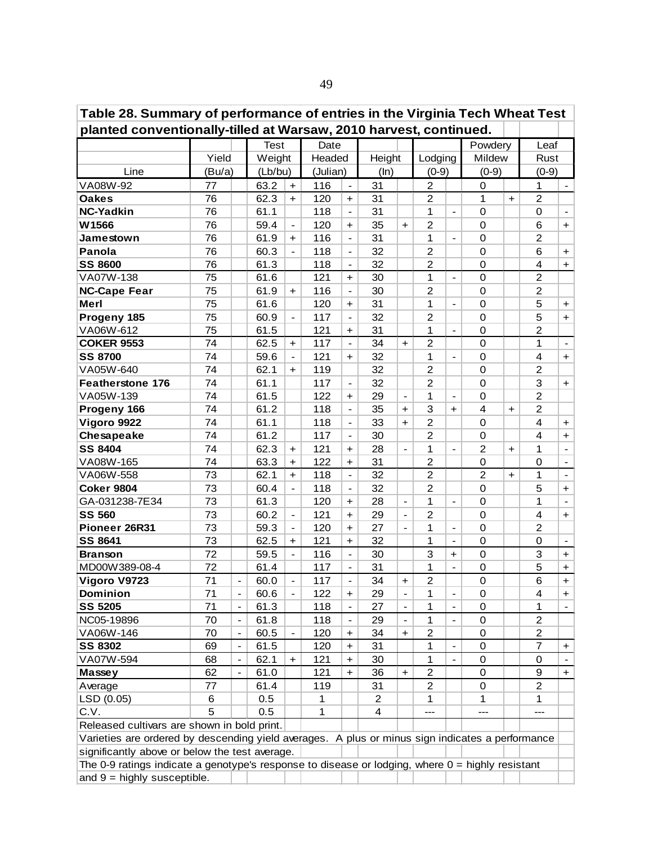| Table 28. Summary of performance of entries in the Virginia Tech Wheat Test                      |        |                              |             |                                  |          |                          |        |                          |                |                              |                  |           |                |                          |
|--------------------------------------------------------------------------------------------------|--------|------------------------------|-------------|----------------------------------|----------|--------------------------|--------|--------------------------|----------------|------------------------------|------------------|-----------|----------------|--------------------------|
| planted conventionally-tilled at Warsaw, 2010 harvest, continued.                                |        |                              |             |                                  |          |                          |        |                          |                |                              |                  |           |                |                          |
|                                                                                                  |        |                              | <b>Test</b> |                                  | Date     |                          |        |                          |                |                              | Powdery          |           | Leaf           |                          |
|                                                                                                  | Yield  |                              | Weight      |                                  | Headed   |                          | Height |                          | Lodging        |                              | Mildew           |           | Rust           |                          |
| Line                                                                                             | (Bu/a) |                              | (Lb/bu)     |                                  | (Julian) |                          | (ln)   |                          | $(0-9)$        |                              | $(0-9)$          |           | $(0-9)$        |                          |
| VA08W-92                                                                                         | 77     |                              | 63.2        | $\ddot{}$                        | 116      | $\hbox{--}$              | 31     |                          | $\overline{c}$ |                              | 0                |           | 1              | $\sim$                   |
| <b>Oakes</b>                                                                                     | 76     |                              | 62.3        | $+$                              | 120      | $\ddot{}$                | 31     |                          | $\overline{2}$ |                              | 1                | $+$       | $\overline{2}$ |                          |
| NC-Yadkin                                                                                        | 76     |                              | 61.1        |                                  | 118      | $\blacksquare$           | 31     |                          | 1              | $\overline{\phantom{a}}$     | $\Omega$         |           | 0              | $\blacksquare$           |
| W1566                                                                                            | 76     |                              | 59.4        | $\frac{1}{2}$                    | 120      | $\ddot{}$                | 35     | $+$                      | $\overline{2}$ |                              | $\mathbf 0$      |           | 6              | $+$                      |
| Jamestown                                                                                        | 76     |                              | 61.9        | $\ddot{}$                        | 116      | $\blacksquare$           | 31     |                          | 1              |                              | $\mathbf 0$      |           | $\overline{c}$ |                          |
| Panola                                                                                           | 76     |                              | 60.3        | $\frac{1}{2}$                    | 118      | $\overline{\phantom{a}}$ | 32     |                          | $\overline{2}$ |                              | $\mathbf 0$      |           | 6              | $+$                      |
| <b>SS 8600</b>                                                                                   | 76     |                              | 61.3        |                                  | 118      |                          | 32     |                          | $\overline{2}$ |                              | 0                |           | 4              | $+$                      |
| VA07W-138                                                                                        | 75     |                              | 61.6        |                                  | 121      | $\ddot{\phantom{1}}$     | 30     |                          | 1              | $\overline{\phantom{a}}$     | $\mathbf 0$      |           | $\overline{c}$ |                          |
| <b>NC-Cape Fear</b>                                                                              | 75     |                              | 61.9        | $\ddot{}$                        | 116      | $\blacksquare$           | 30     |                          | $\overline{2}$ |                              | $\mathbf 0$      |           | $\overline{c}$ |                          |
| Merl                                                                                             | 75     |                              | 61.6        |                                  | 120      | $\ddot{}$                | 31     |                          | 1              | $\overline{\phantom{a}}$     | $\mathbf 0$      |           | 5              | $+$                      |
| Progeny 185                                                                                      | 75     |                              | 60.9        | $\overline{\phantom{0}}$         | 117      | $\blacksquare$           | 32     |                          | $\overline{2}$ |                              | $\Omega$         |           | 5              | $+$                      |
| VA06W-612                                                                                        | 75     |                              | 61.5        |                                  | 121      | $\ddot{}$                | 31     |                          | 1              | $\frac{1}{2}$                | 0                |           | $\overline{c}$ |                          |
| <b>COKER 9553</b>                                                                                | 74     |                              | 62.5        | $\ddot{}$                        | 117      | $\overline{a}$           | 34     | $\ddot{}$                | $\overline{2}$ |                              | $\Omega$         |           | 1              |                          |
| <b>SS 8700</b>                                                                                   | 74     |                              | 59.6        |                                  | 121      | $\ddot{}$                | 32     |                          | 1              |                              | 0                |           | 4              | $+$                      |
| VA05W-640                                                                                        | 74     |                              | 62.1        | $\ddot{}$                        | 119      |                          | 32     |                          | $\overline{2}$ |                              | 0                |           | $\overline{2}$ |                          |
| <b>Featherstone 176</b>                                                                          | 74     |                              | 61.1        |                                  | 117      | $\overline{\phantom{a}}$ | 32     |                          | $\overline{c}$ |                              | 0                |           | 3              | $+$                      |
| VA05W-139                                                                                        | 74     |                              | 61.5        |                                  | 122      | $\ddot{}$                | 29     | $\overline{\phantom{a}}$ | 1              | $\overline{\phantom{a}}$     | 0                |           | $\overline{2}$ |                          |
| Progeny 166                                                                                      | 74     |                              | 61.2        |                                  | 118      | $\blacksquare$           | 35     | $\ddot{}$                | 3              | $\ddot{}$                    | $\overline{4}$   | $\ddot{}$ | $\overline{2}$ |                          |
| Vigoro 9922                                                                                      | 74     |                              | 61.1        |                                  | 118      | $\blacksquare$           | 33     | $+$                      | $\overline{2}$ |                              | 0                |           | 4              | $+$                      |
| Chesapeake                                                                                       | 74     |                              | 61.2        |                                  | 117      | $\blacksquare$           | 30     |                          | $\overline{2}$ |                              | $\mathbf 0$      |           | $\overline{4}$ | $+$                      |
| <b>SS 8404</b>                                                                                   | 74     |                              | 62.3        | $\ddot{}$                        | 121      | $+$                      | 28     | $\overline{\phantom{a}}$ | 1              | $\blacksquare$               | $\overline{2}$   | $+$       | 1              | $\overline{\phantom{0}}$ |
| VA08W-165                                                                                        | 74     |                              | 63.3        | +                                | 122      | $\ddot{\phantom{1}}$     | 31     |                          | $\overline{c}$ |                              | 0                |           | 0              |                          |
| VA06W-558                                                                                        | 73     |                              | 62.1        | $\begin{array}{c} + \end{array}$ | 118      | $\overline{a}$           | 32     |                          | $\overline{2}$ |                              | $\overline{2}$   | $+$       | 1              |                          |
| <b>Coker 9804</b>                                                                                | 73     |                              | 60.4        | $\frac{1}{2}$                    | 118      | $\overline{\phantom{a}}$ | 32     |                          | $\overline{2}$ |                              | $\Omega$         |           | 5              | $\ddot{}$                |
| GA-031238-7E34                                                                                   | 73     |                              | 61.3        |                                  | 120      | $\ddot{}$                | 28     |                          | 1              | $\frac{1}{2}$                | $\mathbf 0$      |           | 1              |                          |
| <b>SS 560</b>                                                                                    | 73     |                              | 60.2        | $\qquad \qquad \blacksquare$     | 121      | $\ddot{}$                | 29     | $\overline{\phantom{a}}$ | $\overline{2}$ |                              | $\mathbf 0$      |           | 4              | $+$                      |
| Pioneer 26R31                                                                                    | 73     |                              | 59.3        | $\overline{\phantom{0}}$         | 120      | $\ddot{}$                | 27     | $\blacksquare$           | 1              | $\overline{\phantom{a}}$     | $\mathbf 0$      |           | $\overline{c}$ |                          |
| SS 8641                                                                                          | 73     |                              | 62.5        | $\ddot{}$                        | 121      | $\ddot{}$                | 32     |                          | 1              | $\blacksquare$               | $\mathbf 0$      |           | $\mathbf 0$    |                          |
| <b>Branson</b>                                                                                   | 72     |                              | 59.5        | $\overline{\phantom{a}}$         | 116      | $\blacksquare$           | 30     |                          | 3              | $\ddot{\phantom{1}}$         | $\mathbf 0$      |           | 3              | $+$                      |
| MD00W389-08-4                                                                                    | 72     |                              | 61.4        |                                  | 117      |                          | 31     |                          | 1              |                              | $\boldsymbol{0}$ |           | 5              | $+$                      |
| Vigoro V9723                                                                                     | 71     | $\qquad \qquad \blacksquare$ | 60.0        | $\qquad \qquad -$                | 117      | $\blacksquare$           | 34     | $\ddag$                  | $\overline{c}$ |                              | $\mathsf 0$      |           | 6              | $+$                      |
| Dominion                                                                                         | 71     | $\qquad \qquad \blacksquare$ | 60.6        | $\overline{\phantom{0}}$         | 122      | +                        | 29     | $\overline{\phantom{0}}$ | 1              | $\overline{\phantom{a}}$     | 0                |           | 4              | $+$                      |
| <b>SS 5205</b>                                                                                   | 71     | $\qquad \qquad \blacksquare$ | 61.3        |                                  | 118      | $\overline{\phantom{a}}$ | 27     |                          | 1              | $\qquad \qquad \blacksquare$ | 0                |           | 1              | $\sim$                   |
| NC05-19896                                                                                       | 70     | $\qquad \qquad \blacksquare$ | 61.8        |                                  | 118      | $\overline{\phantom{a}}$ | 29     | $\blacksquare$           | 1              | $\blacksquare$               | 0                |           | $\overline{2}$ |                          |
| VA06W-146                                                                                        | 70     | $\qquad \qquad \blacksquare$ | 60.5        | $\qquad \qquad \blacksquare$     | 120      | $\ddot{}$                | 34     | $\ddot{}$                | $\overline{c}$ |                              | 0                |           | $\overline{c}$ |                          |
| <b>SS 8302</b>                                                                                   | 69     | $\blacksquare$               | 61.5        |                                  | 120      | $\ddot{}$                | 31     |                          | 1              | $\overline{\phantom{a}}$     | 0                |           | $\overline{7}$ | $+$                      |
| VA07W-594                                                                                        | 68     | $\frac{1}{2}$                | 62.1        | +                                | 121      | $\ddot{}$                | 30     |                          | 1              | $\blacksquare$               | 0                |           | 0              | $\sim$                   |
| Massey                                                                                           | 62     | $\frac{1}{2}$                | 61.0        |                                  | 121      | $\ddagger$               | 36     | $\ddot{}$                | $\overline{c}$ |                              | 0                |           | 9              | $+$                      |
| Average                                                                                          | 77     |                              | 61.4        |                                  | 119      |                          | 31     |                          | $\overline{2}$ |                              | 0                |           | $\overline{c}$ |                          |
| LSD (0.05)                                                                                       | 6      |                              | 0.5         |                                  | 1        |                          | 2      |                          | 1              |                              | 1                |           | 1              |                          |
| C.V.                                                                                             | 5      |                              | 0.5         |                                  | 1        |                          | 4      |                          | ---            |                              | $---$            |           | ---            |                          |
| Released cultivars are shown in bold print.                                                      |        |                              |             |                                  |          |                          |        |                          |                |                              |                  |           |                |                          |
| Varieties are ordered by descending yield averages. A plus or minus sign indicates a performance |        |                              |             |                                  |          |                          |        |                          |                |                              |                  |           |                |                          |
| significantly above or below the test average.                                                   |        |                              |             |                                  |          |                          |        |                          |                |                              |                  |           |                |                          |
| The 0-9 ratings indicate a genotype's response to disease or lodging, where 0 = highly resistant |        |                              |             |                                  |          |                          |        |                          |                |                              |                  |           |                |                          |
| and $9 =$ highly susceptible.                                                                    |        |                              |             |                                  |          |                          |        |                          |                |                              |                  |           |                |                          |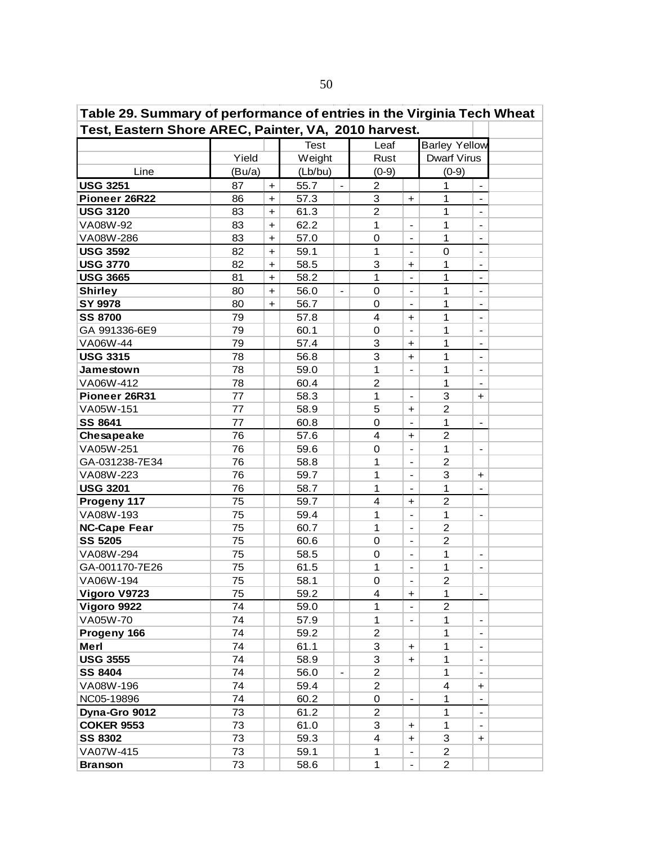| Table 29. Summary of performance of entries in the Virginia Tech Wheat |        |                                  |             |                          |                |                              |                      |                              |  |
|------------------------------------------------------------------------|--------|----------------------------------|-------------|--------------------------|----------------|------------------------------|----------------------|------------------------------|--|
| Test, Eastern Shore AREC, Painter, VA, 2010 harvest.                   |        |                                  |             |                          |                |                              |                      |                              |  |
|                                                                        |        |                                  | <b>Test</b> |                          | Leaf           |                              | <b>Barley Yellow</b> |                              |  |
|                                                                        | Yield  |                                  | Weight      |                          | Rust           |                              | <b>Dwarf Virus</b>   |                              |  |
| Line                                                                   | (Bu/a) |                                  | (Lb/bu)     |                          | $(0-9)$        |                              | $(0-9)$              |                              |  |
| <b>USG 3251</b>                                                        | 87     | $\ddot{}$                        | 55.7        | $\blacksquare$           | 2              |                              | 1                    | $\overline{\phantom{a}}$     |  |
| Pioneer 26R22                                                          | 86     | $\begin{array}{c} + \end{array}$ | 57.3        |                          | 3              | $\ddot{}$                    | 1                    | $\blacksquare$               |  |
| <b>USG 3120</b>                                                        | 83     | $\ddot{}$                        | 61.3        |                          | $\overline{2}$ |                              | 1                    | $\overline{\phantom{a}}$     |  |
| VA08W-92                                                               | 83     | $\ddot{}$                        | 62.2        |                          | 1              | $\qquad \qquad \blacksquare$ | 1                    | $\overline{a}$               |  |
| VA08W-286                                                              | 83     | $\ddot{}$                        | 57.0        |                          | 0              | $\qquad \qquad -$            | 1                    | $\qquad \qquad -$            |  |
| <b>USG 3592</b>                                                        | 82     | $\ddot{}$                        | 59.1        |                          | 1              | $\overline{\phantom{0}}$     | $\boldsymbol{0}$     | $\blacksquare$               |  |
| <b>USG 3770</b>                                                        | 82     | $\ddot{}$                        | 58.5        |                          | 3              | $\div$                       | 1                    | $\overline{\phantom{a}}$     |  |
| <b>USG 3665</b>                                                        | 81     | $\ddot{}$                        | 58.2        |                          | $\mathbf{1}$   | $\overline{\phantom{a}}$     | 1                    | $\overline{\phantom{a}}$     |  |
| <b>Shirley</b>                                                         | 80     | $\ddot{}$                        | 56.0        | $\overline{\phantom{a}}$ | 0              | $\overline{\phantom{a}}$     | 1                    | $\blacksquare$               |  |
| SY 9978                                                                | 80     | $\ddot{}$                        | 56.7        |                          | $\mathbf 0$    | $\blacksquare$               | 1                    | $\overline{\phantom{0}}$     |  |
| <b>SS 8700</b>                                                         | 79     |                                  | 57.8        |                          | 4              | $+$                          | 1                    | $\overline{a}$               |  |
| GA 991336-6E9                                                          | 79     |                                  | 60.1        |                          | 0              |                              | 1                    | $\overline{a}$               |  |
| VA06W-44                                                               | 79     |                                  | 57.4        |                          | 3              | $\ddag$                      | 1                    |                              |  |
| <b>USG 3315</b>                                                        | 78     |                                  | 56.8        |                          | 3              | $\ddot{}$                    | 1                    | $\overline{\phantom{a}}$     |  |
| Jamestown                                                              | 78     |                                  | 59.0        |                          | $\mathbf{1}$   | $\frac{1}{2}$                | 1                    | $\qquad \qquad \blacksquare$ |  |
| VA06W-412                                                              | 78     |                                  | 60.4        |                          | $\overline{c}$ |                              | 1                    |                              |  |
| Pioneer 26R31                                                          | 77     |                                  | 58.3        |                          | $\mathbf{1}$   |                              | 3                    | $\ddot{}$                    |  |
| VA05W-151                                                              | 77     |                                  | 58.9        |                          | 5              | $\ddot{}$                    | $\overline{2}$       |                              |  |
| SS 8641                                                                | 77     |                                  | 60.8        |                          | $\mathbf 0$    |                              | 1                    | $\blacksquare$               |  |
| Chesapeake                                                             | 76     |                                  | 57.6        |                          | 4              | $\ddot{}$                    | $\overline{c}$       |                              |  |
| VA05W-251                                                              | 76     |                                  | 59.6        |                          | 0              |                              | 1                    | $\overline{\phantom{0}}$     |  |
| GA-031238-7E34                                                         | 76     |                                  | 58.8        |                          | 1              | $\qquad \qquad \blacksquare$ | $\overline{2}$       |                              |  |
| VA08W-223                                                              | 76     |                                  | 59.7        |                          | 1              | $\qquad \qquad \blacksquare$ | 3                    | $\ddot{}$                    |  |
| <b>USG 3201</b>                                                        | 76     |                                  | 58.7        |                          | $\mathbf 1$    | $\overline{\phantom{a}}$     | 1                    | $\overline{\phantom{a}}$     |  |
| Progeny 117                                                            | 75     |                                  | 59.7        |                          | 4              | $\ddot{}$                    | $\overline{2}$       |                              |  |
| VA08W-193                                                              | 75     |                                  | 59.4        |                          | $\mathbf 1$    | $\overline{\phantom{a}}$     | 1                    | $\overline{\phantom{a}}$     |  |
| <b>NC-Cape Fear</b>                                                    | 75     |                                  | 60.7        |                          | $\mathbf 1$    | $\blacksquare$               | $\overline{2}$       |                              |  |
| <b>SS 5205</b>                                                         | 75     |                                  | 60.6        |                          | 0              | $\blacksquare$               | $\overline{2}$       |                              |  |
| VA08W-294                                                              | 75     |                                  | 58.5        |                          | 0              |                              | 1                    | $\overline{a}$               |  |
| GA-001170-7E26                                                         | 75     |                                  | 61.5        |                          | $\mathbf 1$    |                              | 1                    | $\overline{a}$               |  |
| VA06W-194                                                              | 75     |                                  | 58.1        |                          | $\mathbf 0$    | $\frac{1}{2}$                | $\overline{c}$       |                              |  |
| Vigoro V9723                                                           | 75     |                                  | 59.2        |                          | 4              | $\ddot{}$                    | 1                    | $\qquad \qquad \blacksquare$ |  |
| Vigoro 9922                                                            | 74     |                                  | 59.0        |                          | 1              |                              | $\overline{2}$       |                              |  |
| VA05W-70                                                               | 74     |                                  | 57.9        |                          | $\mathbf{1}$   |                              | 1                    | $\overline{\phantom{a}}$     |  |
| Progeny 166                                                            | 74     |                                  | 59.2        |                          | $\overline{c}$ |                              | 1                    | $\overline{\phantom{a}}$     |  |
| Merl                                                                   | 74     |                                  | 61.1        |                          | 3              | $\ddot{}$                    | 1                    |                              |  |
| <b>USG 3555</b>                                                        | 74     |                                  | 58.9        |                          | 3              | $\ddot{}$                    | 1                    |                              |  |
| <b>SS 8404</b>                                                         | 74     |                                  | 56.0        |                          | $\overline{c}$ |                              | 1                    | $\qquad \qquad \blacksquare$ |  |
| VA08W-196                                                              | 74     |                                  | 59.4        |                          | 2              |                              | 4                    | $\ddot{}$                    |  |
| NC05-19896                                                             | 74     |                                  | 60.2        |                          | 0              | $\blacksquare$               | 1                    | $\overline{\phantom{a}}$     |  |
| Dyna-Gro 9012                                                          | 73     |                                  | 61.2        |                          | $\overline{2}$ |                              | 1                    | $\overline{\phantom{a}}$     |  |
| <b>COKER 9553</b>                                                      | 73     |                                  | 61.0        |                          | 3              | $\ddot{}$                    | 1                    | $\overline{\phantom{a}}$     |  |
| <b>SS 8302</b>                                                         | 73     |                                  | 59.3        |                          | 4              | $\ddot{\phantom{1}}$         | 3                    | $+$                          |  |
| VA07W-415                                                              | 73     |                                  | 59.1        |                          | 1              | $\overline{\phantom{a}}$     | $\overline{2}$       |                              |  |
| <b>Branson</b>                                                         | 73     |                                  | 58.6        |                          | $\mathbf{1}$   | $\blacksquare$               | $\overline{2}$       |                              |  |

r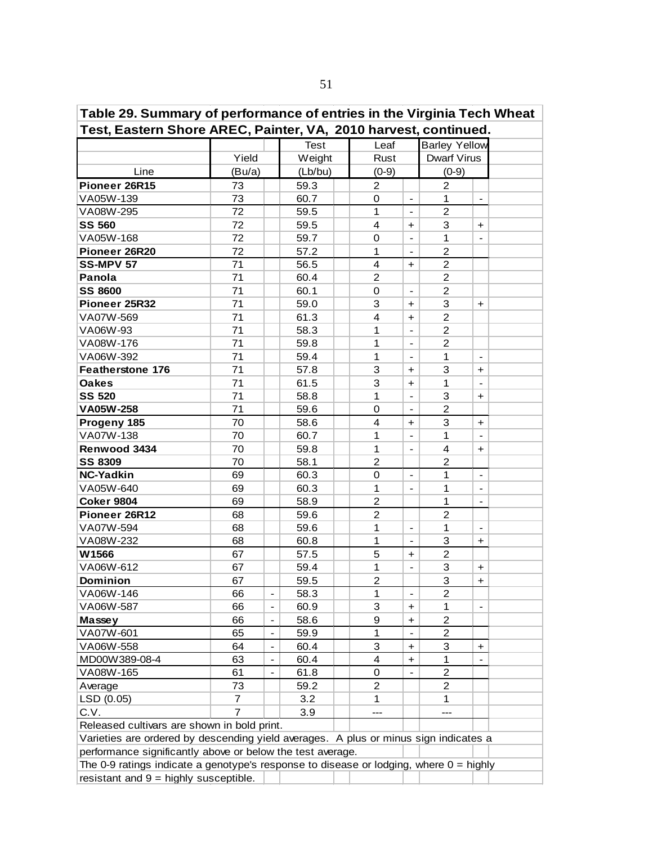| Table 29. Summary of performance of entries in the Virginia Tech Wheat                   |        |                              |             |                          |                                  |                      |                          |  |
|------------------------------------------------------------------------------------------|--------|------------------------------|-------------|--------------------------|----------------------------------|----------------------|--------------------------|--|
| Test, Eastern Shore AREC, Painter, VA, 2010 harvest, continued.                          |        |                              |             |                          |                                  |                      |                          |  |
|                                                                                          |        |                              | <b>Test</b> | Leaf                     |                                  | <b>Barley Yellow</b> |                          |  |
|                                                                                          | Yield  |                              | Weight      | Rust                     |                                  | <b>Dwarf Virus</b>   |                          |  |
| Line                                                                                     | (Bu/a) |                              | (Lb/bu)     | $(0-9)$                  |                                  | $(0-9)$              |                          |  |
| Pioneer 26R15                                                                            | 73     |                              | 59.3        | $\overline{2}$           |                                  | 2                    |                          |  |
| VA05W-139                                                                                | 73     |                              | 60.7        | 0                        | $\overline{\phantom{a}}$         | $\mathbf 1$          | $\overline{\phantom{a}}$ |  |
| VA08W-295                                                                                | 72     |                              | 59.5        | 1                        |                                  | $\overline{2}$       |                          |  |
| <b>SS 560</b>                                                                            | 72     |                              | 59.5        | 4                        | $\ddot{}$                        | 3                    | $\div$                   |  |
| VA05W-168                                                                                | 72     |                              | 59.7        | 0                        |                                  | 1                    |                          |  |
| Pioneer 26R20                                                                            | 72     |                              | 57.2        | 1                        |                                  | $\overline{c}$       |                          |  |
| <b>SS-MPV 57</b>                                                                         | 71     |                              | 56.5        | 4                        | $\ddot{\phantom{1}}$             | $\overline{c}$       |                          |  |
| Panola                                                                                   | 71     |                              | 60.4        | $\overline{c}$           |                                  | $\overline{c}$       |                          |  |
| <b>SS 8600</b>                                                                           | 71     |                              | 60.1        | 0                        | $\overline{\phantom{a}}$         | $\overline{2}$       |                          |  |
| Pioneer 25R32                                                                            | 71     |                              | 59.0        | 3                        | $\ddot{\phantom{1}}$             | 3                    | $+$                      |  |
| VA07W-569                                                                                | 71     |                              | 61.3        | 4                        | $\ddot{}$                        | 2                    |                          |  |
| VA06W-93                                                                                 | 71     |                              | 58.3        | 1                        |                                  | $\overline{c}$       |                          |  |
| VA08W-176                                                                                | 71     |                              | 59.8        | 1                        |                                  | $\overline{2}$       |                          |  |
| VA06W-392                                                                                | 71     |                              | 59.4        | 1                        |                                  | $\mathbf{1}$         |                          |  |
| <b>Featherstone 176</b>                                                                  | 71     |                              | 57.8        | 3                        | $\begin{array}{c} + \end{array}$ | 3                    | $\ddot{}$                |  |
| <b>Oakes</b>                                                                             | 71     |                              | 61.5        | 3                        | $\ddot{}$                        | 1                    |                          |  |
| <b>SS 520</b>                                                                            | 71     |                              | 58.8        | 1                        |                                  | 3                    | $\ddot{}$                |  |
| VA05W-258                                                                                | 71     |                              | 59.6        | 0                        |                                  | $\overline{2}$       |                          |  |
| Progeny 185                                                                              | 70     |                              | 58.6        | $\overline{4}$           | $\ddot{}$                        | 3                    | $\ddot{}$                |  |
| VA07W-138                                                                                | 70     |                              | 60.7        | 1                        |                                  | 1                    |                          |  |
| Renwood 3434                                                                             | 70     |                              | 59.8        | 1                        |                                  | 4                    | $\ddot{}$                |  |
| <b>SS 8309</b>                                                                           | 70     |                              | 58.1        | $\overline{c}$           |                                  | 2                    |                          |  |
| <b>NC-Yadkin</b>                                                                         | 69     |                              | 60.3        | 0                        | $\overline{\phantom{a}}$         | 1                    | $\overline{\phantom{a}}$ |  |
| VA05W-640                                                                                | 69     |                              | 60.3        | 1                        |                                  | 1                    | $\overline{\phantom{a}}$ |  |
| <b>Coker 9804</b>                                                                        | 69     |                              | 58.9        | $\overline{c}$           |                                  | 1                    | $\overline{\phantom{a}}$ |  |
| Pioneer 26R12                                                                            | 68     |                              | 59.6        | $\overline{2}$           |                                  | $\overline{2}$       |                          |  |
| VA07W-594                                                                                | 68     |                              | 59.6        | 1                        | $\overline{\phantom{a}}$         | $\mathbf{1}$         | $\blacksquare$           |  |
| VA08W-232                                                                                | 68     |                              | 60.8        | 1                        |                                  | 3                    | $+$                      |  |
| W1566                                                                                    | 67     |                              | 57.5        | 5                        | +                                | $\overline{2}$       |                          |  |
| VA06W-612                                                                                | 67     |                              | 59.4        | 1                        |                                  | 3                    | +                        |  |
| <b>Dominion</b>                                                                          | 67     |                              | 59.5        | $\overline{c}$           |                                  | 3                    | $\ddot{}$                |  |
| VA06W-146                                                                                | 66     | $\qquad \qquad \blacksquare$ | 58.3        | 1                        | $\overline{\phantom{0}}$         | 2                    |                          |  |
| VA06W-587                                                                                | 66     | $\qquad \qquad \blacksquare$ | 60.9        | 3                        | $\ddot{}$                        | 1                    |                          |  |
| Massey                                                                                   | 66     | $\qquad \qquad \blacksquare$ | 58.6        | 9                        | +                                | $\overline{c}$       |                          |  |
| VA07W-601                                                                                | 65     | $\qquad \qquad \blacksquare$ | 59.9        | 1                        |                                  | $\overline{2}$       |                          |  |
| VA06W-558                                                                                | 64     | $\qquad \qquad \blacksquare$ | 60.4        | 3                        | +                                | 3                    | $\ddot{}$                |  |
| MD00W389-08-4                                                                            | 63     |                              | 60.4        | $\overline{\mathcal{A}}$ | +                                | 1                    |                          |  |
| VA08W-165                                                                                | 61     |                              | 61.8        | 0                        |                                  | $\overline{c}$       |                          |  |
| Average                                                                                  | 73     |                              | 59.2        | $\overline{2}$           |                                  | 2                    |                          |  |
| LSD (0.05)                                                                               | 7      |                              | 3.2         | 1                        |                                  | $\mathbf{1}$         |                          |  |
| C.V.                                                                                     | 7      |                              | 3.9         | ---                      |                                  | ---                  |                          |  |
| Released cultivars are shown in bold print.                                              |        |                              |             |                          |                                  |                      |                          |  |
| Varieties are ordered by descending yield averages. A plus or minus sign indicates a     |        |                              |             |                          |                                  |                      |                          |  |
| performance significantly above or below the test average.                               |        |                              |             |                          |                                  |                      |                          |  |
| The 0-9 ratings indicate a genotype's response to disease or lodging, where $0 =$ highly |        |                              |             |                          |                                  |                      |                          |  |
| resistant and $9 =$ highly susceptible.                                                  |        |                              |             |                          |                                  |                      |                          |  |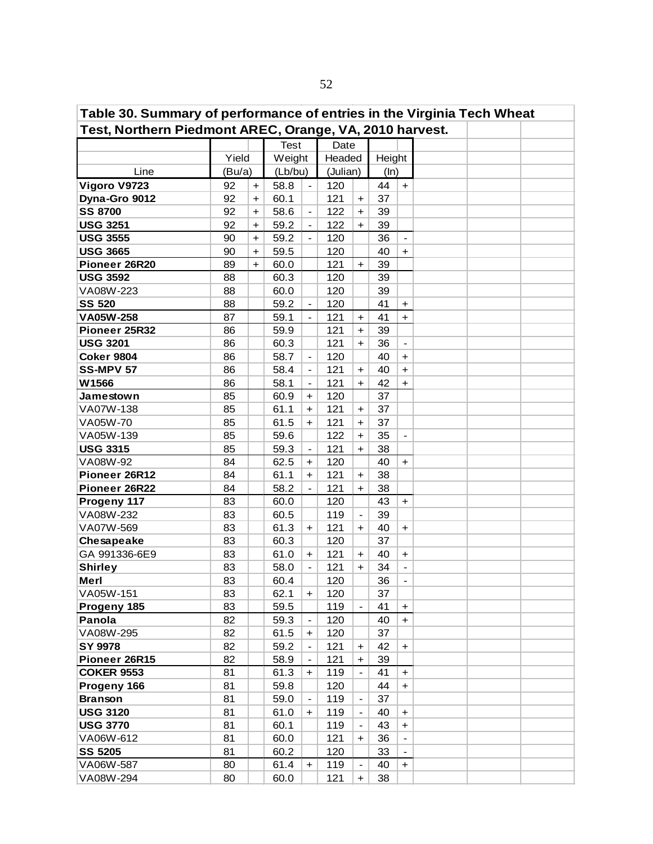| Table 30. Summary of performance of entries in the Virginia Tech Wheat |          |                      |              |                              |            |                                       |          |                              |  |  |
|------------------------------------------------------------------------|----------|----------------------|--------------|------------------------------|------------|---------------------------------------|----------|------------------------------|--|--|
| Test, Northern Piedmont AREC, Orange, VA, 2010 harvest.                |          |                      |              |                              |            |                                       |          |                              |  |  |
|                                                                        |          |                      | <b>Test</b>  |                              | Date       |                                       |          |                              |  |  |
|                                                                        | Yield    |                      | Weight       |                              | Headed     |                                       | Height   |                              |  |  |
| Line                                                                   | (Bu/a)   |                      | (Lb/bu)      |                              | (Julian)   |                                       | (ln)     |                              |  |  |
| Vigoro V9723                                                           | 92       | +                    | 58.8         | $\overline{\phantom{0}}$     | 120        |                                       | 44       | $+$                          |  |  |
| Dyna-Gro 9012                                                          | 92       | $\ddot{}$            | 60.1         |                              | 121        | $\ddag$                               | 37       |                              |  |  |
| <b>SS 8700</b>                                                         | 92       | $\ddot{}$            | 58.6         | $\qquad \qquad \blacksquare$ | 122        | $\ddot{}$                             | 39       |                              |  |  |
| <b>USG 3251</b>                                                        | 92       | +                    | 59.2         | $\overline{\phantom{0}}$     | 122        | $\ddot{\phantom{1}}$                  | 39       |                              |  |  |
| <b>USG 3555</b>                                                        | 90       | $\ddot{}$            | 59.2         | $\frac{1}{2}$                | 120        |                                       | 36       | $\overline{\phantom{a}}$     |  |  |
| <b>USG 3665</b>                                                        | 90       | $\ddot{\phantom{1}}$ | 59.5         |                              | 120        |                                       | 40       | $+$                          |  |  |
| Pioneer 26R20                                                          | 89       | $+$                  | 60.0         |                              | 121        | $+$                                   | 39       |                              |  |  |
| <b>USG 3592</b>                                                        | 88       |                      | 60.3         |                              | 120        |                                       | 39       |                              |  |  |
| VA08W-223                                                              | 88       |                      | 60.0         |                              | 120        |                                       | 39       |                              |  |  |
| <b>SS 520</b>                                                          | 88       |                      | 59.2         | $\overline{a}$               | 120        |                                       | 41       | $+$                          |  |  |
| VA05W-258                                                              | 87       |                      | 59.1         |                              | 121        | $\ddot{}$                             | 41       | $+$                          |  |  |
| Pioneer 25R32                                                          | 86       |                      | 59.9         |                              | 121        | $\ddot{}$                             | 39       |                              |  |  |
| <b>USG 3201</b>                                                        | 86       |                      | 60.3         |                              | 121        | $\ddot{\phantom{1}}$                  | 36       | $\overline{\phantom{a}}$     |  |  |
| <b>Coker 9804</b>                                                      | 86       |                      | 58.7         | $\qquad \qquad \blacksquare$ | 120        |                                       | 40       | $\ddot{}$                    |  |  |
| <b>SS-MPV 57</b>                                                       | 86       |                      | 58.4         | $\overline{\phantom{0}}$     | 121        | $\ddot{\phantom{1}}$                  | 40       | $+$                          |  |  |
| W1566                                                                  | 86       |                      | 58.1         | $\overline{\phantom{0}}$     | 121        | $\ddot{\phantom{1}}$                  | 42       | $+$                          |  |  |
| Jamestown                                                              | 85       |                      | 60.9         | $\ddot{}$                    | 120        |                                       | 37       |                              |  |  |
| VA07W-138                                                              | 85       |                      | 61.1         | $\ddot{}$                    | 121        | $\ddot{}$                             | 37       |                              |  |  |
| VA05W-70                                                               | 85       |                      | 61.5         | $\ddot{}$                    | 121        | $\ddot{\phantom{1}}$                  | 37       |                              |  |  |
| VA05W-139                                                              | 85       |                      | 59.6         |                              | 122        | $\ddot{}$                             | 35       | $\overline{\phantom{0}}$     |  |  |
| <b>USG 3315</b>                                                        | 85       |                      | 59.3         | $\qquad \qquad \blacksquare$ | 121        | $\ddot{}$                             | 38       |                              |  |  |
| VA08W-92                                                               | 84       |                      | 62.5         | $\ddot{}$                    | 120        |                                       | 40       | $+$                          |  |  |
| Pioneer 26R12                                                          | 84       |                      | 61.1         | $\ddot{}$                    | 121        | $\ddot{}$                             | 38       |                              |  |  |
| Pioneer 26R22                                                          | 84       |                      | 58.2         | $\overline{\phantom{0}}$     | 121        | $\ddot{\phantom{1}}$                  | 38       |                              |  |  |
| Progeny 117                                                            | 83       |                      | 60.0         |                              | 120        |                                       | 43       | $+$                          |  |  |
| VA08W-232                                                              | 83       |                      | 60.5         |                              | 119        | $\overline{a}$                        | 39       |                              |  |  |
| VA07W-569                                                              | 83       |                      | 61.3         | $\ddot{}$                    | 121        | $\ddot{}$                             | 40       | $\ddot{}$                    |  |  |
| Chesapeake                                                             | 83       |                      | 60.3         |                              | 120        |                                       | 37       |                              |  |  |
| GA 991336-6E9                                                          | 83       |                      | 61.0         | $\ddot{}$                    | 121        | $\ddot{}$                             | 40       | $\ddot{}$                    |  |  |
| <b>Shirley</b>                                                         | 83       |                      | 58.0         |                              | 121        | $\ddot{\phantom{1}}$                  | 34       |                              |  |  |
| Merl                                                                   | 83       |                      | 60.4         |                              | 120        |                                       | 36       | $\qquad \qquad \blacksquare$ |  |  |
| VA05W-151                                                              | 83       |                      | 62.1         | $\ddot{}$                    | 120        |                                       | 37       |                              |  |  |
| Progeny 185                                                            | 83       |                      | 59.5         |                              | 119        | $\blacksquare$                        | 41       | $+$                          |  |  |
| <b>Panola</b><br>VA08W-295                                             | 82<br>82 |                      | 59.3<br>61.5 |                              | 120<br>120 |                                       | 40<br>37 | $+$                          |  |  |
| <b>SY 9978</b>                                                         | 82       |                      | 59.2         | $\pm$                        |            |                                       | 42       |                              |  |  |
| Pioneer 26R15                                                          | 82       |                      |              |                              | 121        | $\ddot{}$                             |          | $\pm$                        |  |  |
| <b>COKER 9553</b>                                                      | 81       |                      | 58.9<br>61.3 |                              | 121<br>119 | $\ddot{}$<br>$\overline{\phantom{a}}$ | 39<br>41 |                              |  |  |
|                                                                        |          |                      |              | $+$                          | 120        |                                       | 44       | $\pm$                        |  |  |
| Progeny 166<br><b>Branson</b>                                          | 81<br>81 |                      | 59.8<br>59.0 | $\overline{\phantom{a}}$     | 119        | $\blacksquare$                        | 37       | $+$                          |  |  |
| <b>USG 3120</b>                                                        | 81       |                      | 61.0         |                              | 119        | $\blacksquare$                        | 40       |                              |  |  |
| <b>USG 3770</b>                                                        | 81       |                      | 60.1         | $+$                          | 119        |                                       | 43       | $+$<br>$\ddot{}$             |  |  |
| VA06W-612                                                              | 81       |                      | 60.0         |                              | 121        | $+$                                   | 36       |                              |  |  |
| <b>SS 5205</b>                                                         | 81       |                      | 60.2         |                              | 120        |                                       | 33       |                              |  |  |
| VA06W-587                                                              | 80       |                      | 61.4         | $+$                          | 119        |                                       | 40       | $+$                          |  |  |
| VA08W-294                                                              | 80       |                      | 60.0         |                              | 121        | $\ddot{}$                             | 38       |                              |  |  |
|                                                                        |          |                      |              |                              |            |                                       |          |                              |  |  |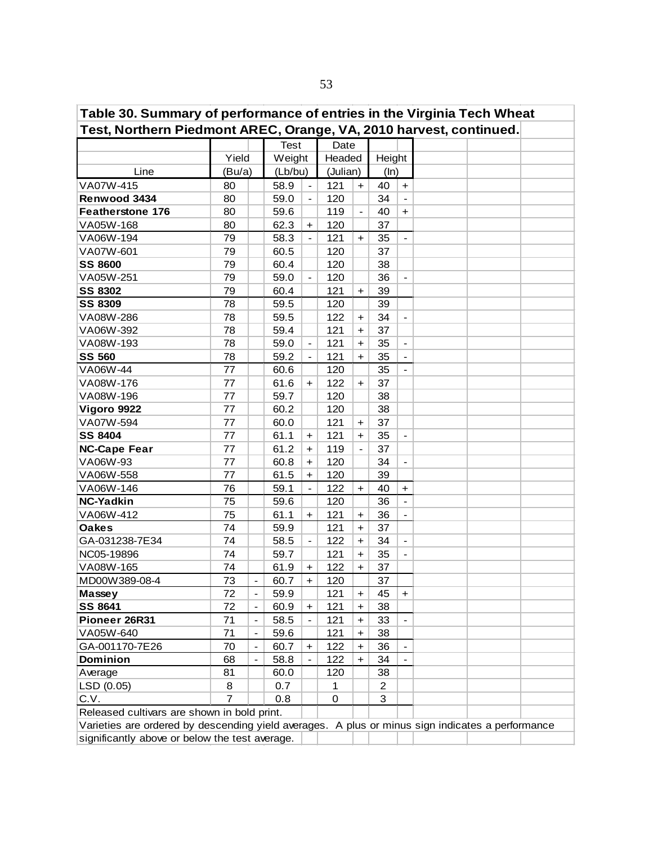| Test, Northern Piedmont AREC, Orange, VA, 2010 harvest, continued.<br>Date<br><b>Test</b><br>Yield<br>Weight<br>Headed<br>Height<br>Line<br>(Bu/a)<br>(Lb/bu)<br>(Julian)<br>(ln)<br>VA07W-415<br>58.9<br>121<br>40<br>80<br>$+$<br>$\blacksquare$<br>$\ddot{}$<br>34<br>Renwood 3434<br>59.0<br>120<br>80<br><b>Featherstone 176</b><br>80<br>59.6<br>119<br>40<br>$\overline{\phantom{0}}$<br>$\ddot{}$<br>62.3<br>37<br>VA05W-168<br>80<br>120<br>$+$<br>VA06W-194<br>79<br>58.3<br>121<br>35<br>$\blacksquare$<br>$+$<br>$\blacksquare$<br>VA07W-601<br>79<br>60.5<br>120<br>37<br><b>SS 8600</b><br>79<br>60.4<br>120<br>38<br>79<br>36<br>VA05W-251<br>59.0<br>120<br><b>SS 8302</b><br>79<br>60.4<br>121<br>39<br>$\ddot{}$<br>78<br>39<br><b>SS 8309</b><br>59.5<br>120<br>VA08W-286<br>78<br>59.5<br>122<br>34<br>$\div$<br>78<br>59.4<br>121<br>37<br>VA06W-392<br>$+$<br>78<br>121<br>VA08W-193<br>59.0<br>35<br>$+$<br>$\overline{\phantom{a}}$<br>$\overline{\phantom{a}}$<br>78<br>59.2<br>121<br><b>SS 560</b><br>35<br>$\ddot{}$<br>$\overline{\phantom{0}}$<br>$\overline{\phantom{a}}$<br>77<br>VA06W-44<br>35<br>60.6<br>120<br>$\blacksquare$<br>VA08W-176<br>77<br>61.6<br>122<br>37<br>$+$<br>$+$<br>VA08W-196<br>77<br>59.7<br>120<br>38<br>Vigoro 9922<br>77<br>38<br>60.2<br>120<br>VA07W-594<br>77<br>121<br>37<br>60.0<br>$\div$<br><b>SS 8404</b><br>77<br>61.1<br>121<br>35<br>$+$<br>$\ddot{}$<br>$\blacksquare$<br>77<br>37<br><b>NC-Cape Fear</b><br>61.2<br>119<br>$\blacksquare$<br>$+$<br>77<br>VA06W-93<br>60.8<br>120<br>34<br>$+$<br>$\overline{\phantom{a}}$<br>39<br>VA06W-558<br>77<br>61.5<br>120<br>$\ddot{}$<br>76<br>VA06W-146<br>59.1<br>122<br>40<br>$+$<br>$\overline{\phantom{a}}$<br>$\ddot{}$<br>75<br>36<br><b>NC-Yadkin</b><br>59.6<br>120<br>VA06W-412<br>75<br>61.1<br>121<br>36<br>$\ddot{}$<br>$\ddot{}$<br>37<br>74<br>59.9<br>121<br><b>Oakes</b><br>$\ddot{}$<br>GA-031238-7E34<br>74<br>58.5<br>122<br>34<br>$\ddot{\phantom{1}}$<br>$\overline{\phantom{a}}$<br>$\blacksquare$<br>74<br>121<br>35<br>NC05-19896<br>59.7<br>$\ddot{\phantom{1}}$<br>VA08W-165<br>61.9<br>122<br>37<br>74<br>$\ddot{\phantom{1}}$<br>+<br>73<br>37<br>MD00W389-08-4<br>60.7<br>120<br>$+$<br>$\overline{\phantom{a}}$<br>72<br>59.9<br>121<br>45<br>Massey<br>$\pm$<br>$\ddot{}$<br>$\qquad \qquad \blacksquare$<br>SS 8641<br>72<br>38<br>60.9<br>121<br>$\ddot{}$<br>+<br>Pioneer 26R31<br>71<br>58.5<br>33<br>121<br>$\pm$<br>$\qquad \qquad \blacksquare$<br>VA05W-640<br>71<br>59.6<br>121<br>38<br>$\pm$<br>$\qquad \qquad \blacksquare$<br>GA-001170-7E26<br>70<br>60.7<br>122<br>36<br>$\pm$<br>+<br>$\overline{\phantom{a}}$<br><b>Dominion</b><br>68<br>58.8<br>122<br>34<br>$\ddot{}$<br>$\overline{\phantom{a}}$<br>60.0<br>120<br>Average<br>81<br>38<br>LSD (0.05)<br>0.7<br>8<br>$\overline{2}$<br>1<br>C.V.<br>7<br>3<br>0.8<br>0<br>Released cultivars are shown in bold print.<br>Varieties are ordered by descending yield averages. A plus or minus sign indicates a performance<br>significantly above or below the test average. | Table 30. Summary of performance of entries in the Virginia Tech Wheat |  |  |  |  |  |  |
|----------------------------------------------------------------------------------------------------------------------------------------------------------------------------------------------------------------------------------------------------------------------------------------------------------------------------------------------------------------------------------------------------------------------------------------------------------------------------------------------------------------------------------------------------------------------------------------------------------------------------------------------------------------------------------------------------------------------------------------------------------------------------------------------------------------------------------------------------------------------------------------------------------------------------------------------------------------------------------------------------------------------------------------------------------------------------------------------------------------------------------------------------------------------------------------------------------------------------------------------------------------------------------------------------------------------------------------------------------------------------------------------------------------------------------------------------------------------------------------------------------------------------------------------------------------------------------------------------------------------------------------------------------------------------------------------------------------------------------------------------------------------------------------------------------------------------------------------------------------------------------------------------------------------------------------------------------------------------------------------------------------------------------------------------------------------------------------------------------------------------------------------------------------------------------------------------------------------------------------------------------------------------------------------------------------------------------------------------------------------------------------------------------------------------------------------------------------------------------------------------------------------------------------------------------------------------------------------------------------------------------------------------------------------------------------------------------------------------------------------------------------------------------------------------------------------------------------------------------------------------------------------------------------------------------------------------------------------------------------------------------------------------------------------------------------------------------------------------|------------------------------------------------------------------------|--|--|--|--|--|--|
|                                                                                                                                                                                                                                                                                                                                                                                                                                                                                                                                                                                                                                                                                                                                                                                                                                                                                                                                                                                                                                                                                                                                                                                                                                                                                                                                                                                                                                                                                                                                                                                                                                                                                                                                                                                                                                                                                                                                                                                                                                                                                                                                                                                                                                                                                                                                                                                                                                                                                                                                                                                                                                                                                                                                                                                                                                                                                                                                                                                                                                                                                                    |                                                                        |  |  |  |  |  |  |
|                                                                                                                                                                                                                                                                                                                                                                                                                                                                                                                                                                                                                                                                                                                                                                                                                                                                                                                                                                                                                                                                                                                                                                                                                                                                                                                                                                                                                                                                                                                                                                                                                                                                                                                                                                                                                                                                                                                                                                                                                                                                                                                                                                                                                                                                                                                                                                                                                                                                                                                                                                                                                                                                                                                                                                                                                                                                                                                                                                                                                                                                                                    |                                                                        |  |  |  |  |  |  |
|                                                                                                                                                                                                                                                                                                                                                                                                                                                                                                                                                                                                                                                                                                                                                                                                                                                                                                                                                                                                                                                                                                                                                                                                                                                                                                                                                                                                                                                                                                                                                                                                                                                                                                                                                                                                                                                                                                                                                                                                                                                                                                                                                                                                                                                                                                                                                                                                                                                                                                                                                                                                                                                                                                                                                                                                                                                                                                                                                                                                                                                                                                    |                                                                        |  |  |  |  |  |  |
|                                                                                                                                                                                                                                                                                                                                                                                                                                                                                                                                                                                                                                                                                                                                                                                                                                                                                                                                                                                                                                                                                                                                                                                                                                                                                                                                                                                                                                                                                                                                                                                                                                                                                                                                                                                                                                                                                                                                                                                                                                                                                                                                                                                                                                                                                                                                                                                                                                                                                                                                                                                                                                                                                                                                                                                                                                                                                                                                                                                                                                                                                                    |                                                                        |  |  |  |  |  |  |
|                                                                                                                                                                                                                                                                                                                                                                                                                                                                                                                                                                                                                                                                                                                                                                                                                                                                                                                                                                                                                                                                                                                                                                                                                                                                                                                                                                                                                                                                                                                                                                                                                                                                                                                                                                                                                                                                                                                                                                                                                                                                                                                                                                                                                                                                                                                                                                                                                                                                                                                                                                                                                                                                                                                                                                                                                                                                                                                                                                                                                                                                                                    |                                                                        |  |  |  |  |  |  |
|                                                                                                                                                                                                                                                                                                                                                                                                                                                                                                                                                                                                                                                                                                                                                                                                                                                                                                                                                                                                                                                                                                                                                                                                                                                                                                                                                                                                                                                                                                                                                                                                                                                                                                                                                                                                                                                                                                                                                                                                                                                                                                                                                                                                                                                                                                                                                                                                                                                                                                                                                                                                                                                                                                                                                                                                                                                                                                                                                                                                                                                                                                    |                                                                        |  |  |  |  |  |  |
|                                                                                                                                                                                                                                                                                                                                                                                                                                                                                                                                                                                                                                                                                                                                                                                                                                                                                                                                                                                                                                                                                                                                                                                                                                                                                                                                                                                                                                                                                                                                                                                                                                                                                                                                                                                                                                                                                                                                                                                                                                                                                                                                                                                                                                                                                                                                                                                                                                                                                                                                                                                                                                                                                                                                                                                                                                                                                                                                                                                                                                                                                                    |                                                                        |  |  |  |  |  |  |
|                                                                                                                                                                                                                                                                                                                                                                                                                                                                                                                                                                                                                                                                                                                                                                                                                                                                                                                                                                                                                                                                                                                                                                                                                                                                                                                                                                                                                                                                                                                                                                                                                                                                                                                                                                                                                                                                                                                                                                                                                                                                                                                                                                                                                                                                                                                                                                                                                                                                                                                                                                                                                                                                                                                                                                                                                                                                                                                                                                                                                                                                                                    |                                                                        |  |  |  |  |  |  |
|                                                                                                                                                                                                                                                                                                                                                                                                                                                                                                                                                                                                                                                                                                                                                                                                                                                                                                                                                                                                                                                                                                                                                                                                                                                                                                                                                                                                                                                                                                                                                                                                                                                                                                                                                                                                                                                                                                                                                                                                                                                                                                                                                                                                                                                                                                                                                                                                                                                                                                                                                                                                                                                                                                                                                                                                                                                                                                                                                                                                                                                                                                    |                                                                        |  |  |  |  |  |  |
|                                                                                                                                                                                                                                                                                                                                                                                                                                                                                                                                                                                                                                                                                                                                                                                                                                                                                                                                                                                                                                                                                                                                                                                                                                                                                                                                                                                                                                                                                                                                                                                                                                                                                                                                                                                                                                                                                                                                                                                                                                                                                                                                                                                                                                                                                                                                                                                                                                                                                                                                                                                                                                                                                                                                                                                                                                                                                                                                                                                                                                                                                                    |                                                                        |  |  |  |  |  |  |
|                                                                                                                                                                                                                                                                                                                                                                                                                                                                                                                                                                                                                                                                                                                                                                                                                                                                                                                                                                                                                                                                                                                                                                                                                                                                                                                                                                                                                                                                                                                                                                                                                                                                                                                                                                                                                                                                                                                                                                                                                                                                                                                                                                                                                                                                                                                                                                                                                                                                                                                                                                                                                                                                                                                                                                                                                                                                                                                                                                                                                                                                                                    |                                                                        |  |  |  |  |  |  |
|                                                                                                                                                                                                                                                                                                                                                                                                                                                                                                                                                                                                                                                                                                                                                                                                                                                                                                                                                                                                                                                                                                                                                                                                                                                                                                                                                                                                                                                                                                                                                                                                                                                                                                                                                                                                                                                                                                                                                                                                                                                                                                                                                                                                                                                                                                                                                                                                                                                                                                                                                                                                                                                                                                                                                                                                                                                                                                                                                                                                                                                                                                    |                                                                        |  |  |  |  |  |  |
|                                                                                                                                                                                                                                                                                                                                                                                                                                                                                                                                                                                                                                                                                                                                                                                                                                                                                                                                                                                                                                                                                                                                                                                                                                                                                                                                                                                                                                                                                                                                                                                                                                                                                                                                                                                                                                                                                                                                                                                                                                                                                                                                                                                                                                                                                                                                                                                                                                                                                                                                                                                                                                                                                                                                                                                                                                                                                                                                                                                                                                                                                                    |                                                                        |  |  |  |  |  |  |
|                                                                                                                                                                                                                                                                                                                                                                                                                                                                                                                                                                                                                                                                                                                                                                                                                                                                                                                                                                                                                                                                                                                                                                                                                                                                                                                                                                                                                                                                                                                                                                                                                                                                                                                                                                                                                                                                                                                                                                                                                                                                                                                                                                                                                                                                                                                                                                                                                                                                                                                                                                                                                                                                                                                                                                                                                                                                                                                                                                                                                                                                                                    |                                                                        |  |  |  |  |  |  |
|                                                                                                                                                                                                                                                                                                                                                                                                                                                                                                                                                                                                                                                                                                                                                                                                                                                                                                                                                                                                                                                                                                                                                                                                                                                                                                                                                                                                                                                                                                                                                                                                                                                                                                                                                                                                                                                                                                                                                                                                                                                                                                                                                                                                                                                                                                                                                                                                                                                                                                                                                                                                                                                                                                                                                                                                                                                                                                                                                                                                                                                                                                    |                                                                        |  |  |  |  |  |  |
|                                                                                                                                                                                                                                                                                                                                                                                                                                                                                                                                                                                                                                                                                                                                                                                                                                                                                                                                                                                                                                                                                                                                                                                                                                                                                                                                                                                                                                                                                                                                                                                                                                                                                                                                                                                                                                                                                                                                                                                                                                                                                                                                                                                                                                                                                                                                                                                                                                                                                                                                                                                                                                                                                                                                                                                                                                                                                                                                                                                                                                                                                                    |                                                                        |  |  |  |  |  |  |
|                                                                                                                                                                                                                                                                                                                                                                                                                                                                                                                                                                                                                                                                                                                                                                                                                                                                                                                                                                                                                                                                                                                                                                                                                                                                                                                                                                                                                                                                                                                                                                                                                                                                                                                                                                                                                                                                                                                                                                                                                                                                                                                                                                                                                                                                                                                                                                                                                                                                                                                                                                                                                                                                                                                                                                                                                                                                                                                                                                                                                                                                                                    |                                                                        |  |  |  |  |  |  |
|                                                                                                                                                                                                                                                                                                                                                                                                                                                                                                                                                                                                                                                                                                                                                                                                                                                                                                                                                                                                                                                                                                                                                                                                                                                                                                                                                                                                                                                                                                                                                                                                                                                                                                                                                                                                                                                                                                                                                                                                                                                                                                                                                                                                                                                                                                                                                                                                                                                                                                                                                                                                                                                                                                                                                                                                                                                                                                                                                                                                                                                                                                    |                                                                        |  |  |  |  |  |  |
|                                                                                                                                                                                                                                                                                                                                                                                                                                                                                                                                                                                                                                                                                                                                                                                                                                                                                                                                                                                                                                                                                                                                                                                                                                                                                                                                                                                                                                                                                                                                                                                                                                                                                                                                                                                                                                                                                                                                                                                                                                                                                                                                                                                                                                                                                                                                                                                                                                                                                                                                                                                                                                                                                                                                                                                                                                                                                                                                                                                                                                                                                                    |                                                                        |  |  |  |  |  |  |
|                                                                                                                                                                                                                                                                                                                                                                                                                                                                                                                                                                                                                                                                                                                                                                                                                                                                                                                                                                                                                                                                                                                                                                                                                                                                                                                                                                                                                                                                                                                                                                                                                                                                                                                                                                                                                                                                                                                                                                                                                                                                                                                                                                                                                                                                                                                                                                                                                                                                                                                                                                                                                                                                                                                                                                                                                                                                                                                                                                                                                                                                                                    |                                                                        |  |  |  |  |  |  |
|                                                                                                                                                                                                                                                                                                                                                                                                                                                                                                                                                                                                                                                                                                                                                                                                                                                                                                                                                                                                                                                                                                                                                                                                                                                                                                                                                                                                                                                                                                                                                                                                                                                                                                                                                                                                                                                                                                                                                                                                                                                                                                                                                                                                                                                                                                                                                                                                                                                                                                                                                                                                                                                                                                                                                                                                                                                                                                                                                                                                                                                                                                    |                                                                        |  |  |  |  |  |  |
|                                                                                                                                                                                                                                                                                                                                                                                                                                                                                                                                                                                                                                                                                                                                                                                                                                                                                                                                                                                                                                                                                                                                                                                                                                                                                                                                                                                                                                                                                                                                                                                                                                                                                                                                                                                                                                                                                                                                                                                                                                                                                                                                                                                                                                                                                                                                                                                                                                                                                                                                                                                                                                                                                                                                                                                                                                                                                                                                                                                                                                                                                                    |                                                                        |  |  |  |  |  |  |
|                                                                                                                                                                                                                                                                                                                                                                                                                                                                                                                                                                                                                                                                                                                                                                                                                                                                                                                                                                                                                                                                                                                                                                                                                                                                                                                                                                                                                                                                                                                                                                                                                                                                                                                                                                                                                                                                                                                                                                                                                                                                                                                                                                                                                                                                                                                                                                                                                                                                                                                                                                                                                                                                                                                                                                                                                                                                                                                                                                                                                                                                                                    |                                                                        |  |  |  |  |  |  |
|                                                                                                                                                                                                                                                                                                                                                                                                                                                                                                                                                                                                                                                                                                                                                                                                                                                                                                                                                                                                                                                                                                                                                                                                                                                                                                                                                                                                                                                                                                                                                                                                                                                                                                                                                                                                                                                                                                                                                                                                                                                                                                                                                                                                                                                                                                                                                                                                                                                                                                                                                                                                                                                                                                                                                                                                                                                                                                                                                                                                                                                                                                    |                                                                        |  |  |  |  |  |  |
|                                                                                                                                                                                                                                                                                                                                                                                                                                                                                                                                                                                                                                                                                                                                                                                                                                                                                                                                                                                                                                                                                                                                                                                                                                                                                                                                                                                                                                                                                                                                                                                                                                                                                                                                                                                                                                                                                                                                                                                                                                                                                                                                                                                                                                                                                                                                                                                                                                                                                                                                                                                                                                                                                                                                                                                                                                                                                                                                                                                                                                                                                                    |                                                                        |  |  |  |  |  |  |
|                                                                                                                                                                                                                                                                                                                                                                                                                                                                                                                                                                                                                                                                                                                                                                                                                                                                                                                                                                                                                                                                                                                                                                                                                                                                                                                                                                                                                                                                                                                                                                                                                                                                                                                                                                                                                                                                                                                                                                                                                                                                                                                                                                                                                                                                                                                                                                                                                                                                                                                                                                                                                                                                                                                                                                                                                                                                                                                                                                                                                                                                                                    |                                                                        |  |  |  |  |  |  |
|                                                                                                                                                                                                                                                                                                                                                                                                                                                                                                                                                                                                                                                                                                                                                                                                                                                                                                                                                                                                                                                                                                                                                                                                                                                                                                                                                                                                                                                                                                                                                                                                                                                                                                                                                                                                                                                                                                                                                                                                                                                                                                                                                                                                                                                                                                                                                                                                                                                                                                                                                                                                                                                                                                                                                                                                                                                                                                                                                                                                                                                                                                    |                                                                        |  |  |  |  |  |  |
|                                                                                                                                                                                                                                                                                                                                                                                                                                                                                                                                                                                                                                                                                                                                                                                                                                                                                                                                                                                                                                                                                                                                                                                                                                                                                                                                                                                                                                                                                                                                                                                                                                                                                                                                                                                                                                                                                                                                                                                                                                                                                                                                                                                                                                                                                                                                                                                                                                                                                                                                                                                                                                                                                                                                                                                                                                                                                                                                                                                                                                                                                                    |                                                                        |  |  |  |  |  |  |
|                                                                                                                                                                                                                                                                                                                                                                                                                                                                                                                                                                                                                                                                                                                                                                                                                                                                                                                                                                                                                                                                                                                                                                                                                                                                                                                                                                                                                                                                                                                                                                                                                                                                                                                                                                                                                                                                                                                                                                                                                                                                                                                                                                                                                                                                                                                                                                                                                                                                                                                                                                                                                                                                                                                                                                                                                                                                                                                                                                                                                                                                                                    |                                                                        |  |  |  |  |  |  |
|                                                                                                                                                                                                                                                                                                                                                                                                                                                                                                                                                                                                                                                                                                                                                                                                                                                                                                                                                                                                                                                                                                                                                                                                                                                                                                                                                                                                                                                                                                                                                                                                                                                                                                                                                                                                                                                                                                                                                                                                                                                                                                                                                                                                                                                                                                                                                                                                                                                                                                                                                                                                                                                                                                                                                                                                                                                                                                                                                                                                                                                                                                    |                                                                        |  |  |  |  |  |  |
|                                                                                                                                                                                                                                                                                                                                                                                                                                                                                                                                                                                                                                                                                                                                                                                                                                                                                                                                                                                                                                                                                                                                                                                                                                                                                                                                                                                                                                                                                                                                                                                                                                                                                                                                                                                                                                                                                                                                                                                                                                                                                                                                                                                                                                                                                                                                                                                                                                                                                                                                                                                                                                                                                                                                                                                                                                                                                                                                                                                                                                                                                                    |                                                                        |  |  |  |  |  |  |
|                                                                                                                                                                                                                                                                                                                                                                                                                                                                                                                                                                                                                                                                                                                                                                                                                                                                                                                                                                                                                                                                                                                                                                                                                                                                                                                                                                                                                                                                                                                                                                                                                                                                                                                                                                                                                                                                                                                                                                                                                                                                                                                                                                                                                                                                                                                                                                                                                                                                                                                                                                                                                                                                                                                                                                                                                                                                                                                                                                                                                                                                                                    |                                                                        |  |  |  |  |  |  |
|                                                                                                                                                                                                                                                                                                                                                                                                                                                                                                                                                                                                                                                                                                                                                                                                                                                                                                                                                                                                                                                                                                                                                                                                                                                                                                                                                                                                                                                                                                                                                                                                                                                                                                                                                                                                                                                                                                                                                                                                                                                                                                                                                                                                                                                                                                                                                                                                                                                                                                                                                                                                                                                                                                                                                                                                                                                                                                                                                                                                                                                                                                    |                                                                        |  |  |  |  |  |  |
|                                                                                                                                                                                                                                                                                                                                                                                                                                                                                                                                                                                                                                                                                                                                                                                                                                                                                                                                                                                                                                                                                                                                                                                                                                                                                                                                                                                                                                                                                                                                                                                                                                                                                                                                                                                                                                                                                                                                                                                                                                                                                                                                                                                                                                                                                                                                                                                                                                                                                                                                                                                                                                                                                                                                                                                                                                                                                                                                                                                                                                                                                                    |                                                                        |  |  |  |  |  |  |
|                                                                                                                                                                                                                                                                                                                                                                                                                                                                                                                                                                                                                                                                                                                                                                                                                                                                                                                                                                                                                                                                                                                                                                                                                                                                                                                                                                                                                                                                                                                                                                                                                                                                                                                                                                                                                                                                                                                                                                                                                                                                                                                                                                                                                                                                                                                                                                                                                                                                                                                                                                                                                                                                                                                                                                                                                                                                                                                                                                                                                                                                                                    |                                                                        |  |  |  |  |  |  |
|                                                                                                                                                                                                                                                                                                                                                                                                                                                                                                                                                                                                                                                                                                                                                                                                                                                                                                                                                                                                                                                                                                                                                                                                                                                                                                                                                                                                                                                                                                                                                                                                                                                                                                                                                                                                                                                                                                                                                                                                                                                                                                                                                                                                                                                                                                                                                                                                                                                                                                                                                                                                                                                                                                                                                                                                                                                                                                                                                                                                                                                                                                    |                                                                        |  |  |  |  |  |  |
|                                                                                                                                                                                                                                                                                                                                                                                                                                                                                                                                                                                                                                                                                                                                                                                                                                                                                                                                                                                                                                                                                                                                                                                                                                                                                                                                                                                                                                                                                                                                                                                                                                                                                                                                                                                                                                                                                                                                                                                                                                                                                                                                                                                                                                                                                                                                                                                                                                                                                                                                                                                                                                                                                                                                                                                                                                                                                                                                                                                                                                                                                                    |                                                                        |  |  |  |  |  |  |
|                                                                                                                                                                                                                                                                                                                                                                                                                                                                                                                                                                                                                                                                                                                                                                                                                                                                                                                                                                                                                                                                                                                                                                                                                                                                                                                                                                                                                                                                                                                                                                                                                                                                                                                                                                                                                                                                                                                                                                                                                                                                                                                                                                                                                                                                                                                                                                                                                                                                                                                                                                                                                                                                                                                                                                                                                                                                                                                                                                                                                                                                                                    |                                                                        |  |  |  |  |  |  |
|                                                                                                                                                                                                                                                                                                                                                                                                                                                                                                                                                                                                                                                                                                                                                                                                                                                                                                                                                                                                                                                                                                                                                                                                                                                                                                                                                                                                                                                                                                                                                                                                                                                                                                                                                                                                                                                                                                                                                                                                                                                                                                                                                                                                                                                                                                                                                                                                                                                                                                                                                                                                                                                                                                                                                                                                                                                                                                                                                                                                                                                                                                    |                                                                        |  |  |  |  |  |  |
|                                                                                                                                                                                                                                                                                                                                                                                                                                                                                                                                                                                                                                                                                                                                                                                                                                                                                                                                                                                                                                                                                                                                                                                                                                                                                                                                                                                                                                                                                                                                                                                                                                                                                                                                                                                                                                                                                                                                                                                                                                                                                                                                                                                                                                                                                                                                                                                                                                                                                                                                                                                                                                                                                                                                                                                                                                                                                                                                                                                                                                                                                                    |                                                                        |  |  |  |  |  |  |
|                                                                                                                                                                                                                                                                                                                                                                                                                                                                                                                                                                                                                                                                                                                                                                                                                                                                                                                                                                                                                                                                                                                                                                                                                                                                                                                                                                                                                                                                                                                                                                                                                                                                                                                                                                                                                                                                                                                                                                                                                                                                                                                                                                                                                                                                                                                                                                                                                                                                                                                                                                                                                                                                                                                                                                                                                                                                                                                                                                                                                                                                                                    |                                                                        |  |  |  |  |  |  |
|                                                                                                                                                                                                                                                                                                                                                                                                                                                                                                                                                                                                                                                                                                                                                                                                                                                                                                                                                                                                                                                                                                                                                                                                                                                                                                                                                                                                                                                                                                                                                                                                                                                                                                                                                                                                                                                                                                                                                                                                                                                                                                                                                                                                                                                                                                                                                                                                                                                                                                                                                                                                                                                                                                                                                                                                                                                                                                                                                                                                                                                                                                    |                                                                        |  |  |  |  |  |  |
|                                                                                                                                                                                                                                                                                                                                                                                                                                                                                                                                                                                                                                                                                                                                                                                                                                                                                                                                                                                                                                                                                                                                                                                                                                                                                                                                                                                                                                                                                                                                                                                                                                                                                                                                                                                                                                                                                                                                                                                                                                                                                                                                                                                                                                                                                                                                                                                                                                                                                                                                                                                                                                                                                                                                                                                                                                                                                                                                                                                                                                                                                                    |                                                                        |  |  |  |  |  |  |
|                                                                                                                                                                                                                                                                                                                                                                                                                                                                                                                                                                                                                                                                                                                                                                                                                                                                                                                                                                                                                                                                                                                                                                                                                                                                                                                                                                                                                                                                                                                                                                                                                                                                                                                                                                                                                                                                                                                                                                                                                                                                                                                                                                                                                                                                                                                                                                                                                                                                                                                                                                                                                                                                                                                                                                                                                                                                                                                                                                                                                                                                                                    |                                                                        |  |  |  |  |  |  |
|                                                                                                                                                                                                                                                                                                                                                                                                                                                                                                                                                                                                                                                                                                                                                                                                                                                                                                                                                                                                                                                                                                                                                                                                                                                                                                                                                                                                                                                                                                                                                                                                                                                                                                                                                                                                                                                                                                                                                                                                                                                                                                                                                                                                                                                                                                                                                                                                                                                                                                                                                                                                                                                                                                                                                                                                                                                                                                                                                                                                                                                                                                    |                                                                        |  |  |  |  |  |  |
|                                                                                                                                                                                                                                                                                                                                                                                                                                                                                                                                                                                                                                                                                                                                                                                                                                                                                                                                                                                                                                                                                                                                                                                                                                                                                                                                                                                                                                                                                                                                                                                                                                                                                                                                                                                                                                                                                                                                                                                                                                                                                                                                                                                                                                                                                                                                                                                                                                                                                                                                                                                                                                                                                                                                                                                                                                                                                                                                                                                                                                                                                                    |                                                                        |  |  |  |  |  |  |
|                                                                                                                                                                                                                                                                                                                                                                                                                                                                                                                                                                                                                                                                                                                                                                                                                                                                                                                                                                                                                                                                                                                                                                                                                                                                                                                                                                                                                                                                                                                                                                                                                                                                                                                                                                                                                                                                                                                                                                                                                                                                                                                                                                                                                                                                                                                                                                                                                                                                                                                                                                                                                                                                                                                                                                                                                                                                                                                                                                                                                                                                                                    |                                                                        |  |  |  |  |  |  |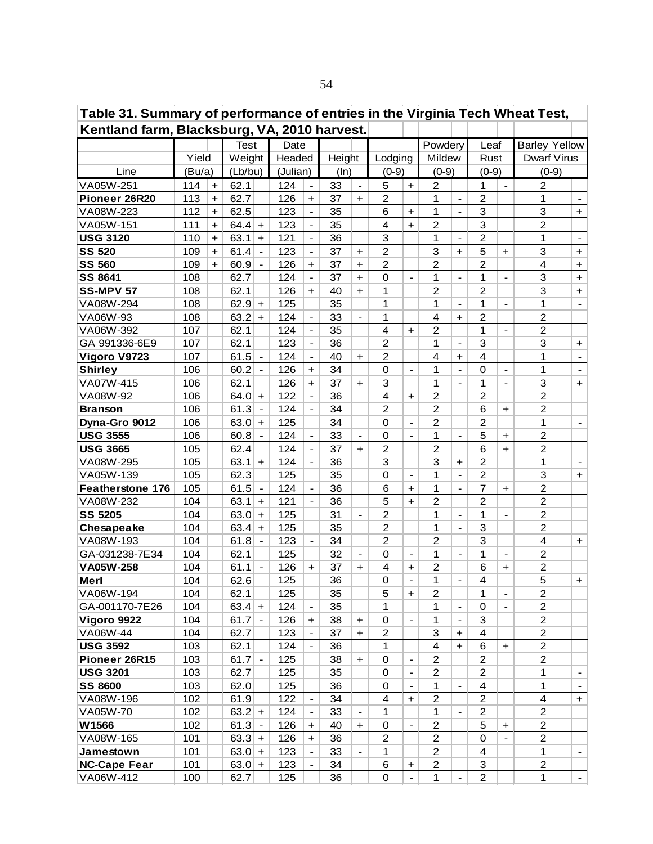| Table 31. Summary of performance of entries in the Virginia Tech Wheat Test, |        |           |             |                          |          |                          |        |                          |                         |                              |                |                              |                         |                          |                           |                              |
|------------------------------------------------------------------------------|--------|-----------|-------------|--------------------------|----------|--------------------------|--------|--------------------------|-------------------------|------------------------------|----------------|------------------------------|-------------------------|--------------------------|---------------------------|------------------------------|
| Kentland farm, Blacksburg, VA, 2010 harvest.                                 |        |           |             |                          |          |                          |        |                          |                         |                              |                |                              |                         |                          |                           |                              |
|                                                                              |        |           | <b>Test</b> |                          | Date     |                          |        |                          |                         |                              | Powdery        |                              | Leaf                    |                          | <b>Barley Yellow</b>      |                              |
|                                                                              | Yield  |           | Weight      |                          | Headed   |                          | Height |                          | Lodging                 |                              | Mildew         |                              | Rust                    |                          | <b>Dwarf Virus</b>        |                              |
| Line                                                                         | (Bu/a) |           | (Lb/bu)     |                          | (Julian) |                          | (ln)   |                          | $(0-9)$                 |                              | $(0-9)$        |                              | $(0-9)$                 |                          | $(0-9)$                   |                              |
| VA05W-251                                                                    | 114    | $\ddot{}$ | 62.1        |                          | 124      |                          | 33     |                          | 5                       | $\ddot{}$                    | 2              |                              | 1                       | $\overline{\phantom{a}}$ | 2                         |                              |
| Pioneer 26R20                                                                | 113    | $\ddot{}$ | 62.7        |                          | 126      | $\ddot{}$                | 37     | $+$                      | $\overline{c}$          |                              | 1              |                              | $\mathbf 2$             |                          | 1                         | $\qquad \qquad \blacksquare$ |
| VA08W-223                                                                    | 112    | $\ddot{}$ | 62.5        |                          | 123      |                          | 35     |                          | 6                       | $\ddot{\phantom{1}}$         | 1              | $\blacksquare$               | 3                       |                          | $\ensuremath{\mathsf{3}}$ | $+$                          |
| VA05W-151                                                                    | 111    | $\ddot{}$ | $64.4$ +    |                          | 123      | $\frac{1}{2}$            | 35     |                          | $\overline{4}$          | $+$                          | $\overline{c}$ |                              | 3                       |                          | $\overline{2}$            |                              |
| <b>USG 3120</b>                                                              | 110    | $\ddot{}$ | 63.1        | $+$                      | 121      | $\overline{\phantom{0}}$ | 36     |                          | 3                       |                              | 1              | $\blacksquare$               | $\overline{2}$          |                          | 1                         | $\blacksquare$               |
| <b>SS 520</b>                                                                | 109    | $+$       | 61.4        | $\overline{\phantom{a}}$ | 123      | $\frac{1}{2}$            | 37     | $\ddot{}$                | $\overline{2}$          |                              | 3              | $+$                          | 5                       | $+$                      | 3                         | $+$                          |
| <b>SS 560</b>                                                                | 109    | $+$       | 60.9        | $\overline{\phantom{a}}$ | 126      | $+$                      | 37     | $\ddot{}$                | $\overline{c}$          |                              | $\overline{c}$ |                              | $\overline{c}$          |                          | 4                         | $+$                          |
| SS 8641                                                                      | 108    |           | 62.7        |                          | 124      | $\overline{a}$           | 37     | $\ddot{\phantom{1}}$     | 0                       | $\blacksquare$               | 1              | $\blacksquare$               | 1                       | $\blacksquare$           | 3                         | $+$                          |
| <b>SS-MPV 57</b>                                                             | 108    |           | 62.1        |                          | 126      | $+$                      | 40     | $\ddot{\phantom{1}}$     | 1                       |                              | $\overline{c}$ |                              | $\overline{2}$          |                          | 3                         | $\ddot{\phantom{1}}$         |
| VA08W-294                                                                    | 108    |           | $62.9$ +    |                          | 125      |                          | 35     |                          | 1                       |                              | 1              | $\blacksquare$               | 1                       | $\blacksquare$           | 1                         |                              |
| VA06W-93                                                                     | 108    |           | 63.2        | $\ddot{}$                | 124      | $\qquad \qquad -$        | 33     |                          | 1                       |                              | 4              | $\ddot{}$                    | $\overline{c}$          |                          | $\overline{c}$            |                              |
| VA06W-392                                                                    | 107    |           | 62.1        |                          | 124      | $\overline{a}$           | 35     |                          | $\overline{\mathbf{4}}$ | $\ddot{}$                    | $\overline{2}$ |                              | 1                       | $\frac{1}{2}$            | $\overline{2}$            |                              |
| GA 991336-6E9                                                                | 107    |           | 62.1        |                          | 123      | $\frac{1}{2}$            | 36     |                          | $\overline{2}$          |                              | 1              |                              | 3                       |                          | 3                         | $+$                          |
| Vigoro V9723                                                                 | 107    |           | 61.5        | $\overline{\phantom{a}}$ | 124      | $\overline{\phantom{0}}$ | 40     | $\ddot{}$                | $\overline{2}$          |                              | 4              | $+$                          | $\overline{4}$          |                          | 1                         | $\overline{\phantom{a}}$     |
| <b>Shirley</b>                                                               | 106    |           | 60.2        | $\overline{\phantom{a}}$ | 126      | $+$                      | 34     |                          | $\overline{0}$          | $\overline{\phantom{a}}$     | $\overline{1}$ | $\overline{\phantom{a}}$     | $\overline{0}$          | $\blacksquare$           | 1                         | $\hbox{--}$                  |
| VA07W-415                                                                    | 106    |           | 62.1        |                          | 126      | $+$                      | 37     | $\ddot{}$                | 3                       |                              | 1              | $\blacksquare$               | 1                       | $\blacksquare$           | 3                         | $\ddot{}$                    |
| VA08W-92                                                                     | 106    |           | 64.0        | $\ddot{}$                | 122      | $\overline{\phantom{0}}$ | 36     |                          | $\overline{4}$          | $\ddot{}$                    | $\overline{c}$ |                              | $\overline{2}$          |                          | $\overline{2}$            |                              |
| <b>Branson</b>                                                               | 106    |           | 61.3        | $\frac{1}{2}$            | 124      |                          | 34     |                          | $\overline{2}$          |                              | $\overline{c}$ |                              | 6                       | $\ddot{\phantom{1}}$     | $\overline{2}$            |                              |
| Dyna-Gro 9012                                                                | 106    |           | 63.0        | $+$                      | 125      |                          | 34     |                          | 0                       | $\qquad \qquad \blacksquare$ | $\overline{c}$ |                              | $\overline{c}$          |                          | 1                         | $\overline{\phantom{a}}$     |
| <b>USG 3555</b>                                                              | 106    |           | 60.8        | $\overline{\phantom{a}}$ | 124      |                          | 33     | $\overline{\phantom{a}}$ | 0                       | $\overline{\phantom{a}}$     | 1              | $\overline{\phantom{a}}$     | 5                       | $\ddot{}$                | $\overline{c}$            |                              |
| <b>USG 3665</b>                                                              | 105    |           | 62.4        |                          | 124      | $\blacksquare$           | 37     | $+$                      | $\overline{2}$          |                              | $\overline{2}$ |                              | 6                       | $\ddot{\phantom{1}}$     | $\overline{2}$            |                              |
| VA08W-295                                                                    | 105    |           | 63.1        | $\ddot{}$                | 124      | $\blacksquare$           | 36     |                          | 3                       |                              | 3              | $\ddot{}$                    | $\overline{c}$          |                          | 1                         | $\blacksquare$               |
| VA05W-139                                                                    | 105    |           | 62.3        |                          | 125      |                          | 35     |                          | 0                       | $\overline{\phantom{a}}$     | 1              | $\overline{\phantom{a}}$     | $\overline{2}$          |                          | 3                         | $+$                          |
| <b>Featherstone 176</b>                                                      | 105    |           | 61.5        | $\overline{\phantom{a}}$ | 124      | $\blacksquare$           | 36     |                          | 6                       | $\ddot{}$                    | 1              | $\overline{\phantom{a}}$     | $\overline{7}$          | $+$                      | $\boldsymbol{2}$          |                              |
| VA08W-232                                                                    | 104    |           | 63.1        | $\ddot{}$                | 121      | $\overline{\phantom{0}}$ | 36     |                          | 5                       | $\ddot{}$                    | $\overline{2}$ |                              | $\overline{2}$          |                          | $\overline{2}$            |                              |
| <b>SS 5205</b>                                                               | 104    |           | 63.0        | $+$                      | 125      |                          | 31     |                          | $\overline{c}$          |                              | 1              |                              | 1                       | $\blacksquare$           | $\overline{c}$            |                              |
| Chesapeake                                                                   | 104    |           | $63.4$ +    |                          | 125      |                          | 35     |                          | $\overline{2}$          |                              | 1              |                              | 3                       |                          | $\overline{2}$            |                              |
| VA08W-193                                                                    | 104    |           | 61.8        | $\blacksquare$           | 123      | $\blacksquare$           | 34     |                          | $\overline{2}$          |                              | $\overline{2}$ |                              | 3                       |                          | 4                         | $\ddot{}$                    |
| GA-031238-7E34                                                               | 104    |           | 62.1        |                          | 125      |                          | 32     | $\overline{\phantom{a}}$ | 0                       | $\overline{\phantom{a}}$     | 1              | $\qquad \qquad \blacksquare$ | 1                       | $\overline{\phantom{a}}$ | $\overline{2}$            |                              |
| VA05W-258                                                                    | 104    |           | 61.1        |                          | 126      | $\ddot{}$                | 37     | $\ddot{}$                | $\overline{\mathbf{4}}$ | $\ddot{}$                    | $\overline{c}$ |                              | 6                       | $\ddot{\phantom{1}}$     | $\overline{c}$            |                              |
| Merl                                                                         | 104    |           | 62.6        |                          | 125      |                          | 36     |                          | $\Omega$                |                              | 1              |                              | $\overline{4}$          |                          | 5                         | $+$                          |
| VA06W-194                                                                    | 104    |           | 62.1        |                          | 125      |                          | 35     |                          | 5                       | $\ddot{}$                    | 2              |                              | 1                       | $\overline{\phantom{a}}$ | 2                         |                              |
| GA-001170-7E26                                                               | 104    |           | $63.4$ +    |                          | 124      | $\overline{\phantom{0}}$ | 35     |                          | 1                       |                              | 1              |                              | $\Omega$                |                          | $\overline{c}$            |                              |
| Vigoro 9922                                                                  | 104    |           | 61.7        | $\blacksquare$           | 126      | $+$                      | 38     | $\ddot{}$                | $\mathsf 0$             |                              | 1              |                              | 3                       |                          | $\overline{2}$            |                              |
| VA06W-44                                                                     | 104    |           | 62.7        |                          | 123      |                          | 37     | $\ddot{}$                | $\overline{c}$          |                              | 3              | $\ddot{}$                    | $\overline{\mathbf{4}}$ |                          | $\overline{c}$            |                              |
| <b>USG 3592</b>                                                              | 103    |           | 62.1        |                          | 124      |                          | 36     |                          | 1                       |                              | 4              | $+$                          | 6                       | $+$                      | $\overline{2}$            |                              |
| Pioneer 26R15                                                                | 103    |           | 61.7        | $\blacksquare$           | 125      |                          | 38     | $+$                      | 0                       |                              | 2              |                              | $\overline{c}$          |                          | $\overline{c}$            |                              |
| <b>USG 3201</b>                                                              | 103    |           | 62.7        |                          | 125      |                          | 35     |                          | 0                       | $\overline{\phantom{a}}$     | $\overline{c}$ |                              | $\overline{c}$          |                          | 1                         | $\blacksquare$               |
| <b>SS 8600</b>                                                               | 103    |           | 62.0        |                          | 125      |                          | 36     |                          | 0                       | $\overline{\phantom{a}}$     | 1              | $\overline{\phantom{a}}$     | 4                       |                          | 1                         | $\blacksquare$               |
| VA08W-196                                                                    | 102    |           | 61.9        |                          | 122      | $\overline{\phantom{0}}$ | 34     |                          | 4                       | $+$                          | $\overline{2}$ |                              | $\overline{2}$          |                          | $\overline{\mathbf{4}}$   | $+$                          |
| VA05W-70                                                                     | 102    |           | $63.2$ +    |                          | 124      | $\overline{\phantom{a}}$ | 33     | $\blacksquare$           | 1                       |                              | 1              | $\blacksquare$               | $\overline{c}$          |                          | $\overline{c}$            |                              |
| W1566                                                                        | 102    |           | 61.3        | $\blacksquare$           | 126      | $+$                      | 40     | $+$                      | $\mathsf 0$             | $\overline{\phantom{0}}$     | $\overline{c}$ |                              | 5                       | $+$                      | $\overline{c}$            |                              |
| VA08W-165                                                                    | 101    |           | $63.3$ +    |                          | 126      | $\ddot{}$                | 36     |                          | $\overline{2}$          |                              | $\overline{2}$ |                              | $\Omega$                |                          | $\overline{c}$            |                              |
| Jamestown                                                                    | 101    |           | $63.0$ +    |                          | 123      |                          | 33     |                          | 1                       |                              | $\overline{2}$ |                              | 4                       |                          | 1                         | $\blacksquare$               |
| <b>NC-Cape Fear</b>                                                          | 101    |           | $63.0 +$    |                          | 123      |                          | 34     |                          | 6                       | $\boldsymbol{+}$             | 2              |                              | 3                       |                          | $\overline{c}$            |                              |
| VA06W-412                                                                    | 100    |           | 62.7        |                          | 125      |                          | 36     |                          | 0                       |                              | $\mathbf{1}$   |                              | $\overline{c}$          |                          | 1                         | $\blacksquare$               |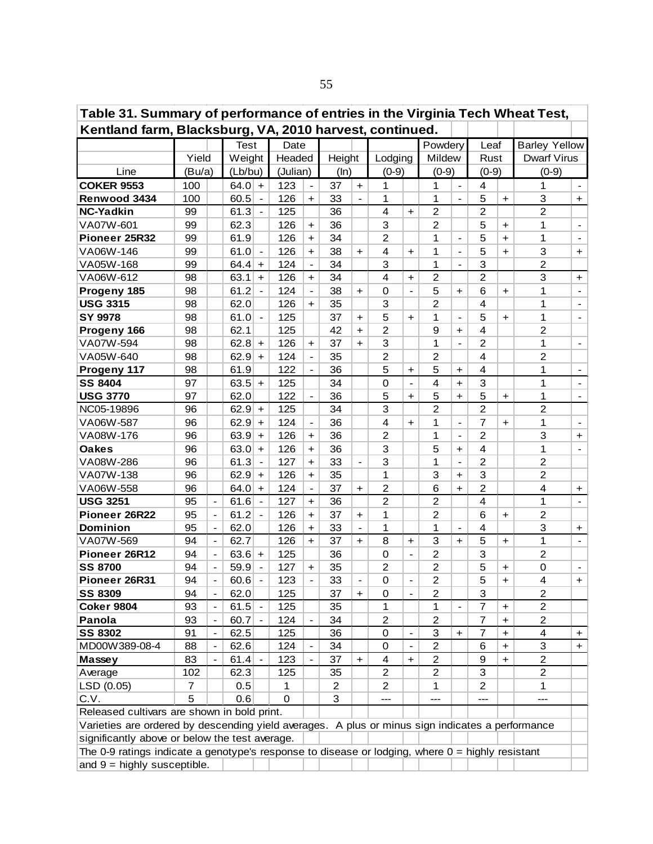|                                                                                                  |                |                          | <b>Test</b> |                          | Date        |                      |                |                                  |                         |                              | Powdery                 |                              | Leaf           |            | <b>Barley Yellow</b>      |  |
|--------------------------------------------------------------------------------------------------|----------------|--------------------------|-------------|--------------------------|-------------|----------------------|----------------|----------------------------------|-------------------------|------------------------------|-------------------------|------------------------------|----------------|------------|---------------------------|--|
|                                                                                                  | Yield          |                          | Weight      |                          | Headed      |                      | Height         |                                  | Lodging                 |                              | Mildew                  |                              | Rust           |            | <b>Dwarf Virus</b>        |  |
| Line                                                                                             | (Bu/a)         |                          | (Lb/bu)     |                          | (Julian)    |                      | (ln)           |                                  | $(0-9)$                 |                              | $(0-9)$                 |                              | $(0-9)$        |            | $(0-9)$                   |  |
| <b>COKER 9553</b>                                                                                | 100            |                          | $64.0 +$    |                          | 123         |                      | 37             | $\ddot{}$                        | 1                       |                              | 1                       | $\qquad \qquad \blacksquare$ | 4              |            | 1                         |  |
| Renwood 3434                                                                                     | 100            |                          | 60.5        | $\overline{\phantom{a}}$ | 126         | $+$                  | 33             |                                  | 1                       |                              | 1                       | $\frac{1}{2}$                | 5              | $\div$     | $\ensuremath{\mathsf{3}}$ |  |
| <b>NC-Yadkin</b>                                                                                 | 99             |                          | 61.3        | $\blacksquare$           | 125         |                      | 36             |                                  | 4                       | $\ddagger$                   | $\overline{c}$          |                              | $\overline{c}$ |            | $\overline{c}$            |  |
| VA07W-601                                                                                        | 99             |                          | 62.3        |                          | 126         | $+$                  | 36             |                                  | 3                       |                              | $\overline{c}$          |                              | 5              | $+$        | 1                         |  |
| Pioneer 25R32                                                                                    | 99             |                          | 61.9        |                          | 126         | $+$                  | 34             |                                  | $\overline{2}$          |                              | 1                       | $\overline{\phantom{a}}$     | 5              | $\ddot{}$  | 1                         |  |
| VA06W-146                                                                                        | 99             |                          | $61.0$ -    |                          | 126         | $+$                  | 38             | $\ddot{\phantom{1}}$             | 4                       | $\ddot{}$                    | 1                       | $\blacksquare$               | 5              | $\ddagger$ | 3                         |  |
| VA05W-168                                                                                        | 99             |                          | $64.4$ +    |                          | 124         |                      | 34             |                                  | 3                       |                              | 1                       | $\blacksquare$               | 3              |            | $\overline{2}$            |  |
| VA06W-612                                                                                        | 98             |                          | $63.1$ +    |                          | 126         | $+$                  | 34             |                                  | 4                       | $\ddot{\phantom{1}}$         | $\overline{c}$          |                              | $\overline{2}$ |            | 3                         |  |
| Progeny 185                                                                                      | 98             |                          | $61.2$ -    |                          | 124         |                      | 38             | $\ddot{}$                        | $\mathbf 0$             |                              | 5                       | $\ddot{}$                    | 6              | $\ddot{}$  | 1                         |  |
| <b>USG 3315</b>                                                                                  | 98             |                          | 62.0        |                          | 126         | $\ddot{}$            | 35             |                                  | 3                       |                              | $\overline{2}$          |                              | $\overline{4}$ |            | 1                         |  |
| <b>SY 9978</b>                                                                                   | 98             |                          | $61.0$ -    |                          | 125         |                      | 37             | $\begin{array}{c} + \end{array}$ | 5                       | $\ddot{\phantom{1}}$         | 1                       | $\frac{1}{2}$                | 5              | $\ddagger$ | 1                         |  |
| Progeny 166                                                                                      | 98             |                          | 62.1        |                          | 125         |                      | 42             | $+$                              | $\overline{2}$          |                              | 9                       | $+$                          | $\overline{4}$ |            | $\overline{2}$            |  |
| VA07W-594                                                                                        | 98             |                          | $62.8$ +    |                          | 126         | $+$                  | 37             | $+$                              | 3                       |                              | 1                       | $\overline{\phantom{0}}$     | $\overline{2}$ |            | 1                         |  |
| VA05W-640                                                                                        | 98             |                          | $62.9$ +    |                          | 124         |                      | 35             |                                  | $\overline{2}$          |                              | $\overline{2}$          |                              | $\overline{4}$ |            | $\overline{2}$            |  |
| Progeny 117                                                                                      | 98             |                          | 61.9        |                          | 122         |                      | 36             |                                  | 5                       | $\ddot{}$                    | 5                       | +                            | $\overline{4}$ |            | 1                         |  |
| <b>SS 8404</b>                                                                                   | 97             |                          | $63.5$ +    |                          | 125         |                      | 34             |                                  | $\mathbf 0$             | $\frac{1}{2}$                | $\overline{4}$          | $\ddot{}$                    | 3              |            | 1                         |  |
| <b>USG 3770</b>                                                                                  | 97             |                          | 62.0        |                          | 122         |                      | 36             |                                  | 5                       | $\ddot{}$                    | 5                       | $\ddot{}$                    | 5              | $\ddot{}$  | 1                         |  |
| NC05-19896                                                                                       | 96             |                          | $62.9$ +    |                          | 125         |                      | 34             |                                  | 3                       |                              | $\overline{2}$          |                              | $\overline{2}$ |            | $\overline{2}$            |  |
| VA06W-587                                                                                        | 96             |                          | $62.9$ +    |                          | 124         |                      | 36             |                                  | 4                       | $\ddot{}$                    | 1                       | $\qquad \qquad -$            | $\overline{7}$ | $\ddot{}$  | 1                         |  |
| VA08W-176                                                                                        | 96             |                          | $63.9$ +    |                          | 126         | $+$                  | 36             |                                  | $\overline{c}$          |                              | 1                       | $\overline{\phantom{a}}$     | $\overline{c}$ |            | 3                         |  |
| <b>Oakes</b>                                                                                     | 96             |                          | $63.0$ +    |                          | 126         | $+$                  | 36             |                                  | 3                       |                              | 5                       | $\ddot{}$                    | 4              |            | 1                         |  |
| VA08W-286                                                                                        | 96             |                          | $61.3$ -    |                          | 127         | $+$                  | 33             | $\blacksquare$                   | 3                       |                              | 1                       | $\blacksquare$               | $\overline{2}$ |            | $\overline{c}$            |  |
| VA07W-138                                                                                        | 96             |                          | $62.9$ +    |                          | 126         | $+$                  | 35             |                                  | 1                       |                              | 3                       | $\ddot{}$                    | 3              |            | $\overline{2}$            |  |
| VA06W-558                                                                                        | 96             |                          | $64.0$ +    |                          | 124         | $\blacksquare$       | 37             | $\ddot{\phantom{1}}$             | $\overline{c}$          |                              | 6                       | $\ddot{}$                    | $\overline{c}$ |            | 4                         |  |
| <b>USG 3251</b>                                                                                  | 95             |                          | $61.6$ -    |                          | 127         | $+$                  | 36             |                                  | $\overline{2}$          |                              | $\overline{c}$          |                              | $\overline{4}$ |            | $\mathbf{1}$              |  |
| Pioneer 26R22                                                                                    | 95             |                          | $61.2$ -    |                          | 126         | $\ddot{\phantom{1}}$ | 37             | $\ddot{}$                        | 1                       |                              | $\overline{2}$          |                              | 6              | $\ddot{}$  | $\overline{2}$            |  |
| Dominion                                                                                         | 95             |                          | 62.0        |                          | 126         | $+$                  | 33             |                                  | 1                       |                              | 1                       |                              | 4              |            | 3                         |  |
| VA07W-569                                                                                        | 94             | $\blacksquare$           | 62.7        |                          | 126         | $\ddot{}$            | 37             | $+$                              | 8                       | $+$                          | 3                       | $\ddot{}$                    | 5              | $+$        | 1                         |  |
| Pioneer 26R12                                                                                    | 94             |                          | $63.6$ +    |                          | 125         |                      | 36             |                                  | $\mathbf 0$             |                              | $\overline{2}$          |                              | 3              |            | $\overline{2}$            |  |
| <b>SS 8700</b>                                                                                   | 94             |                          | $59.9$ -    |                          | 127         | $\ddot{}$            | 35             |                                  | $\overline{c}$          |                              | $\overline{c}$          |                              | 5              | $\div$     | $\mathsf 0$               |  |
| Pioneer 26R31                                                                                    | 94             | $\blacksquare$           | $60.6$ -    |                          | 123         |                      | 33             | $\overline{\phantom{0}}$         | $\mathbf 0$             | $\blacksquare$               | $\overline{2}$          |                              | 5              | $+$        | $\overline{4}$            |  |
| <b>SS 8309</b>                                                                                   | 94             | $\overline{\phantom{a}}$ | 62.0        |                          | 125         |                      | 37             | $\ddot{}$                        | 0                       | $\qquad \qquad \blacksquare$ | $\overline{\mathbf{c}}$ |                              | 3              |            | $\overline{\mathbf{c}}$   |  |
| <b>Coker 9804</b>                                                                                | 93             |                          | $61.5$ -    |                          | 125         |                      | 35             |                                  | 1                       |                              | 1                       |                              | $\overline{7}$ | +          | $\overline{c}$            |  |
| Panola                                                                                           | 93             |                          | $60.7$ -    |                          | 124         |                      | 34             |                                  | $\overline{\mathbf{c}}$ |                              | $\overline{\mathbf{c}}$ |                              | $\overline{7}$ | $\pm$      | 2                         |  |
| <b>SS 8302</b>                                                                                   | 91             |                          | 62.5        |                          | 125         |                      | 36             |                                  | 0                       |                              | 3                       | $\ddot{}$                    | $\overline{7}$ | $\pm$      | $\overline{\mathbf{4}}$   |  |
| MD00W389-08-4                                                                                    | 88             |                          | 62.6        |                          | 124         |                      | 34             |                                  | 0                       |                              | $\overline{2}$          |                              | 6              | $\ddot{}$  | 3                         |  |
| Massey                                                                                           | 83             |                          | $61.4$ -    |                          | 123         |                      | 37             | $\ddot{}$                        | 4                       | $+$                          | $\overline{2}$          |                              | 9              | $\ddot{}$  | $\overline{c}$            |  |
| Average                                                                                          | 102            |                          | 62.3        |                          | 125         |                      | 35             |                                  | $\overline{2}$          |                              | $\overline{2}$          |                              | 3              |            | $\overline{2}$            |  |
| LSD (0.05)                                                                                       | $\overline{7}$ |                          | 0.5         |                          | $\mathbf 1$ |                      | $\overline{2}$ |                                  | $\overline{2}$          |                              | 1                       |                              | $\overline{2}$ |            | 1                         |  |
| C.V.                                                                                             | 5              |                          | 0.6         |                          | $\mathbf 0$ |                      | 3              |                                  | ---                     |                              | ---                     |                              | ---            |            | ---                       |  |
| Released cultivars are shown in bold print.                                                      |                |                          |             |                          |             |                      |                |                                  |                         |                              |                         |                              |                |            |                           |  |
| Varieties are ordered by descending yield averages. A plus or minus sign indicates a performance |                |                          |             |                          |             |                      |                |                                  |                         |                              |                         |                              |                |            |                           |  |
| significantly above or below the test average.                                                   |                |                          |             |                          |             |                      |                |                                  |                         |                              |                         |                              |                |            |                           |  |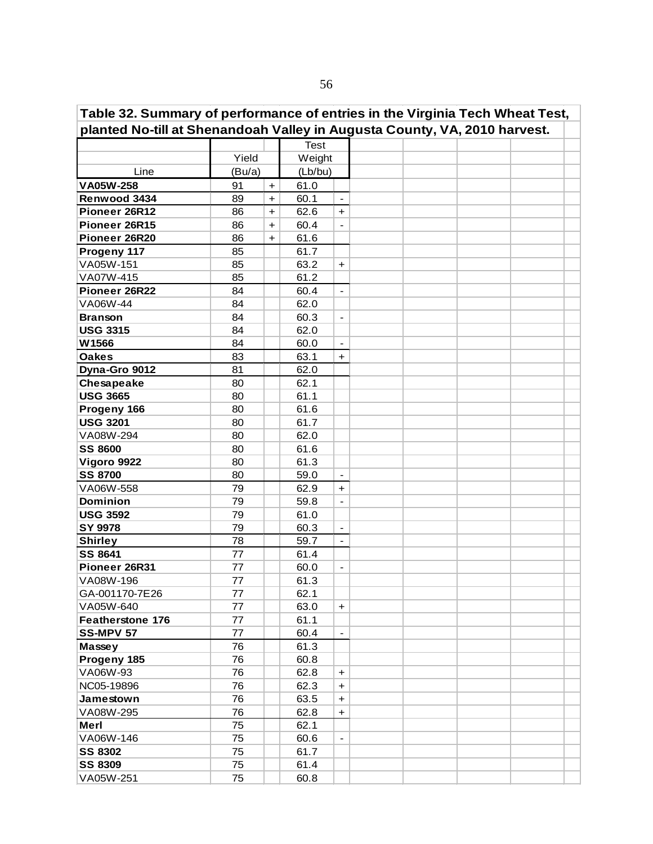| Yield  |           |      |                          |                                  |  |                                                                                                                                                           |
|--------|-----------|------|--------------------------|----------------------------------|--|-----------------------------------------------------------------------------------------------------------------------------------------------------------|
| (Bu/a) |           |      |                          |                                  |  |                                                                                                                                                           |
| 91     | $+$       | 61.0 |                          |                                  |  |                                                                                                                                                           |
| 89     | $+$       | 60.1 | $\overline{\phantom{a}}$ |                                  |  |                                                                                                                                                           |
| 86     | $+$       | 62.6 | $+$                      |                                  |  |                                                                                                                                                           |
| 86     | $\ddot{}$ | 60.4 |                          |                                  |  |                                                                                                                                                           |
| 86     | $\ddot{}$ | 61.6 |                          |                                  |  |                                                                                                                                                           |
| 85     |           | 61.7 |                          |                                  |  |                                                                                                                                                           |
| 85     |           | 63.2 | $+$                      |                                  |  |                                                                                                                                                           |
| 85     |           | 61.2 |                          |                                  |  |                                                                                                                                                           |
| 84     |           | 60.4 | $\blacksquare$           |                                  |  |                                                                                                                                                           |
| 84     |           | 62.0 |                          |                                  |  |                                                                                                                                                           |
| 84     |           | 60.3 | $\overline{\phantom{a}}$ |                                  |  |                                                                                                                                                           |
| 84     |           | 62.0 |                          |                                  |  |                                                                                                                                                           |
| 84     |           | 60.0 | $\blacksquare$           |                                  |  |                                                                                                                                                           |
| 83     |           | 63.1 | $+$                      |                                  |  |                                                                                                                                                           |
| 81     |           | 62.0 |                          |                                  |  |                                                                                                                                                           |
| 80     |           | 62.1 |                          |                                  |  |                                                                                                                                                           |
| 80     |           | 61.1 |                          |                                  |  |                                                                                                                                                           |
| 80     |           | 61.6 |                          |                                  |  |                                                                                                                                                           |
| 80     |           | 61.7 |                          |                                  |  |                                                                                                                                                           |
| 80     |           | 62.0 |                          |                                  |  |                                                                                                                                                           |
| 80     |           | 61.6 |                          |                                  |  |                                                                                                                                                           |
| 80     |           | 61.3 |                          |                                  |  |                                                                                                                                                           |
| 80     |           | 59.0 | $\blacksquare$           |                                  |  |                                                                                                                                                           |
| 79     |           | 62.9 | $+$                      |                                  |  |                                                                                                                                                           |
| 79     |           | 59.8 | $\overline{\phantom{a}}$ |                                  |  |                                                                                                                                                           |
|        |           |      |                          | <b>Test</b><br>Weight<br>(Lb/bu) |  | Table 32. Summary of performance of entries in the Virginia Tech Wheat Test,<br>planted No-till at Shenandoah Valley in Augusta County, VA, 2010 harvest. |

| Renwood 3434            | 89 | $\ddot{}$ | 60.1 | $\overline{\phantom{a}}$ |  |  |  |
|-------------------------|----|-----------|------|--------------------------|--|--|--|
| Pioneer 26R12           | 86 | $\ddot{}$ | 62.6 | $\ddot{}$                |  |  |  |
| Pioneer 26R15           | 86 | $\ddot{}$ | 60.4 |                          |  |  |  |
| Pioneer 26R20           | 86 | $\ddot{}$ | 61.6 |                          |  |  |  |
| Progeny 117             | 85 |           | 61.7 |                          |  |  |  |
| VA05W-151               | 85 |           | 63.2 | $\ddot{}$                |  |  |  |
| VA07W-415               | 85 |           | 61.2 |                          |  |  |  |
| Pioneer 26R22           | 84 |           | 60.4 | $\hbox{--}$              |  |  |  |
| VA06W-44                | 84 |           | 62.0 |                          |  |  |  |
| <b>Branson</b>          | 84 |           | 60.3 | $\blacksquare$           |  |  |  |
| <b>USG 3315</b>         | 84 |           | 62.0 |                          |  |  |  |
| W1566                   | 84 |           | 60.0 |                          |  |  |  |
| <b>Oakes</b>            | 83 |           | 63.1 | $\ddot{\phantom{1}}$     |  |  |  |
| Dyna-Gro 9012           | 81 |           | 62.0 |                          |  |  |  |
| Chesapeake              | 80 |           | 62.1 |                          |  |  |  |
| <b>USG 3665</b>         | 80 |           | 61.1 |                          |  |  |  |
| Progeny 166             | 80 |           | 61.6 |                          |  |  |  |
| <b>USG 3201</b>         | 80 |           | 61.7 |                          |  |  |  |
| VA08W-294               | 80 |           | 62.0 |                          |  |  |  |
| <b>SS 8600</b>          | 80 |           | 61.6 |                          |  |  |  |
| Vigoro 9922             | 80 |           | 61.3 |                          |  |  |  |
| <b>SS 8700</b>          | 80 |           | 59.0 | $\blacksquare$           |  |  |  |
| VA06W-558               | 79 |           | 62.9 | $\ddot{}$                |  |  |  |
| Dominion                | 79 |           | 59.8 | $\overline{\phantom{a}}$ |  |  |  |
| <b>USG 3592</b>         | 79 |           | 61.0 |                          |  |  |  |
| <b>SY 9978</b>          | 79 |           | 60.3 | $\overline{\phantom{a}}$ |  |  |  |
| <b>Shirley</b>          | 78 |           | 59.7 | $\blacksquare$           |  |  |  |
| <b>SS 8641</b>          | 77 |           | 61.4 |                          |  |  |  |
| Pioneer 26R31           | 77 |           | 60.0 | $\blacksquare$           |  |  |  |
| VA08W-196               | 77 |           | 61.3 |                          |  |  |  |
| GA-001170-7E26          | 77 |           | 62.1 |                          |  |  |  |
| VA05W-640               | 77 |           | 63.0 | $\ddot{}$                |  |  |  |
| <b>Featherstone 176</b> | 77 |           | 61.1 |                          |  |  |  |
| <b>SS-MPV 57</b>        | 77 |           | 60.4 | $\overline{\phantom{a}}$ |  |  |  |
| Massey                  | 76 |           | 61.3 |                          |  |  |  |
| Progeny 185             | 76 |           | 60.8 |                          |  |  |  |
| VA06W-93                | 76 |           | 62.8 | $\ddot{}$                |  |  |  |
| NC05-19896              | 76 |           | 62.3 | $\pm$                    |  |  |  |
| Jamestown               | 76 |           | 63.5 | $\pm$                    |  |  |  |
| VA08W-295               | 76 |           | 62.8 | $\ddot{}$                |  |  |  |
| Merl                    | 75 |           | 62.1 |                          |  |  |  |
| VA06W-146               | 75 |           | 60.6 | $\overline{\phantom{a}}$ |  |  |  |
| <b>SS 8302</b>          | 75 |           | 61.7 |                          |  |  |  |
| <b>SS 8309</b>          | 75 |           | 61.4 |                          |  |  |  |
| VA05W-251               | 75 |           | 60.8 |                          |  |  |  |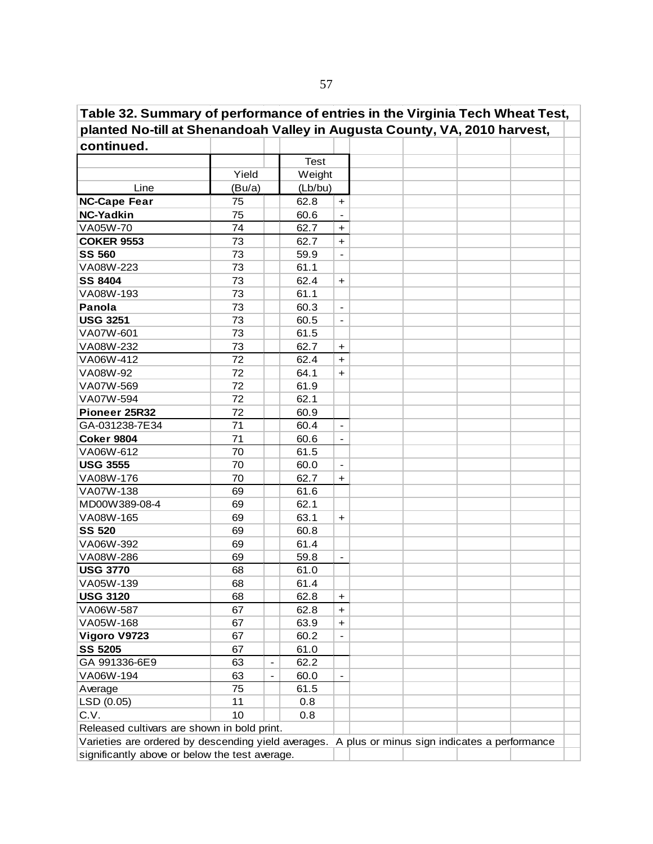| Table 32. Summary of performance of entries in the Virginia Tech Wheat Test, |        |                        |                          |  |  |  |
|------------------------------------------------------------------------------|--------|------------------------|--------------------------|--|--|--|
| planted No-till at Shenandoah Valley in Augusta County, VA, 2010 harvest,    |        |                        |                          |  |  |  |
| continued.                                                                   |        |                        |                          |  |  |  |
|                                                                              |        | <b>Test</b>            |                          |  |  |  |
|                                                                              | Yield  | Weight                 |                          |  |  |  |
| Line                                                                         | (Bu/a) | (Lb/bu)                |                          |  |  |  |
| <b>NC-Cape Fear</b>                                                          | 75     | 62.8                   | $+$                      |  |  |  |
| <b>NC-Yadkin</b>                                                             | 75     | 60.6                   | $\overline{a}$           |  |  |  |
| VA05W-70                                                                     | 74     | 62.7                   | $\ddot{}$                |  |  |  |
| <b>COKER 9553</b>                                                            | 73     | 62.7                   | $\ddot{}$                |  |  |  |
| <b>SS 560</b>                                                                | 73     | 59.9                   |                          |  |  |  |
| VA08W-223                                                                    | 73     | 61.1                   |                          |  |  |  |
| <b>SS 8404</b>                                                               | 73     | 62.4                   | $\ddot{}$                |  |  |  |
| VA08W-193                                                                    | 73     | 61.1                   |                          |  |  |  |
| Panola                                                                       | 73     | 60.3                   | $\overline{\phantom{a}}$ |  |  |  |
| <b>USG 3251</b>                                                              | 73     | 60.5                   | $\overline{\phantom{a}}$ |  |  |  |
| VA07W-601                                                                    | 73     | 61.5                   |                          |  |  |  |
| VA08W-232                                                                    | 73     | 62.7                   | +                        |  |  |  |
| VA06W-412                                                                    | 72     | 62.4                   | $+$                      |  |  |  |
| VA08W-92                                                                     | 72     | 64.1                   | $\ddot{}$                |  |  |  |
| VA07W-569                                                                    | 72     | 61.9                   |                          |  |  |  |
| VA07W-594                                                                    | 72     | 62.1                   |                          |  |  |  |
| Pioneer 25R32                                                                | 72     | 60.9                   |                          |  |  |  |
| GA-031238-7E34                                                               | 71     | 60.4                   | $\overline{\phantom{a}}$ |  |  |  |
| <b>Coker 9804</b>                                                            | 71     | 60.6                   |                          |  |  |  |
| VA06W-612                                                                    | 70     | 61.5                   |                          |  |  |  |
| <b>USG 3555</b>                                                              | 70     | 60.0                   |                          |  |  |  |
| VA08W-176                                                                    | 70     | 62.7                   | +                        |  |  |  |
| VA07W-138                                                                    | 69     | 61.6                   |                          |  |  |  |
| MD00W389-08-4                                                                | 69     | 62.1                   |                          |  |  |  |
| VA08W-165                                                                    | 69     | 63.1                   | $\ddot{}$                |  |  |  |
| <b>SS 520</b>                                                                | 69     | 60.8                   |                          |  |  |  |
| VA06W-392                                                                    | 69     | 61.4                   |                          |  |  |  |
| VA08W-286                                                                    | 69     | 59.8                   | $\overline{\phantom{a}}$ |  |  |  |
| <b>USG 3770</b>                                                              | 68     | 61.0                   |                          |  |  |  |
| VA05W-139                                                                    | 68     | 61.4                   |                          |  |  |  |
| <b>USG 3120</b>                                                              | 68     | 62.8                   | +                        |  |  |  |
| VA06W-587                                                                    | 67     | 62.8                   | $\pm$                    |  |  |  |
| VA05W-168                                                                    | 67     | 63.9                   | $+$                      |  |  |  |
| Vigoro V9723                                                                 | 67     | 60.2                   | $\overline{\phantom{a}}$ |  |  |  |
| <b>SS 5205</b>                                                               | 67     | 61.0                   |                          |  |  |  |
| GA 991336-6E9                                                                | 63     | 62.2                   |                          |  |  |  |
| VA06W-194                                                                    | 63     | 60.0<br>$\blacksquare$ |                          |  |  |  |
| Average                                                                      | 75     | 61.5                   |                          |  |  |  |
| LSD (0.05)                                                                   | 11     | 0.8                    |                          |  |  |  |
| C.V.                                                                         | 10     | 0.8                    |                          |  |  |  |
| Released cultivars are shown in bold print.                                  |        |                        |                          |  |  |  |

Varieties are ordered by descending yield averages. A plus or minus sign indicates a performance significantly above or below the test average.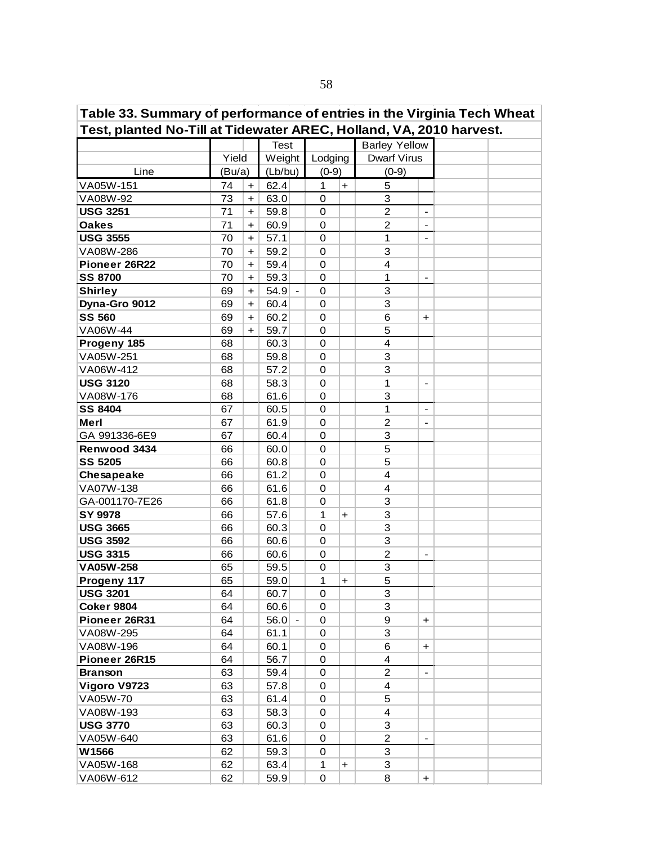| Table 33. Summary of performance of entries in the Virginia Tech Wheat |        |           |                        |             |            |                         |                              |  |
|------------------------------------------------------------------------|--------|-----------|------------------------|-------------|------------|-------------------------|------------------------------|--|
| Test, planted No-Till at Tidewater AREC, Holland, VA, 2010 harvest.    |        |           |                        |             |            |                         |                              |  |
|                                                                        |        |           | <b>Test</b>            |             |            | <b>Barley Yellow</b>    |                              |  |
|                                                                        | Yield  |           | Weight                 | Lodging     |            | <b>Dwarf Virus</b>      |                              |  |
| Line                                                                   | (Bu/a) |           | (Lb/bu)                | $(0-9)$     |            | $(0-9)$                 |                              |  |
| VA05W-151                                                              | 74     | $\ddot{}$ | 62.4                   | 1           | $\ddot{}$  | 5                       |                              |  |
| VA08W-92                                                               | 73     | $\ddot{}$ | 63.0                   | $\mathbf 0$ |            | 3                       |                              |  |
| <b>USG 3251</b>                                                        | 71     | $+$       | 59.8                   | 0           |            | $\overline{c}$          | $\overline{\phantom{a}}$     |  |
| <b>Oakes</b>                                                           | 71     | $\div$    | 60.9                   | 0           |            | $\mathbf 2$             | $\qquad \qquad \blacksquare$ |  |
| <b>USG 3555</b>                                                        | 70     | $\ddot{}$ | 57.1                   | 0           |            | 1                       | $\overline{\phantom{a}}$     |  |
| VA08W-286                                                              | 70     | $\div$    | 59.2                   | 0           |            | 3                       |                              |  |
| Pioneer 26R22                                                          | 70     | $\ddot{}$ | 59.4                   | 0           |            | 4                       |                              |  |
| <b>SS 8700</b>                                                         | 70     | $\ddag$   | 59.3                   | $\mathbf 0$ |            | 1                       | $\overline{\phantom{a}}$     |  |
| <b>Shirley</b>                                                         | 69     | $\ddot{}$ | 54.9<br>$\blacksquare$ | 0           |            | 3                       |                              |  |
| Dyna-Gro 9012                                                          | 69     | $\ddot{}$ | 60.4                   | 0           |            | 3                       |                              |  |
| <b>SS 560</b>                                                          | 69     | $+$       | 60.2                   | 0           |            | 6                       | $\ddot{}$                    |  |
| VA06W-44                                                               | 69     | $\ddot{}$ | 59.7                   | 0           |            | 5                       |                              |  |
| Progeny 185                                                            | 68     |           | 60.3                   | 0           |            | $\overline{\mathbf{4}}$ |                              |  |
| VA05W-251                                                              | 68     |           | 59.8                   | 0           |            | 3                       |                              |  |
| VA06W-412                                                              | 68     |           | 57.2                   | 0           |            | 3                       |                              |  |
| <b>USG 3120</b>                                                        | 68     |           | 58.3                   | 0           |            | 1                       | $\overline{\phantom{a}}$     |  |
| VA08W-176                                                              | 68     |           | 61.6                   | 0           |            | 3                       |                              |  |
| <b>SS 8404</b>                                                         | 67     |           | 60.5                   | 0           |            | 1                       | $\overline{\phantom{a}}$     |  |
| Merl                                                                   | 67     |           | 61.9                   | 0           |            | $\overline{c}$          | $\overline{\phantom{a}}$     |  |
| GA 991336-6E9                                                          | 67     |           | 60.4                   | 0           |            | 3                       |                              |  |
| Renwood 3434                                                           | 66     |           | 60.0                   | 0           |            | 5                       |                              |  |
| <b>SS 5205</b>                                                         | 66     |           | 60.8                   | 0           |            | 5                       |                              |  |
| Chesapeake                                                             | 66     |           | 61.2                   | 0           |            | 4                       |                              |  |
| VA07W-138                                                              | 66     |           | 61.6                   | 0           |            | 4                       |                              |  |
| GA-001170-7E26                                                         | 66     |           | 61.8                   | 0           |            | 3                       |                              |  |
| SY 9978                                                                | 66     |           | 57.6                   | 1           | $\ddot{}$  | 3                       |                              |  |
| <b>USG 3665</b>                                                        | 66     |           | 60.3                   | 0           |            | 3                       |                              |  |
| <b>USG 3592</b>                                                        | 66     |           | 60.6                   | 0           |            | 3                       |                              |  |
| <b>USG 3315</b>                                                        | 66     |           | 60.6                   | 0           |            | $\overline{c}$          | $\overline{\phantom{a}}$     |  |
| VA05W-258                                                              | 65     |           | 59.5                   | 0           |            | 3                       |                              |  |
| Progeny 117                                                            | 65     |           | 59.0                   | 1           | +          | 5                       |                              |  |
| <b>USG 3201</b>                                                        | 64     |           | 60.7                   | 0           |            | 3                       |                              |  |
| <b>Coker 9804</b>                                                      | 64     |           | 60.6                   | 0           |            | 3                       |                              |  |
| Pioneer 26R31                                                          | 64     |           | $56.0$ -               | 0           |            | 9                       | $\ddot{}$                    |  |
| VA08W-295                                                              | 64     |           | 61.1                   | 0           |            | 3                       |                              |  |
| VA08W-196                                                              | 64     |           | 60.1                   | 0           |            | 6                       | $\ddot{}$                    |  |
| Pioneer 26R15                                                          | 64     |           | 56.7                   | 0           |            | 4                       |                              |  |
| <b>Branson</b>                                                         | 63     |           | 59.4                   | 0           |            | $\overline{c}$          | $\qquad \qquad \blacksquare$ |  |
| Vigoro V9723                                                           | 63     |           | 57.8                   | 0           |            | $\overline{\mathbf{4}}$ |                              |  |
| VA05W-70                                                               | 63     |           | 61.4                   | 0           |            | 5                       |                              |  |
| VA08W-193                                                              | 63     |           | 58.3                   | 0           |            | 4                       |                              |  |
| <b>USG 3770</b>                                                        | 63     |           | 60.3                   | 0           |            | 3                       |                              |  |
| VA05W-640                                                              | 63     |           | 61.6                   | 0           |            | 2                       | $\overline{\phantom{a}}$     |  |
| W1566                                                                  | 62     |           | 59.3                   | 0           |            | 3                       |                              |  |
| VA05W-168                                                              | 62     |           | 63.4                   | 1           | $\ddagger$ | 3                       |                              |  |
| VA06W-612                                                              | 62     |           | 59.9                   | 0           |            | 8                       | $+$                          |  |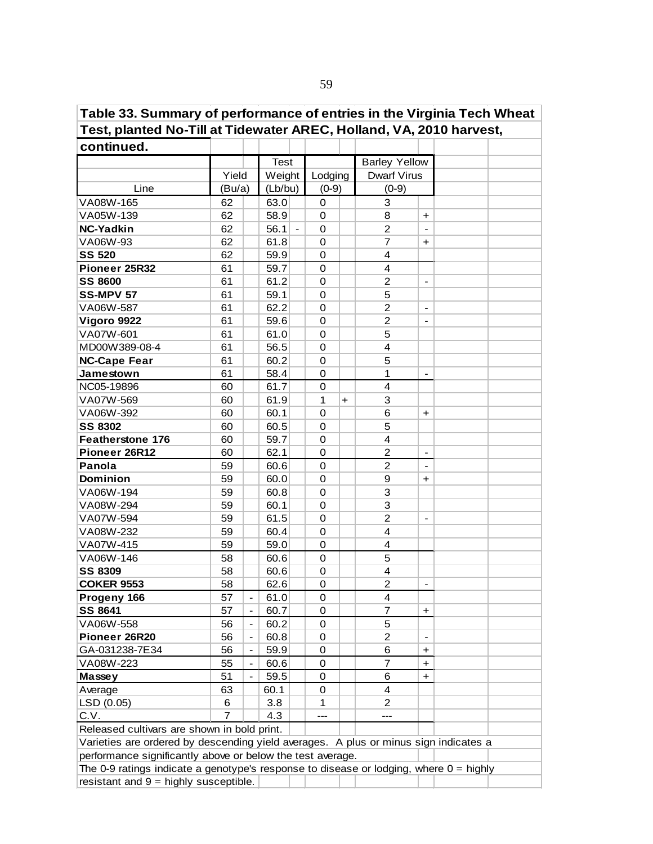**Test, planted No-Till at Tidewater AREC, Holland, VA, 2010 harvest, continued.** Line  $VA08W-165$   $62$  63.0 0 1 3 VA05W-139 62 58.9 0 8 + **NC-Yadkin**  $\begin{array}{|c|c|c|c|c|c|c|c|c|} \hline \text{NCA} & \text{SCA} & \text{SCA} & \text{SCA} & \text{SCA} & \text{SCA} & \text{SCA} & \text{SCA} & \text{SCA} & \text{SCA} & \text{SCA} & \text{SCA} & \text{SCA} & \text{SCA} & \text{SCA} & \text{SCA} & \text{SCA} & \text{SCA} & \text{SCA} & \text{SCA} & \text{SCA} & \text{SCA} & \text{SCA} & \text{SCA} & \text{SCA} & \text{SCA$  $VA06W-93$  62 61.8 0 7 + **SS 520** 62 59.9 0 4 **Pioneer 25R32** 61 59.7 0 4 **SS 8600** 61 61 61.2 0 2 -**SS-MPV 57** 61 59.1 0 5 VA06W-587 61 62.2 0 2 -**Vigoro 9922** 61 59.6 0 2 - $VA07W-601$  61 61 0 0 5 MD00W389-08-4 61 56.5 0 4 **NC-Cape Fear**  $\begin{array}{|c|c|c|c|c|c|} \hline \text{NCG-} & \text{A} & \text{B} & \text{B} & \text{B} \\ \hline \end{array}$ **Jamestown** 61 58.4 0 1 - $NCO5-19896$  60 61.7 0 4  $VA07W-569$  60 61.9 1 + 3  $VAO6W-392$  60 60.1 0 6 + **SS 8302** 60 60.5 0 5 **Featherstone 176** 60 59.7 0 4 **Pioneer 26R12** 60 62.1 0 2 -**Panola** 59 60.6 0 2 - **Dominion**  $\begin{array}{|c|c|c|c|c|c|} \hline \textbf{59} & \textbf{60.0} & \textbf{0} & \textbf{9} & \textbf{1} \end{array}$  $VA06W-194$   $|59|$   $|60.8|$  0  $|3$  $VA08W-294$   $59$  60.1 0 3  $V$ A07W-594  $\begin{array}{|c|c|c|c|c|c|c|c|c|} \hline \end{array}$  59 61.5 0  $\begin{array}{|c|c|c|c|c|c|c|c|} \hline \end{array}$ VA08W-232 59 60.4 0 4<br>VA07W-415 59 59.0 0 4 VA07W-415 | 59 | 59.0  $VA06W-146$   $| 58 | 60.6 | 0 | 5$ **SS 8309** 68 60.6 0 4 **COKER 9553** 58 62.6 0 2 -**Progeny 166**  $\begin{array}{|c|c|c|c|c|c|c|c|} \hline \end{array}$  57 - 61.0 0 0 4 **SS 8641** 57 - 60.7 0 7 + VA06W-558 56 - 60.2 0 5 **Pioneer 26R20** 56 - 60.8 0 2 - $\begin{array}{|c|c|c|c|c|c|c|c|c|} \hline \text{GA-031238-7E34} & \text{56 } & - & 59.9 & 0 & 6 & + \text{VA08W-223} \ \hline \text{VA08W-223} & \text{55 } & - & 60.6 & 0 & 7 & + \text{AA} \ \hline \end{array}$  $VA08W-223$   $55$   $-$  60.6 0 1 7 + **Massey |** 51 | - | 59.5 | 0 | | 6 | + Average 63 60.1 0 4 LSD (0.05) 6 3.8 1 2 C.V. 7 4.3 --- --- Released cultivars are shown in bold print. Varieties are ordered by descending yield averages. A plus or minus sign indicates a performance significantly above or below the test average. Test | Barley Yellow Yield Weight Lodging Dwarf Virus  $(Bu/a)$   $(Lb/bu)$   $(0-9)$   $(0-9)$ 

The 0-9 ratings indicate a genotype's response to disease or lodging, where  $0 =$  highly

resistant and  $9 =$  highly susceptible.

**Table 33. Summary of performance of entries in the Virginia Tech Wheat**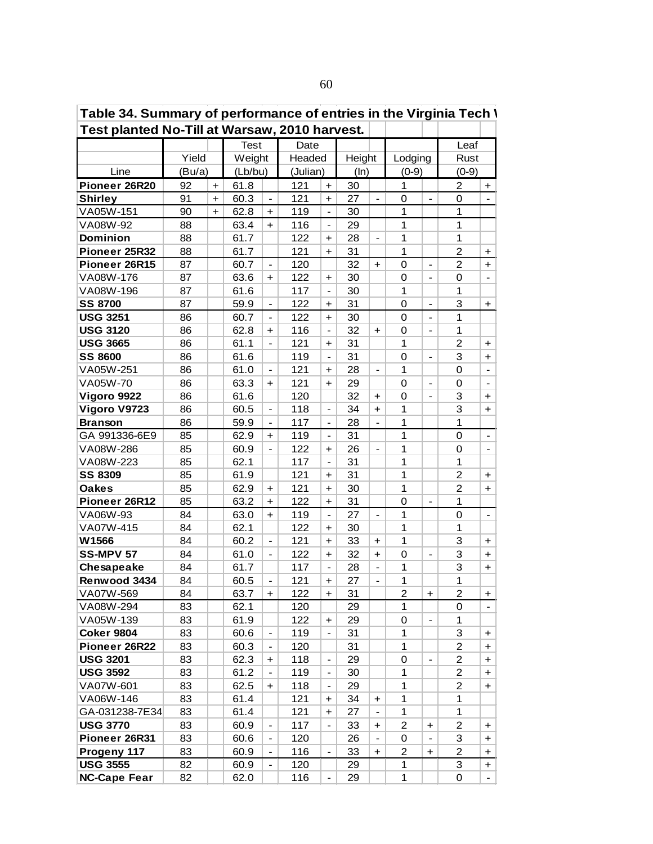| Table 34. Summary of performance of entries in the Virginia Tech \ |        |           |             |                          |          |                          |        |                              |                |                          |                |                          |
|--------------------------------------------------------------------|--------|-----------|-------------|--------------------------|----------|--------------------------|--------|------------------------------|----------------|--------------------------|----------------|--------------------------|
| Test planted No-Till at Warsaw, 2010 harvest.                      |        |           |             |                          |          |                          |        |                              |                |                          |                |                          |
|                                                                    |        |           | <b>Test</b> |                          | Date     |                          |        |                              |                |                          | Leaf           |                          |
|                                                                    | Yield  |           | Weight      |                          | Headed   |                          | Height |                              | Lodging        |                          | Rust           |                          |
| Line                                                               | (Bu/a) |           | (Lb/bu)     |                          | (Julian) |                          | (ln)   |                              | $(0-9)$        |                          | $(0-9)$        |                          |
| Pioneer 26R20                                                      | 92     | $\ddot{}$ | 61.8        |                          | 121      | $+$                      | 30     |                              | 1              |                          | 2              | +                        |
| <b>Shirley</b>                                                     | 91     | $\ddot{}$ | 60.3        | $\blacksquare$           | 121      | $+$                      | 27     | $\overline{\phantom{a}}$     | 0              | $\overline{\phantom{a}}$ | $\mathbf 0$    |                          |
| VA05W-151                                                          | 90     | $\ddot{}$ | 62.8        | $\div$                   | 119      |                          | 30     |                              | 1              |                          | 1              |                          |
| VA08W-92                                                           | 88     |           | 63.4        | $\div$                   | 116      | $\frac{1}{2}$            | 29     |                              | 1              |                          | 1              |                          |
| Dominion                                                           | 88     |           | 61.7        |                          | 122      | $\pm$                    | 28     | $\blacksquare$               | 1              |                          | 1              |                          |
| Pioneer 25R32                                                      | 88     |           | 61.7        |                          | 121      | $\pm$                    | 31     |                              | 1              |                          | $\overline{c}$ | $\ddot{}$                |
| Pioneer 26R15                                                      | 87     |           | 60.7        | $\blacksquare$           | 120      |                          | 32     | $\ddagger$                   | 0              | $\overline{\phantom{a}}$ | $\overline{c}$ | $+$                      |
| VA08W-176                                                          | 87     |           | 63.6        | $+$                      | 122      | $\ddot{}$                | 30     |                              | 0              | $\overline{\phantom{a}}$ | 0              | $\overline{\phantom{a}}$ |
| VA08W-196                                                          | 87     |           | 61.6        |                          | 117      | $\overline{\phantom{a}}$ | 30     |                              | 1              |                          | 1              |                          |
| <b>SS 8700</b>                                                     | 87     |           | 59.9        | $\frac{1}{2}$            | 122      | $\ddot{}$                | 31     |                              | 0              | $\overline{\phantom{a}}$ | 3              | $\ddot{}$                |
| <b>USG 3251</b>                                                    | 86     |           | 60.7        | $\frac{1}{2}$            | 122      | $+$                      | 30     |                              | 0              | $\blacksquare$           | 1              |                          |
| <b>USG 3120</b>                                                    | 86     |           | 62.8        | $\ddot{}$                | 116      | $\overline{a}$           | 32     | $\ddagger$                   | 0              | $\blacksquare$           | 1              |                          |
| <b>USG 3665</b>                                                    | 86     |           | 61.1        |                          | 121      | $\ddot{}$                | 31     |                              | 1              |                          | $\overline{c}$ | $\ddot{}$                |
| <b>SS 8600</b>                                                     | 86     |           | 61.6        |                          | 119      | $\overline{a}$           | 31     |                              | 0              | $\frac{1}{2}$            | 3              | $\ddot{\phantom{1}}$     |
| VA05W-251                                                          | 86     |           | 61.0        | $\overline{\phantom{a}}$ | 121      | +                        | 28     | $\frac{1}{2}$                | 1              |                          | $\mathbf 0$    |                          |
| VA05W-70                                                           | 86     |           | 63.3        | $\ddot{}$                | 121      | $+$                      | 29     |                              | 0              |                          | 0              |                          |
| Vigoro 9922                                                        | 86     |           | 61.6        |                          | 120      |                          | 32     | $\ddot{}$                    | 0              |                          | 3              | $+$                      |
| Vigoro V9723                                                       | 86     |           | 60.5        | $\overline{\phantom{a}}$ | 118      | $\overline{\phantom{a}}$ | 34     | $+$                          | 1              |                          | 3              | $+$                      |
| <b>Branson</b>                                                     | 86     |           | 59.9        | $\overline{\phantom{a}}$ | 117      | $\overline{\phantom{0}}$ | 28     | $\overline{\phantom{a}}$     | 1              |                          | 1              |                          |
| GA 991336-6E9                                                      | 85     |           | 62.9        | $\ddot{}$                | 119      | $\overline{\phantom{0}}$ | 31     |                              | 1              |                          | $\mathbf 0$    | $\overline{\phantom{a}}$ |
| VA08W-286                                                          | 85     |           | 60.9        |                          | 122      | $\ddot{}$                | 26     | $\qquad \qquad \blacksquare$ | 1              |                          | 0              | $\overline{\phantom{a}}$ |
| VA08W-223                                                          | 85     |           | 62.1        |                          | 117      | $\frac{1}{2}$            | 31     |                              | 1              |                          | 1              |                          |
| <b>SS 8309</b>                                                     | 85     |           | 61.9        |                          | 121      | $\ddot{}$                | 31     |                              | 1              |                          | $\overline{c}$ | $\ddot{}$                |
| <b>Oakes</b>                                                       | 85     |           | 62.9        | $\pm$                    | 121      | $\ddot{}$                | 30     |                              | 1              |                          | $\overline{c}$ | $+$                      |
| Pioneer 26R12                                                      | 85     |           | 63.2        | $\ddot{}$                | 122      | $+$                      | 31     |                              | 0              | $\overline{\phantom{a}}$ | 1              |                          |
| VA06W-93                                                           | 84     |           | 63.0        | $+$                      | 119      | $\blacksquare$           | 27     | $\overline{\phantom{a}}$     | 1              |                          | 0              | $\overline{\phantom{a}}$ |
| VA07W-415                                                          | 84     |           | 62.1        |                          | 122      | $\ddot{}$                | 30     |                              | 1              |                          | 1              |                          |
| W1566                                                              | 84     |           | 60.2        | $\overline{\phantom{a}}$ | 121      | $\ddot{}$                | 33     | $\ddot{}$                    | 1              |                          | 3              | $+$                      |
| <b>SS-MPV 57</b>                                                   | 84     |           | 61.0        |                          | 122      | $\ddot{}$                | 32     | $\ddagger$                   | 0              | $\overline{\phantom{0}}$ | 3              | $+$                      |
| Chesapeake                                                         | 84     |           | 61.7        |                          | 117      | $\frac{1}{2}$            | 28     | $\overline{\phantom{a}}$     | 1              |                          | 3              | $\ddot{}$                |
| Renwood 3434                                                       | 84     |           | 60.5        | $\frac{1}{2}$            | 121      | $\ddot{}$                | 27     |                              | 1              |                          | 1              |                          |
| VA07W-569                                                          | 84     |           | 63.7        | $\pm$                    | 122      | +                        | 31     |                              | $\overline{c}$ | $\ddot{}$                | $\overline{c}$ | $\pm$                    |
| VA08W-294                                                          | 83     |           | 62.1        |                          | 120      |                          | 29     |                              | 1              |                          | $\Omega$       |                          |
| VA05W-139                                                          | 83     |           | 61.9        |                          | 122      | +                        | 29     |                              | 0              |                          | 1              |                          |
| <b>Coker 9804</b>                                                  | 83     |           | 60.6        | $\blacksquare$           | 119      | $\overline{\phantom{0}}$ | 31     |                              | 1              |                          | 3              | $\ddot{}$                |
| Pioneer 26R22                                                      | 83     |           | 60.3        |                          | 120      |                          | 31     |                              | 1              |                          | $\overline{c}$ | $+$                      |
| <b>USG 3201</b>                                                    | 83     |           | 62.3        | $\pm$                    | 118      | $\overline{\phantom{a}}$ | 29     |                              | 0              | $\overline{\phantom{0}}$ | $\overline{c}$ | $+$                      |
| <b>USG 3592</b>                                                    | 83     |           | 61.2        |                          | 119      | $\overline{\phantom{0}}$ | 30     |                              | 1              |                          | 2              | $+$                      |
| VA07W-601                                                          | 83     |           | 62.5        | $\ddot{}$                | 118      | $\overline{\phantom{0}}$ | 29     |                              | 1              |                          | 2              | $+$                      |
| VA06W-146                                                          | 83     |           | 61.4        |                          | 121      | $\pm$                    | 34     | $\ddot{}$                    | 1              |                          | 1              |                          |
| GA-031238-7E34                                                     | 83     |           | 61.4        |                          | 121      | $\ddot{}$                | 27     |                              | 1              |                          | 1              |                          |
| <b>USG 3770</b>                                                    | 83     |           | 60.9        | $\overline{\phantom{a}}$ | 117      | $\overline{\phantom{a}}$ | 33     | $\ddot{}$                    | $\overline{c}$ | $\ddot{}$                | $\overline{2}$ | $\pm$                    |
| Pioneer 26R31                                                      | 83     |           | 60.6        | $\overline{\phantom{a}}$ | 120      |                          | 26     | $\overline{\phantom{a}}$     | $\mathbf 0$    | $\blacksquare$           | 3              | $\ddot{}$                |
| Progeny 117                                                        | 83     |           | 60.9        | $\overline{\phantom{a}}$ | 116      | $\overline{\phantom{0}}$ | 33     | $\ddagger$                   | $\overline{2}$ | $\ddot{}$                | $\overline{2}$ | $+$                      |
| <b>USG 3555</b>                                                    | 82     |           | 60.9        | $\overline{\phantom{a}}$ | 120      |                          | 29     |                              | 1              |                          | 3              | $+$                      |
| <b>NC-Cape Fear</b>                                                | 82     |           | 62.0        |                          | 116      |                          | 29     |                              | 1              |                          | 0              |                          |
|                                                                    |        |           |             |                          |          |                          |        |                              |                |                          |                |                          |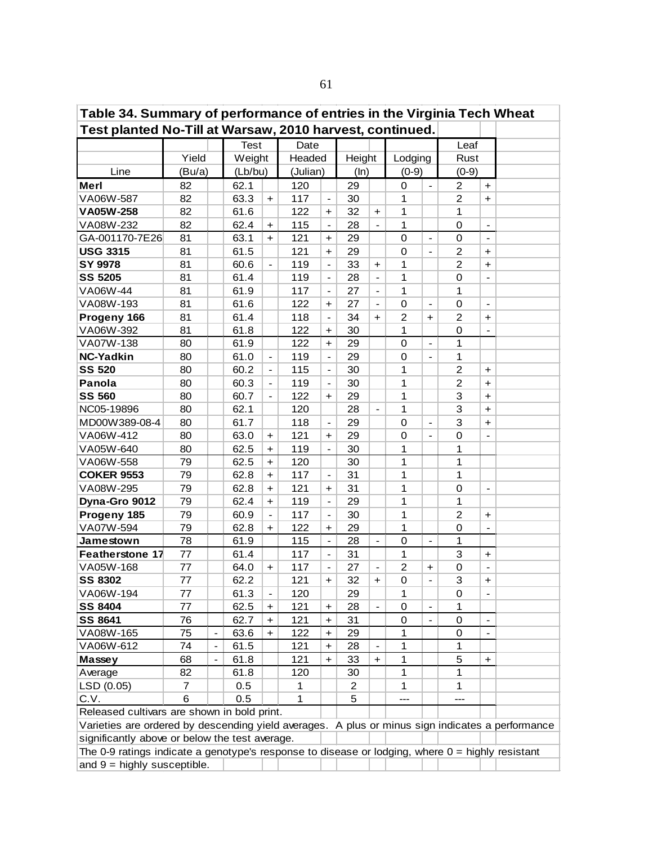|                                                                                                  |        |                              | <b>Test</b> |                                  | Date     |                              |                |                             |                |                          | Leaf             |                                  |  |
|--------------------------------------------------------------------------------------------------|--------|------------------------------|-------------|----------------------------------|----------|------------------------------|----------------|-----------------------------|----------------|--------------------------|------------------|----------------------------------|--|
|                                                                                                  | Yield  |                              | Weight      |                                  | Headed   |                              | Height         |                             | Lodging        |                          | Rust             |                                  |  |
| Line                                                                                             | (Bu/a) |                              | (Lb/bu)     |                                  | (Julian) |                              | (ln)           |                             | $(0-9)$        |                          | $(0-9)$          |                                  |  |
| Merl                                                                                             | 82     |                              | 62.1        |                                  | 120      |                              | 29             |                             | 0              | $\blacksquare$           | $\overline{2}$   | $+$                              |  |
| VA06W-587                                                                                        | 82     |                              | 63.3        | $\ddot{}$                        | 117      | $\qquad \qquad \blacksquare$ | 30             |                             | 1              |                          | $\overline{2}$   | $\ddot{\phantom{1}}$             |  |
| VA05W-258                                                                                        | 82     |                              | 61.6        |                                  | 122      | $\ddot{}$                    | 32             | $\ddot{\phantom{1}}$        | 1              |                          | 1                |                                  |  |
| VA08W-232                                                                                        | 82     |                              | 62.4        | $\ddot{}$                        | 115      |                              | 28             | $\blacksquare$              | 1              |                          | 0                | $\blacksquare$                   |  |
| GA-001170-7E26                                                                                   | 81     |                              | 63.1        | $\ddot{}$                        | 121      | $\ddot{}$                    | 29             |                             | $\mathbf 0$    | $\overline{\phantom{a}}$ | $\mathbf 0$      | $\blacksquare$                   |  |
| <b>USG 3315</b>                                                                                  | 81     |                              | 61.5        |                                  | 121      |                              | 29             |                             | 0              | $\overline{\phantom{a}}$ | $\overline{2}$   |                                  |  |
| <b>SY 9978</b>                                                                                   | 81     |                              | 60.6        | $\blacksquare$                   | 119      | $\ddot{}$<br>$\blacksquare$  | 33             |                             | 1              |                          | $\overline{2}$   | $\ddot{}$                        |  |
| <b>SS 5205</b>                                                                                   | 81     |                              | 61.4        |                                  | 119      | $\overline{a}$               | 28             | $\ddot{}$<br>$\blacksquare$ | 1              |                          | $\Omega$         | $+$<br>$\blacksquare$            |  |
|                                                                                                  |        |                              |             |                                  |          |                              |                | $\overline{\phantom{0}}$    |                |                          |                  |                                  |  |
| VA06W-44                                                                                         | 81     |                              | 61.9        |                                  | 117      | $\overline{a}$               | 27             |                             | 1              |                          | 1<br>$\mathbf 0$ |                                  |  |
| VA08W-193                                                                                        | 81     |                              | 61.6        |                                  | 122      | $\ddot{}$                    | 27             |                             | $\mathbf 0$    |                          |                  |                                  |  |
| Progeny 166                                                                                      | 81     |                              | 61.4        |                                  | 118      |                              | 34             | $\ddot{\phantom{1}}$        | $\overline{c}$ | $+$                      | $\overline{2}$   | $\ddot{}$                        |  |
| VA06W-392                                                                                        | 81     |                              | 61.8        |                                  | 122      | $\ddot{\phantom{1}}$         | 30             |                             | 1              |                          | 0                |                                  |  |
| VA07W-138                                                                                        | 80     |                              | 61.9        |                                  | 122      | $\ddot{}$                    | 29             |                             | $\mathbf 0$    | $\overline{\phantom{a}}$ | 1                |                                  |  |
| <b>NC-Yadkin</b>                                                                                 | 80     |                              | 61.0        |                                  | 119      |                              | 29             |                             | $\mathbf 0$    |                          | 1                |                                  |  |
| <b>SS 520</b>                                                                                    | 80     |                              | 60.2        | $\overline{\phantom{a}}$         | 115      | $\qquad \qquad \blacksquare$ | 30             |                             | 1              |                          | $\overline{c}$   | $\ddot{}$                        |  |
| Panola                                                                                           | 80     |                              | 60.3        | $\overline{\phantom{a}}$         | 119      | $\overline{\phantom{a}}$     | 30             |                             | 1              |                          | $\overline{2}$   | $+$                              |  |
| <b>SS 560</b>                                                                                    | 80     |                              | 60.7        | $\blacksquare$                   | 122      | $+$                          | 29             |                             | 1              |                          | 3                | $+$                              |  |
| NC05-19896                                                                                       | 80     |                              | 62.1        |                                  | 120      |                              | 28             | $\blacksquare$              | 1              |                          | 3                | $+$                              |  |
| MD00W389-08-4                                                                                    | 80     |                              | 61.7        |                                  | 118      |                              | 29             |                             | $\mathbf 0$    |                          | 3                | $+$                              |  |
| VA06W-412                                                                                        | 80     |                              | 63.0        | $\ddot{}$                        | 121      | $\ddot{}$                    | 29             |                             | $\mathbf 0$    |                          | $\mathbf 0$      |                                  |  |
| VA05W-640                                                                                        | 80     |                              | 62.5        | $\ddot{}$                        | 119      |                              | 30             |                             | 1              |                          | 1                |                                  |  |
| VA06W-558                                                                                        | 79     |                              | 62.5        | $\ddot{}$                        | 120      |                              | 30             |                             | 1              |                          | 1                |                                  |  |
| <b>COKER 9553</b>                                                                                | 79     |                              | 62.8        | $+$                              | 117      | $\overline{\phantom{a}}$     | 31             |                             | 1              |                          | 1                |                                  |  |
| VA08W-295                                                                                        | 79     |                              | 62.8        | $+$                              | 121      | $\ddot{}$                    | 31             |                             | 1              |                          | $\mathbf 0$      | $\blacksquare$                   |  |
| Dyna-Gro 9012                                                                                    | 79     |                              | 62.4        | $+$                              | 119      | $\overline{a}$               | 29             |                             | 1              |                          | 1                |                                  |  |
| Progeny 185                                                                                      | 79     |                              | 60.9        | $\blacksquare$                   | 117      | $\overline{a}$               | 30             |                             | 1              |                          | $\overline{2}$   | $+$                              |  |
| VA07W-594                                                                                        | 79     |                              | 62.8        | $+$                              | 122      | $\ddot{\phantom{1}}$         | 29             |                             | 1              |                          | 0                |                                  |  |
| Jamestown                                                                                        | 78     |                              | 61.9        |                                  | 115      |                              | 28             | $\overline{\phantom{0}}$    | $\mathbf 0$    | $\frac{1}{2}$            | 1                |                                  |  |
| Featherstone 17                                                                                  | 77     |                              | 61.4        |                                  | 117      |                              | 31             |                             | 1              |                          | 3                | $\begin{array}{c} + \end{array}$ |  |
| VA05W-168                                                                                        | 77     |                              | 64.0        | $\ddot{}$                        | 117      |                              | 27             |                             | $\overline{c}$ | $\ddot{}$                | $\mathbf 0$      |                                  |  |
| <b>SS 8302</b>                                                                                   | 77     |                              | 62.2        |                                  | 121      | $\ddot{}$                    | 32             | $\ddot{}$                   | $\overline{0}$ |                          | 3                | $\ddot{\phantom{1}}$             |  |
| VA06W-194                                                                                        | 77     |                              | 61.3        | $\overline{\phantom{a}}$         | 120      |                              | 29             |                             | 1              |                          | 0                | $\blacksquare$                   |  |
| <b>SS 8404</b>                                                                                   | 77     |                              | 62.5        | $\begin{array}{c} + \end{array}$ | 121      | $\ddot{}$                    | 28             |                             | 0              |                          | 1                |                                  |  |
| SS 8641                                                                                          | 76     |                              | 62.7        | $\ddot{}$                        | 121      | $\ddot{}$                    | 31             |                             | 0              |                          | $\mathbf 0$      |                                  |  |
| VA08W-165                                                                                        | 75     | $\overline{\phantom{a}}$     | 63.6        | $\ddot{}$                        | 122      | $\ddot{}$                    | 29             |                             | 1              |                          | 0                |                                  |  |
| VA06W-612                                                                                        | 74     | $\blacksquare$               | 61.5        |                                  | 121      | +                            | 28             |                             | 1              |                          | 1                |                                  |  |
| Massey                                                                                           | 68     | $\qquad \qquad \blacksquare$ | 61.8        |                                  | 121      | $\ddot{}$                    | 33             | $+$                         | $\mathbf{1}$   |                          | 5                | $\ddot{}$                        |  |
| Average                                                                                          | 82     |                              | 61.8        |                                  | 120      |                              | 30             |                             | 1              |                          | 1                |                                  |  |
| LSD (0.05)                                                                                       | 7      |                              | 0.5         |                                  | 1        |                              | $\overline{2}$ |                             | $\mathbf{1}$   |                          | 1                |                                  |  |
| C.V.                                                                                             | 6      |                              | 0.5         |                                  | 1        |                              | 5              |                             | $---$          |                          | $---$            |                                  |  |
| Released cultivars are shown in bold print.                                                      |        |                              |             |                                  |          |                              |                |                             |                |                          |                  |                                  |  |
| Varieties are ordered by descending yield averages. A plus or minus sign indicates a performance |        |                              |             |                                  |          |                              |                |                             |                |                          |                  |                                  |  |
| significantly above or below the test average.                                                   |        |                              |             |                                  |          |                              |                |                             |                |                          |                  |                                  |  |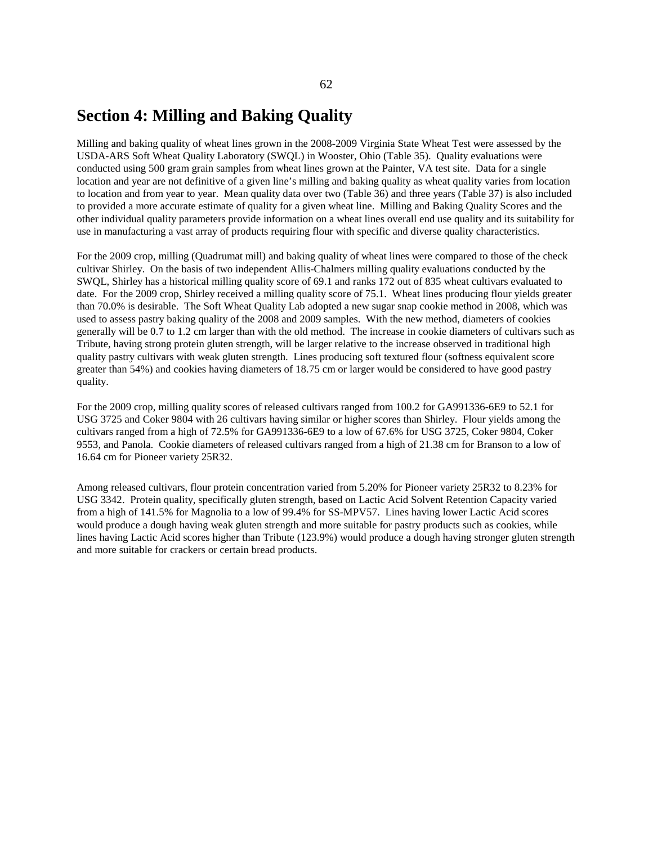## **Section 4: Milling and Baking Quality**

Milling and baking quality of wheat lines grown in the 2008-2009 Virginia State Wheat Test were assessed by the USDA-ARS Soft Wheat Quality Laboratory (SWQL) in Wooster, Ohio (Table 35). Quality evaluations were conducted using 500 gram grain samples from wheat lines grown at the Painter, VA test site. Data for a single location and year are not definitive of a given line's milling and baking quality as wheat quality varies from location to location and from year to year. Mean quality data over two (Table 36) and three years (Table 37) is also included to provided a more accurate estimate of quality for a given wheat line. Milling and Baking Quality Scores and the other individual quality parameters provide information on a wheat lines overall end use quality and its suitability for use in manufacturing a vast array of products requiring flour with specific and diverse quality characteristics.

For the 2009 crop, milling (Quadrumat mill) and baking quality of wheat lines were compared to those of the check cultivar Shirley. On the basis of two independent Allis-Chalmers milling quality evaluations conducted by the SWQL, Shirley has a historical milling quality score of 69.1 and ranks 172 out of 835 wheat cultivars evaluated to date. For the 2009 crop, Shirley received a milling quality score of 75.1. Wheat lines producing flour yields greater than 70.0% is desirable. The Soft Wheat Quality Lab adopted a new sugar snap cookie method in 2008, which was used to assess pastry baking quality of the 2008 and 2009 samples. With the new method, diameters of cookies generally will be 0.7 to 1.2 cm larger than with the old method. The increase in cookie diameters of cultivars such as Tribute, having strong protein gluten strength, will be larger relative to the increase observed in traditional high quality pastry cultivars with weak gluten strength. Lines producing soft textured flour (softness equivalent score greater than 54%) and cookies having diameters of 18.75 cm or larger would be considered to have good pastry quality.

For the 2009 crop, milling quality scores of released cultivars ranged from 100.2 for GA991336-6E9 to 52.1 for USG 3725 and Coker 9804 with 26 cultivars having similar or higher scores than Shirley. Flour yields among the cultivars ranged from a high of 72.5% for GA991336-6E9 to a low of 67.6% for USG 3725, Coker 9804, Coker 9553, and Panola. Cookie diameters of released cultivars ranged from a high of 21.38 cm for Branson to a low of 16.64 cm for Pioneer variety 25R32.

Among released cultivars, flour protein concentration varied from 5.20% for Pioneer variety 25R32 to 8.23% for USG 3342. Protein quality, specifically gluten strength, based on Lactic Acid Solvent Retention Capacity varied from a high of 141.5% for Magnolia to a low of 99.4% for SS-MPV57. Lines having lower Lactic Acid scores would produce a dough having weak gluten strength and more suitable for pastry products such as cookies, while lines having Lactic Acid scores higher than Tribute (123.9%) would produce a dough having stronger gluten strength and more suitable for crackers or certain bread products.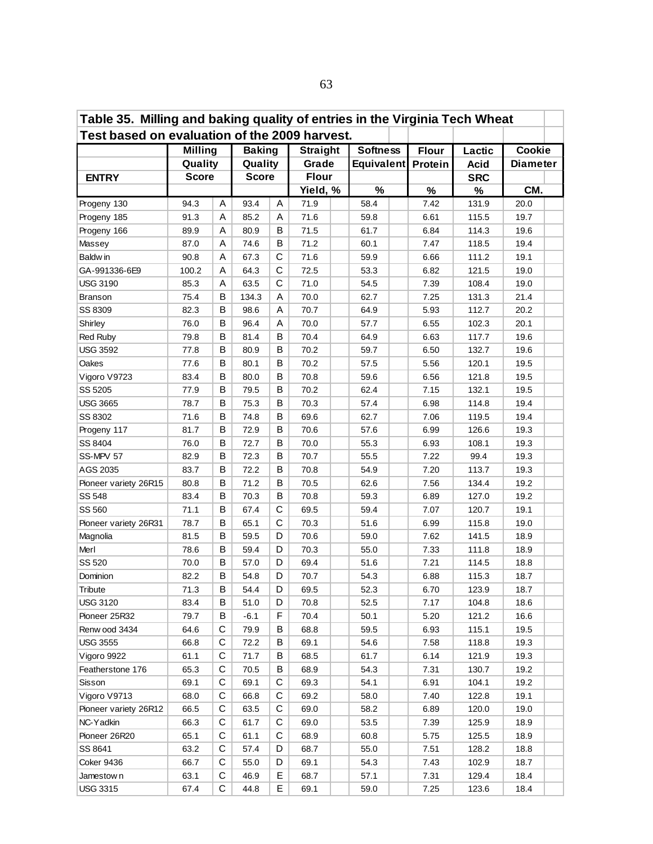| Table 35. Milling and baking quality of entries in the Virginia Tech Wheat |                |   |               |             |                 |  |                 |            |              |                                |        |  |
|----------------------------------------------------------------------------|----------------|---|---------------|-------------|-----------------|--|-----------------|------------|--------------|--------------------------------|--------|--|
| Test based on evaluation of the 2009 harvest.                              |                |   |               |             |                 |  |                 |            |              |                                |        |  |
|                                                                            | <b>Milling</b> |   | <b>Baking</b> |             | <b>Straight</b> |  | <b>Softness</b> |            | <b>Flour</b> | Lactic                         | Cookie |  |
|                                                                            | Quality        |   | Quality       |             | Grade           |  |                 | Equivalent |              | <b>Diameter</b><br><b>Acid</b> |        |  |
| <b>ENTRY</b>                                                               | <b>Score</b>   |   | <b>Score</b>  |             | <b>Flour</b>    |  |                 |            |              | <b>SRC</b>                     |        |  |
|                                                                            |                |   |               |             | Yield, %        |  | $\%$            |            | %            | $\%$                           | CM.    |  |
| Progeny 130                                                                | 94.3           | Α | 93.4          | Α           | 71.9            |  | 58.4            |            | 7.42         | 131.9                          | 20.0   |  |
| Progeny 185                                                                | 91.3           | A | 85.2          | Α           | 71.6            |  | 59.8            |            | 6.61         | 115.5                          | 19.7   |  |
| Progeny 166                                                                | 89.9           | Α | 80.9          | B           | 71.5            |  | 61.7            |            | 6.84         | 114.3                          | 19.6   |  |
| Massey                                                                     | 87.0           | Α | 74.6          | B           | 71.2            |  | 60.1            |            | 7.47         | 118.5                          | 19.4   |  |
| <b>Baldwin</b>                                                             | 90.8           | Α | 67.3          | С           | 71.6            |  | 59.9            |            | 6.66         | 111.2                          | 19.1   |  |
| GA-991336-6E9                                                              | 100.2          | Α | 64.3          | С           | 72.5            |  | 53.3            |            | 6.82         | 121.5                          | 19.0   |  |
| <b>USG 3190</b>                                                            | 85.3           | Α | 63.5          | С           | 71.0            |  | 54.5            |            | 7.39         | 108.4                          | 19.0   |  |
| <b>Branson</b>                                                             | 75.4           | В | 134.3         | A           | 70.0            |  | 62.7            |            | 7.25         | 131.3                          | 21.4   |  |
| SS 8309                                                                    | 82.3           | В | 98.6          | Α           | 70.7            |  | 64.9            |            | 5.93         | 112.7                          | 20.2   |  |
| Shirley                                                                    | 76.0           | B | 96.4          | A           | 70.0            |  | 57.7            |            | 6.55         | 102.3                          | 20.1   |  |
| Red Ruby                                                                   | 79.8           | В | 81.4          | B           | 70.4            |  | 64.9            |            | 6.63         | 117.7                          | 19.6   |  |
| <b>USG 3592</b>                                                            | 77.8           | B | 80.9          | B           | 70.2            |  | 59.7            |            | 6.50         | 132.7                          | 19.6   |  |
| Oakes                                                                      | 77.6           | В | 80.1          | B           | 70.2            |  | 57.5            |            | 5.56         | 120.1                          | 19.5   |  |
| Vigoro V9723                                                               | 83.4           | B | 80.0          | B           | 70.8            |  | 59.6            |            | 6.56         | 121.8                          | 19.5   |  |
| SS 5205                                                                    | 77.9           | В | 79.5          | B           | 70.2            |  | 62.4            |            | 7.15         | 132.1                          | 19.5   |  |
| <b>USG 3665</b>                                                            | 78.7           | B | 75.3          | B           | 70.3            |  | 57.4            |            | 6.98         | 114.8                          | 19.4   |  |
| SS 8302                                                                    | 71.6           | B | 74.8          | B           | 69.6            |  | 62.7            |            | 7.06         | 119.5                          | 19.4   |  |
| Progeny 117                                                                | 81.7           | В | 72.9          | B           | 70.6            |  | 57.6            |            | 6.99         | 126.6                          | 19.3   |  |
| SS 8404                                                                    | 76.0           | В | 72.7          | В           | 70.0            |  | 55.3            |            | 6.93         | 108.1                          | 19.3   |  |
| SS-MPV 57                                                                  | 82.9           | В | 72.3          | B           | 70.7            |  | 55.5            |            | 7.22         | 99.4                           | 19.3   |  |
| AGS 2035                                                                   | 83.7           | B | 72.2          | B           | 70.8            |  | 54.9            |            | 7.20         | 113.7                          | 19.3   |  |
| Pioneer variety 26R15                                                      | 80.8           | В | 71.2          | B           | 70.5            |  | 62.6            |            | 7.56         | 134.4                          | 19.2   |  |
| SS 548                                                                     | 83.4           | B | 70.3          | B           | 70.8            |  | 59.3            |            | 6.89         | 127.0                          | 19.2   |  |
| SS 560                                                                     | 71.1           | В | 67.4          | C           | 69.5            |  | 59.4            |            | 7.07         | 120.7                          | 19.1   |  |
| Pioneer variety 26R31                                                      | 78.7           | В | 65.1          | $\mathsf C$ | 70.3            |  | 51.6            |            | 6.99         | 115.8                          | 19.0   |  |
| Magnolia                                                                   | 81.5           | B | 59.5          | D           | 70.6            |  | 59.0            |            | 7.62         | 141.5                          | 18.9   |  |
| Merl                                                                       | 78.6           | В | 59.4          | D           | 70.3            |  | 55.0            |            | 7.33         | 111.8                          | 18.9   |  |
| SS 520                                                                     | 70.0           | В | 57.0          | D           | 69.4            |  | 51.6            |            | 7.21         | 114.5                          | 18.8   |  |
| Dominion                                                                   | 82.2           | B | 54.8          | D           | 70.7            |  | 54.3            |            | 6.88         | 115.3                          | 18.7   |  |
| Tribute                                                                    | 71.3           | B | 54.4          | D           | 69.5            |  | 52.3            |            | 6.70         | 123.9                          | 18.7   |  |
| USG 3120                                                                   | 83.4           | B | 51.0          | D           | 70.8            |  | 52.5            |            | 7.17         | 104.8                          | 18.6   |  |
| Pioneer 25R32                                                              | 79.7           | B | $-6.1$        | F           | 70.4            |  | 50.1            |            | 5.20         | 121.2                          | 16.6   |  |
| Renw ood 3434                                                              | 64.6           | С | 79.9          | B           | 68.8            |  | 59.5            |            | 6.93         | 115.1                          | 19.5   |  |
| <b>USG 3555</b>                                                            | 66.8           | С | 72.2          | B           | 69.1            |  | 54.6            |            | 7.58         | 118.8                          | 19.3   |  |
| Vigoro 9922                                                                | 61.1           | С | 71.7          | B           | 68.5            |  | 61.7            |            | 6.14         | 121.9                          | 19.3   |  |
| Featherstone 176                                                           | 65.3           | С | 70.5          | B           | 68.9            |  | 54.3            |            | 7.31         | 130.7                          | 19.2   |  |
| Sisson                                                                     | 69.1           | С | 69.1          | С           | 69.3            |  | 54.1            |            | 6.91         | 104.1                          | 19.2   |  |
| Vigoro V9713                                                               | 68.0           | C | 66.8          | С           | 69.2            |  | 58.0            |            | 7.40         | 122.8                          | 19.1   |  |
| Pioneer variety 26R12                                                      | 66.5           | С | 63.5          | С           | 69.0            |  | 58.2            |            | 6.89         | 120.0                          | 19.0   |  |
| NC-Yadkin                                                                  | 66.3           | С | 61.7          | С           | 69.0            |  | 53.5            |            | 7.39         | 125.9                          | 18.9   |  |
| Pioneer 26R20                                                              | 65.1           | С | 61.1          | С           | 68.9            |  | 60.8            |            | 5.75         | 125.5                          | 18.9   |  |
| SS 8641                                                                    | 63.2           | С | 57.4          | D           | 68.7            |  | 55.0            |            | 7.51         | 128.2                          | 18.8   |  |
| Coker 9436                                                                 | 66.7           | С | 55.0          | D           | 69.1            |  | 54.3            |            | 7.43         | 102.9                          | 18.7   |  |
| Jamestow n                                                                 | 63.1           | C | 46.9          | Е           | 68.7            |  | 57.1            |            | 7.31         | 129.4                          | 18.4   |  |
| <b>USG 3315</b>                                                            | 67.4           | C | 44.8          | E.          | 69.1            |  | 59.0            |            | 7.25         | 123.6                          | 18.4   |  |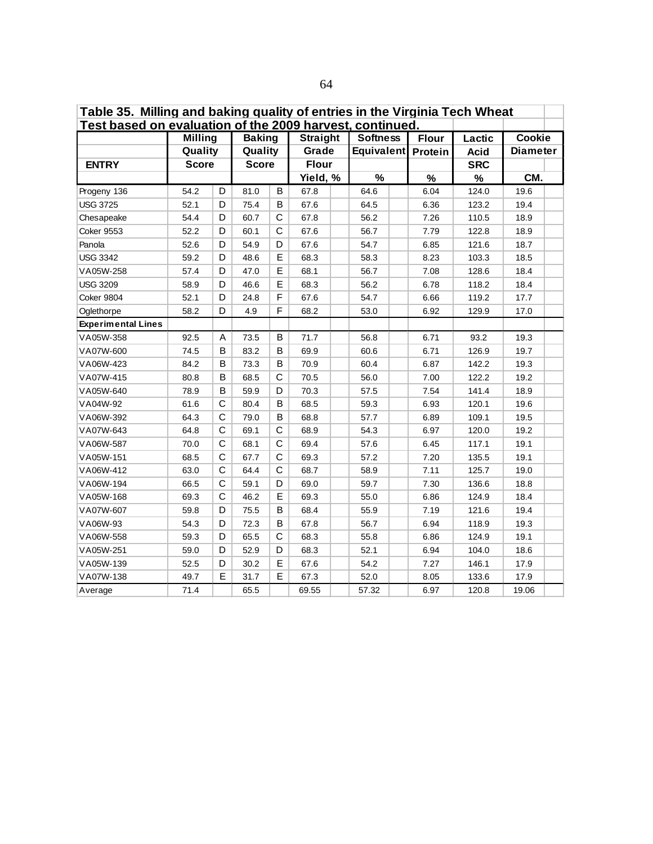| Table 35. Milling and baking quality of entries in the Virginia Tech Wheat |                |             |               |              |              |  |                   |              |                                |               |  |  |
|----------------------------------------------------------------------------|----------------|-------------|---------------|--------------|--------------|--|-------------------|--------------|--------------------------------|---------------|--|--|
| Test based on evaluation of the 2009 harvest, continued.                   |                |             |               |              |              |  |                   |              |                                |               |  |  |
|                                                                            | <b>Milling</b> |             | <b>Baking</b> |              | Straight     |  | <b>Softness</b>   | <b>Flour</b> | Lactic                         | <b>Cookie</b> |  |  |
|                                                                            | Quality        |             | Quality       |              | Grade        |  | <b>Equivalent</b> | Protein      | <b>Diameter</b><br><b>Acid</b> |               |  |  |
| <b>ENTRY</b>                                                               | <b>Score</b>   |             | <b>Score</b>  |              | <b>Flour</b> |  |                   |              | <b>SRC</b>                     |               |  |  |
|                                                                            |                |             |               |              | Yield, %     |  | $\%$              | $\%$         | $\%$                           | CM.           |  |  |
| Progeny 136                                                                | 54.2           | D           | 81.0          | B            | 67.8         |  | 64.6              | 6.04         | 124.0                          | 19.6          |  |  |
| <b>USG 3725</b>                                                            | 52.1           | D           | 75.4          | B            | 67.6         |  | 64.5              | 6.36         | 123.2                          | 19.4          |  |  |
| Chesapeake                                                                 | 54.4           | D           | 60.7          | C            | 67.8         |  | 56.2              | 7.26         | 110.5                          | 18.9          |  |  |
| <b>Coker 9553</b>                                                          | 52.2           | D           | 60.1          | $\mathsf{C}$ | 67.6         |  | 56.7              | 7.79         | 122.8                          | 18.9          |  |  |
| Panola                                                                     | 52.6           | D           | 54.9          | D            | 67.6         |  | 54.7              | 6.85         | 121.6                          | 18.7          |  |  |
| <b>USG 3342</b>                                                            | 59.2           | D           | 48.6          | E            | 68.3         |  | 58.3              | 8.23         | 103.3                          | 18.5          |  |  |
| VA05W-258                                                                  | 57.4           | D           | 47.0          | Е            | 68.1         |  | 56.7              | 7.08         | 128.6                          | 18.4          |  |  |
| <b>USG 3209</b>                                                            | 58.9           | D           | 46.6          | Е            | 68.3         |  | 56.2              | 6.78         | 118.2                          | 18.4          |  |  |
| <b>Coker 9804</b>                                                          | 52.1           | D           | 24.8          | F            | 67.6         |  | 54.7              | 6.66         | 119.2                          | 17.7          |  |  |
| Oglethorpe                                                                 | 58.2           | D           | 4.9           | F            | 68.2         |  | 53.0              | 6.92         | 129.9                          | 17.0          |  |  |
| <b>Experimental Lines</b>                                                  |                |             |               |              |              |  |                   |              |                                |               |  |  |
| VA05W-358                                                                  | 92.5           | Α           | 73.5          | В            | 71.7         |  | 56.8              | 6.71         | 93.2                           | 19.3          |  |  |
| VA07W-600                                                                  | 74.5           | B           | 83.2          | В            | 69.9         |  | 60.6              | 6.71         | 126.9                          | 19.7          |  |  |
| VA06W-423                                                                  | 84.2           | B           | 73.3          | B            | 70.9         |  | 60.4              | 6.87         | 142.2                          | 19.3          |  |  |
| VA07W-415                                                                  | 80.8           | B           | 68.5          | C            | 70.5         |  | 56.0              | 7.00         | 122.2                          | 19.2          |  |  |
| VA05W-640                                                                  | 78.9           | B           | 59.9          | D            | 70.3         |  | 57.5              | 7.54         | 141.4                          | 18.9          |  |  |
| VA04W-92                                                                   | 61.6           | C           | 80.4          | B            | 68.5         |  | 59.3              | 6.93         | 120.1                          | 19.6          |  |  |
| VA06W-392                                                                  | 64.3           | $\mathbf C$ | 79.0          | В            | 68.8         |  | 57.7              | 6.89         | 109.1                          | 19.5          |  |  |
| VA07W-643                                                                  | 64.8           | C           | 69.1          | C            | 68.9         |  | 54.3              | 6.97         | 120.0                          | 19.2          |  |  |
| VA06W-587                                                                  | 70.0           | $\mathsf C$ | 68.1          | C            | 69.4         |  | 57.6              | 6.45         | 117.1                          | 19.1          |  |  |
| VA05W-151                                                                  | 68.5           | $\mathsf C$ | 67.7          | C            | 69.3         |  | 57.2              | 7.20         | 135.5                          | 19.1          |  |  |
| VA06W-412                                                                  | 63.0           | $\mathsf C$ | 64.4          | C            | 68.7         |  | 58.9              | 7.11         | 125.7                          | 19.0          |  |  |
| VA06W-194                                                                  | 66.5           | С           | 59.1          | D            | 69.0         |  | 59.7              | 7.30         | 136.6                          | 18.8          |  |  |
| VA05W-168                                                                  | 69.3           | $\mathsf C$ | 46.2          | Е            | 69.3         |  | 55.0              | 6.86         | 124.9                          | 18.4          |  |  |
| VA07W-607                                                                  | 59.8           | D           | 75.5          | B            | 68.4         |  | 55.9              | 7.19         | 121.6                          | 19.4          |  |  |
| VA06W-93                                                                   | 54.3           | D           | 72.3          | В            | 67.8         |  | 56.7              | 6.94         | 118.9                          | 19.3          |  |  |
| VA06W-558                                                                  | 59.3           | D           | 65.5          | C            | 68.3         |  | 55.8              | 6.86         | 124.9                          | 19.1          |  |  |
| VA05W-251                                                                  | 59.0           | D           | 52.9          | D            | 68.3         |  | 52.1              | 6.94         | 104.0                          | 18.6          |  |  |
| VA05W-139                                                                  | 52.5           | D           | 30.2          | Е            | 67.6         |  | 54.2              | 7.27         | 146.1                          | 17.9          |  |  |
| VA07W-138                                                                  | 49.7           | Е           | 31.7          | E            | 67.3         |  | 52.0              | 8.05         | 133.6                          | 17.9          |  |  |
| Average                                                                    | 71.4           |             | 65.5          |              | 69.55        |  | 57.32             | 6.97         | 120.8                          | 19.06         |  |  |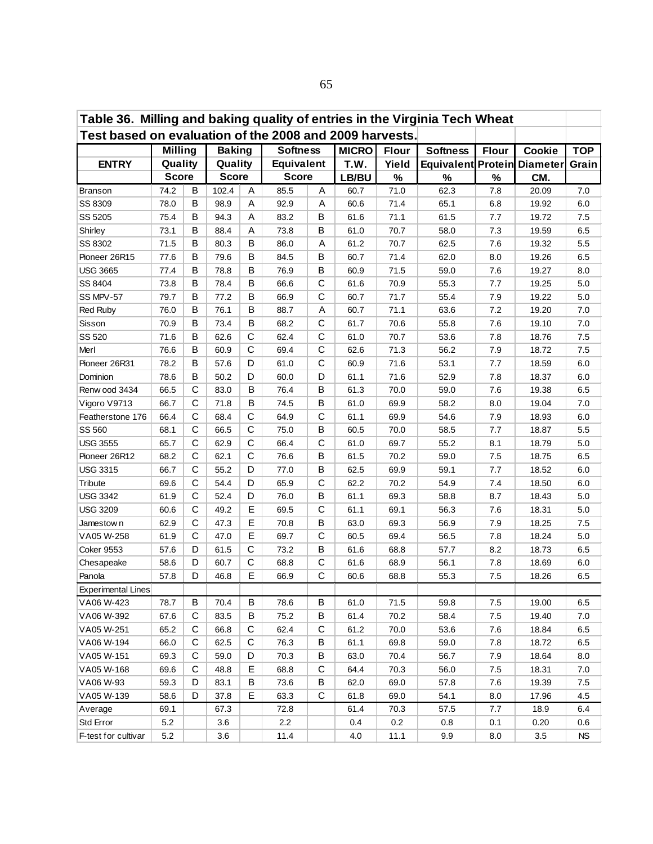| Table 36. Milling and baking quality of entries in the Virginia Tech Wheat |                |             |               |              |                 |            |              |              |                                    |              |         |            |
|----------------------------------------------------------------------------|----------------|-------------|---------------|--------------|-----------------|------------|--------------|--------------|------------------------------------|--------------|---------|------------|
| Test based on evaluation of the 2008 and 2009 harvests.                    |                |             |               |              |                 |            |              |              |                                    |              |         |            |
|                                                                            | <b>Milling</b> |             | <b>Baking</b> |              | <b>Softness</b> |            | <b>MICRO</b> | <b>Flour</b> | <b>Softness</b>                    | <b>Flour</b> | Cookie  | <b>TOP</b> |
| <b>ENTRY</b>                                                               | Quality        |             | Quality       |              |                 | Equivalent |              | Yield        | <b>Equivalent Protein Diameter</b> |              |         | Grain      |
|                                                                            | <b>Score</b>   |             | <b>Score</b>  |              | <b>Score</b>    |            | LB/BU        | $\%$         | %                                  | $\%$         | CM.     |            |
| <b>Branson</b>                                                             | 74.2           | B           | 102.4         | Α            | 85.5            | Α          | 60.7         | 71.0         | 62.3                               | 7.8          | 20.09   | 7.0        |
| SS 8309                                                                    | 78.0           | B           | 98.9          | Α            | 92.9            | Α          | 60.6         | 71.4         | 65.1                               | 6.8          | 19.92   | 6.0        |
| SS 5205                                                                    | 75.4           | B           | 94.3          | Α            | 83.2            | B          | 61.6         | 71.1         | 61.5                               | 7.7          | 19.72   | 7.5        |
| Shirley                                                                    | 73.1           | B           | 88.4          | A            | 73.8            | B          | 61.0         | 70.7         | 58.0                               | 7.3          | 19.59   | 6.5        |
| SS 8302                                                                    | 71.5           | B           | 80.3          | B            | 86.0            | A          | 61.2         | 70.7         | 62.5                               | 7.6          | 19.32   | 5.5        |
| Pioneer 26R15                                                              | 77.6           | B           | 79.6          | В            | 84.5            | B          | 60.7         | 71.4         | 62.0                               | 8.0          | 19.26   | 6.5        |
| <b>USG 3665</b>                                                            | 77.4           | B           | 78.8          | B            | 76.9            | B          | 60.9         | 71.5         | 59.0                               | 7.6          | 19.27   | 8.0        |
| SS 8404                                                                    | 73.8           | B           | 78.4          | B            | 66.6            | C          | 61.6         | 70.9         | 55.3                               | 7.7          | 19.25   | $5.0\,$    |
| SS MPV-57                                                                  | 79.7           | B           | 77.2          | B            | 66.9            | C          | 60.7         | 71.7         | 55.4                               | 7.9          | 19.22   | $5.0\,$    |
| <b>Red Ruby</b>                                                            | 76.0           | B           | 76.1          | B            | 88.7            | A          | 60.7         | 71.1         | 63.6                               | 7.2          | 19.20   | 7.0        |
| Sisson                                                                     | 70.9           | B           | 73.4          | B            | 68.2            | С          | 61.7         | 70.6         | 55.8                               | 7.6          | 19.10   | 7.0        |
| SS 520                                                                     | 71.6           | B           | 62.6          | $\mathsf{C}$ | 62.4            | C          | 61.0         | 70.7         | 53.6                               | 7.8          | 18.76   | 7.5        |
| Merl                                                                       | 76.6           | В           | 60.9          | $\mathsf{C}$ | 69.4            | С          | 62.6         | 71.3         | 56.2                               | 7.9          | 18.72   | 7.5        |
| Pioneer 26R31                                                              | 78.2           | В           | 57.6          | D            | 61.0            | С          | 60.9         | 71.6         | 53.1                               | 7.7          | 18.59   | 6.0        |
| Dominion                                                                   | 78.6           | B           | 50.2          | D            | 60.0            | D          | 61.1         | 71.6         | 52.9                               | 7.8          | 18.37   | 6.0        |
| Renw ood 3434                                                              | 66.5           | C           | 83.0          | B            | 76.4            | B          | 61.3         | 70.0         | 59.0                               | 7.6          | 19.38   | 6.5        |
| Vigoro V9713                                                               | 66.7           | C           | 71.8          | B            | 74.5            | В          | 61.0         | 69.9         | 58.2                               | 8.0          | 19.04   | 7.0        |
| Featherstone 176                                                           | 66.4           | C           | 68.4          | $\mathbf C$  | 64.9            | C          | 61.1         | 69.9         | 54.6                               | 7.9          | 18.93   | 6.0        |
| SS 560                                                                     | 68.1           | C           | 66.5          | C            | 75.0            | в          | 60.5         | 70.0         | 58.5                               | 7.7          | 18.87   | 5.5        |
| <b>USG 3555</b>                                                            | 65.7           | C           | 62.9          | C            | 66.4            | C          | 61.0         | 69.7         | 55.2                               | 8.1          | 18.79   | 5.0        |
| Pioneer 26R12                                                              | 68.2           | $\mathsf C$ | 62.1          | $\mathsf{C}$ | 76.6            | В          | 61.5         | 70.2         | 59.0                               | 7.5          | 18.75   | 6.5        |
| <b>USG 3315</b>                                                            | 66.7           | C           | 55.2          | D            | 77.0            | B          | 62.5         | 69.9         | 59.1                               | 7.7          | 18.52   | 6.0        |
| <b>Tribute</b>                                                             | 69.6           | C           | 54.4          | D            | 65.9            | C          | 62.2         | 70.2         | 54.9                               | 7.4          | 18.50   | 6.0        |
| <b>USG 3342</b>                                                            | 61.9           | C           | 52.4          | D            | 76.0            | В          | 61.1         | 69.3         | 58.8                               | 8.7          | 18.43   | 5.0        |
| <b>USG 3209</b>                                                            | 60.6           | C           | 49.2          | E            | 69.5            | C          | 61.1         | 69.1         | 56.3                               | 7.6          | 18.31   | 5.0        |
| Jamestow n                                                                 | 62.9           | C           | 47.3          | Е            | 70.8            | B          | 63.0         | 69.3         | 56.9                               | 7.9          | 18.25   | 7.5        |
| VA05 W-258                                                                 | 61.9           | C           | 47.0          | Е            | 69.7            | С          | 60.5         | 69.4         | 56.5                               | 7.8          | 18.24   | $5.0\,$    |
| <b>Coker 9553</b>                                                          | 57.6           | D           | 61.5          | С            | 73.2            | B          | 61.6         | 68.8         | 57.7                               | 8.2          | 18.73   | 6.5        |
| Chesapeake                                                                 | 58.6           | D           | 60.7          | С            | 68.8            | С          | 61.6         | 68.9         | 56.1                               | 7.8          | 18.69   | 6.0        |
| Panola                                                                     | 57.8           | D           | 46.8          | E            | 66.9            | C          | 60.6         | 68.8         | 55.3                               | 7.5          | 18.26   | 6.5        |
| Experimental Lines                                                         |                |             |               |              |                 |            |              |              |                                    |              |         |            |
| VA06 W-423                                                                 | 78.7           | B           | 70.4          | B            | 78.6            | B          | 61.0         | 71.5         | 59.8                               | 7.5          | 19.00   | 6.5        |
| VA06 W-392                                                                 | 67.6           | С           | 83.5          | В            | 75.2            | B          | 61.4         | 70.2         | 58.4                               | 7.5          | 19.40   | 7.0        |
| VA05 W-251                                                                 | 65.2           | С           | 66.8          | C            | 62.4            | C          | 61.2         | 70.0         | 53.6                               | 7.6          | 18.84   | 6.5        |
| VA06 W-194                                                                 | 66.0           | С           | 62.5          | C            | 76.3            | B          | 61.1         | 69.8         | 59.0                               | 7.8          | 18.72   | 6.5        |
| VA05 W-151                                                                 | 69.3           | С           | 59.0          | D            | 70.3            | B          | 63.0         | 70.4         | 56.7                               | 7.9          | 18.64   | 8.0        |
| VA05 W-168                                                                 | 69.6           | С           | 48.8          | Е            | 68.8            | С          | 64.4         | 70.3         | 56.0                               | 7.5          | 18.31   | 7.0        |
| VA06 W-93                                                                  | 59.3           | D           | 83.1          | В            | 73.6            | В          | 62.0         | 69.0         | 57.8                               | 7.6          | 19.39   | 7.5        |
| VA05 W-139                                                                 | 58.6           | D           | 37.8          | Е            | 63.3            | С          | 61.8         | 69.0         | 54.1                               | 8.0          | 17.96   | 4.5        |
| Average                                                                    | 69.1           |             | 67.3          |              | 72.8            |            | 61.4         | 70.3         | 57.5                               | 7.7          | 18.9    | 6.4        |
| Std Error                                                                  | 5.2            |             | 3.6           |              | 2.2             |            | 0.4          | 0.2          | 0.8                                | 0.1          | 0.20    | 0.6        |
| F-test for cultivar                                                        | 5.2            |             | 3.6           |              | 11.4            |            | 4.0          | 11.1         | 9.9                                | $8.0\,$      | $3.5\,$ | <b>NS</b>  |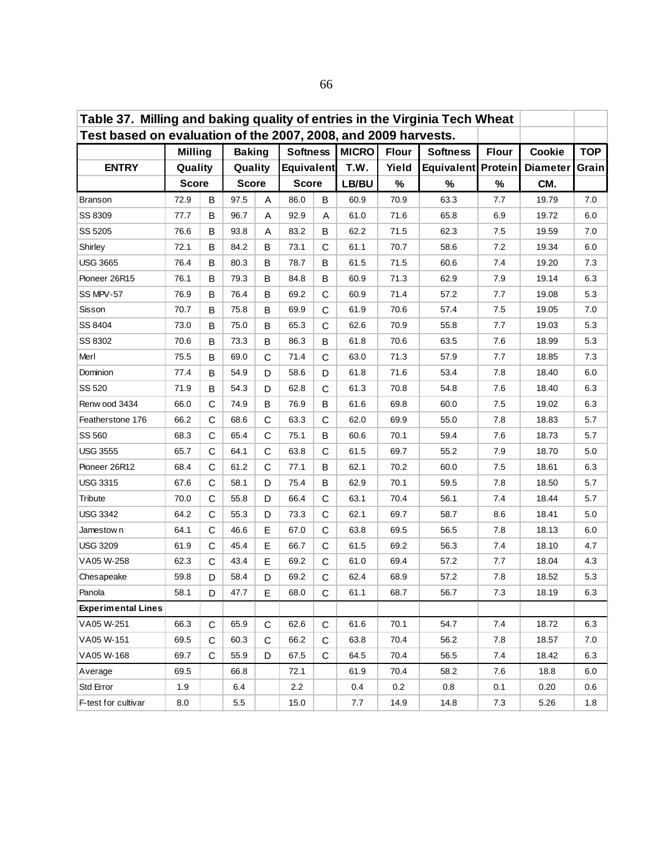| Table 37. Milling and baking quality of entries in the Virginia Tech Wheat |                |             |               |             |                 |                   |              |              |                    |              |                 |            |
|----------------------------------------------------------------------------|----------------|-------------|---------------|-------------|-----------------|-------------------|--------------|--------------|--------------------|--------------|-----------------|------------|
| Test based on evaluation of the 2007, 2008, and 2009 harvests.             |                |             |               |             |                 |                   |              |              |                    |              |                 |            |
|                                                                            | <b>Milling</b> |             | <b>Baking</b> |             | <b>Softness</b> |                   | <b>MICRO</b> | <b>Flour</b> | <b>Softness</b>    | <b>Flour</b> | Cookie          | <b>TOP</b> |
| <b>ENTRY</b>                                                               | Quality        |             | Quality       |             |                 | <b>Equivalent</b> |              | Yield        | Equivalent Protein |              | <b>Diameter</b> | Grain      |
|                                                                            | <b>Score</b>   |             | <b>Score</b>  |             | <b>Score</b>    |                   | LB/BU        | $\%$         | %                  | $\%$         | CM.             |            |
| <b>Branson</b>                                                             | 72.9           | B           | 97.5          | A           | 86.0            | в                 | 60.9         | 70.9         | 63.3               | 7.7          | 19.79           | 7.0        |
| SS 8309                                                                    | 77.7           | B           | 96.7          | A           | 92.9            | A                 | 61.0         | 71.6         | 65.8               | 6.9          | 19.72           | 6.0        |
| SS 5205                                                                    | 76.6           | B           | 93.8          | A           | 83.2            | В                 | 62.2         | 71.5         | 62.3               | 7.5          | 19.59           | 7.0        |
| Shirley                                                                    | 72.1           | в           | 84.2          | В           | 73.1            | С                 | 61.1         | 70.7         | 58.6               | 7.2          | 19.34           | 6.0        |
| <b>USG 3665</b>                                                            | 76.4           | B           | 80.3          | B           | 78.7            | В                 | 61.5         | 71.5         | 60.6               | 7.4          | 19.20           | 7.3        |
| Pioneer 26R15                                                              | 76.1           | в           | 79.3          | B           | 84.8            | в                 | 60.9         | 71.3         | 62.9               | 7.9          | 19.14           | 6.3        |
| SS MPV-57                                                                  | 76.9           | B           | 76.4          | B           | 69.2            | C                 | 60.9         | 71.4         | 57.2               | 7.7          | 19.08           | 5.3        |
| Sisson                                                                     | 70.7           | B           | 75.8          | в           | 69.9            | C                 | 61.9         | 70.6         | 57.4               | 7.5          | 19.05           | 7.0        |
| SS 8404                                                                    | 73.0           | B           | 75.0          | B           | 65.3            | C                 | 62.6         | 70.9         | 55.8               | 7.7          | 19.03           | 5.3        |
| SS 8302                                                                    | 70.6           | В           | 73.3          | B           | 86.3            | в                 | 61.8         | 70.6         | 63.5               | 7.6          | 18.99           | 5.3        |
| Merl                                                                       | 75.5           | B           | 69.0          | C           | 71.4            | C                 | 63.0         | 71.3         | 57.9               | 7.7          | 18.85           | 7.3        |
| Dominion                                                                   | 77.4           | B           | 54.9          | D           | 58.6            | D                 | 61.8         | 71.6         | 53.4               | 7.8          | 18.40           | 6.0        |
| SS 520                                                                     | 71.9           | B           | 54.3          | D           | 62.8            | C                 | 61.3         | 70.8         | 54.8               | 7.6          | 18.40           | 6.3        |
| Renw ood 3434                                                              | 66.0           | C           | 74.9          | B           | 76.9            | В                 | 61.6         | 69.8         | 60.0               | 7.5          | 19.02           | 6.3        |
| Featherstone 176                                                           | 66.2           | С           | 68.6          | C           | 63.3            | С                 | 62.0         | 69.9         | 55.0               | 7.8          | 18.83           | 5.7        |
| SS 560                                                                     | 68.3           | C           | 65.4          | C           | 75.1            | В                 | 60.6         | 70.1         | 59.4               | 7.6          | 18.73           | 5.7        |
| <b>USG 3555</b>                                                            | 65.7           | С           | 64.1          | С           | 63.8            | С                 | 61.5         | 69.7         | 55.2               | 7.9          | 18.70           | 5.0        |
| Pioneer 26R12                                                              | 68.4           | C           | 61.2          | C           | 77.1            | В                 | 62.1         | 70.2         | 60.0               | 7.5          | 18.61           | 6.3        |
| <b>USG 3315</b>                                                            | 67.6           | C           | 58.1          | D           | 75.4            | B                 | 62.9         | 70.1         | 59.5               | 7.8          | 18.50           | 5.7        |
| Tribute                                                                    | 70.0           | C           | 55.8          | D           | 66.4            | C                 | 63.1         | 70.4         | 56.1               | 7.4          | 18.44           | 5.7        |
| <b>USG 3342</b>                                                            | 64.2           | С           | 55.3          | D           | 73.3            | C                 | 62.1         | 69.7         | 58.7               | 8.6          | 18.41           | 5.0        |
| Jamestow n                                                                 | 64.1           | С           | 46.6          | E.          | 67.0            | C                 | 63.8         | 69.5         | 56.5               | 7.8          | 18.13           | 6.0        |
| <b>USG 3209</b>                                                            | 61.9           | C           | 45.4          | Е           | 66.7            | C                 | 61.5         | 69.2         | 56.3               | 7.4          | 18.10           | 4.7        |
| VA05 W-258                                                                 | 62.3           | С           | 43.4          | E.          | 69.2            | C                 | 61.0         | 69.4         | 57.2               | 7.7          | 18.04           | 4.3        |
| Chesapeake                                                                 | 59.8           | D           | 58.4          | D           | 69.2            | C                 | 62.4         | 68.9         | 57.2               | 7.8          | 18.52           | 5.3        |
| Panola                                                                     | 58.1           | D           | 47.7          | Е           | 68.0            | С                 | 61.1         | 68.7         | 56.7               | 7.3          | 18.19           | 6.3        |
| <b>Experimental Lines</b>                                                  |                |             |               |             |                 |                   |              |              |                    |              |                 |            |
| VA05 W-251                                                                 | 66.3           | $\mathsf C$ | 65.9          | $\mathbf C$ | 62.6            | $\mathsf C$       | 61.6         | 70.1         | 54.7               | 7.4          | 18.72           | 6.3        |
| VA05 W-151                                                                 | 69.5           | $\mathbf C$ | 60.3          | C           | 66.2            | $\mathsf C$       | 63.8         | 70.4         | 56.2               | 7.8          | 18.57           | 7.0        |
| VA05 W-168                                                                 | 69.7           | C           | 55.9          | D           | 67.5            | C                 | 64.5         | 70.4         | 56.5               | 7.4          | 18.42           | 6.3        |
| Average                                                                    | 69.5           |             | 66.8          |             | 72.1            |                   | 61.9         | 70.4         | 58.2               | 7.6          | 18.8            | 6.0        |
| Std Error                                                                  | 1.9            |             | 6.4           |             | 2.2             |                   | 0.4          | 0.2          | 0.8                | 0.1          | 0.20            | 0.6        |
| F-test for cultivar                                                        | 8.0            |             | 5.5           |             | 15.0            |                   | 7.7          | 14.9         | 14.8               | 7.3          | 5.26            | 1.8        |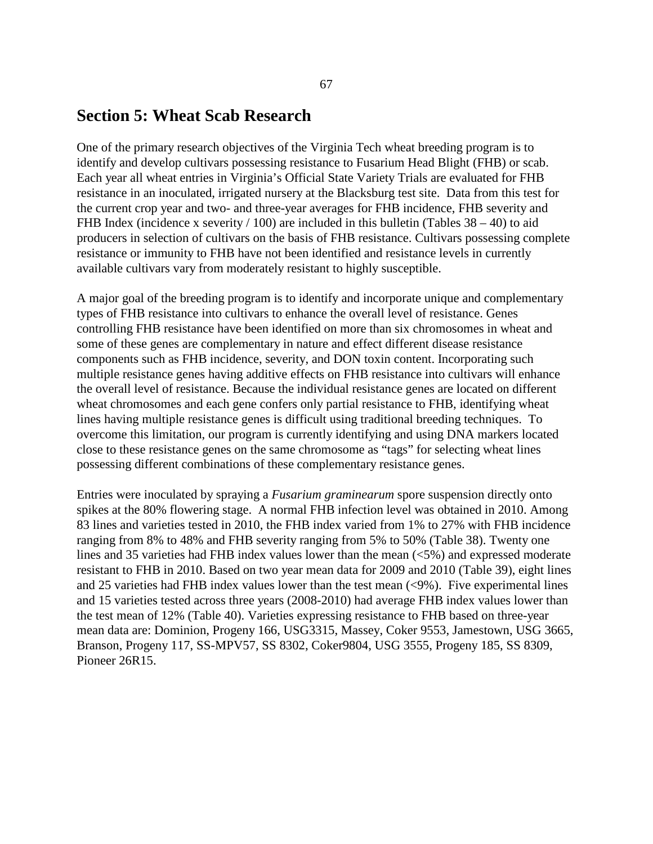## **Section 5: Wheat Scab Research**

One of the primary research objectives of the Virginia Tech wheat breeding program is to identify and develop cultivars possessing resistance to Fusarium Head Blight (FHB) or scab. Each year all wheat entries in Virginia's Official State Variety Trials are evaluated for FHB resistance in an inoculated, irrigated nursery at the Blacksburg test site. Data from this test for the current crop year and two- and three-year averages for FHB incidence, FHB severity and FHB Index (incidence x severity  $/ 100$ ) are included in this bulletin (Tables 38 – 40) to aid producers in selection of cultivars on the basis of FHB resistance. Cultivars possessing complete resistance or immunity to FHB have not been identified and resistance levels in currently available cultivars vary from moderately resistant to highly susceptible.

A major goal of the breeding program is to identify and incorporate unique and complementary types of FHB resistance into cultivars to enhance the overall level of resistance. Genes controlling FHB resistance have been identified on more than six chromosomes in wheat and some of these genes are complementary in nature and effect different disease resistance components such as FHB incidence, severity, and DON toxin content. Incorporating such multiple resistance genes having additive effects on FHB resistance into cultivars will enhance the overall level of resistance. Because the individual resistance genes are located on different wheat chromosomes and each gene confers only partial resistance to FHB, identifying wheat lines having multiple resistance genes is difficult using traditional breeding techniques. To overcome this limitation, our program is currently identifying and using DNA markers located close to these resistance genes on the same chromosome as "tags" for selecting wheat lines possessing different combinations of these complementary resistance genes.

Entries were inoculated by spraying a *Fusarium graminearum* spore suspension directly onto spikes at the 80% flowering stage. A normal FHB infection level was obtained in 2010. Among 83 lines and varieties tested in 2010, the FHB index varied from 1% to 27% with FHB incidence ranging from 8% to 48% and FHB severity ranging from 5% to 50% (Table 38). Twenty one lines and 35 varieties had FHB index values lower than the mean (<5%) and expressed moderate resistant to FHB in 2010. Based on two year mean data for 2009 and 2010 (Table 39), eight lines and 25 varieties had FHB index values lower than the test mean (<9%). Five experimental lines and 15 varieties tested across three years (2008-2010) had average FHB index values lower than the test mean of 12% (Table 40). Varieties expressing resistance to FHB based on three-year mean data are: Dominion, Progeny 166, USG3315, Massey, Coker 9553, Jamestown, USG 3665, Branson, Progeny 117, SS-MPV57, SS 8302, Coker9804, USG 3555, Progeny 185, SS 8309, Pioneer 26R15.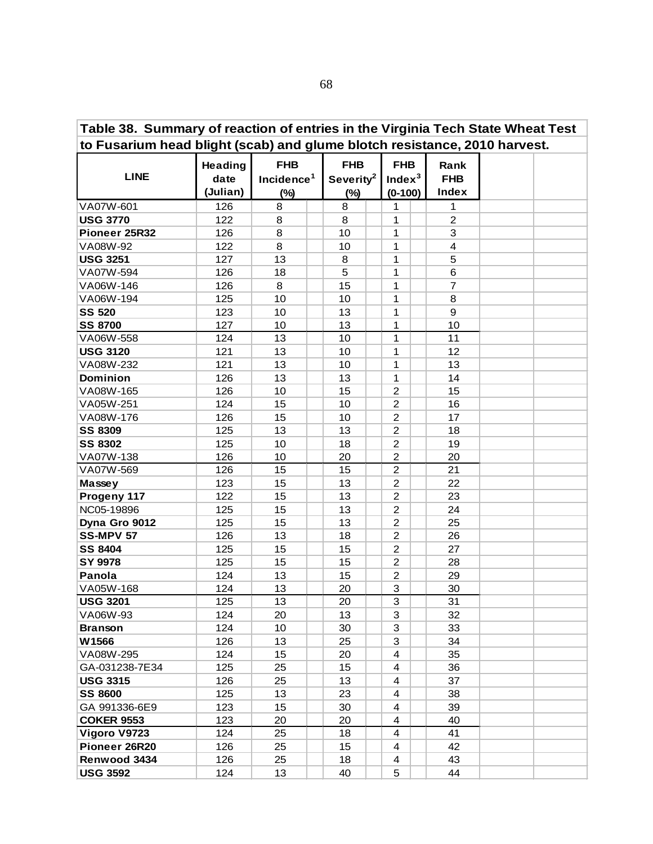| Table 38. Summary of reaction of entries in the Virginia Tech State Wheat Test |                |                        |                       |                                  |                |  |  |  |  |  |
|--------------------------------------------------------------------------------|----------------|------------------------|-----------------------|----------------------------------|----------------|--|--|--|--|--|
| to Fusarium head blight (scab) and glume blotch resistance, 2010 harvest.      |                |                        |                       |                                  |                |  |  |  |  |  |
|                                                                                | <b>Heading</b> | <b>FHB</b>             | <b>FHB</b>            | <b>FHB</b>                       | Rank           |  |  |  |  |  |
| <b>LINE</b>                                                                    | date           | Incidence <sup>1</sup> | Severity <sup>2</sup> | Inde $x^3$                       | <b>FHB</b>     |  |  |  |  |  |
|                                                                                | (Julian)       | $(\%)$                 | $(\%)$                | $(0-100)$                        | <b>Index</b>   |  |  |  |  |  |
| VA07W-601                                                                      | 126            | 8                      | 8                     | 1                                | 1              |  |  |  |  |  |
| <b>USG 3770</b>                                                                | 122            | 8                      | 8                     | 1                                | $\overline{2}$ |  |  |  |  |  |
| Pioneer 25R32                                                                  | 126            | 8                      | 10                    | 1                                | 3              |  |  |  |  |  |
| VA08W-92                                                                       | 122            | 8                      | 10                    | 1                                | 4              |  |  |  |  |  |
| <b>USG 3251</b>                                                                | 127            | 13                     | 8                     | 1                                | 5              |  |  |  |  |  |
| VA07W-594                                                                      | 126            | 18                     | 5                     | 1                                | 6              |  |  |  |  |  |
| VA06W-146                                                                      | 126            | 8                      | 15                    | 1                                | $\overline{7}$ |  |  |  |  |  |
| VA06W-194                                                                      | 125            | 10                     | 10                    | 1                                | 8              |  |  |  |  |  |
| <b>SS 520</b>                                                                  | 123            | 10                     | 13                    | 1                                | 9              |  |  |  |  |  |
| <b>SS 8700</b>                                                                 | 127            | 10                     | 13                    | 1                                | 10             |  |  |  |  |  |
| VA06W-558                                                                      | 124            | 13                     | 10                    | $\mathbf 1$                      | 11             |  |  |  |  |  |
|                                                                                | 121            | 13                     | 10                    | 1                                | 12             |  |  |  |  |  |
| <b>USG 3120</b><br>VA08W-232                                                   | 121            | 13                     | 10                    | 1                                | 13             |  |  |  |  |  |
|                                                                                | 126            | 13                     |                       |                                  |                |  |  |  |  |  |
| Dominion                                                                       |                | 10                     | 13                    | 1<br>$\overline{c}$              | 14             |  |  |  |  |  |
| VA08W-165                                                                      | 126            |                        | 15                    | $\overline{2}$                   | 15             |  |  |  |  |  |
| VA05W-251<br>VA08W-176                                                         | 124<br>126     | 15<br>15               | 10<br>10              | $\overline{c}$                   | 16<br>17       |  |  |  |  |  |
|                                                                                | 125            | 13                     |                       | $\overline{c}$                   |                |  |  |  |  |  |
| <b>SS 8309</b>                                                                 | 125            | 10                     | 13<br>18              | $\overline{2}$                   | 18<br>19       |  |  |  |  |  |
| <b>SS 8302</b>                                                                 |                |                        |                       |                                  |                |  |  |  |  |  |
| VA07W-138                                                                      | 126            | 10                     | 20                    | $\overline{c}$<br>$\overline{c}$ | 20             |  |  |  |  |  |
| VA07W-569                                                                      | 126            | 15                     | 15                    |                                  | 21             |  |  |  |  |  |
| Massey                                                                         | 123            | 15                     | 13                    | $\overline{c}$<br>$\overline{2}$ | 22             |  |  |  |  |  |
| Progeny 117                                                                    | 122            | 15                     | 13                    |                                  | 23             |  |  |  |  |  |
| NC05-19896                                                                     | 125            | 15                     | 13                    | $\overline{c}$<br>$\overline{2}$ | 24             |  |  |  |  |  |
| Dyna Gro 9012                                                                  | 125            | 15                     | 13                    |                                  | 25             |  |  |  |  |  |
| <b>SS-MPV 57</b>                                                               | 126            | 13                     | 18                    | $\overline{2}$                   | 26             |  |  |  |  |  |
| <b>SS 8404</b>                                                                 | 125            | 15                     | 15                    | $\overline{2}$                   | 27             |  |  |  |  |  |
| SY 9978                                                                        | 125            | 15                     | 15                    | $\overline{2}$                   | 28             |  |  |  |  |  |
| Panola                                                                         | 124            | 13                     | 15                    | $\overline{c}$                   | 29             |  |  |  |  |  |
| VA05W-168                                                                      | 124            | 13                     | 20                    | 3                                | 30             |  |  |  |  |  |
| <b>USG 3201</b>                                                                | 125            | 13                     | 20                    | 3                                | 31             |  |  |  |  |  |
| VA06W-93                                                                       | 124            | 20                     | 13                    | 3                                | 32             |  |  |  |  |  |
| <b>Branson</b>                                                                 | 124            | 10                     | 30                    | 3                                | 33             |  |  |  |  |  |
| W1566                                                                          | 126            | 13                     | 25                    | 3                                | 34             |  |  |  |  |  |
| VA08W-295                                                                      | 124            | 15                     | 20                    | 4                                | 35             |  |  |  |  |  |
| GA-031238-7E34                                                                 | 125            | 25                     | 15                    | 4                                | 36             |  |  |  |  |  |
| <b>USG 3315</b>                                                                | 126            | 25                     | 13                    | 4                                | 37             |  |  |  |  |  |
| <b>SS 8600</b>                                                                 | 125            | 13                     | 23                    | 4                                | 38             |  |  |  |  |  |
| GA 991336-6E9                                                                  | 123            | 15                     | 30                    | 4                                | 39             |  |  |  |  |  |
| <b>COKER 9553</b>                                                              | 123            | 20                     | 20                    | 4                                | 40             |  |  |  |  |  |
| Vigoro V9723                                                                   | 124            | 25                     | 18                    | 4                                | 41             |  |  |  |  |  |
| Pioneer 26R20                                                                  | 126            | 25                     | 15                    | 4                                | 42             |  |  |  |  |  |
| Renwood 3434                                                                   | 126            | 25                     | 18                    | 4                                | 43             |  |  |  |  |  |
| <b>USG 3592</b>                                                                | 124            | 13                     | 40                    | 5                                | 44             |  |  |  |  |  |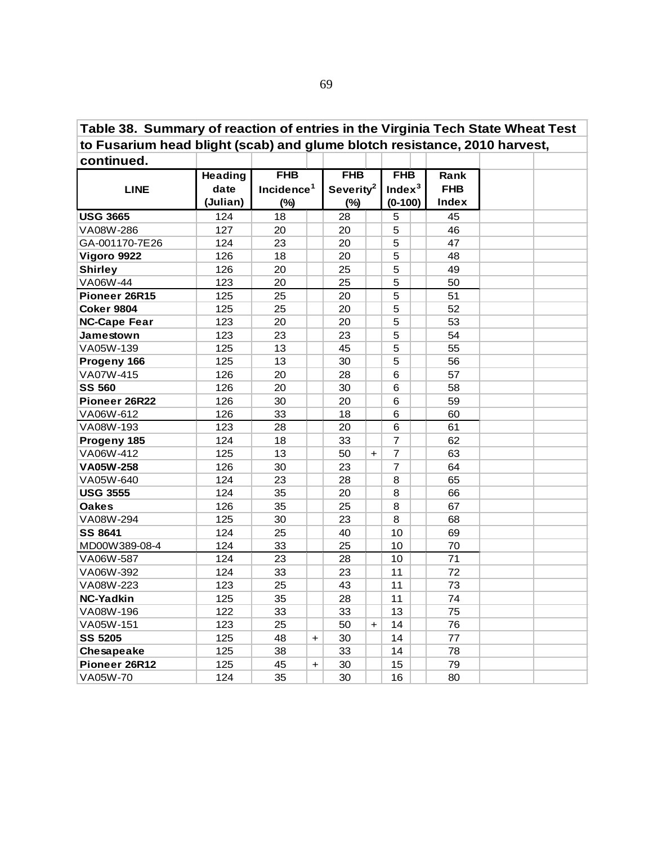69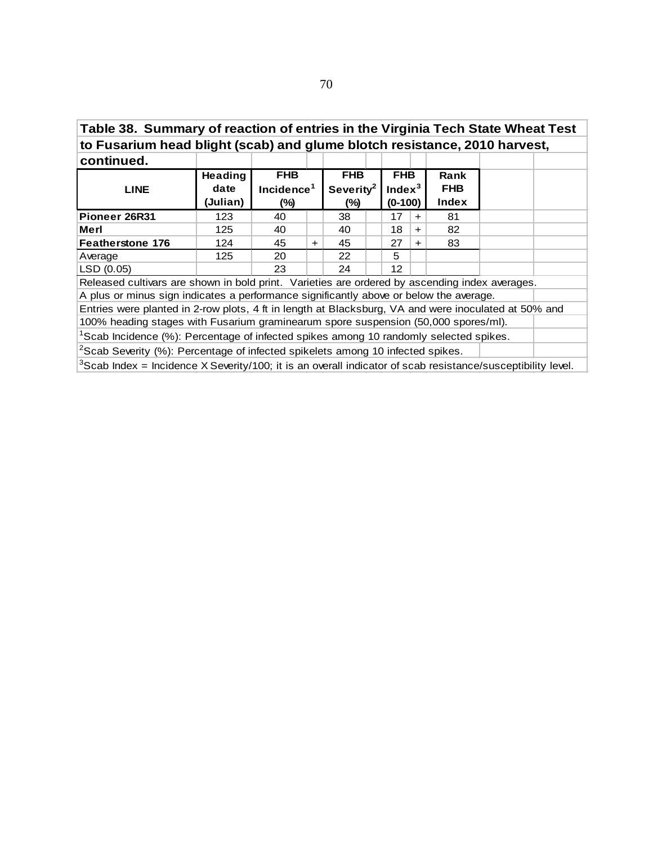| Table 38. Summary of reaction of entries in the Virginia Tech State Wheat Test<br>to Fusarium head blight (scab) and glume blotch resistance, 2010 harvest,<br>continued |  |  |  |  |  |  |  |  |
|--------------------------------------------------------------------------------------------------------------------------------------------------------------------------|--|--|--|--|--|--|--|--|
|                                                                                                                                                                          |  |  |  |  |  |  |  |  |

| continued.                                                                                           |                             |                                                |     |                                            |                                               |     |                                           |  |
|------------------------------------------------------------------------------------------------------|-----------------------------|------------------------------------------------|-----|--------------------------------------------|-----------------------------------------------|-----|-------------------------------------------|--|
| <b>LINE</b>                                                                                          | Heading<br>date<br>(Julian) | <b>FHB</b><br>Incidence <sup>1</sup><br>$(\%)$ |     | <b>FHB</b><br>Severity <sup>2</sup><br>(%) | <b>FHB</b><br>Index <sup>3</sup><br>$(0-100)$ |     | <b>Rank</b><br><b>FHB</b><br><b>Index</b> |  |
| Pioneer 26R31                                                                                        | 123                         | 40                                             |     | 38                                         | 17                                            | $+$ | 81                                        |  |
| Merl                                                                                                 | 125                         | 40                                             |     | 40                                         | 18                                            | $+$ | 82                                        |  |
| Featherstone 176                                                                                     | 124                         | 45                                             | $+$ | 45                                         | 27                                            | $+$ | 83                                        |  |
| Average                                                                                              | 125                         | 20                                             |     | 22                                         | 5                                             |     |                                           |  |
| LSD (0.05)                                                                                           |                             | 23                                             |     | 24                                         | 12                                            |     |                                           |  |
| Released cultivars are shown in bold print. Varieties are ordered by ascending index averages.       |                             |                                                |     |                                            |                                               |     |                                           |  |
| A plus or minus sign indicates a performance significantly above or below the average.               |                             |                                                |     |                                            |                                               |     |                                           |  |
| Entries were planted in 2-row plots, 4 ft in length at Blacksburg, VA and were inoculated at 50% and |                             |                                                |     |                                            |                                               |     |                                           |  |
| 100% heading stages with Fusarium graminearum spore suspension (50,000 spores/ml).                   |                             |                                                |     |                                            |                                               |     |                                           |  |
| <sup>1</sup> Scab Incidence (%): Percentage of infected spikes among 10 randomly selected spikes.    |                             |                                                |     |                                            |                                               |     |                                           |  |
| <sup>2</sup> Scab Severity (%): Percentage of infected spikelets among 10 infected spikes.           |                             |                                                |     |                                            |                                               |     |                                           |  |

 $3$ Scab Index = Incidence X Severity/100; it is an overall indicator of scab resistance/susceptibility level.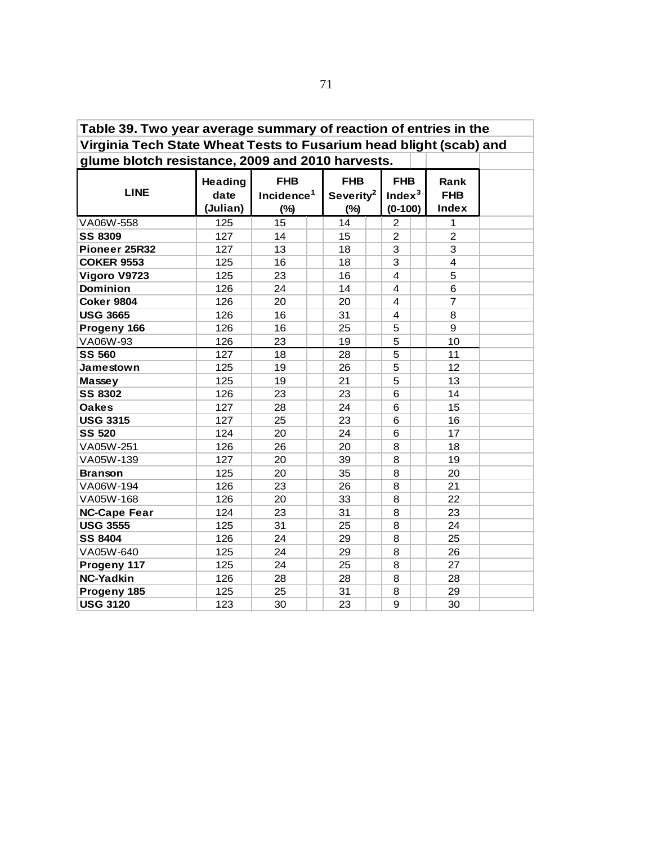| Table 39. Two year average summary of reaction of entries in the   |                             |                                                |                                               |                                       |                                    |  |  |  |  |  |  |  |
|--------------------------------------------------------------------|-----------------------------|------------------------------------------------|-----------------------------------------------|---------------------------------------|------------------------------------|--|--|--|--|--|--|--|
| Virginia Tech State Wheat Tests to Fusarium head blight (scab) and |                             |                                                |                                               |                                       |                                    |  |  |  |  |  |  |  |
| glume blotch resistance, 2009 and 2010 harvests.                   |                             |                                                |                                               |                                       |                                    |  |  |  |  |  |  |  |
| <b>LINE</b>                                                        | Heading<br>date<br>(Julian) | <b>FHB</b><br>Incidence <sup>1</sup><br>$(\%)$ | <b>FHB</b><br>Severity <sup>2</sup><br>$(\%)$ | <b>FHB</b><br>Inde $x^3$<br>$(0-100)$ | Rank<br><b>FHB</b><br><b>Index</b> |  |  |  |  |  |  |  |
| VA06W-558                                                          | 125                         | 15                                             | 14                                            | $\overline{2}$                        | $\mathbf{1}$                       |  |  |  |  |  |  |  |
| <b>SS 8309</b>                                                     | 127                         | 14                                             | 15                                            | $\overline{2}$                        | $\overline{2}$                     |  |  |  |  |  |  |  |
| Pioneer 25R32                                                      | 127                         | 13                                             | 18                                            | 3                                     | 3                                  |  |  |  |  |  |  |  |
| <b>COKER 9553</b>                                                  | 125                         | 16                                             | 18                                            | 3                                     | $\overline{\mathbf{4}}$            |  |  |  |  |  |  |  |
| Vigoro V9723                                                       | 125                         | 23                                             | 16                                            | 4                                     | 5                                  |  |  |  |  |  |  |  |
| <b>Dominion</b>                                                    | 126                         | 24                                             | 14                                            | 4                                     | 6                                  |  |  |  |  |  |  |  |
| <b>Coker 9804</b>                                                  | 126                         | 20                                             | 20                                            | 4                                     | $\overline{7}$                     |  |  |  |  |  |  |  |
| <b>USG 3665</b>                                                    | 126                         | 16                                             | 31                                            | 4                                     | 8                                  |  |  |  |  |  |  |  |
| Progeny 166                                                        | 126                         | 16                                             | 25                                            | 5                                     | 9                                  |  |  |  |  |  |  |  |
| VA06W-93                                                           | 126                         | 23                                             | 19                                            | 5                                     | 10                                 |  |  |  |  |  |  |  |
| <b>SS 560</b>                                                      | 127                         | 18                                             | 28                                            | 5                                     | 11                                 |  |  |  |  |  |  |  |
| Jamestown                                                          | 125                         | 19                                             | 26                                            | 5                                     | 12                                 |  |  |  |  |  |  |  |
| Massey                                                             | 125                         | 19                                             | 21                                            | 5                                     | 13                                 |  |  |  |  |  |  |  |
| <b>SS 8302</b>                                                     | 126                         | 23                                             | 23                                            | 6                                     | 14                                 |  |  |  |  |  |  |  |
| <b>Oakes</b>                                                       | 127                         | 28                                             | 24                                            | 6                                     | 15                                 |  |  |  |  |  |  |  |
| <b>USG 3315</b>                                                    | 127                         | 25                                             | 23                                            | 6                                     | 16                                 |  |  |  |  |  |  |  |
| <b>SS 520</b>                                                      | 124                         | 20                                             | 24                                            | 6                                     | 17                                 |  |  |  |  |  |  |  |
| VA05W-251                                                          | 126                         | 26                                             | 20                                            | 8                                     | 18                                 |  |  |  |  |  |  |  |
| VA05W-139                                                          | 127                         | 20                                             | 39                                            | 8                                     | 19                                 |  |  |  |  |  |  |  |
| <b>Branson</b>                                                     | 125                         | 20                                             | 35                                            | 8                                     | 20                                 |  |  |  |  |  |  |  |
| VA06W-194                                                          | 126                         | 23                                             | 26                                            | 8                                     | 21                                 |  |  |  |  |  |  |  |
| VA05W-168                                                          | 126                         | 20                                             | 33                                            | 8                                     | 22                                 |  |  |  |  |  |  |  |
| <b>NC-Cape Fear</b>                                                | 124                         | 23                                             | 31                                            | 8                                     | 23                                 |  |  |  |  |  |  |  |
| <b>USG 3555</b>                                                    | 125                         | 31                                             | 25                                            | 8                                     | 24                                 |  |  |  |  |  |  |  |
| <b>SS 8404</b>                                                     | 126                         | 24                                             | 29                                            | 8                                     | 25                                 |  |  |  |  |  |  |  |
| VA05W-640                                                          | 125                         | 24                                             | 29                                            | 8                                     | 26                                 |  |  |  |  |  |  |  |
| Progeny 117                                                        | 125                         | 24                                             | 25                                            | 8                                     | 27                                 |  |  |  |  |  |  |  |
| <b>NC-Yadkin</b>                                                   | 126                         | 28                                             | 28                                            | 8                                     | 28                                 |  |  |  |  |  |  |  |
| Progeny 185                                                        | 125                         | 25                                             | 31                                            | 8                                     | 29                                 |  |  |  |  |  |  |  |
| <b>USG 3120</b>                                                    | 123                         | 30                                             | 23                                            | 9                                     | 30                                 |  |  |  |  |  |  |  |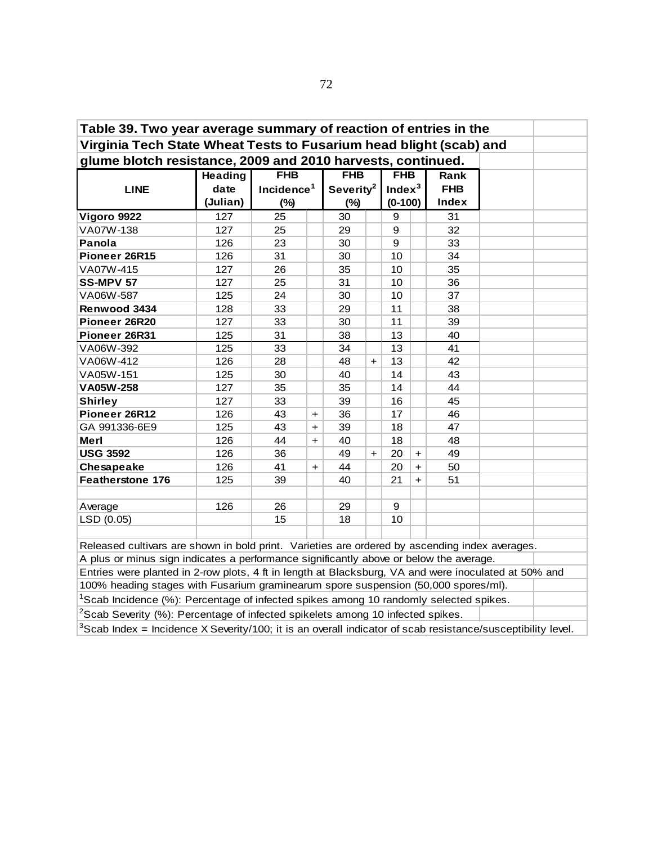| Table 39. Two year average summary of reaction of entries in the                                     |                |                        |                      |                       |            |            |           |            |  |  |
|------------------------------------------------------------------------------------------------------|----------------|------------------------|----------------------|-----------------------|------------|------------|-----------|------------|--|--|
| Virginia Tech State Wheat Tests to Fusarium head blight (scab) and                                   |                |                        |                      |                       |            |            |           |            |  |  |
| glume blotch resistance, 2009 and 2010 harvests, continued.                                          |                |                        |                      |                       |            |            |           |            |  |  |
|                                                                                                      | <b>Heading</b> | <b>FHB</b>             |                      | <b>FHB</b>            | <b>FHB</b> |            |           | Rank       |  |  |
| <b>LINE</b>                                                                                          | date           | Incidence <sup>1</sup> |                      | Severity <sup>2</sup> |            | Inde $x^3$ |           | <b>FHB</b> |  |  |
|                                                                                                      | (Julian)       | (%)                    |                      | $(\%)$                |            | $(0-100)$  |           | Index      |  |  |
| Vigoro 9922                                                                                          | 127            | 25                     |                      | 30                    |            | 9          |           | 31         |  |  |
| VA07W-138                                                                                            | 127            | 25                     |                      | 29                    |            | 9          |           | 32         |  |  |
| Panola                                                                                               | 126            | 23                     |                      | 30                    |            | 9          |           | 33         |  |  |
| Pioneer 26R15                                                                                        | 126            | 31                     |                      | 30                    |            | 10         |           | 34         |  |  |
| VA07W-415                                                                                            | 127            | 26                     |                      | 35                    |            | 10         |           | 35         |  |  |
| <b>SS-MPV 57</b>                                                                                     | 127            | 25                     |                      | 31                    |            | 10         |           | 36         |  |  |
| VA06W-587                                                                                            | 125            | 24                     |                      | 30                    |            | 10         |           | 37         |  |  |
| Renwood 3434                                                                                         | 128            | 33                     |                      | 29                    |            | 11         |           | 38         |  |  |
| Pioneer 26R20                                                                                        | 127            | 33                     |                      | 30                    |            | 11         |           | 39         |  |  |
| Pioneer 26R31                                                                                        | 125            | 31                     |                      | 38                    |            | 13         |           | 40         |  |  |
| VA06W-392                                                                                            | 125            | 33                     |                      | 34                    |            | 13         |           | 41         |  |  |
| VA06W-412                                                                                            | 126            | 28                     |                      | 48                    | $+$        | 13         |           | 42         |  |  |
| VA05W-151                                                                                            | 125            | 30                     |                      | 40                    |            | 14         |           | 43         |  |  |
| VA05W-258                                                                                            | 127            | 35                     |                      | 35                    |            | 14         |           | 44         |  |  |
| <b>Shirley</b>                                                                                       | 127            | 33                     |                      | 39                    |            | 16         |           | 45         |  |  |
| Pioneer 26R12                                                                                        | 126            | 43                     | $\ddot{\phantom{1}}$ | 36                    |            | 17         |           | 46         |  |  |
| GA 991336-6E9                                                                                        | 125            | 43                     | $\ddot{\phantom{1}}$ | 39                    |            | 18         |           | 47         |  |  |
| Merl                                                                                                 | 126            | 44                     | $\ddot{\phantom{1}}$ | 40                    |            | 18         |           | 48         |  |  |
| <b>USG 3592</b>                                                                                      | 126            | 36                     |                      | 49                    | $+$        | 20         | $\ddot{}$ | 49         |  |  |
| Chesapeake                                                                                           | 126            | 41                     | $\ddot{}$            | 44                    |            | 20         | $\ddot{}$ | 50         |  |  |
| <b>Featherstone 176</b>                                                                              | 125            | 39                     |                      | 40                    |            | 21         | $\ddot{}$ | 51         |  |  |
|                                                                                                      |                |                        |                      |                       |            |            |           |            |  |  |
| Average                                                                                              | 126            | 26                     |                      | 29                    |            | 9          |           |            |  |  |
| LSD (0.05)                                                                                           |                | 15                     |                      | 18                    |            | 10         |           |            |  |  |
|                                                                                                      |                |                        |                      |                       |            |            |           |            |  |  |
| Released cultivars are shown in bold print. Varieties are ordered by ascending index averages.       |                |                        |                      |                       |            |            |           |            |  |  |
| A plus or minus sign indicates a performance significantly above or below the average.               |                |                        |                      |                       |            |            |           |            |  |  |
| Entries were planted in 2-row plots, 4 ft in length at Blacksburg, VA and were inoculated at 50% and |                |                        |                      |                       |            |            |           |            |  |  |
| 100% heading stages with Fusarium graminearum spore suspension (50,000 spores/ml).                   |                |                        |                      |                       |            |            |           |            |  |  |
| <sup>1</sup> Scab Incidence (%): Percentage of infected spikes among 10 randomly selected spikes.    |                |                        |                      |                       |            |            |           |            |  |  |
| <sup>2</sup> Scab Severity (%): Percentage of infected spikelets among 10 infected spikes.           |                |                        |                      |                       |            |            |           |            |  |  |

 $3$ Scab Index = Incidence X Severity/100; it is an overall indicator of scab resistance/susceptibility level.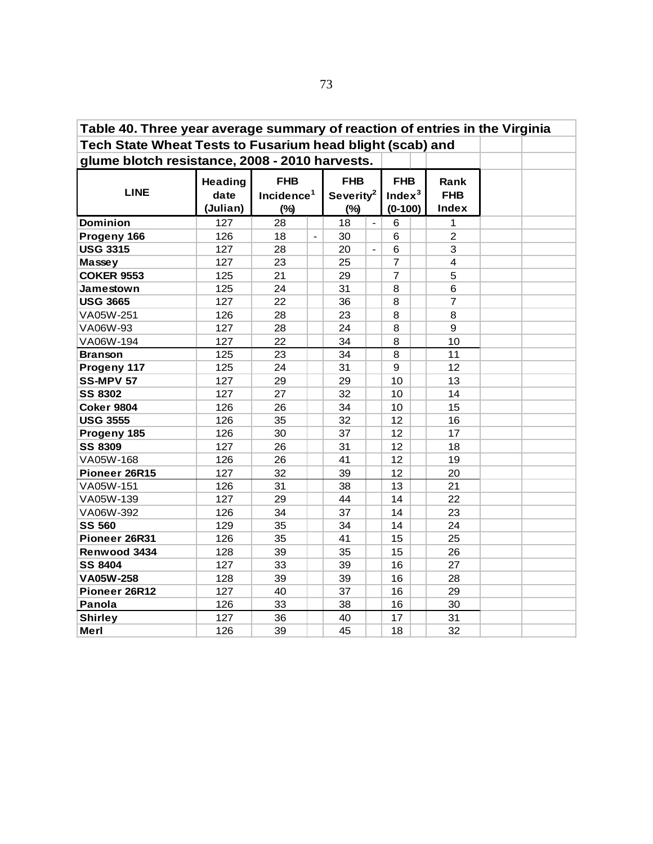| Table 40. Three year average summary of reaction of entries in the Virginia |                |                        |                          |                       |                |                |  |                         |  |  |
|-----------------------------------------------------------------------------|----------------|------------------------|--------------------------|-----------------------|----------------|----------------|--|-------------------------|--|--|
| Tech State Wheat Tests to Fusarium head blight (scab) and                   |                |                        |                          |                       |                |                |  |                         |  |  |
| glume blotch resistance, 2008 - 2010 harvests.                              |                |                        |                          |                       |                |                |  |                         |  |  |
|                                                                             | <b>Heading</b> | <b>FHB</b>             |                          | <b>FHB</b>            |                | <b>FHB</b>     |  | Rank                    |  |  |
| <b>LINE</b>                                                                 | date           | Incidence <sup>1</sup> |                          | Severity <sup>2</sup> |                | Inde $x^3$     |  | <b>FHB</b>              |  |  |
|                                                                             | (Julian)       | $(\%)$                 |                          | $(\%)$                |                | $(0-100)$      |  | <b>Index</b>            |  |  |
| <b>Dominion</b>                                                             | 127            | 28                     |                          | 18                    | $\overline{a}$ | 6              |  | 1                       |  |  |
| Progeny 166                                                                 | 126            | 18                     | $\overline{\phantom{a}}$ | 30                    |                | $6\phantom{1}$ |  | $\overline{2}$          |  |  |
| <b>USG 3315</b>                                                             | 127            | 28                     |                          | 20                    |                | 6              |  | 3                       |  |  |
| Massey                                                                      | 127            | 23                     |                          | 25                    |                | $\overline{7}$ |  | $\overline{\mathbf{4}}$ |  |  |
| <b>COKER 9553</b>                                                           | 125            | 21                     |                          | 29                    |                | $\overline{7}$ |  | 5                       |  |  |
| Jamestown                                                                   | 125            | 24                     |                          | 31                    |                | 8              |  | 6                       |  |  |
| <b>USG 3665</b>                                                             | 127            | 22                     |                          | 36                    |                | 8              |  | $\overline{7}$          |  |  |
| VA05W-251                                                                   | 126            | 28                     |                          | 23                    |                | 8              |  | 8                       |  |  |
| VA06W-93                                                                    | 127            | 28                     |                          | 24                    |                | 8              |  | 9                       |  |  |
| VA06W-194                                                                   | 127            | 22                     |                          | 34                    |                | 8              |  | 10                      |  |  |
| <b>Branson</b>                                                              | 125            | 23                     |                          | 34                    |                | 8              |  | 11                      |  |  |
| Progeny 117                                                                 | 125            | 24                     |                          | 31                    |                | 9              |  | 12                      |  |  |
| <b>SS-MPV 57</b>                                                            | 127            | 29                     |                          | 29                    |                | 10             |  | 13                      |  |  |
| <b>SS 8302</b>                                                              | 127            | 27                     |                          | 32                    |                | 10             |  | 14                      |  |  |
| <b>Coker 9804</b>                                                           | 126            | 26                     |                          | 34                    |                | 10             |  | 15                      |  |  |
| <b>USG 3555</b>                                                             | 126            | 35                     |                          | 32                    |                | 12             |  | 16                      |  |  |
| Progeny 185                                                                 | 126            | 30                     |                          | 37                    |                | 12             |  | 17                      |  |  |
| <b>SS 8309</b>                                                              | 127            | 26                     |                          | 31                    |                | 12             |  | 18                      |  |  |
| VA05W-168                                                                   | 126            | 26                     |                          | 41                    |                | 12             |  | 19                      |  |  |
| Pioneer 26R15                                                               | 127            | 32                     |                          | 39                    |                | 12             |  | 20                      |  |  |
| VA05W-151                                                                   | 126            | 31                     |                          | 38                    |                | 13             |  | 21                      |  |  |
| VA05W-139                                                                   | 127            | 29                     |                          | 44                    |                | 14             |  | 22                      |  |  |
| VA06W-392                                                                   | 126            | 34                     |                          | 37                    |                | 14             |  | 23                      |  |  |
| <b>SS 560</b>                                                               | 129            | 35                     |                          | 34                    |                | 14             |  | 24                      |  |  |
| Pioneer 26R31                                                               | 126            | 35                     |                          | 41                    |                | 15             |  | 25                      |  |  |
| Renwood 3434                                                                | 128            | 39                     |                          | 35                    |                | 15             |  | 26                      |  |  |
| <b>SS 8404</b>                                                              | 127            | 33                     |                          | 39                    |                | 16             |  | 27                      |  |  |
| VA05W-258                                                                   | 128            | 39                     |                          | 39                    |                | 16             |  | 28                      |  |  |
| Pioneer 26R12                                                               | 127            | 40                     |                          | 37                    |                | 16             |  | 29                      |  |  |
| Panola                                                                      | 126            | 33                     |                          | 38                    |                | 16             |  | 30                      |  |  |
| <b>Shirley</b>                                                              | 127            | 36                     |                          | 40                    |                | 17             |  | 31                      |  |  |
| Merl                                                                        | 126            | 39                     |                          | 45                    |                | 18             |  | 32                      |  |  |